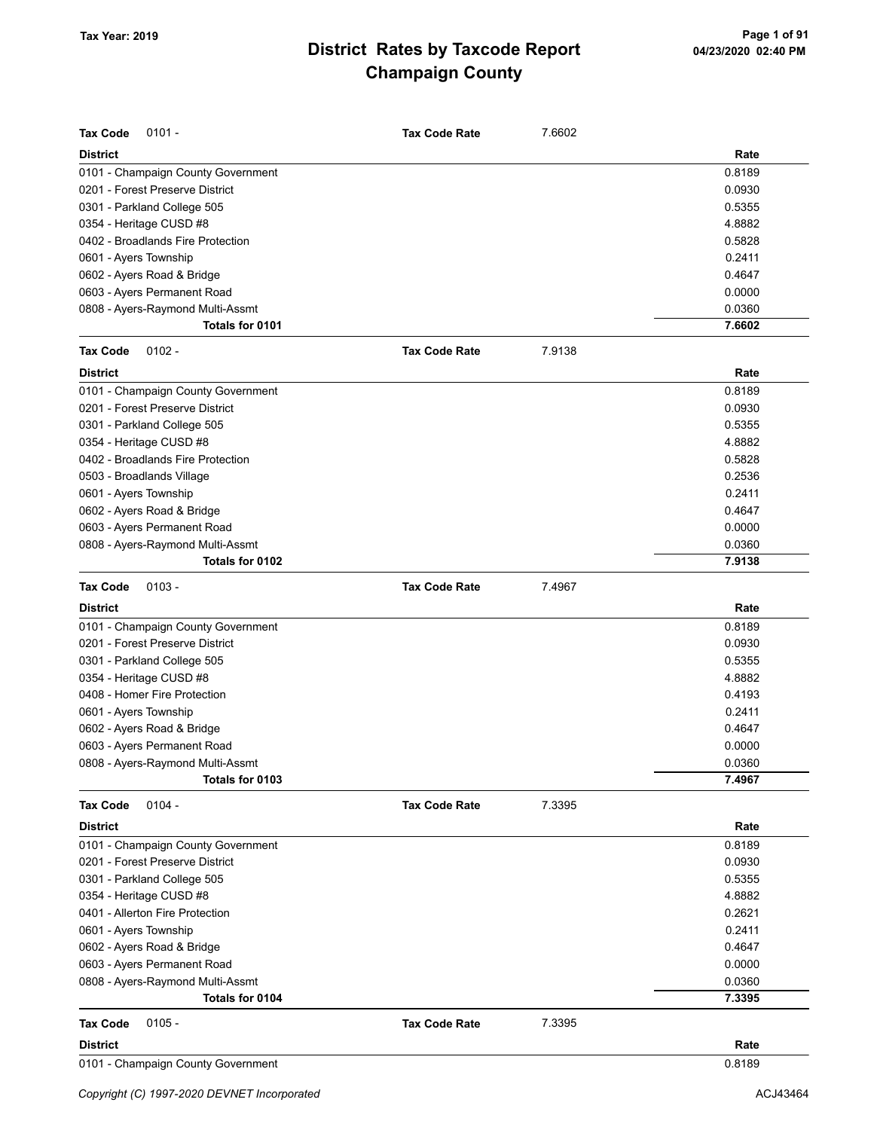| <b>Tax Code</b><br>$0101 -$                            | <b>Tax Code Rate</b> | 7.6602 |                  |
|--------------------------------------------------------|----------------------|--------|------------------|
|                                                        |                      |        |                  |
| <b>District</b>                                        |                      |        | Rate             |
| 0101 - Champaign County Government                     |                      |        | 0.8189           |
| 0201 - Forest Preserve District                        |                      |        | 0.0930           |
| 0301 - Parkland College 505                            |                      |        | 0.5355           |
| 0354 - Heritage CUSD #8                                |                      |        | 4.8882           |
| 0402 - Broadlands Fire Protection                      |                      |        | 0.5828           |
| 0601 - Ayers Township                                  |                      |        | 0.2411           |
| 0602 - Ayers Road & Bridge                             |                      |        | 0.4647           |
| 0603 - Ayers Permanent Road                            |                      |        | 0.0000           |
| 0808 - Ayers-Raymond Multi-Assmt                       |                      |        | 0.0360<br>7.6602 |
| Totals for 0101                                        |                      |        |                  |
| <b>Tax Code</b><br>$0102 -$                            | <b>Tax Code Rate</b> | 7.9138 |                  |
| <b>District</b>                                        |                      |        | Rate             |
| 0101 - Champaign County Government                     |                      |        | 0.8189           |
| 0201 - Forest Preserve District                        |                      |        | 0.0930           |
| 0301 - Parkland College 505                            |                      |        | 0.5355           |
| 0354 - Heritage CUSD #8                                |                      |        | 4.8882           |
| 0402 - Broadlands Fire Protection                      |                      |        | 0.5828           |
| 0503 - Broadlands Village                              |                      |        | 0.2536           |
| 0601 - Ayers Township                                  |                      |        | 0.2411           |
| 0602 - Ayers Road & Bridge                             |                      |        | 0.4647           |
| 0603 - Ayers Permanent Road                            |                      |        | 0.0000           |
| 0808 - Ayers-Raymond Multi-Assmt                       |                      |        | 0.0360           |
| Totals for 0102                                        |                      |        | 7.9138           |
| <b>Tax Code</b><br>$0103 -$                            | <b>Tax Code Rate</b> | 7.4967 |                  |
| <b>District</b>                                        |                      |        | Rate             |
| 0101 - Champaign County Government                     |                      |        | 0.8189           |
| 0201 - Forest Preserve District                        |                      |        |                  |
|                                                        |                      |        | 0.0930<br>0.5355 |
| 0301 - Parkland College 505<br>0354 - Heritage CUSD #8 |                      |        | 4.8882           |
| 0408 - Homer Fire Protection                           |                      |        | 0.4193           |
| 0601 - Ayers Township                                  |                      |        | 0.2411           |
| 0602 - Ayers Road & Bridge                             |                      |        | 0.4647           |
| 0603 - Ayers Permanent Road                            |                      |        | 0.0000           |
| 0808 - Ayers-Raymond Multi-Assmt                       |                      |        | 0.0360           |
| Totals for 0103                                        |                      |        | 7.4967           |
|                                                        |                      |        |                  |
| $0104 -$<br><b>Tax Code</b>                            | <b>Tax Code Rate</b> | 7.3395 |                  |
| <b>District</b>                                        |                      |        | Rate             |
| 0101 - Champaign County Government                     |                      |        | 0.8189           |
| 0201 - Forest Preserve District                        |                      |        | 0.0930           |
| 0301 - Parkland College 505                            |                      |        | 0.5355           |
| 0354 - Heritage CUSD #8                                |                      |        | 4.8882           |
| 0401 - Allerton Fire Protection                        |                      |        | 0.2621           |
| 0601 - Ayers Township                                  |                      |        | 0.2411           |
| 0602 - Ayers Road & Bridge                             |                      |        | 0.4647           |
| 0603 - Ayers Permanent Road                            |                      |        | 0.0000           |
| 0808 - Ayers-Raymond Multi-Assmt                       |                      |        | 0.0360           |
| Totals for 0104                                        |                      |        | 7.3395           |
| <b>Tax Code</b><br>$0105 -$                            | <b>Tax Code Rate</b> | 7.3395 |                  |
| <b>District</b>                                        |                      |        | Rate             |
| 0101 - Champaign County Government                     |                      |        | 0.8189           |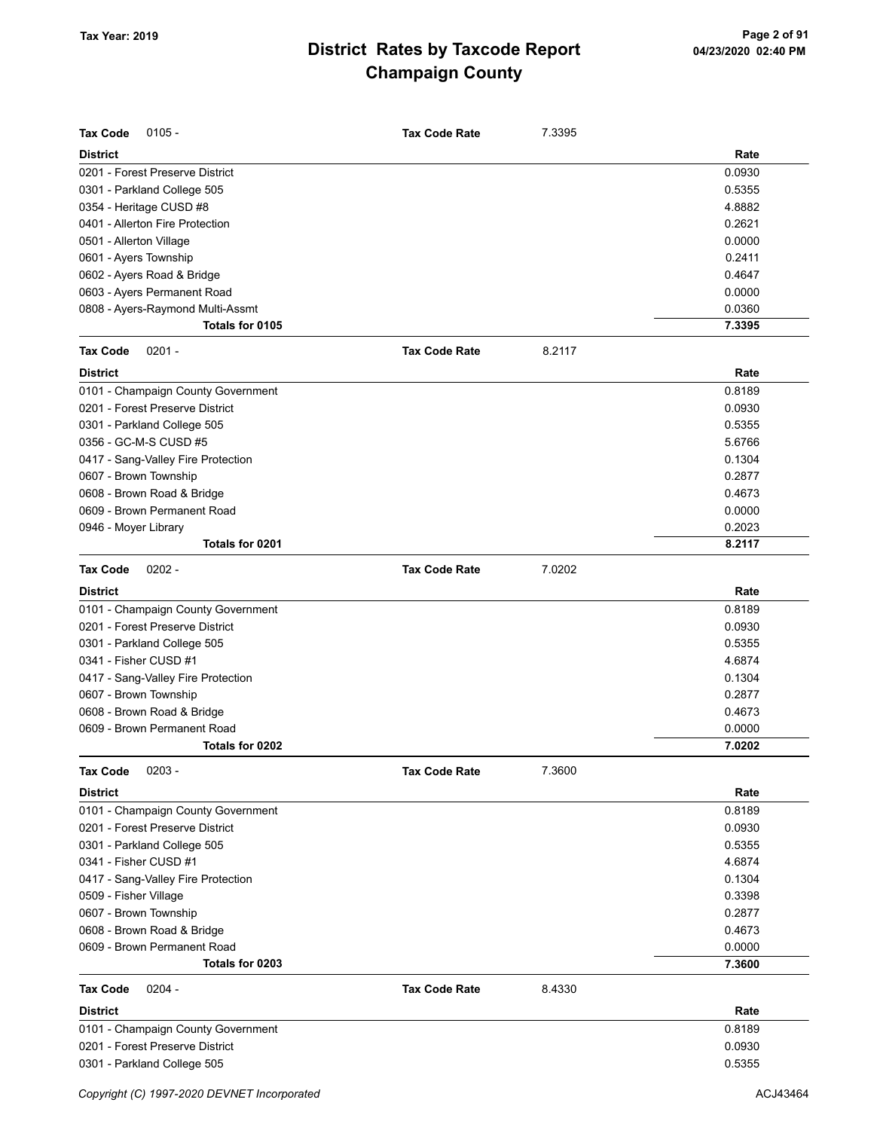| <b>Tax Code</b><br>$0105 -$        | <b>Tax Code Rate</b> | 7.3395 |        |
|------------------------------------|----------------------|--------|--------|
| <b>District</b>                    |                      |        | Rate   |
| 0201 - Forest Preserve District    |                      |        | 0.0930 |
| 0301 - Parkland College 505        |                      |        | 0.5355 |
| 0354 - Heritage CUSD #8            |                      |        | 4.8882 |
| 0401 - Allerton Fire Protection    |                      |        | 0.2621 |
| 0501 - Allerton Village            |                      |        | 0.0000 |
| 0601 - Ayers Township              |                      |        | 0.2411 |
| 0602 - Ayers Road & Bridge         |                      |        | 0.4647 |
| 0603 - Ayers Permanent Road        |                      |        | 0.0000 |
| 0808 - Ayers-Raymond Multi-Assmt   |                      |        | 0.0360 |
| Totals for 0105                    |                      |        | 7.3395 |
| <b>Tax Code</b><br>$0201 -$        | <b>Tax Code Rate</b> | 8.2117 |        |
| <b>District</b>                    |                      |        | Rate   |
| 0101 - Champaign County Government |                      |        | 0.8189 |
| 0201 - Forest Preserve District    |                      |        | 0.0930 |
| 0301 - Parkland College 505        |                      |        | 0.5355 |
| 0356 - GC-M-S CUSD #5              |                      |        | 5.6766 |
| 0417 - Sang-Valley Fire Protection |                      |        | 0.1304 |
| 0607 - Brown Township              |                      |        | 0.2877 |
| 0608 - Brown Road & Bridge         |                      |        | 0.4673 |
| 0609 - Brown Permanent Road        |                      |        | 0.0000 |
| 0946 - Moyer Library               |                      |        | 0.2023 |
| Totals for 0201                    |                      |        | 8.2117 |
| <b>Tax Code</b><br>$0202 -$        | <b>Tax Code Rate</b> | 7.0202 |        |
| <b>District</b>                    |                      |        | Rate   |
| 0101 - Champaign County Government |                      |        | 0.8189 |
| 0201 - Forest Preserve District    |                      |        | 0.0930 |
| 0301 - Parkland College 505        |                      |        | 0.5355 |
| 0341 - Fisher CUSD #1              |                      |        | 4.6874 |
| 0417 - Sang-Valley Fire Protection |                      |        | 0.1304 |
| 0607 - Brown Township              |                      |        | 0.2877 |
| 0608 - Brown Road & Bridge         |                      |        | 0.4673 |
| 0609 - Brown Permanent Road        |                      |        | 0.0000 |
| Totals for 0202                    |                      |        | 7.0202 |
| <b>Tax Code</b><br>$0203 -$        | <b>Tax Code Rate</b> | 7.3600 |        |
| <b>District</b>                    |                      |        | Rate   |
| 0101 - Champaign County Government |                      |        | 0.8189 |
| 0201 - Forest Preserve District    |                      |        | 0.0930 |
| 0301 - Parkland College 505        |                      |        | 0.5355 |
| 0341 - Fisher CUSD #1              |                      |        | 4.6874 |
| 0417 - Sang-Valley Fire Protection |                      |        | 0.1304 |
| 0509 - Fisher Village              |                      |        | 0.3398 |
| 0607 - Brown Township              |                      |        | 0.2877 |
| 0608 - Brown Road & Bridge         |                      |        | 0.4673 |
| 0609 - Brown Permanent Road        |                      |        | 0.0000 |
| Totals for 0203                    |                      |        | 7.3600 |
| <b>Tax Code</b><br>$0204 -$        | <b>Tax Code Rate</b> | 8.4330 |        |
| <b>District</b>                    |                      |        | Rate   |
| 0101 - Champaign County Government |                      |        | 0.8189 |
| 0201 - Forest Preserve District    |                      |        | 0.0930 |
| 0301 - Parkland College 505        |                      |        | 0.5355 |
|                                    |                      |        |        |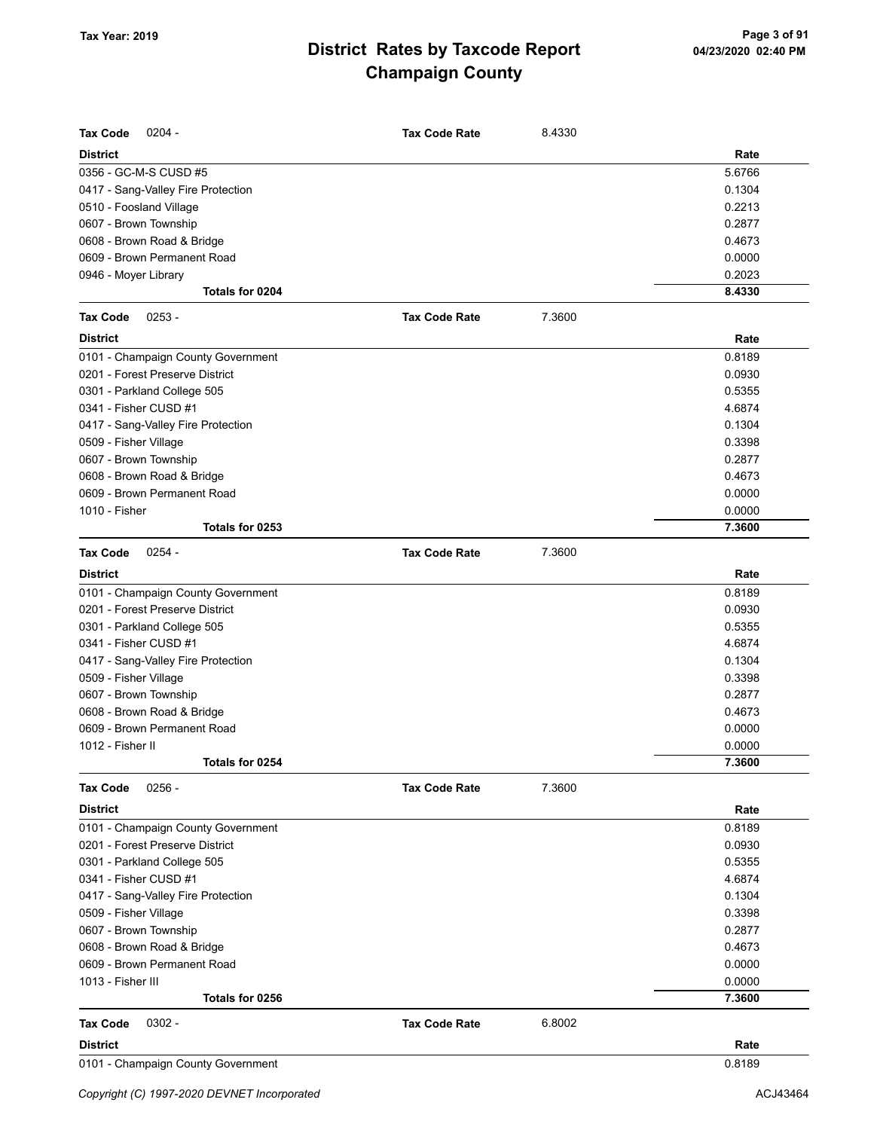| <b>Tax Code</b><br>$0204 -$        | <b>Tax Code Rate</b> | 8.4330 |        |
|------------------------------------|----------------------|--------|--------|
| <b>District</b>                    |                      |        | Rate   |
| 0356 - GC-M-S CUSD #5              |                      |        | 5.6766 |
| 0417 - Sang-Valley Fire Protection |                      |        | 0.1304 |
| 0510 - Foosland Village            |                      |        | 0.2213 |
| 0607 - Brown Township              |                      |        | 0.2877 |
| 0608 - Brown Road & Bridge         |                      |        | 0.4673 |
| 0609 - Brown Permanent Road        |                      |        | 0.0000 |
| 0946 - Moyer Library               |                      |        | 0.2023 |
| Totals for 0204                    |                      |        | 8.4330 |
| $0253 -$<br><b>Tax Code</b>        | <b>Tax Code Rate</b> | 7.3600 |        |
| <b>District</b>                    |                      |        | Rate   |
| 0101 - Champaign County Government |                      |        | 0.8189 |
| 0201 - Forest Preserve District    |                      |        | 0.0930 |
| 0301 - Parkland College 505        |                      |        | 0.5355 |
| 0341 - Fisher CUSD #1              |                      |        | 4.6874 |
| 0417 - Sang-Valley Fire Protection |                      |        | 0.1304 |
| 0509 - Fisher Village              |                      |        | 0.3398 |
| 0607 - Brown Township              |                      |        | 0.2877 |
| 0608 - Brown Road & Bridge         |                      |        | 0.4673 |
| 0609 - Brown Permanent Road        |                      |        | 0.0000 |
| 1010 - Fisher                      |                      |        | 0.0000 |
| Totals for 0253                    |                      |        | 7.3600 |
| $0254 -$<br><b>Tax Code</b>        | <b>Tax Code Rate</b> | 7.3600 |        |
| <b>District</b>                    |                      |        | Rate   |
| 0101 - Champaign County Government |                      |        | 0.8189 |
| 0201 - Forest Preserve District    |                      |        | 0.0930 |
| 0301 - Parkland College 505        |                      |        | 0.5355 |
| 0341 - Fisher CUSD #1              |                      |        | 4.6874 |
| 0417 - Sang-Valley Fire Protection |                      |        | 0.1304 |
| 0509 - Fisher Village              |                      |        | 0.3398 |
| 0607 - Brown Township              |                      |        | 0.2877 |
| 0608 - Brown Road & Bridge         |                      |        | 0.4673 |
| 0609 - Brown Permanent Road        |                      |        | 0.0000 |
| 1012 - Fisher II                   |                      |        | 0.0000 |
| Totals for 0254                    |                      |        | 7.3600 |
| $0256 -$<br><b>Tax Code</b>        | <b>Tax Code Rate</b> | 7.3600 |        |
| <b>District</b>                    |                      |        | Rate   |
| 0101 - Champaign County Government |                      |        | 0.8189 |
| 0201 - Forest Preserve District    |                      |        | 0.0930 |
| 0301 - Parkland College 505        |                      |        | 0.5355 |
| 0341 - Fisher CUSD #1              |                      |        | 4.6874 |
| 0417 - Sang-Valley Fire Protection |                      |        | 0.1304 |
| 0509 - Fisher Village              |                      |        | 0.3398 |
| 0607 - Brown Township              |                      |        | 0.2877 |
| 0608 - Brown Road & Bridge         |                      |        | 0.4673 |
| 0609 - Brown Permanent Road        |                      |        | 0.0000 |
| 1013 - Fisher III                  |                      |        | 0.0000 |
| Totals for 0256                    |                      |        | 7.3600 |
| $0302 -$<br>Tax Code               | <b>Tax Code Rate</b> | 6.8002 |        |
| <b>District</b>                    |                      |        | Rate   |
| 0101 - Champaign County Government |                      |        | 0.8189 |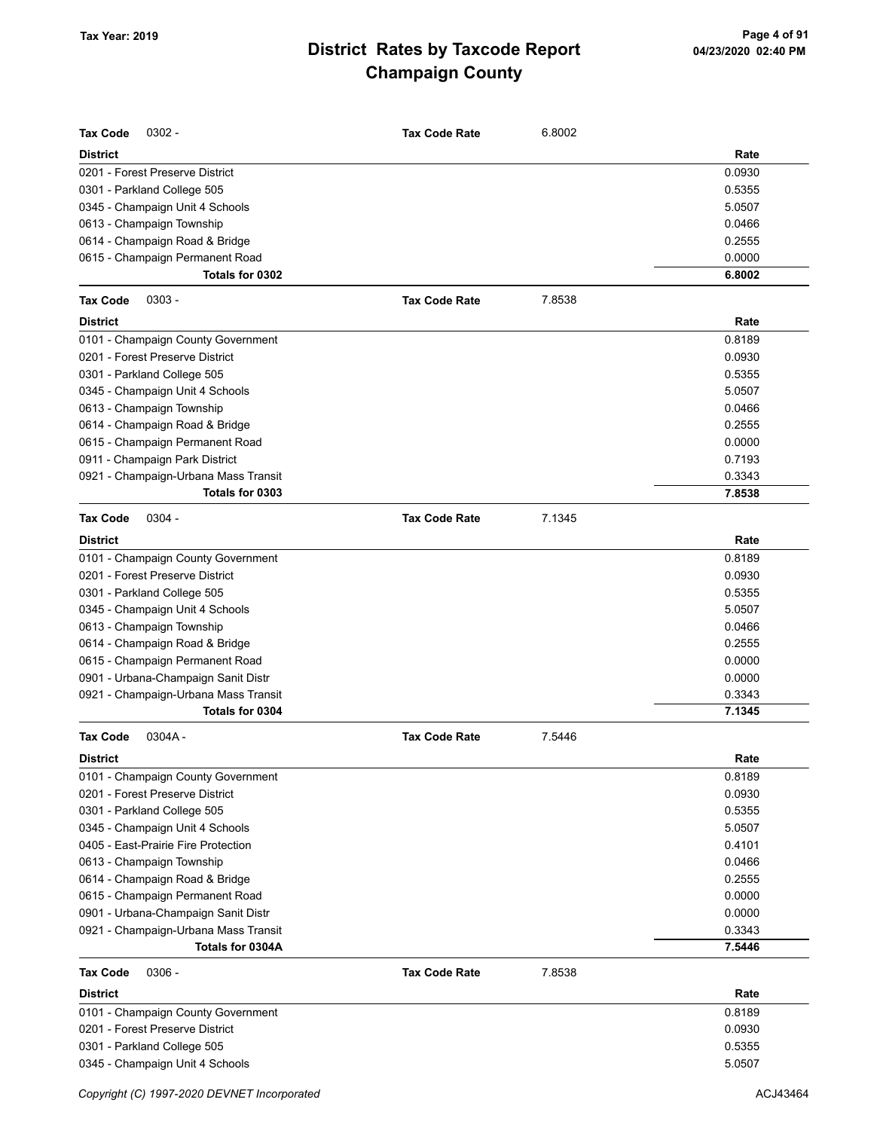| <b>Tax Code</b><br>$0302 -$          | <b>Tax Code Rate</b> | 6.8002 |        |
|--------------------------------------|----------------------|--------|--------|
| <b>District</b>                      |                      |        | Rate   |
| 0201 - Forest Preserve District      |                      |        | 0.0930 |
| 0301 - Parkland College 505          |                      |        | 0.5355 |
| 0345 - Champaign Unit 4 Schools      |                      |        | 5.0507 |
| 0613 - Champaign Township            |                      |        | 0.0466 |
| 0614 - Champaign Road & Bridge       |                      |        | 0.2555 |
| 0615 - Champaign Permanent Road      |                      |        | 0.0000 |
| Totals for 0302                      |                      |        | 6.8002 |
| <b>Tax Code</b><br>$0303 -$          | <b>Tax Code Rate</b> | 7.8538 |        |
| <b>District</b>                      |                      |        | Rate   |
| 0101 - Champaign County Government   |                      |        | 0.8189 |
| 0201 - Forest Preserve District      |                      |        | 0.0930 |
| 0301 - Parkland College 505          |                      |        | 0.5355 |
| 0345 - Champaign Unit 4 Schools      |                      |        | 5.0507 |
| 0613 - Champaign Township            |                      |        | 0.0466 |
| 0614 - Champaign Road & Bridge       |                      |        | 0.2555 |
| 0615 - Champaign Permanent Road      |                      |        | 0.0000 |
| 0911 - Champaign Park District       |                      |        | 0.7193 |
| 0921 - Champaign-Urbana Mass Transit |                      |        | 0.3343 |
| Totals for 0303                      |                      |        | 7.8538 |
| <b>Tax Code</b><br>$0304 -$          | <b>Tax Code Rate</b> | 7.1345 |        |
| <b>District</b>                      |                      |        | Rate   |
| 0101 - Champaign County Government   |                      |        | 0.8189 |
| 0201 - Forest Preserve District      |                      |        | 0.0930 |
| 0301 - Parkland College 505          |                      |        | 0.5355 |
| 0345 - Champaign Unit 4 Schools      |                      |        | 5.0507 |
| 0613 - Champaign Township            |                      |        | 0.0466 |
| 0614 - Champaign Road & Bridge       |                      |        | 0.2555 |
| 0615 - Champaign Permanent Road      |                      |        | 0.0000 |
| 0901 - Urbana-Champaign Sanit Distr  |                      |        | 0.0000 |
| 0921 - Champaign-Urbana Mass Transit |                      |        | 0.3343 |
| Totals for 0304                      |                      |        | 7.1345 |
| <b>Tax Code</b><br>$0304A -$         | <b>Tax Code Rate</b> | 7.5446 |        |
| <b>District</b>                      |                      |        | Rate   |
| 0101 - Champaign County Government   |                      |        | 0.8189 |
| 0201 - Forest Preserve District      |                      |        | 0.0930 |
| 0301 - Parkland College 505          |                      |        | 0.5355 |
| 0345 - Champaign Unit 4 Schools      |                      |        | 5.0507 |
| 0405 - East-Prairie Fire Protection  |                      |        | 0.4101 |
| 0613 - Champaign Township            |                      |        | 0.0466 |
| 0614 - Champaign Road & Bridge       |                      |        | 0.2555 |
| 0615 - Champaign Permanent Road      |                      |        | 0.0000 |
| 0901 - Urbana-Champaign Sanit Distr  |                      |        | 0.0000 |
| 0921 - Champaign-Urbana Mass Transit |                      |        | 0.3343 |
| Totals for 0304A                     |                      |        | 7.5446 |
| <b>Tax Code</b><br>$0306 -$          | <b>Tax Code Rate</b> | 7.8538 |        |
| <b>District</b>                      |                      |        | Rate   |
| 0101 - Champaign County Government   |                      |        | 0.8189 |
| 0201 - Forest Preserve District      |                      |        | 0.0930 |
| 0301 - Parkland College 505          |                      |        | 0.5355 |
| 0345 - Champaign Unit 4 Schools      |                      |        | 5.0507 |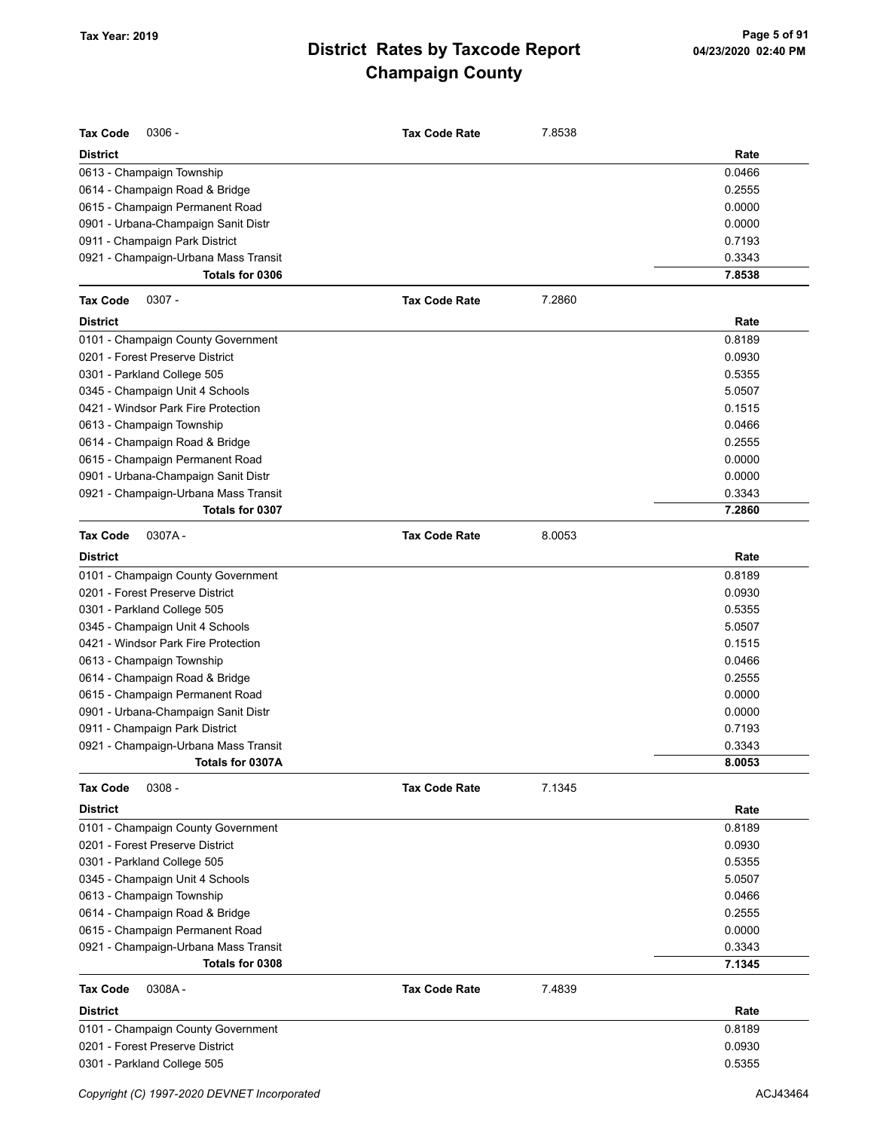| <b>Tax Code</b><br>$0306 -$          | <b>Tax Code Rate</b> | 7.8538 |        |
|--------------------------------------|----------------------|--------|--------|
| <b>District</b>                      |                      |        | Rate   |
| 0613 - Champaign Township            |                      |        | 0.0466 |
| 0614 - Champaign Road & Bridge       |                      |        | 0.2555 |
| 0615 - Champaign Permanent Road      |                      |        | 0.0000 |
| 0901 - Urbana-Champaign Sanit Distr  |                      |        | 0.0000 |
| 0911 - Champaign Park District       |                      |        | 0.7193 |
| 0921 - Champaign-Urbana Mass Transit |                      |        | 0.3343 |
| Totals for 0306                      |                      |        | 7.8538 |
| <b>Tax Code</b><br>$0307 -$          | <b>Tax Code Rate</b> | 7.2860 |        |
| <b>District</b>                      |                      |        | Rate   |
| 0101 - Champaign County Government   |                      |        | 0.8189 |
| 0201 - Forest Preserve District      |                      |        | 0.0930 |
| 0301 - Parkland College 505          |                      |        | 0.5355 |
| 0345 - Champaign Unit 4 Schools      |                      |        | 5.0507 |
| 0421 - Windsor Park Fire Protection  |                      |        | 0.1515 |
| 0613 - Champaign Township            |                      |        | 0.0466 |
| 0614 - Champaign Road & Bridge       |                      |        | 0.2555 |
| 0615 - Champaign Permanent Road      |                      |        | 0.0000 |
| 0901 - Urbana-Champaign Sanit Distr  |                      |        | 0.0000 |
| 0921 - Champaign-Urbana Mass Transit |                      |        | 0.3343 |
| Totals for 0307                      |                      |        | 7.2860 |
| <b>Tax Code</b><br>0307A-            | <b>Tax Code Rate</b> | 8.0053 |        |
| <b>District</b>                      |                      |        | Rate   |
| 0101 - Champaign County Government   |                      |        | 0.8189 |
| 0201 - Forest Preserve District      |                      |        | 0.0930 |
| 0301 - Parkland College 505          |                      |        | 0.5355 |
| 0345 - Champaign Unit 4 Schools      |                      |        | 5.0507 |
| 0421 - Windsor Park Fire Protection  |                      |        | 0.1515 |
| 0613 - Champaign Township            |                      |        | 0.0466 |
| 0614 - Champaign Road & Bridge       |                      |        | 0.2555 |
| 0615 - Champaign Permanent Road      |                      |        | 0.0000 |
| 0901 - Urbana-Champaign Sanit Distr  |                      |        | 0.0000 |
| 0911 - Champaign Park District       |                      |        | 0.7193 |
| 0921 - Champaign-Urbana Mass Transit |                      |        | 0.3343 |
| Totals for 0307A                     |                      |        | 8.0053 |
| $0308 -$<br><b>Tax Code</b>          | <b>Tax Code Rate</b> | 7.1345 |        |
| <b>District</b>                      |                      |        | Rate   |
| 0101 - Champaign County Government   |                      |        | 0.8189 |
| 0201 - Forest Preserve District      |                      |        | 0.0930 |
| 0301 - Parkland College 505          |                      |        | 0.5355 |
| 0345 - Champaign Unit 4 Schools      |                      |        | 5.0507 |
| 0613 - Champaign Township            |                      |        | 0.0466 |
| 0614 - Champaign Road & Bridge       |                      |        | 0.2555 |
| 0615 - Champaign Permanent Road      |                      |        | 0.0000 |
| 0921 - Champaign-Urbana Mass Transit |                      |        | 0.3343 |
| Totals for 0308                      |                      |        | 7.1345 |
| <b>Tax Code</b><br>0308A-            | <b>Tax Code Rate</b> | 7.4839 |        |
| <b>District</b>                      |                      |        | Rate   |
| 0101 - Champaign County Government   |                      |        | 0.8189 |
| 0201 - Forest Preserve District      |                      |        | 0.0930 |
| 0301 - Parkland College 505          |                      |        | 0.5355 |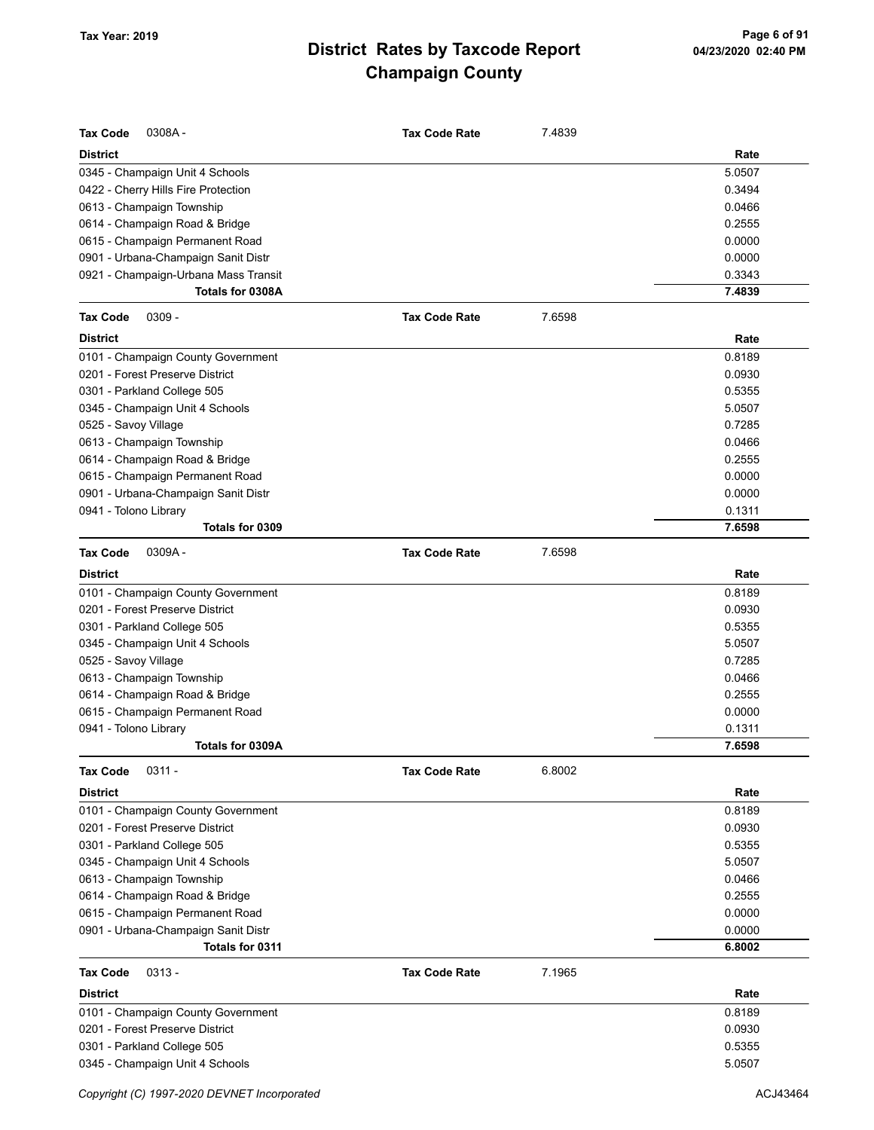| <b>Tax Code</b><br>0308A-            | <b>Tax Code Rate</b> | 7.4839 |        |
|--------------------------------------|----------------------|--------|--------|
| <b>District</b>                      |                      |        | Rate   |
| 0345 - Champaign Unit 4 Schools      |                      |        | 5.0507 |
| 0422 - Cherry Hills Fire Protection  |                      |        | 0.3494 |
| 0613 - Champaign Township            |                      |        | 0.0466 |
| 0614 - Champaign Road & Bridge       |                      |        | 0.2555 |
| 0615 - Champaign Permanent Road      |                      |        | 0.0000 |
| 0901 - Urbana-Champaign Sanit Distr  |                      |        | 0.0000 |
| 0921 - Champaign-Urbana Mass Transit |                      |        | 0.3343 |
| Totals for 0308A                     |                      |        | 7.4839 |
| $0309 -$<br><b>Tax Code</b>          | <b>Tax Code Rate</b> | 7.6598 |        |
| <b>District</b>                      |                      |        | Rate   |
| 0101 - Champaign County Government   |                      |        | 0.8189 |
| 0201 - Forest Preserve District      |                      |        | 0.0930 |
| 0301 - Parkland College 505          |                      |        | 0.5355 |
| 0345 - Champaign Unit 4 Schools      |                      |        | 5.0507 |
| 0525 - Savoy Village                 |                      |        | 0.7285 |
| 0613 - Champaign Township            |                      |        | 0.0466 |
| 0614 - Champaign Road & Bridge       |                      |        | 0.2555 |
| 0615 - Champaign Permanent Road      |                      |        | 0.0000 |
| 0901 - Urbana-Champaign Sanit Distr  |                      |        | 0.0000 |
| 0941 - Tolono Library                |                      |        | 0.1311 |
| Totals for 0309                      |                      |        | 7.6598 |
| 0309A-<br><b>Tax Code</b>            | <b>Tax Code Rate</b> | 7.6598 |        |
| <b>District</b>                      |                      |        | Rate   |
| 0101 - Champaign County Government   |                      |        | 0.8189 |
| 0201 - Forest Preserve District      |                      |        | 0.0930 |
| 0301 - Parkland College 505          |                      |        | 0.5355 |
| 0345 - Champaign Unit 4 Schools      |                      |        | 5.0507 |
| 0525 - Savoy Village                 |                      |        | 0.7285 |
| 0613 - Champaign Township            |                      |        | 0.0466 |
| 0614 - Champaign Road & Bridge       |                      |        | 0.2555 |
| 0615 - Champaign Permanent Road      |                      |        | 0.0000 |
| 0941 - Tolono Library                |                      |        | 0.1311 |
| Totals for 0309A                     |                      |        | 7.6598 |
| <b>Tax Code</b><br>$0311 -$          | <b>Tax Code Rate</b> | 6.8002 |        |
| <b>District</b>                      |                      |        | Rate   |
| 0101 - Champaign County Government   |                      |        | 0.8189 |
| 0201 - Forest Preserve District      |                      |        | 0.0930 |
| 0301 - Parkland College 505          |                      |        | 0.5355 |
| 0345 - Champaign Unit 4 Schools      |                      |        | 5.0507 |
| 0613 - Champaign Township            |                      |        | 0.0466 |
| 0614 - Champaign Road & Bridge       |                      |        | 0.2555 |
| 0615 - Champaign Permanent Road      |                      |        | 0.0000 |
| 0901 - Urbana-Champaign Sanit Distr  |                      |        | 0.0000 |
| Totals for 0311                      |                      |        | 6.8002 |
| <b>Tax Code</b><br>$0313 -$          | <b>Tax Code Rate</b> | 7.1965 |        |
| <b>District</b>                      |                      |        | Rate   |
| 0101 - Champaign County Government   |                      |        | 0.8189 |
| 0201 - Forest Preserve District      |                      |        | 0.0930 |
| 0301 - Parkland College 505          |                      |        | 0.5355 |
| 0345 - Champaign Unit 4 Schools      |                      |        | 5.0507 |
|                                      |                      |        |        |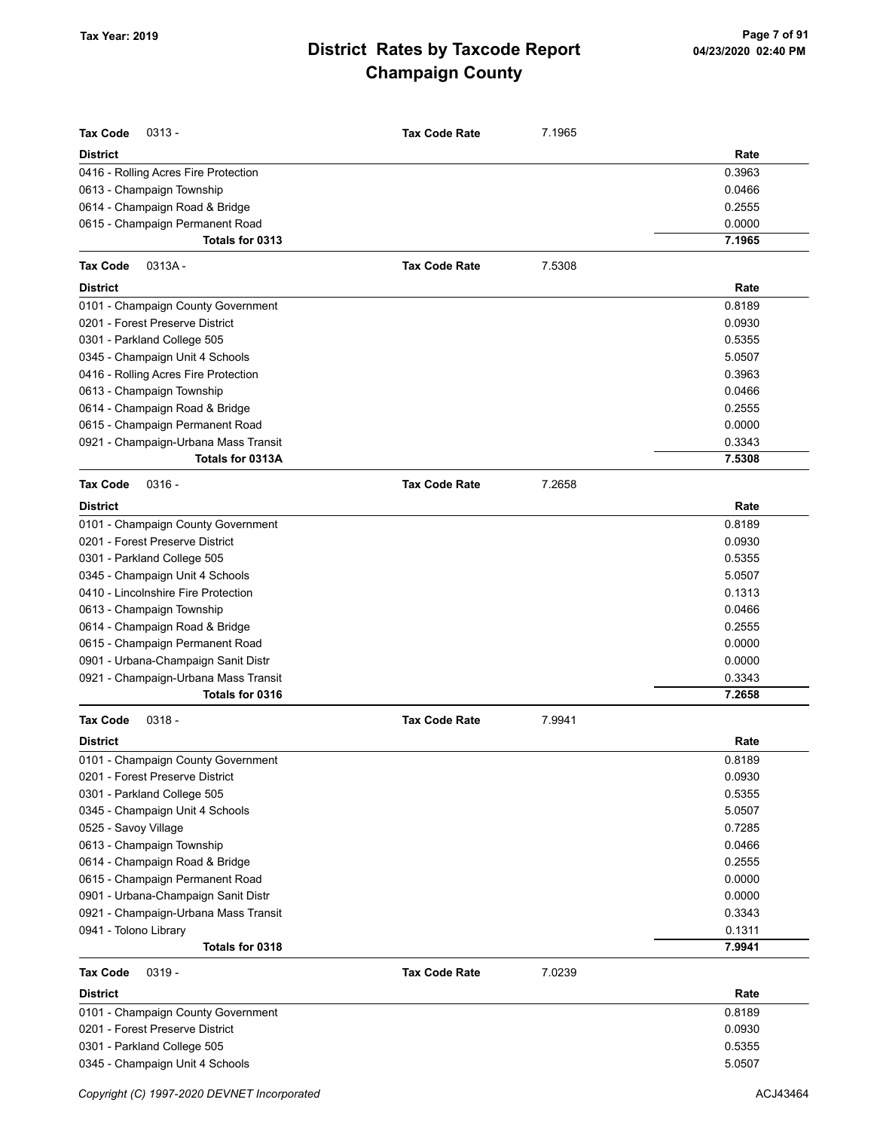| <b>Tax Code</b><br>$0313 -$          | <b>Tax Code Rate</b> | 7.1965 |        |
|--------------------------------------|----------------------|--------|--------|
| District                             |                      |        | Rate   |
| 0416 - Rolling Acres Fire Protection |                      |        | 0.3963 |
| 0613 - Champaign Township            |                      |        | 0.0466 |
| 0614 - Champaign Road & Bridge       |                      |        | 0.2555 |
| 0615 - Champaign Permanent Road      |                      |        | 0.0000 |
| Totals for 0313                      |                      |        | 7.1965 |
| <b>Tax Code</b><br>$0313A -$         | <b>Tax Code Rate</b> | 7.5308 |        |
| District                             |                      |        | Rate   |
| 0101 - Champaign County Government   |                      |        | 0.8189 |
| 0201 - Forest Preserve District      |                      |        | 0.0930 |
| 0301 - Parkland College 505          |                      |        | 0.5355 |
| 0345 - Champaign Unit 4 Schools      |                      |        | 5.0507 |
| 0416 - Rolling Acres Fire Protection |                      |        | 0.3963 |
| 0613 - Champaign Township            |                      |        | 0.0466 |
| 0614 - Champaign Road & Bridge       |                      |        | 0.2555 |
| 0615 - Champaign Permanent Road      |                      |        | 0.0000 |
| 0921 - Champaign-Urbana Mass Transit |                      |        | 0.3343 |
| Totals for 0313A                     |                      |        | 7.5308 |
| <b>Tax Code</b><br>$0316 -$          | <b>Tax Code Rate</b> | 7.2658 |        |
| District                             |                      |        | Rate   |
| 0101 - Champaign County Government   |                      |        | 0.8189 |
| 0201 - Forest Preserve District      |                      |        | 0.0930 |
| 0301 - Parkland College 505          |                      |        | 0.5355 |
| 0345 - Champaign Unit 4 Schools      |                      |        | 5.0507 |
| 0410 - Lincolnshire Fire Protection  |                      |        | 0.1313 |
| 0613 - Champaign Township            |                      |        | 0.0466 |
| 0614 - Champaign Road & Bridge       |                      |        | 0.2555 |
| 0615 - Champaign Permanent Road      |                      |        | 0.0000 |
| 0901 - Urbana-Champaign Sanit Distr  |                      |        | 0.0000 |
| 0921 - Champaign-Urbana Mass Transit |                      |        | 0.3343 |
| Totals for 0316                      |                      |        | 7.2658 |
| <b>Tax Code</b><br>$0318 -$          | <b>Tax Code Rate</b> | 7.9941 |        |
| District                             |                      |        | Rate   |
| 0101 - Champaign County Government   |                      |        | 0.8189 |
| 0201 - Forest Preserve District      |                      |        | 0.0930 |
| 0301 - Parkland College 505          |                      |        | 0.5355 |
| 0345 - Champaign Unit 4 Schools      |                      |        | 5.0507 |
| 0525 - Savoy Village                 |                      |        | 0.7285 |
| 0613 - Champaign Township            |                      |        | 0.0466 |
| 0614 - Champaign Road & Bridge       |                      |        | 0.2555 |
| 0615 - Champaign Permanent Road      |                      |        | 0.0000 |
| 0901 - Urbana-Champaign Sanit Distr  |                      |        | 0.0000 |
| 0921 - Champaign-Urbana Mass Transit |                      |        | 0.3343 |
| 0941 - Tolono Library                |                      |        | 0.1311 |
| Totals for 0318                      |                      |        | 7.9941 |
| Tax Code<br>$0319 -$                 | <b>Tax Code Rate</b> | 7.0239 |        |
| <b>District</b>                      |                      |        | Rate   |
| 0101 - Champaign County Government   |                      |        | 0.8189 |
| 0201 - Forest Preserve District      |                      |        | 0.0930 |
| 0301 - Parkland College 505          |                      |        | 0.5355 |
| 0345 - Champaign Unit 4 Schools      |                      |        | 5.0507 |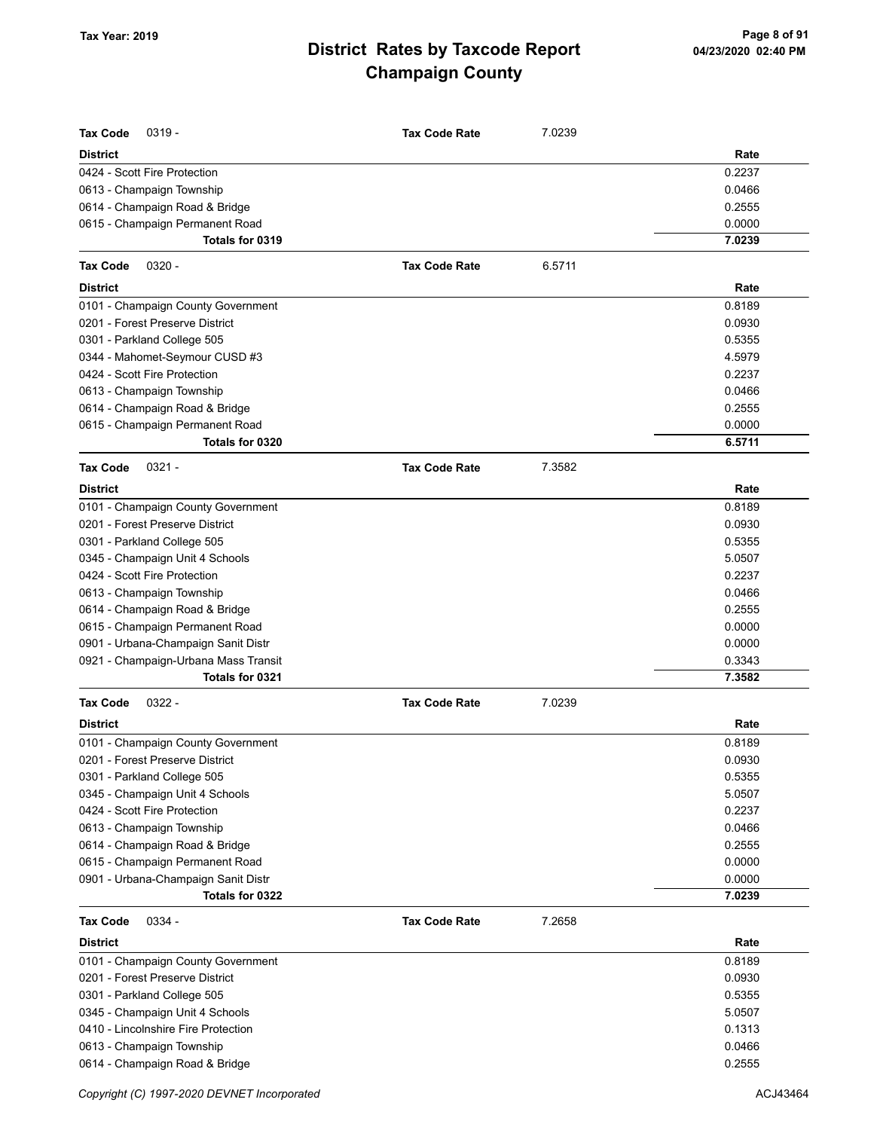| <b>Tax Code</b><br>$0319 -$                             | <b>Tax Code Rate</b> | 7.0239 |                  |
|---------------------------------------------------------|----------------------|--------|------------------|
| <b>District</b>                                         |                      |        | Rate             |
| 0424 - Scott Fire Protection                            |                      |        | 0.2237           |
| 0613 - Champaign Township                               |                      |        | 0.0466           |
| 0614 - Champaign Road & Bridge                          |                      |        | 0.2555           |
| 0615 - Champaign Permanent Road                         |                      |        | 0.0000           |
| Totals for 0319                                         |                      |        | 7.0239           |
| <b>Tax Code</b><br>$0320 -$                             | <b>Tax Code Rate</b> | 6.5711 |                  |
| <b>District</b>                                         |                      |        | Rate             |
| 0101 - Champaign County Government                      |                      |        | 0.8189           |
| 0201 - Forest Preserve District                         |                      |        | 0.0930           |
| 0301 - Parkland College 505                             |                      |        | 0.5355           |
| 0344 - Mahomet-Seymour CUSD #3                          |                      |        | 4.5979           |
| 0424 - Scott Fire Protection                            |                      |        | 0.2237           |
| 0613 - Champaign Township                               |                      |        | 0.0466           |
| 0614 - Champaign Road & Bridge                          |                      |        | 0.2555           |
| 0615 - Champaign Permanent Road                         |                      |        | 0.0000           |
| Totals for 0320                                         |                      |        | 6.5711           |
| $0321 -$<br><b>Tax Code</b>                             | <b>Tax Code Rate</b> | 7.3582 |                  |
|                                                         |                      |        |                  |
| <b>District</b>                                         |                      |        | Rate             |
| 0101 - Champaign County Government                      |                      |        | 0.8189           |
| 0201 - Forest Preserve District                         |                      |        | 0.0930           |
| 0301 - Parkland College 505                             |                      |        | 0.5355           |
| 0345 - Champaign Unit 4 Schools                         |                      |        | 5.0507           |
| 0424 - Scott Fire Protection                            |                      |        | 0.2237           |
| 0613 - Champaign Township                               |                      |        | 0.0466           |
| 0614 - Champaign Road & Bridge                          |                      |        | 0.2555           |
| 0615 - Champaign Permanent Road                         |                      |        | 0.0000           |
| 0901 - Urbana-Champaign Sanit Distr                     |                      |        | 0.0000           |
| 0921 - Champaign-Urbana Mass Transit<br>Totals for 0321 |                      |        | 0.3343<br>7.3582 |
|                                                         |                      |        |                  |
| $0322 -$<br><b>Tax Code</b>                             | <b>Tax Code Rate</b> | 7.0239 |                  |
| <b>District</b>                                         |                      |        | Rate             |
| 0101 - Champaign County Government                      |                      |        | 0.8189           |
| 0201 - Forest Preserve District                         |                      |        | 0.0930           |
| 0301 - Parkland College 505                             |                      |        | 0.5355           |
| 0345 - Champaign Unit 4 Schools                         |                      |        | 5.0507           |
| 0424 - Scott Fire Protection                            |                      |        | 0.2237           |
| 0613 - Champaign Township                               |                      |        | 0.0466<br>0.2555 |
| 0614 - Champaign Road & Bridge                          |                      |        |                  |
| 0615 - Champaign Permanent Road                         |                      |        | 0.0000<br>0.0000 |
| 0901 - Urbana-Champaign Sanit Distr<br>Totals for 0322  |                      |        | 7.0239           |
|                                                         |                      |        |                  |
| 0334 -<br><b>Tax Code</b>                               | <b>Tax Code Rate</b> | 7.2658 |                  |
| <b>District</b>                                         |                      |        | Rate             |
| 0101 - Champaign County Government                      |                      |        | 0.8189           |
| 0201 - Forest Preserve District                         |                      |        | 0.0930           |
| 0301 - Parkland College 505                             |                      |        | 0.5355           |
| 0345 - Champaign Unit 4 Schools                         |                      |        | 5.0507           |
| 0410 - Lincolnshire Fire Protection                     |                      |        | 0.1313           |
| 0613 - Champaign Township                               |                      |        | 0.0466           |
| 0614 - Champaign Road & Bridge                          |                      |        | 0.2555           |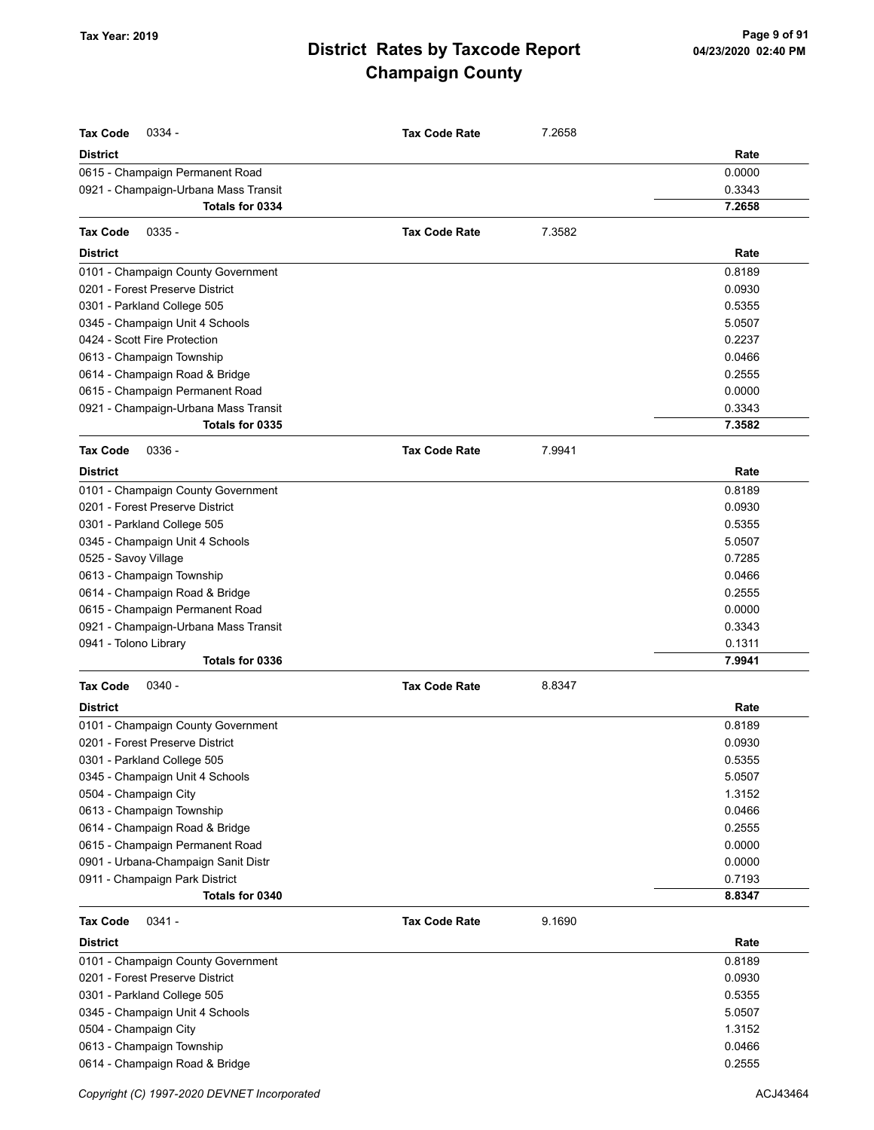| <b>Tax Code</b><br>0334 -            | <b>Tax Code Rate</b> | 7.2658 |        |
|--------------------------------------|----------------------|--------|--------|
| <b>District</b>                      |                      |        | Rate   |
| 0615 - Champaign Permanent Road      |                      |        | 0.0000 |
| 0921 - Champaign-Urbana Mass Transit |                      |        | 0.3343 |
| Totals for 0334                      |                      |        | 7.2658 |
|                                      |                      |        |        |
| $0335 -$<br><b>Tax Code</b>          | <b>Tax Code Rate</b> | 7.3582 |        |
| District                             |                      |        | Rate   |
| 0101 - Champaign County Government   |                      |        | 0.8189 |
| 0201 - Forest Preserve District      |                      |        | 0.0930 |
| 0301 - Parkland College 505          |                      |        | 0.5355 |
| 0345 - Champaign Unit 4 Schools      |                      |        | 5.0507 |
| 0424 - Scott Fire Protection         |                      |        | 0.2237 |
| 0613 - Champaign Township            |                      |        | 0.0466 |
| 0614 - Champaign Road & Bridge       |                      |        | 0.2555 |
| 0615 - Champaign Permanent Road      |                      |        | 0.0000 |
| 0921 - Champaign-Urbana Mass Transit |                      |        | 0.3343 |
| Totals for 0335                      |                      |        | 7.3582 |
| $0336 -$<br><b>Tax Code</b>          | <b>Tax Code Rate</b> | 7.9941 |        |
| <b>District</b>                      |                      |        | Rate   |
| 0101 - Champaign County Government   |                      |        | 0.8189 |
| 0201 - Forest Preserve District      |                      |        | 0.0930 |
| 0301 - Parkland College 505          |                      |        | 0.5355 |
| 0345 - Champaign Unit 4 Schools      |                      |        | 5.0507 |
| 0525 - Savoy Village                 |                      |        | 0.7285 |
| 0613 - Champaign Township            |                      |        | 0.0466 |
| 0614 - Champaign Road & Bridge       |                      |        | 0.2555 |
| 0615 - Champaign Permanent Road      |                      |        | 0.0000 |
| 0921 - Champaign-Urbana Mass Transit |                      |        | 0.3343 |
| 0941 - Tolono Library                |                      |        | 0.1311 |
| Totals for 0336                      |                      |        | 7.9941 |
| <b>Tax Code</b><br>$0340 -$          | <b>Tax Code Rate</b> | 8.8347 |        |
| <b>District</b>                      |                      |        | Rate   |
| 0101 - Champaign County Government   |                      |        | 0.8189 |
| 0201 - Forest Preserve District      |                      |        | 0.0930 |
| 0301 - Parkland College 505          |                      |        | 0.5355 |
| 0345 - Champaign Unit 4 Schools      |                      |        | 5.0507 |
| 0504 - Champaign City                |                      |        | 1.3152 |
| 0613 - Champaign Township            |                      |        | 0.0466 |
| 0614 - Champaign Road & Bridge       |                      |        | 0.2555 |
| 0615 - Champaign Permanent Road      |                      |        | 0.0000 |
| 0901 - Urbana-Champaign Sanit Distr  |                      |        | 0.0000 |
| 0911 - Champaign Park District       |                      |        | 0.7193 |
| Totals for 0340                      |                      |        | 8.8347 |
| $0341 -$<br><b>Tax Code</b>          | <b>Tax Code Rate</b> | 9.1690 |        |
| <b>District</b>                      |                      |        | Rate   |
| 0101 - Champaign County Government   |                      |        | 0.8189 |
| 0201 - Forest Preserve District      |                      |        | 0.0930 |
| 0301 - Parkland College 505          |                      |        | 0.5355 |
| 0345 - Champaign Unit 4 Schools      |                      |        | 5.0507 |
| 0504 - Champaign City                |                      |        | 1.3152 |
| 0613 - Champaign Township            |                      |        | 0.0466 |
| 0614 - Champaign Road & Bridge       |                      |        | 0.2555 |
|                                      |                      |        |        |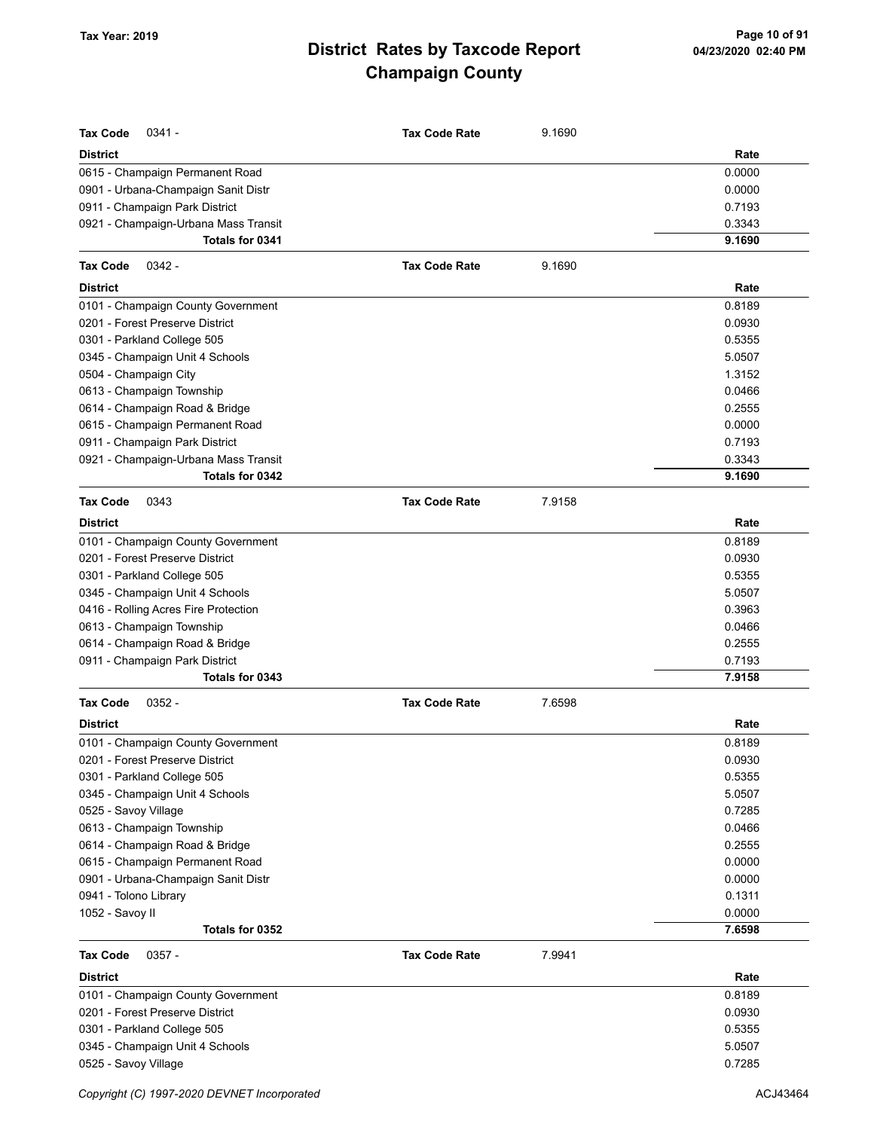| <b>Tax Code</b><br>$0341 -$          | <b>Tax Code Rate</b> | 9.1690 |        |
|--------------------------------------|----------------------|--------|--------|
| <b>District</b>                      |                      |        | Rate   |
| 0615 - Champaign Permanent Road      |                      |        | 0.0000 |
| 0901 - Urbana-Champaign Sanit Distr  |                      |        | 0.0000 |
| 0911 - Champaign Park District       |                      |        | 0.7193 |
| 0921 - Champaign-Urbana Mass Transit |                      |        | 0.3343 |
| Totals for 0341                      |                      |        | 9.1690 |
| <b>Tax Code</b><br>$0342 -$          | <b>Tax Code Rate</b> | 9.1690 |        |
| <b>District</b>                      |                      |        | Rate   |
| 0101 - Champaign County Government   |                      |        | 0.8189 |
| 0201 - Forest Preserve District      |                      |        | 0.0930 |
| 0301 - Parkland College 505          |                      |        | 0.5355 |
| 0345 - Champaign Unit 4 Schools      |                      |        | 5.0507 |
| 0504 - Champaign City                |                      |        | 1.3152 |
| 0613 - Champaign Township            |                      |        | 0.0466 |
| 0614 - Champaign Road & Bridge       |                      |        | 0.2555 |
| 0615 - Champaign Permanent Road      |                      |        | 0.0000 |
| 0911 - Champaign Park District       |                      |        | 0.7193 |
| 0921 - Champaign-Urbana Mass Transit |                      |        | 0.3343 |
| Totals for 0342                      |                      |        | 9.1690 |
| <b>Tax Code</b><br>0343              | <b>Tax Code Rate</b> | 7.9158 |        |
| <b>District</b>                      |                      |        | Rate   |
| 0101 - Champaign County Government   |                      |        | 0.8189 |
| 0201 - Forest Preserve District      |                      |        | 0.0930 |
| 0301 - Parkland College 505          |                      |        | 0.5355 |
| 0345 - Champaign Unit 4 Schools      |                      |        | 5.0507 |
| 0416 - Rolling Acres Fire Protection |                      |        | 0.3963 |
| 0613 - Champaign Township            |                      |        | 0.0466 |
| 0614 - Champaign Road & Bridge       |                      |        | 0.2555 |
| 0911 - Champaign Park District       |                      |        | 0.7193 |
| Totals for 0343                      |                      |        | 7.9158 |
| $0352 -$<br><b>Tax Code</b>          | <b>Tax Code Rate</b> | 7.6598 |        |
| <b>District</b>                      |                      |        | Rate   |
| 0101 - Champaign County Government   |                      |        | 0.8189 |
| 0201 - Forest Preserve District      |                      |        | 0.0930 |
| 0301 - Parkland College 505          |                      |        | 0.5355 |
| 0345 - Champaign Unit 4 Schools      |                      |        | 5.0507 |
| 0525 - Savoy Village                 |                      |        | 0.7285 |
| 0613 - Champaign Township            |                      |        | 0.0466 |
| 0614 - Champaign Road & Bridge       |                      |        | 0.2555 |
| 0615 - Champaign Permanent Road      |                      |        | 0.0000 |
| 0901 - Urbana-Champaign Sanit Distr  |                      |        | 0.0000 |
| 0941 - Tolono Library                |                      |        | 0.1311 |
| 1052 - Savoy II                      |                      |        | 0.0000 |
| Totals for 0352                      |                      |        | 7.6598 |
| <b>Tax Code</b><br>$0357 -$          | <b>Tax Code Rate</b> | 7.9941 |        |
| <b>District</b>                      |                      |        | Rate   |
| 0101 - Champaign County Government   |                      |        | 0.8189 |
| 0201 - Forest Preserve District      |                      |        | 0.0930 |
| 0301 - Parkland College 505          |                      |        | 0.5355 |
| 0345 - Champaign Unit 4 Schools      |                      |        | 5.0507 |
| 0525 - Savoy Village                 |                      |        | 0.7285 |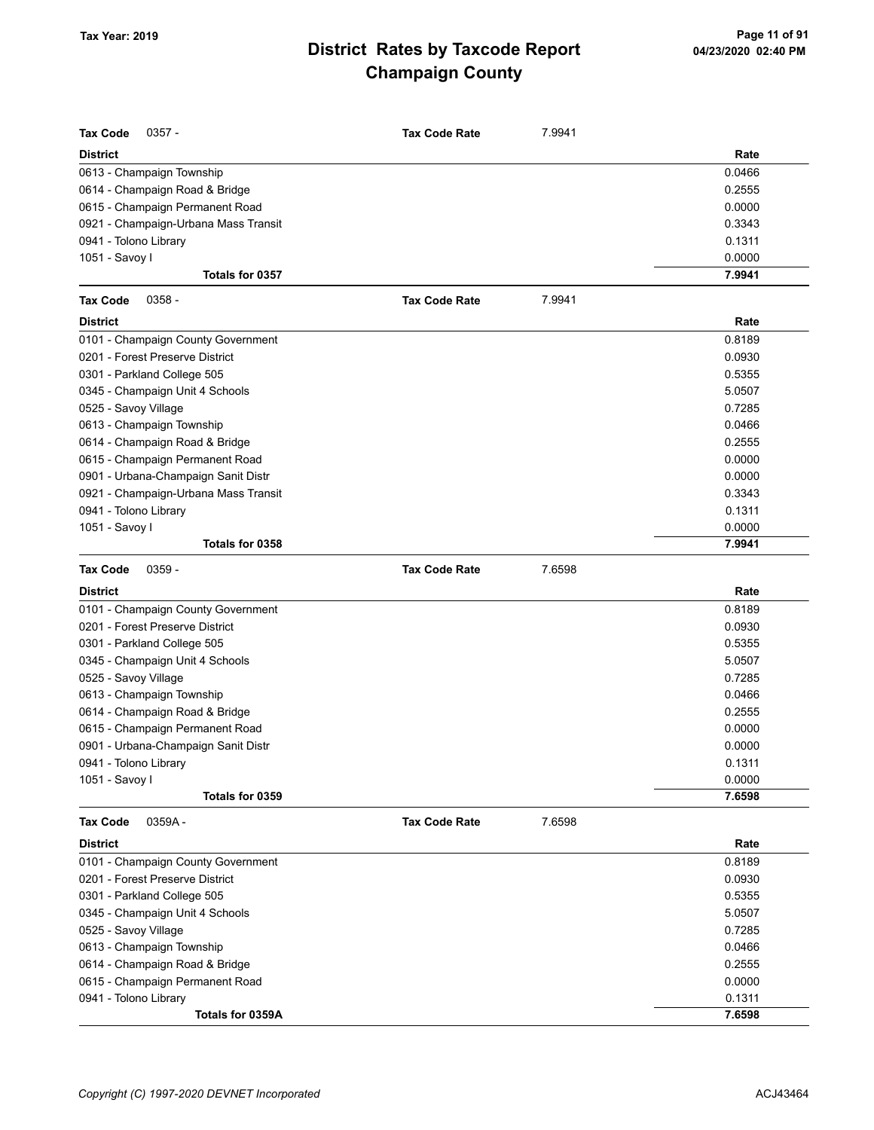| <b>Tax Code</b><br>$0357 -$                                       | <b>Tax Code Rate</b> | 7.9941 |        |
|-------------------------------------------------------------------|----------------------|--------|--------|
| <b>District</b>                                                   |                      |        | Rate   |
| 0613 - Champaign Township                                         |                      |        | 0.0466 |
| 0614 - Champaign Road & Bridge                                    |                      |        | 0.2555 |
| 0615 - Champaign Permanent Road                                   |                      |        | 0.0000 |
| 0921 - Champaign-Urbana Mass Transit                              |                      |        | 0.3343 |
| 0941 - Tolono Library                                             |                      |        | 0.1311 |
| 1051 - Savoy I                                                    |                      |        | 0.0000 |
| Totals for 0357                                                   |                      |        | 7.9941 |
| <b>Tax Code</b><br>$0358 -$                                       | <b>Tax Code Rate</b> | 7.9941 |        |
| <b>District</b>                                                   |                      |        | Rate   |
| 0101 - Champaign County Government                                |                      |        | 0.8189 |
| 0201 - Forest Preserve District                                   |                      |        | 0.0930 |
| 0301 - Parkland College 505                                       |                      |        | 0.5355 |
| 0345 - Champaign Unit 4 Schools                                   |                      |        | 5.0507 |
| 0525 - Savoy Village                                              |                      |        | 0.7285 |
| 0613 - Champaign Township                                         |                      |        | 0.0466 |
| 0614 - Champaign Road & Bridge                                    |                      |        | 0.2555 |
| 0615 - Champaign Permanent Road                                   |                      |        | 0.0000 |
| 0901 - Urbana-Champaign Sanit Distr                               |                      |        | 0.0000 |
| 0921 - Champaign-Urbana Mass Transit                              |                      |        | 0.3343 |
| 0941 - Tolono Library                                             |                      |        | 0.1311 |
| 1051 - Savoy I                                                    |                      |        | 0.0000 |
| Totals for 0358                                                   |                      |        | 7.9941 |
| <b>Tax Code</b><br>$0359 -$                                       | <b>Tax Code Rate</b> | 7.6598 |        |
|                                                                   |                      |        |        |
| <b>District</b>                                                   |                      |        | Rate   |
| 0101 - Champaign County Government                                |                      |        | 0.8189 |
| 0201 - Forest Preserve District                                   |                      |        | 0.0930 |
|                                                                   |                      |        | 0.5355 |
| 0301 - Parkland College 505                                       |                      |        | 5.0507 |
| 0345 - Champaign Unit 4 Schools                                   |                      |        | 0.7285 |
| 0525 - Savoy Village                                              |                      |        | 0.0466 |
| 0613 - Champaign Township                                         |                      |        | 0.2555 |
| 0614 - Champaign Road & Bridge<br>0615 - Champaign Permanent Road |                      |        | 0.0000 |
| 0901 - Urbana-Champaign Sanit Distr                               |                      |        | 0.0000 |
| 0941 - Tolono Library                                             |                      |        | 0.1311 |
| 1051 - Savoy I                                                    |                      |        | 0.0000 |
| Totals for 0359                                                   |                      |        | 7.6598 |
| <b>Tax Code</b><br>0359A-                                         | <b>Tax Code Rate</b> | 7.6598 |        |
| <b>District</b>                                                   |                      |        | Rate   |
| 0101 - Champaign County Government                                |                      |        | 0.8189 |
| 0201 - Forest Preserve District                                   |                      |        | 0.0930 |
| 0301 - Parkland College 505                                       |                      |        | 0.5355 |
|                                                                   |                      |        | 5.0507 |
| 0345 - Champaign Unit 4 Schools<br>0525 - Savoy Village           |                      |        | 0.7285 |
| 0613 - Champaign Township                                         |                      |        | 0.0466 |
| 0614 - Champaign Road & Bridge                                    |                      |        | 0.2555 |
| 0615 - Champaign Permanent Road                                   |                      |        | 0.0000 |
| 0941 - Tolono Library                                             |                      |        | 0.1311 |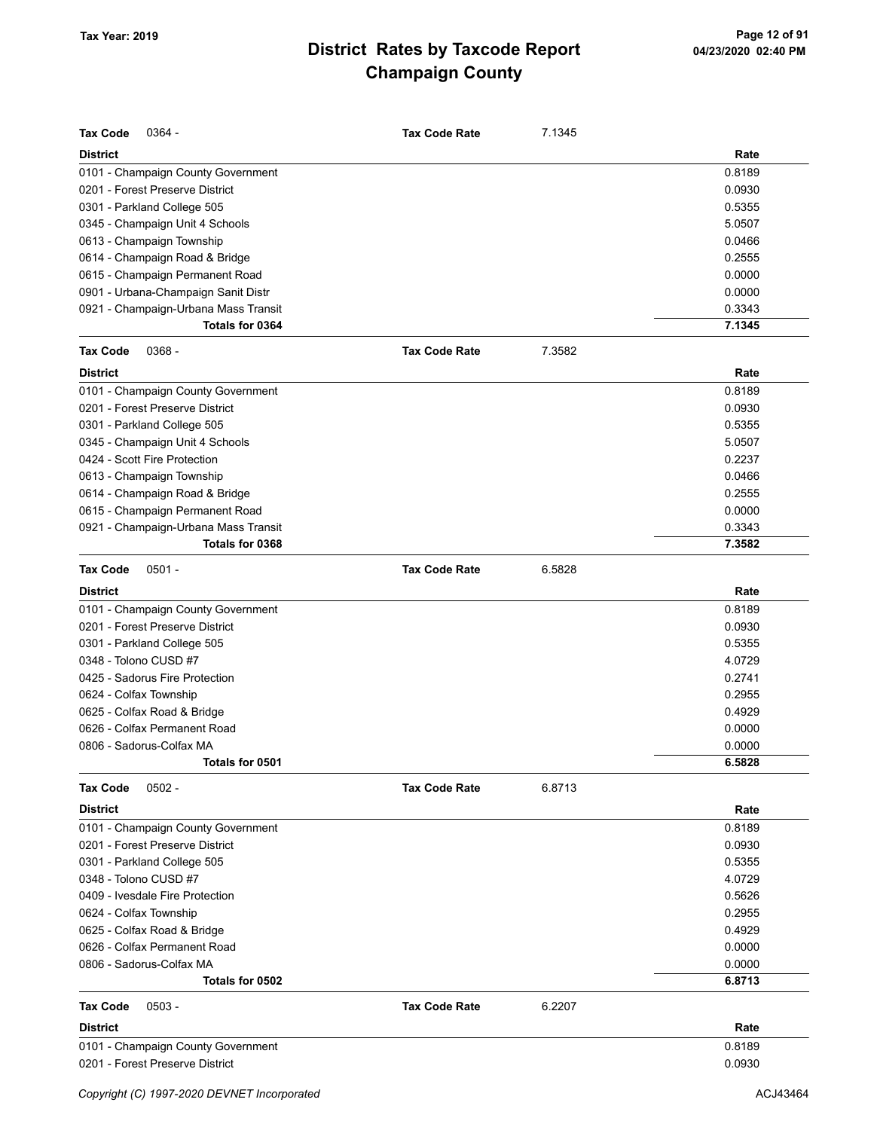| <b>Tax Code</b><br>$0364 -$          | <b>Tax Code Rate</b> | 7.1345 |        |
|--------------------------------------|----------------------|--------|--------|
| <b>District</b>                      |                      |        | Rate   |
| 0101 - Champaign County Government   |                      |        | 0.8189 |
| 0201 - Forest Preserve District      |                      |        | 0.0930 |
| 0301 - Parkland College 505          |                      |        | 0.5355 |
| 0345 - Champaign Unit 4 Schools      |                      |        | 5.0507 |
| 0613 - Champaign Township            |                      |        | 0.0466 |
| 0614 - Champaign Road & Bridge       |                      |        | 0.2555 |
| 0615 - Champaign Permanent Road      |                      |        | 0.0000 |
| 0901 - Urbana-Champaign Sanit Distr  |                      |        | 0.0000 |
| 0921 - Champaign-Urbana Mass Transit |                      |        | 0.3343 |
| Totals for 0364                      |                      |        | 7.1345 |
| <b>Tax Code</b><br>$0368 -$          | <b>Tax Code Rate</b> | 7.3582 |        |
| <b>District</b>                      |                      |        | Rate   |
| 0101 - Champaign County Government   |                      |        | 0.8189 |
| 0201 - Forest Preserve District      |                      |        | 0.0930 |
| 0301 - Parkland College 505          |                      |        | 0.5355 |
| 0345 - Champaign Unit 4 Schools      |                      |        | 5.0507 |
| 0424 - Scott Fire Protection         |                      |        | 0.2237 |
| 0613 - Champaign Township            |                      |        | 0.0466 |
| 0614 - Champaign Road & Bridge       |                      |        | 0.2555 |
| 0615 - Champaign Permanent Road      |                      |        | 0.0000 |
| 0921 - Champaign-Urbana Mass Transit |                      |        | 0.3343 |
| Totals for 0368                      |                      |        | 7.3582 |
| $0501 -$<br><b>Tax Code</b>          | <b>Tax Code Rate</b> | 6.5828 |        |
| <b>District</b>                      |                      |        | Rate   |
| 0101 - Champaign County Government   |                      |        | 0.8189 |
| 0201 - Forest Preserve District      |                      |        | 0.0930 |
| 0301 - Parkland College 505          |                      |        | 0.5355 |
| 0348 - Tolono CUSD #7                |                      |        | 4.0729 |
| 0425 - Sadorus Fire Protection       |                      |        | 0.2741 |
| 0624 - Colfax Township               |                      |        | 0.2955 |
| 0625 - Colfax Road & Bridge          |                      |        | 0.4929 |
| 0626 - Colfax Permanent Road         |                      |        | 0.0000 |
| 0806 - Sadorus-Colfax MA             |                      |        | 0.0000 |
| Totals for 0501                      |                      |        | 6.5828 |
| $0502 -$<br><b>Tax Code</b>          | <b>Tax Code Rate</b> | 6.8713 |        |
| <b>District</b>                      |                      |        | Rate   |
| 0101 - Champaign County Government   |                      |        | 0.8189 |
| 0201 - Forest Preserve District      |                      |        | 0.0930 |
| 0301 - Parkland College 505          |                      |        | 0.5355 |
| 0348 - Tolono CUSD #7                |                      |        | 4.0729 |
| 0409 - Ivesdale Fire Protection      |                      |        | 0.5626 |
| 0624 - Colfax Township               |                      |        | 0.2955 |
| 0625 - Colfax Road & Bridge          |                      |        | 0.4929 |
| 0626 - Colfax Permanent Road         |                      |        | 0.0000 |
| 0806 - Sadorus-Colfax MA             |                      |        | 0.0000 |
| Totals for 0502                      |                      |        | 6.8713 |
| <b>Tax Code</b><br>$0503 -$          | <b>Tax Code Rate</b> | 6.2207 |        |
| <b>District</b>                      |                      |        | Rate   |
| 0101 - Champaign County Government   |                      |        | 0.8189 |
| 0201 - Forest Preserve District      |                      |        | 0.0930 |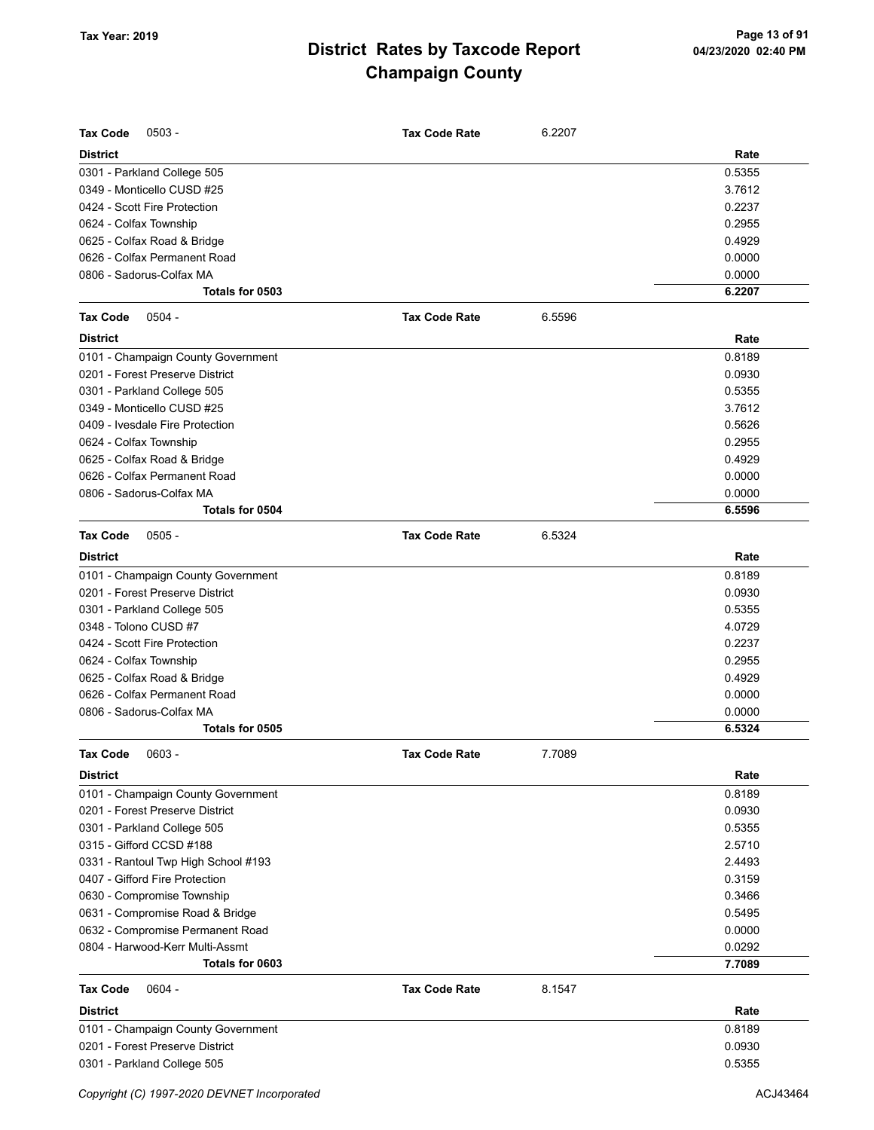| <b>Tax Code</b><br>$0503 -$         | <b>Tax Code Rate</b> | 6.2207 |        |
|-------------------------------------|----------------------|--------|--------|
| <b>District</b>                     |                      |        | Rate   |
| 0301 - Parkland College 505         |                      |        | 0.5355 |
| 0349 - Monticello CUSD #25          |                      |        | 3.7612 |
| 0424 - Scott Fire Protection        |                      |        | 0.2237 |
| 0624 - Colfax Township              |                      |        | 0.2955 |
| 0625 - Colfax Road & Bridge         |                      |        | 0.4929 |
| 0626 - Colfax Permanent Road        |                      |        | 0.0000 |
| 0806 - Sadorus-Colfax MA            |                      |        | 0.0000 |
| Totals for 0503                     |                      |        | 6.2207 |
| $0504 -$<br><b>Tax Code</b>         | <b>Tax Code Rate</b> | 6.5596 |        |
| <b>District</b>                     |                      |        | Rate   |
| 0101 - Champaign County Government  |                      |        | 0.8189 |
| 0201 - Forest Preserve District     |                      |        | 0.0930 |
| 0301 - Parkland College 505         |                      |        | 0.5355 |
| 0349 - Monticello CUSD #25          |                      |        | 3.7612 |
| 0409 - Ivesdale Fire Protection     |                      |        | 0.5626 |
| 0624 - Colfax Township              |                      |        | 0.2955 |
| 0625 - Colfax Road & Bridge         |                      |        | 0.4929 |
| 0626 - Colfax Permanent Road        |                      |        | 0.0000 |
| 0806 - Sadorus-Colfax MA            |                      |        | 0.0000 |
| Totals for 0504                     |                      |        | 6.5596 |
| <b>Tax Code</b><br>$0505 -$         | <b>Tax Code Rate</b> | 6.5324 |        |
| <b>District</b>                     |                      |        | Rate   |
| 0101 - Champaign County Government  |                      |        | 0.8189 |
| 0201 - Forest Preserve District     |                      |        | 0.0930 |
| 0301 - Parkland College 505         |                      |        | 0.5355 |
| 0348 - Tolono CUSD #7               |                      |        | 4.0729 |
| 0424 - Scott Fire Protection        |                      |        | 0.2237 |
| 0624 - Colfax Township              |                      |        | 0.2955 |
| 0625 - Colfax Road & Bridge         |                      |        | 0.4929 |
| 0626 - Colfax Permanent Road        |                      |        | 0.0000 |
| 0806 - Sadorus-Colfax MA            |                      |        | 0.0000 |
| Totals for 0505                     |                      |        | 6.5324 |
| 0603 -<br><b>Tax Code</b>           | <b>Tax Code Rate</b> | 7.7089 |        |
| <b>District</b>                     |                      |        | Rate   |
| 0101 - Champaign County Government  |                      |        | 0.8189 |
| 0201 - Forest Preserve District     |                      |        | 0.0930 |
| 0301 - Parkland College 505         |                      |        | 0.5355 |
| 0315 - Gifford CCSD #188            |                      |        | 2.5710 |
| 0331 - Rantoul Twp High School #193 |                      |        | 2.4493 |
| 0407 - Gifford Fire Protection      |                      |        | 0.3159 |
| 0630 - Compromise Township          |                      |        | 0.3466 |
| 0631 - Compromise Road & Bridge     |                      |        | 0.5495 |
| 0632 - Compromise Permanent Road    |                      |        | 0.0000 |
| 0804 - Harwood-Kerr Multi-Assmt     |                      |        | 0.0292 |
| Totals for 0603                     |                      |        | 7.7089 |
| <b>Tax Code</b><br>$0604 -$         | <b>Tax Code Rate</b> | 8.1547 |        |
| <b>District</b>                     |                      |        | Rate   |
| 0101 - Champaign County Government  |                      |        | 0.8189 |
| 0201 - Forest Preserve District     |                      |        | 0.0930 |
| 0301 - Parkland College 505         |                      |        | 0.5355 |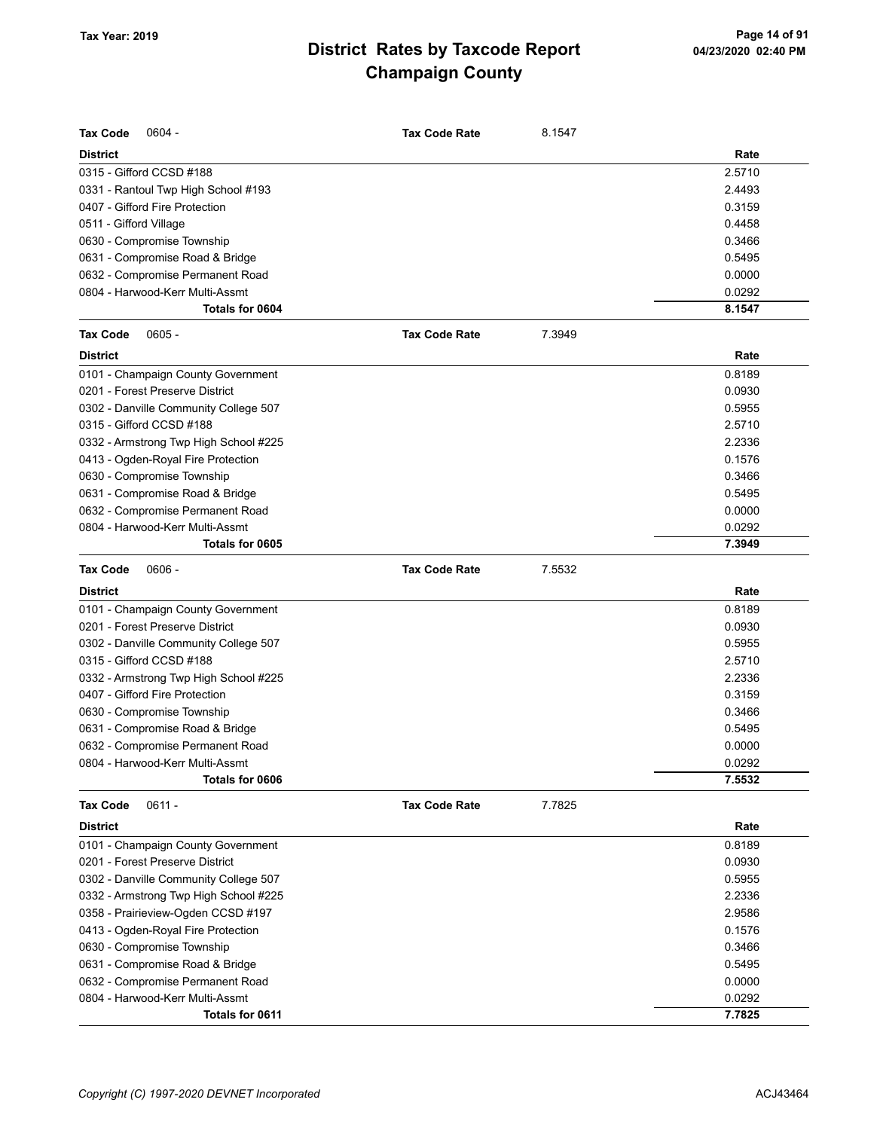| <b>Tax Code</b><br>$0604 -$           | <b>Tax Code Rate</b> | 8.1547 |        |
|---------------------------------------|----------------------|--------|--------|
| <b>District</b>                       |                      |        | Rate   |
| 0315 - Gifford CCSD #188              |                      |        | 2.5710 |
| 0331 - Rantoul Twp High School #193   |                      |        | 2.4493 |
| 0407 - Gifford Fire Protection        |                      |        | 0.3159 |
| 0511 - Gifford Village                |                      |        | 0.4458 |
| 0630 - Compromise Township            |                      |        | 0.3466 |
| 0631 - Compromise Road & Bridge       |                      |        | 0.5495 |
| 0632 - Compromise Permanent Road      |                      |        | 0.0000 |
| 0804 - Harwood-Kerr Multi-Assmt       |                      |        | 0.0292 |
| Totals for 0604                       |                      |        | 8.1547 |
| $0605 -$<br><b>Tax Code</b>           | <b>Tax Code Rate</b> | 7.3949 |        |
| <b>District</b>                       |                      |        | Rate   |
| 0101 - Champaign County Government    |                      |        | 0.8189 |
| 0201 - Forest Preserve District       |                      |        | 0.0930 |
| 0302 - Danville Community College 507 |                      |        | 0.5955 |
| 0315 - Gifford CCSD #188              |                      |        | 2.5710 |
| 0332 - Armstrong Twp High School #225 |                      |        | 2.2336 |
| 0413 - Ogden-Royal Fire Protection    |                      |        | 0.1576 |
| 0630 - Compromise Township            |                      |        | 0.3466 |
| 0631 - Compromise Road & Bridge       |                      |        | 0.5495 |
| 0632 - Compromise Permanent Road      |                      |        | 0.0000 |
| 0804 - Harwood-Kerr Multi-Assmt       |                      |        | 0.0292 |
| Totals for 0605                       |                      |        | 7.3949 |
| $0606 -$                              |                      | 7.5532 |        |
| <b>Tax Code</b>                       | <b>Tax Code Rate</b> |        |        |
| <b>District</b>                       |                      |        | Rate   |
| 0101 - Champaign County Government    |                      |        | 0.8189 |
| 0201 - Forest Preserve District       |                      |        | 0.0930 |
| 0302 - Danville Community College 507 |                      |        | 0.5955 |
| 0315 - Gifford CCSD #188              |                      |        | 2.5710 |
| 0332 - Armstrong Twp High School #225 |                      |        | 2.2336 |
| 0407 - Gifford Fire Protection        |                      |        | 0.3159 |
| 0630 - Compromise Township            |                      |        | 0.3466 |
| 0631 - Compromise Road & Bridge       |                      |        | 0.5495 |
| 0632 - Compromise Permanent Road      |                      |        | 0.0000 |
| 0804 - Harwood-Kerr Multi-Assmt       |                      |        | 0.0292 |
| Totals for 0606                       |                      |        | 7.5532 |
| $0611 -$<br><b>Tax Code</b>           | <b>Tax Code Rate</b> | 7.7825 |        |
| <b>District</b>                       |                      |        | Rate   |
| 0101 - Champaign County Government    |                      |        | 0.8189 |
| 0201 - Forest Preserve District       |                      |        | 0.0930 |
| 0302 - Danville Community College 507 |                      |        | 0.5955 |
| 0332 - Armstrong Twp High School #225 |                      |        | 2.2336 |
| 0358 - Prairieview-Ogden CCSD #197    |                      |        | 2.9586 |
| 0413 - Ogden-Royal Fire Protection    |                      |        | 0.1576 |
| 0630 - Compromise Township            |                      |        | 0.3466 |
| 0631 - Compromise Road & Bridge       |                      |        | 0.5495 |
| 0632 - Compromise Permanent Road      |                      |        | 0.0000 |
| 0804 - Harwood-Kerr Multi-Assmt       |                      |        | 0.0292 |
| Totals for 0611                       |                      |        | 7.7825 |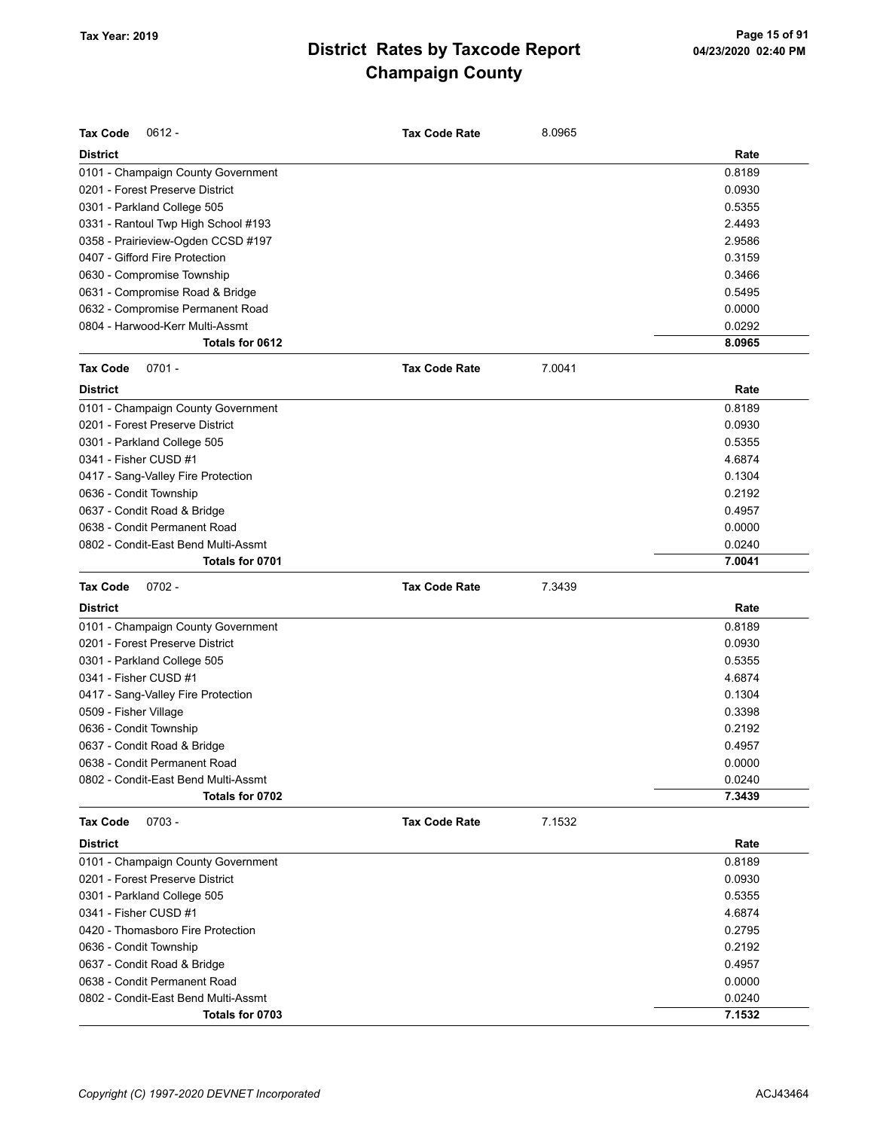| Rate<br>0.8189<br>0.0930<br>0.5355<br>2.4493<br>2.9586<br>0.3159<br>0.3466<br>0.5495<br>0.0000<br>0.0292<br>Totals for 0612<br>8.0965<br>$0701 -$<br><b>Tax Code Rate</b><br>7.0041<br>Rate<br>0.8189<br>0.0930<br>0.5355<br>4.6874<br>0.1304<br>0.2192<br>0.4957<br>0.0000<br>0.0240<br>Totals for 0701<br>7.0041<br>$0702 -$<br><b>Tax Code Rate</b><br>7.3439<br>Rate<br>0.8189<br>0.0930<br>0.5355<br>4.6874<br>0.1304<br>0.3398<br>0.2192<br>0637 - Condit Road & Bridge<br>0.4957<br>0638 - Condit Permanent Road<br>0.0000<br>0.0240<br>Totals for 0702<br>7.3439<br>$0703 -$<br><b>Tax Code Rate</b><br>7.1532<br>Rate<br>0.8189<br>0.0930<br>0301 - Parkland College 505<br>0.5355<br>4.6874<br>0.2795<br>0.2192<br>0637 - Condit Road & Bridge<br>0.4957 | <b>Tax Code</b><br>$0612 -$         | <b>Tax Code Rate</b> | 8.0965 |        |
|--------------------------------------------------------------------------------------------------------------------------------------------------------------------------------------------------------------------------------------------------------------------------------------------------------------------------------------------------------------------------------------------------------------------------------------------------------------------------------------------------------------------------------------------------------------------------------------------------------------------------------------------------------------------------------------------------------------------------------------------------------------------|-------------------------------------|----------------------|--------|--------|
|                                                                                                                                                                                                                                                                                                                                                                                                                                                                                                                                                                                                                                                                                                                                                                    | <b>District</b>                     |                      |        |        |
|                                                                                                                                                                                                                                                                                                                                                                                                                                                                                                                                                                                                                                                                                                                                                                    | 0101 - Champaign County Government  |                      |        |        |
|                                                                                                                                                                                                                                                                                                                                                                                                                                                                                                                                                                                                                                                                                                                                                                    | 0201 - Forest Preserve District     |                      |        |        |
|                                                                                                                                                                                                                                                                                                                                                                                                                                                                                                                                                                                                                                                                                                                                                                    | 0301 - Parkland College 505         |                      |        |        |
|                                                                                                                                                                                                                                                                                                                                                                                                                                                                                                                                                                                                                                                                                                                                                                    | 0331 - Rantoul Twp High School #193 |                      |        |        |
|                                                                                                                                                                                                                                                                                                                                                                                                                                                                                                                                                                                                                                                                                                                                                                    | 0358 - Prairieview-Ogden CCSD #197  |                      |        |        |
|                                                                                                                                                                                                                                                                                                                                                                                                                                                                                                                                                                                                                                                                                                                                                                    | 0407 - Gifford Fire Protection      |                      |        |        |
|                                                                                                                                                                                                                                                                                                                                                                                                                                                                                                                                                                                                                                                                                                                                                                    | 0630 - Compromise Township          |                      |        |        |
|                                                                                                                                                                                                                                                                                                                                                                                                                                                                                                                                                                                                                                                                                                                                                                    | 0631 - Compromise Road & Bridge     |                      |        |        |
|                                                                                                                                                                                                                                                                                                                                                                                                                                                                                                                                                                                                                                                                                                                                                                    | 0632 - Compromise Permanent Road    |                      |        |        |
|                                                                                                                                                                                                                                                                                                                                                                                                                                                                                                                                                                                                                                                                                                                                                                    | 0804 - Harwood-Kerr Multi-Assmt     |                      |        |        |
|                                                                                                                                                                                                                                                                                                                                                                                                                                                                                                                                                                                                                                                                                                                                                                    |                                     |                      |        |        |
|                                                                                                                                                                                                                                                                                                                                                                                                                                                                                                                                                                                                                                                                                                                                                                    | <b>Tax Code</b>                     |                      |        |        |
|                                                                                                                                                                                                                                                                                                                                                                                                                                                                                                                                                                                                                                                                                                                                                                    | <b>District</b>                     |                      |        |        |
|                                                                                                                                                                                                                                                                                                                                                                                                                                                                                                                                                                                                                                                                                                                                                                    | 0101 - Champaign County Government  |                      |        |        |
|                                                                                                                                                                                                                                                                                                                                                                                                                                                                                                                                                                                                                                                                                                                                                                    | 0201 - Forest Preserve District     |                      |        |        |
|                                                                                                                                                                                                                                                                                                                                                                                                                                                                                                                                                                                                                                                                                                                                                                    | 0301 - Parkland College 505         |                      |        |        |
|                                                                                                                                                                                                                                                                                                                                                                                                                                                                                                                                                                                                                                                                                                                                                                    | 0341 - Fisher CUSD #1               |                      |        |        |
|                                                                                                                                                                                                                                                                                                                                                                                                                                                                                                                                                                                                                                                                                                                                                                    | 0417 - Sang-Valley Fire Protection  |                      |        |        |
|                                                                                                                                                                                                                                                                                                                                                                                                                                                                                                                                                                                                                                                                                                                                                                    | 0636 - Condit Township              |                      |        |        |
|                                                                                                                                                                                                                                                                                                                                                                                                                                                                                                                                                                                                                                                                                                                                                                    | 0637 - Condit Road & Bridge         |                      |        |        |
|                                                                                                                                                                                                                                                                                                                                                                                                                                                                                                                                                                                                                                                                                                                                                                    | 0638 - Condit Permanent Road        |                      |        |        |
|                                                                                                                                                                                                                                                                                                                                                                                                                                                                                                                                                                                                                                                                                                                                                                    | 0802 - Condit-East Bend Multi-Assmt |                      |        |        |
|                                                                                                                                                                                                                                                                                                                                                                                                                                                                                                                                                                                                                                                                                                                                                                    |                                     |                      |        |        |
|                                                                                                                                                                                                                                                                                                                                                                                                                                                                                                                                                                                                                                                                                                                                                                    | <b>Tax Code</b>                     |                      |        |        |
|                                                                                                                                                                                                                                                                                                                                                                                                                                                                                                                                                                                                                                                                                                                                                                    | <b>District</b>                     |                      |        |        |
|                                                                                                                                                                                                                                                                                                                                                                                                                                                                                                                                                                                                                                                                                                                                                                    | 0101 - Champaign County Government  |                      |        |        |
|                                                                                                                                                                                                                                                                                                                                                                                                                                                                                                                                                                                                                                                                                                                                                                    | 0201 - Forest Preserve District     |                      |        |        |
|                                                                                                                                                                                                                                                                                                                                                                                                                                                                                                                                                                                                                                                                                                                                                                    | 0301 - Parkland College 505         |                      |        |        |
|                                                                                                                                                                                                                                                                                                                                                                                                                                                                                                                                                                                                                                                                                                                                                                    | 0341 - Fisher CUSD #1               |                      |        |        |
|                                                                                                                                                                                                                                                                                                                                                                                                                                                                                                                                                                                                                                                                                                                                                                    | 0417 - Sang-Valley Fire Protection  |                      |        |        |
|                                                                                                                                                                                                                                                                                                                                                                                                                                                                                                                                                                                                                                                                                                                                                                    | 0509 - Fisher Village               |                      |        |        |
|                                                                                                                                                                                                                                                                                                                                                                                                                                                                                                                                                                                                                                                                                                                                                                    | 0636 - Condit Township              |                      |        |        |
|                                                                                                                                                                                                                                                                                                                                                                                                                                                                                                                                                                                                                                                                                                                                                                    |                                     |                      |        |        |
|                                                                                                                                                                                                                                                                                                                                                                                                                                                                                                                                                                                                                                                                                                                                                                    |                                     |                      |        |        |
|                                                                                                                                                                                                                                                                                                                                                                                                                                                                                                                                                                                                                                                                                                                                                                    | 0802 - Condit-East Bend Multi-Assmt |                      |        |        |
|                                                                                                                                                                                                                                                                                                                                                                                                                                                                                                                                                                                                                                                                                                                                                                    |                                     |                      |        |        |
|                                                                                                                                                                                                                                                                                                                                                                                                                                                                                                                                                                                                                                                                                                                                                                    | <b>Tax Code</b>                     |                      |        |        |
|                                                                                                                                                                                                                                                                                                                                                                                                                                                                                                                                                                                                                                                                                                                                                                    | <b>District</b>                     |                      |        |        |
|                                                                                                                                                                                                                                                                                                                                                                                                                                                                                                                                                                                                                                                                                                                                                                    | 0101 - Champaign County Government  |                      |        |        |
|                                                                                                                                                                                                                                                                                                                                                                                                                                                                                                                                                                                                                                                                                                                                                                    | 0201 - Forest Preserve District     |                      |        |        |
|                                                                                                                                                                                                                                                                                                                                                                                                                                                                                                                                                                                                                                                                                                                                                                    |                                     |                      |        |        |
|                                                                                                                                                                                                                                                                                                                                                                                                                                                                                                                                                                                                                                                                                                                                                                    | 0341 - Fisher CUSD #1               |                      |        |        |
|                                                                                                                                                                                                                                                                                                                                                                                                                                                                                                                                                                                                                                                                                                                                                                    | 0420 - Thomasboro Fire Protection   |                      |        |        |
|                                                                                                                                                                                                                                                                                                                                                                                                                                                                                                                                                                                                                                                                                                                                                                    | 0636 - Condit Township              |                      |        |        |
|                                                                                                                                                                                                                                                                                                                                                                                                                                                                                                                                                                                                                                                                                                                                                                    |                                     |                      |        |        |
|                                                                                                                                                                                                                                                                                                                                                                                                                                                                                                                                                                                                                                                                                                                                                                    | 0638 - Condit Permanent Road        |                      |        | 0.0000 |
| 0.0240                                                                                                                                                                                                                                                                                                                                                                                                                                                                                                                                                                                                                                                                                                                                                             | 0802 - Condit-East Bend Multi-Assmt |                      |        |        |
| 7.1532<br>Totals for 0703                                                                                                                                                                                                                                                                                                                                                                                                                                                                                                                                                                                                                                                                                                                                          |                                     |                      |        |        |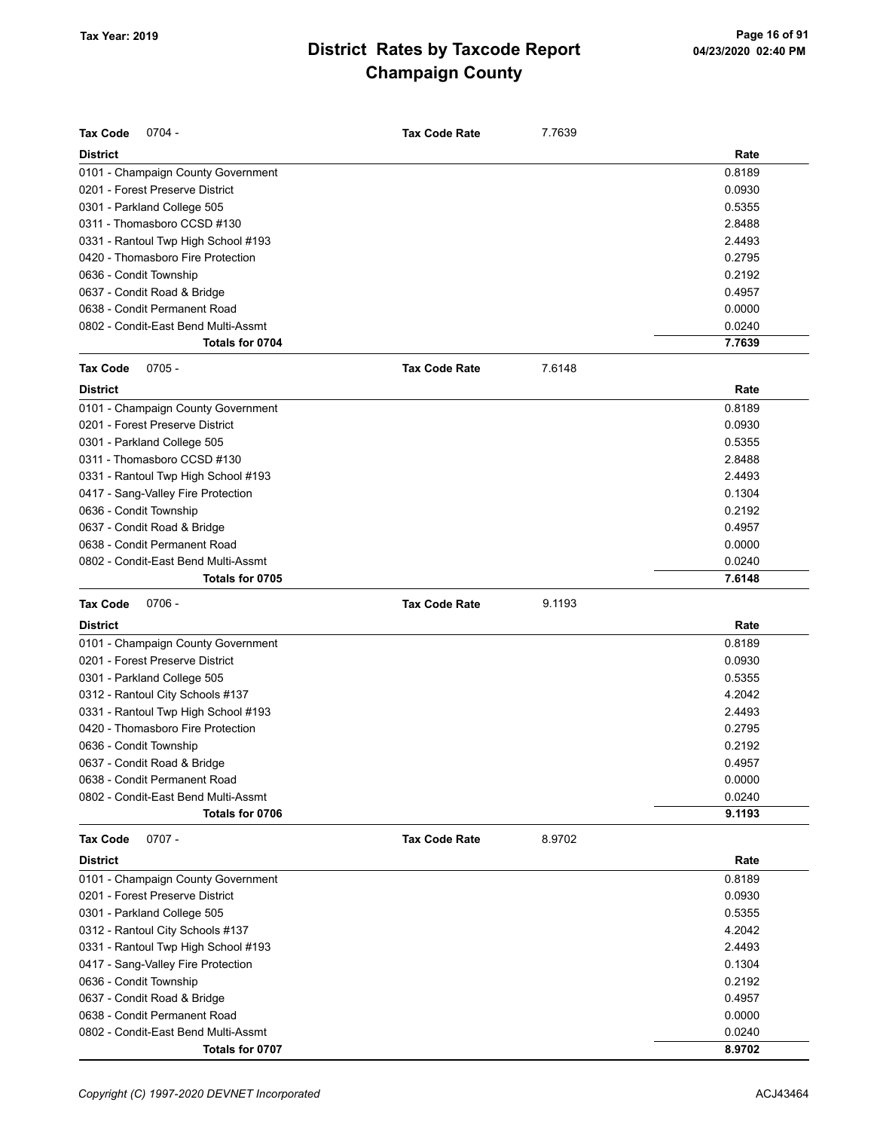| <b>Tax Code</b><br>$0704 -$                            | <b>Tax Code Rate</b> | 7.7639 |                  |
|--------------------------------------------------------|----------------------|--------|------------------|
| <b>District</b>                                        |                      |        | Rate             |
| 0101 - Champaign County Government                     |                      |        | 0.8189           |
| 0201 - Forest Preserve District                        |                      |        | 0.0930           |
| 0301 - Parkland College 505                            |                      |        | 0.5355           |
| 0311 - Thomasboro CCSD #130                            |                      |        | 2.8488           |
| 0331 - Rantoul Twp High School #193                    |                      |        | 2.4493           |
| 0420 - Thomasboro Fire Protection                      |                      |        | 0.2795           |
| 0636 - Condit Township                                 |                      |        | 0.2192           |
| 0637 - Condit Road & Bridge                            |                      |        | 0.4957           |
| 0638 - Condit Permanent Road                           |                      |        | 0.0000           |
| 0802 - Condit-East Bend Multi-Assmt                    |                      |        | 0.0240           |
| Totals for 0704                                        |                      |        | 7.7639           |
| <b>Tax Code</b><br>$0705 -$                            | <b>Tax Code Rate</b> | 7.6148 |                  |
| <b>District</b>                                        |                      |        | Rate             |
| 0101 - Champaign County Government                     |                      |        | 0.8189           |
| 0201 - Forest Preserve District                        |                      |        | 0.0930           |
| 0301 - Parkland College 505                            |                      |        | 0.5355           |
| 0311 - Thomasboro CCSD #130                            |                      |        | 2.8488           |
| 0331 - Rantoul Twp High School #193                    |                      |        | 2.4493           |
| 0417 - Sang-Valley Fire Protection                     |                      |        | 0.1304           |
| 0636 - Condit Township                                 |                      |        | 0.2192           |
| 0637 - Condit Road & Bridge                            |                      |        | 0.4957           |
| 0638 - Condit Permanent Road                           |                      |        | 0.0000           |
| 0802 - Condit-East Bend Multi-Assmt                    |                      |        | 0.0240           |
| Totals for 0705                                        |                      |        | 7.6148           |
|                                                        |                      |        |                  |
| <b>Tax Code</b><br>$0706 -$                            | <b>Tax Code Rate</b> | 9.1193 |                  |
| <b>District</b>                                        |                      |        | Rate             |
| 0101 - Champaign County Government                     |                      |        | 0.8189           |
| 0201 - Forest Preserve District                        |                      |        | 0.0930           |
| 0301 - Parkland College 505                            |                      |        | 0.5355           |
| 0312 - Rantoul City Schools #137                       |                      |        | 4.2042           |
| 0331 - Rantoul Twp High School #193                    |                      |        | 2.4493           |
| 0420 - Thomasboro Fire Protection                      |                      |        | 0.2795           |
| 0636 - Condit Township                                 |                      |        | 0.2192           |
| 0637 - Condit Road & Bridge                            |                      |        | 0.4957           |
| 0638 - Condit Permanent Road                           |                      |        | 0.0000           |
| 0802 - Condit-East Bend Multi-Assmt                    |                      |        | 0.0240           |
| Totals for 0706                                        |                      |        | 9.1193           |
| $0707 -$<br><b>Tax Code</b>                            | <b>Tax Code Rate</b> | 8.9702 |                  |
| <b>District</b>                                        |                      |        | Rate             |
| 0101 - Champaign County Government                     |                      |        | 0.8189           |
| 0201 - Forest Preserve District                        |                      |        | 0.0930           |
| 0301 - Parkland College 505                            |                      |        | 0.5355           |
| 0312 - Rantoul City Schools #137                       |                      |        | 4.2042           |
| 0331 - Rantoul Twp High School #193                    |                      |        | 2.4493           |
| 0417 - Sang-Valley Fire Protection                     |                      |        | 0.1304           |
| 0636 - Condit Township                                 |                      |        | 0.2192           |
| 0637 - Condit Road & Bridge                            |                      |        | 0.4957           |
| 0638 - Condit Permanent Road                           |                      |        | 0.0000           |
| 0802 - Condit-East Bend Multi-Assmt<br>Totals for 0707 |                      |        | 0.0240<br>8.9702 |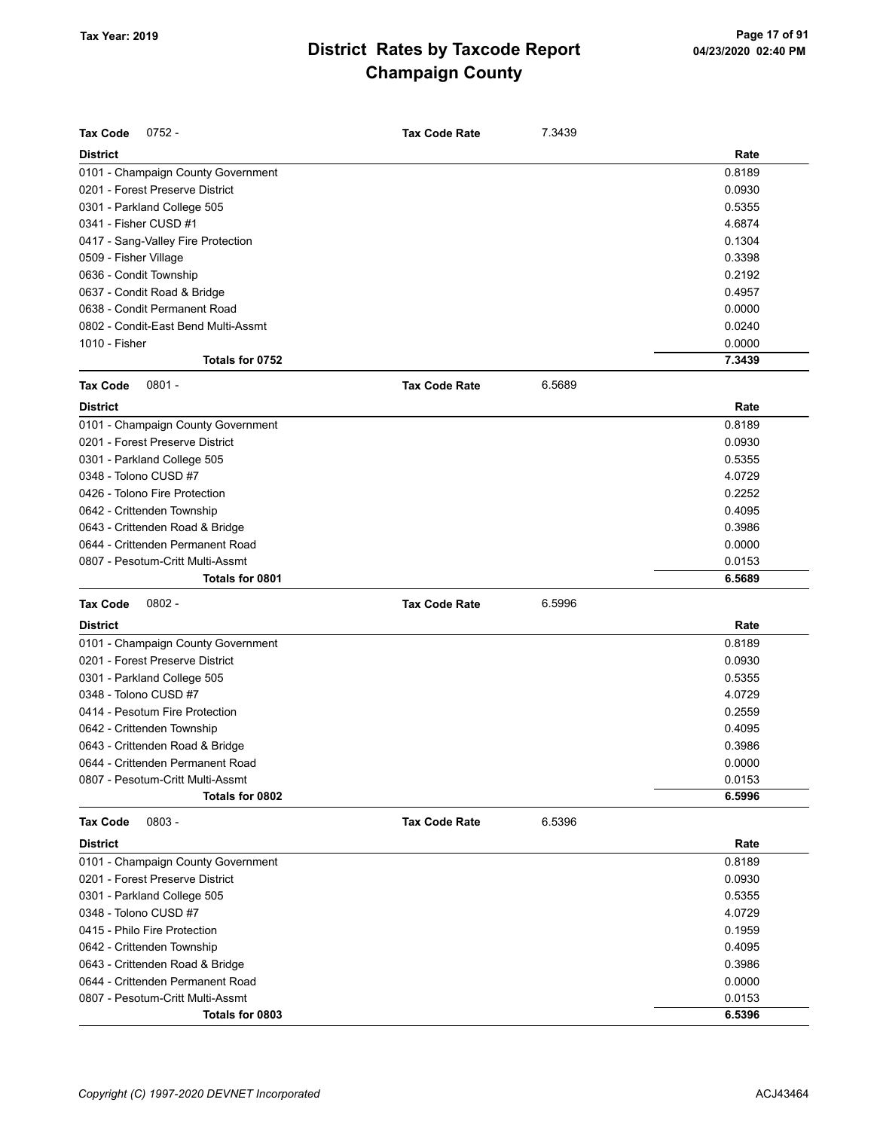| <b>Tax Code</b><br>$0752 -$                                 | <b>Tax Code Rate</b> | 7.3439 |                  |
|-------------------------------------------------------------|----------------------|--------|------------------|
| <b>District</b>                                             |                      |        | Rate             |
|                                                             |                      |        |                  |
| 0101 - Champaign County Government                          |                      |        | 0.8189<br>0.0930 |
| 0201 - Forest Preserve District                             |                      |        | 0.5355           |
| 0301 - Parkland College 505                                 |                      |        | 4.6874           |
| 0341 - Fisher CUSD #1                                       |                      |        | 0.1304           |
| 0417 - Sang-Valley Fire Protection                          |                      |        | 0.3398           |
| 0509 - Fisher Village                                       |                      |        |                  |
| 0636 - Condit Township                                      |                      |        | 0.2192           |
| 0637 - Condit Road & Bridge<br>0638 - Condit Permanent Road |                      |        | 0.4957<br>0.0000 |
|                                                             |                      |        | 0.0240           |
| 0802 - Condit-East Bend Multi-Assmt<br>1010 - Fisher        |                      |        | 0.0000           |
| Totals for 0752                                             |                      |        | 7.3439           |
| <b>Tax Code</b><br>$0801 -$                                 | <b>Tax Code Rate</b> | 6.5689 |                  |
|                                                             |                      |        |                  |
| <b>District</b>                                             |                      |        | Rate             |
| 0101 - Champaign County Government                          |                      |        | 0.8189           |
| 0201 - Forest Preserve District                             |                      |        | 0.0930           |
| 0301 - Parkland College 505                                 |                      |        | 0.5355           |
| 0348 - Tolono CUSD #7                                       |                      |        | 4.0729           |
| 0426 - Tolono Fire Protection                               |                      |        | 0.2252           |
| 0642 - Crittenden Township                                  |                      |        | 0.4095           |
| 0643 - Crittenden Road & Bridge                             |                      |        | 0.3986           |
| 0644 - Crittenden Permanent Road                            |                      |        | 0.0000           |
| 0807 - Pesotum-Critt Multi-Assmt                            |                      |        | 0.0153           |
| Totals for 0801                                             |                      |        | 6.5689           |
| <b>Tax Code</b><br>$0802 -$                                 | <b>Tax Code Rate</b> | 6.5996 |                  |
|                                                             |                      |        | Rate             |
| <b>District</b>                                             |                      |        |                  |
| 0101 - Champaign County Government                          |                      |        | 0.8189           |
| 0201 - Forest Preserve District                             |                      |        | 0.0930           |
| 0301 - Parkland College 505                                 |                      |        | 0.5355           |
| 0348 - Tolono CUSD #7                                       |                      |        | 4.0729           |
| 0414 - Pesotum Fire Protection                              |                      |        | 0.2559           |
| 0642 - Crittenden Township                                  |                      |        | 0.4095           |
| 0643 - Crittenden Road & Bridge                             |                      |        | 0.3986           |
| 0644 - Crittenden Permanent Road                            |                      |        | 0.0000           |
| 0807 - Pesotum-Critt Multi-Assmt                            |                      |        | 0.0153           |
| Totals for 0802                                             |                      |        | 6.5996           |
| Tax Code<br>$0803 -$                                        | <b>Tax Code Rate</b> | 6.5396 |                  |
| <b>District</b>                                             |                      |        | Rate             |
| 0101 - Champaign County Government                          |                      |        | 0.8189           |
| 0201 - Forest Preserve District                             |                      |        | 0.0930           |
|                                                             |                      |        | 0.5355           |
| 0301 - Parkland College 505<br>0348 - Tolono CUSD #7        |                      |        | 4.0729           |
| 0415 - Philo Fire Protection                                |                      |        | 0.1959           |
| 0642 - Crittenden Township                                  |                      |        | 0.4095           |
| 0643 - Crittenden Road & Bridge                             |                      |        | 0.3986           |
| 0644 - Crittenden Permanent Road                            |                      |        | 0.0000           |
| 0807 - Pesotum-Critt Multi-Assmt                            |                      |        | 0.0153           |
| Totals for 0803                                             |                      |        | 6.5396           |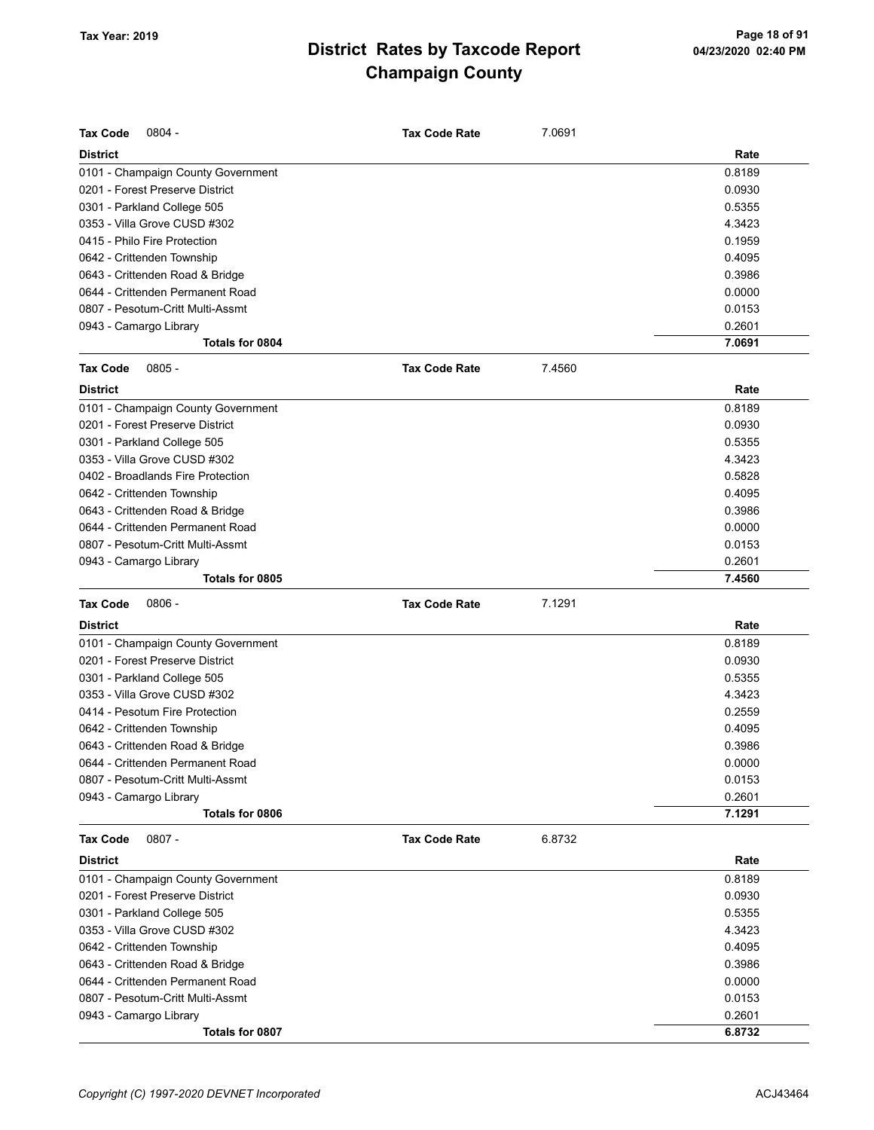| <b>Tax Code</b><br>$0804 -$        | Tax Code Rate        | 7.0691 |        |
|------------------------------------|----------------------|--------|--------|
| <b>District</b>                    |                      |        | Rate   |
| 0101 - Champaign County Government |                      |        | 0.8189 |
| 0201 - Forest Preserve District    |                      |        | 0.0930 |
| 0301 - Parkland College 505        |                      |        | 0.5355 |
| 0353 - Villa Grove CUSD #302       |                      |        | 4.3423 |
| 0415 - Philo Fire Protection       |                      |        | 0.1959 |
| 0642 - Crittenden Township         |                      |        | 0.4095 |
| 0643 - Crittenden Road & Bridge    |                      |        | 0.3986 |
| 0644 - Crittenden Permanent Road   |                      |        | 0.0000 |
| 0807 - Pesotum-Critt Multi-Assmt   |                      |        | 0.0153 |
| 0943 - Camargo Library             |                      |        | 0.2601 |
| Totals for 0804                    |                      |        | 7.0691 |
| <b>Tax Code</b><br>$0805 -$        | <b>Tax Code Rate</b> | 7.4560 |        |
| <b>District</b>                    |                      |        | Rate   |
| 0101 - Champaign County Government |                      |        | 0.8189 |
| 0201 - Forest Preserve District    |                      |        | 0.0930 |
| 0301 - Parkland College 505        |                      |        | 0.5355 |
| 0353 - Villa Grove CUSD #302       |                      |        | 4.3423 |
| 0402 - Broadlands Fire Protection  |                      |        | 0.5828 |
| 0642 - Crittenden Township         |                      |        | 0.4095 |
| 0643 - Crittenden Road & Bridge    |                      |        | 0.3986 |
| 0644 - Crittenden Permanent Road   |                      |        | 0.0000 |
| 0807 - Pesotum-Critt Multi-Assmt   |                      |        | 0.0153 |
| 0943 - Camargo Library             |                      |        | 0.2601 |
| Totals for 0805                    |                      |        | 7.4560 |
| Tax Code<br>$0806 -$               | <b>Tax Code Rate</b> | 7.1291 |        |
| <b>District</b>                    |                      |        | Rate   |
| 0101 - Champaign County Government |                      |        | 0.8189 |
|                                    |                      |        |        |
| 0201 - Forest Preserve District    |                      |        | 0.0930 |
| 0301 - Parkland College 505        |                      |        | 0.5355 |
| 0353 - Villa Grove CUSD #302       |                      |        | 4.3423 |
| 0414 - Pesotum Fire Protection     |                      |        | 0.2559 |
| 0642 - Crittenden Township         |                      |        | 0.4095 |
| 0643 - Crittenden Road & Bridge    |                      |        | 0.3986 |
| 0644 - Crittenden Permanent Road   |                      |        | 0.0000 |
| 0807 - Pesotum-Critt Multi-Assmt   |                      |        | 0.0153 |
| 0943 - Camargo Library             |                      |        | 0.2601 |
| Totals for 0806                    |                      |        | 7.1291 |
| <b>Tax Code</b><br>$0807 -$        | <b>Tax Code Rate</b> | 6.8732 |        |
| District                           |                      |        | Rate   |
| 0101 - Champaign County Government |                      |        | 0.8189 |
| 0201 - Forest Preserve District    |                      |        | 0.0930 |
| 0301 - Parkland College 505        |                      |        | 0.5355 |
| 0353 - Villa Grove CUSD #302       |                      |        | 4.3423 |
| 0642 - Crittenden Township         |                      |        | 0.4095 |
| 0643 - Crittenden Road & Bridge    |                      |        | 0.3986 |
| 0644 - Crittenden Permanent Road   |                      |        | 0.0000 |
| 0807 - Pesotum-Critt Multi-Assmt   |                      |        | 0.0153 |
| 0943 - Camargo Library             |                      |        | 0.2601 |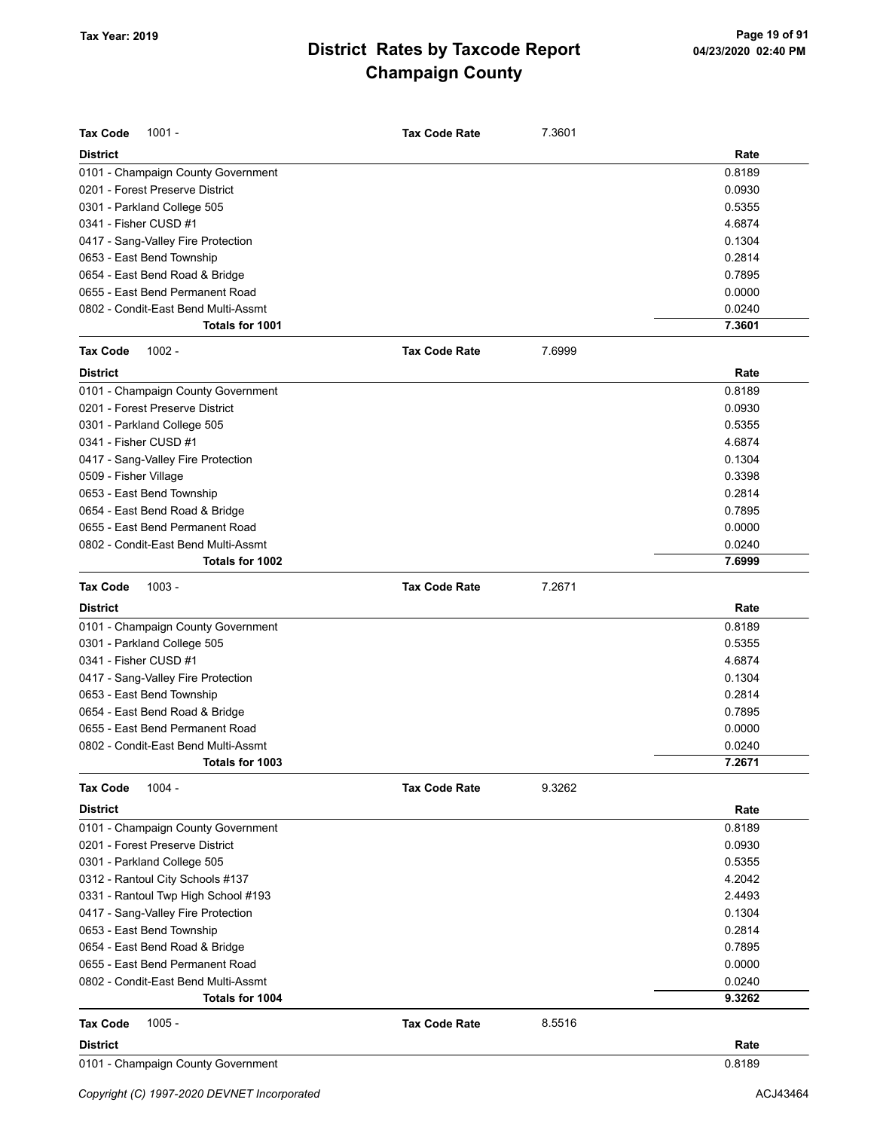| <b>Tax Code</b><br>$1001 -$         | <b>Tax Code Rate</b> | 7.3601 |        |
|-------------------------------------|----------------------|--------|--------|
| <b>District</b>                     |                      |        | Rate   |
| 0101 - Champaign County Government  |                      |        | 0.8189 |
| 0201 - Forest Preserve District     |                      |        | 0.0930 |
| 0301 - Parkland College 505         |                      |        | 0.5355 |
| 0341 - Fisher CUSD #1               |                      |        | 4.6874 |
| 0417 - Sang-Valley Fire Protection  |                      |        | 0.1304 |
| 0653 - East Bend Township           |                      |        | 0.2814 |
| 0654 - East Bend Road & Bridge      |                      |        | 0.7895 |
| 0655 - East Bend Permanent Road     |                      |        | 0.0000 |
| 0802 - Condit-East Bend Multi-Assmt |                      |        | 0.0240 |
| Totals for 1001                     |                      |        | 7.3601 |
| <b>Tax Code</b><br>$1002 -$         | <b>Tax Code Rate</b> | 7.6999 |        |
| <b>District</b>                     |                      |        | Rate   |
| 0101 - Champaign County Government  |                      |        | 0.8189 |
| 0201 - Forest Preserve District     |                      |        | 0.0930 |
| 0301 - Parkland College 505         |                      |        | 0.5355 |
| 0341 - Fisher CUSD #1               |                      |        | 4.6874 |
| 0417 - Sang-Valley Fire Protection  |                      |        | 0.1304 |
| 0509 - Fisher Village               |                      |        | 0.3398 |
| 0653 - East Bend Township           |                      |        | 0.2814 |
| 0654 - East Bend Road & Bridge      |                      |        | 0.7895 |
| 0655 - East Bend Permanent Road     |                      |        | 0.0000 |
| 0802 - Condit-East Bend Multi-Assmt |                      |        | 0.0240 |
| Totals for 1002                     |                      |        | 7.6999 |
| <b>Tax Code</b><br>$1003 -$         | <b>Tax Code Rate</b> | 7.2671 |        |
| <b>District</b>                     |                      |        | Rate   |
| 0101 - Champaign County Government  |                      |        | 0.8189 |
| 0301 - Parkland College 505         |                      |        | 0.5355 |
| 0341 - Fisher CUSD #1               |                      |        | 4.6874 |
| 0417 - Sang-Valley Fire Protection  |                      |        | 0.1304 |
| 0653 - East Bend Township           |                      |        | 0.2814 |
| 0654 - East Bend Road & Bridge      |                      |        | 0.7895 |
| 0655 - East Bend Permanent Road     |                      |        | 0.0000 |
| 0802 - Condit-East Bend Multi-Assmt |                      |        | 0.0240 |
| Totals for 1003                     |                      |        | 7.2671 |
| $1004 -$<br><b>Tax Code</b>         | <b>Tax Code Rate</b> | 9.3262 |        |
| <b>District</b>                     |                      |        | Rate   |
| 0101 - Champaign County Government  |                      |        | 0.8189 |
| 0201 - Forest Preserve District     |                      |        | 0.0930 |
| 0301 - Parkland College 505         |                      |        | 0.5355 |
| 0312 - Rantoul City Schools #137    |                      |        | 4.2042 |
| 0331 - Rantoul Twp High School #193 |                      |        | 2.4493 |
| 0417 - Sang-Valley Fire Protection  |                      |        | 0.1304 |
| 0653 - East Bend Township           |                      |        | 0.2814 |
| 0654 - East Bend Road & Bridge      |                      |        | 0.7895 |
| 0655 - East Bend Permanent Road     |                      |        | 0.0000 |
| 0802 - Condit-East Bend Multi-Assmt |                      |        | 0.0240 |
| Totals for 1004                     |                      |        | 9.3262 |
| $1005 -$<br><b>Tax Code</b>         | <b>Tax Code Rate</b> | 8.5516 |        |
| <b>District</b>                     |                      |        | Rate   |
| 0101 - Champaign County Government  |                      |        | 0.8189 |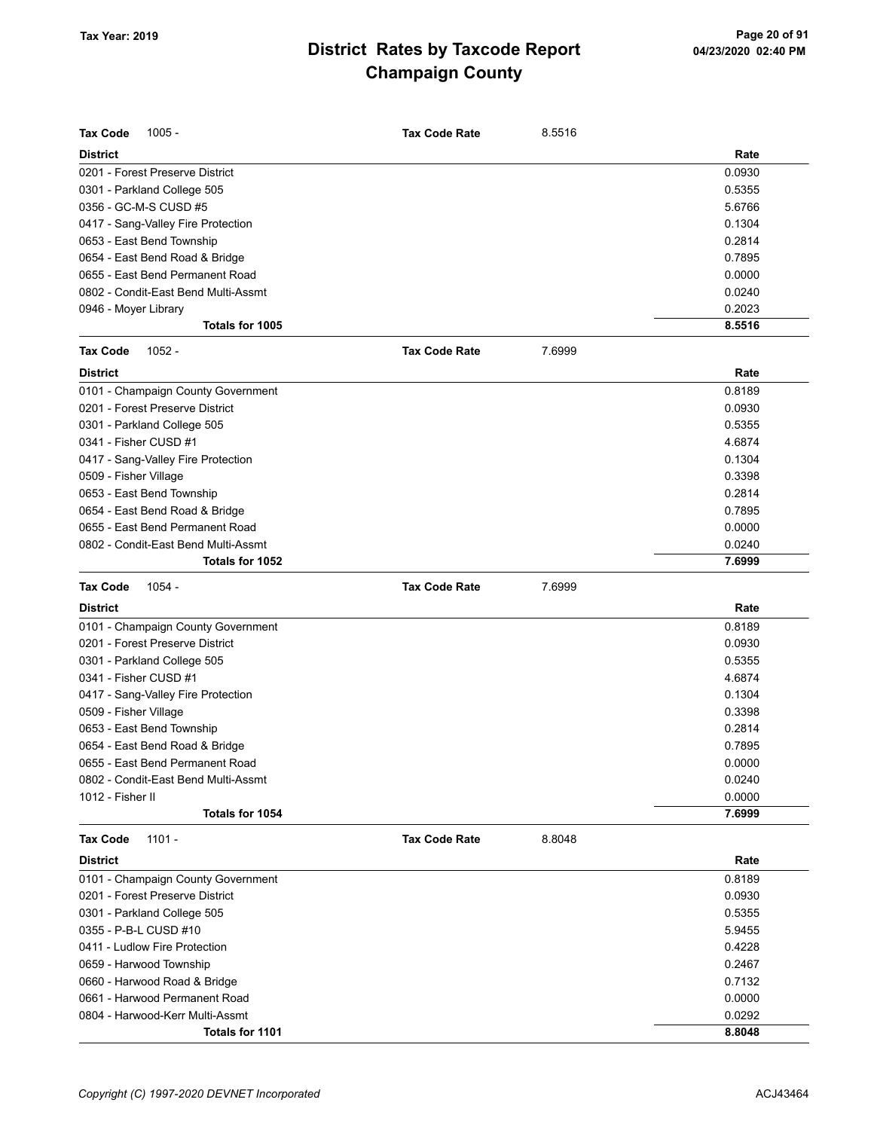| <b>Tax Code</b><br>$1005 -$                                           | <b>Tax Code Rate</b> | 8.5516 |        |
|-----------------------------------------------------------------------|----------------------|--------|--------|
| District                                                              |                      |        | Rate   |
| 0201 - Forest Preserve District                                       |                      |        | 0.0930 |
| 0301 - Parkland College 505                                           |                      |        | 0.5355 |
| 0356 - GC-M-S CUSD #5                                                 |                      |        | 5.6766 |
| 0417 - Sang-Valley Fire Protection                                    |                      |        | 0.1304 |
| 0653 - East Bend Township                                             |                      |        | 0.2814 |
| 0654 - East Bend Road & Bridge                                        |                      |        | 0.7895 |
| 0655 - East Bend Permanent Road                                       |                      |        | 0.0000 |
| 0802 - Condit-East Bend Multi-Assmt                                   |                      |        | 0.0240 |
| 0946 - Moyer Library                                                  |                      |        | 0.2023 |
| Totals for 1005                                                       |                      |        | 8.5516 |
| <b>Tax Code</b><br>$1052 -$                                           | <b>Tax Code Rate</b> | 7.6999 |        |
| <b>District</b>                                                       |                      |        | Rate   |
| 0101 - Champaign County Government                                    |                      |        | 0.8189 |
| 0201 - Forest Preserve District                                       |                      |        | 0.0930 |
| 0301 - Parkland College 505                                           |                      |        | 0.5355 |
| 0341 - Fisher CUSD #1                                                 |                      |        | 4.6874 |
| 0417 - Sang-Valley Fire Protection                                    |                      |        | 0.1304 |
| 0509 - Fisher Village                                                 |                      |        | 0.3398 |
| 0653 - East Bend Township                                             |                      |        | 0.2814 |
| 0654 - East Bend Road & Bridge                                        |                      |        | 0.7895 |
| 0655 - East Bend Permanent Road                                       |                      |        | 0.0000 |
| 0802 - Condit-East Bend Multi-Assmt                                   |                      |        | 0.0240 |
| Totals for 1052                                                       |                      |        | 7.6999 |
| <b>Tax Code</b><br>1054 -                                             | <b>Tax Code Rate</b> | 7.6999 |        |
|                                                                       |                      |        |        |
| District                                                              |                      |        | Rate   |
|                                                                       |                      |        | 0.8189 |
| 0101 - Champaign County Government<br>0201 - Forest Preserve District |                      |        | 0.0930 |
| 0301 - Parkland College 505                                           |                      |        | 0.5355 |
| 0341 - Fisher CUSD #1                                                 |                      |        | 4.6874 |
| 0417 - Sang-Valley Fire Protection                                    |                      |        | 0.1304 |
| 0509 - Fisher Village                                                 |                      |        | 0.3398 |
| 0653 - East Bend Township                                             |                      |        | 0.2814 |
| 0654 - East Bend Road & Bridge                                        |                      |        | 0.7895 |
| 0655 - East Bend Permanent Road                                       |                      |        | 0.0000 |
| 0802 - Condit-East Bend Multi-Assmt                                   |                      |        | 0.0240 |
| 1012 - Fisher II                                                      |                      |        | 0.0000 |
| Totals for 1054                                                       |                      |        | 7.6999 |
| $1101 -$<br><b>Tax Code</b>                                           | <b>Tax Code Rate</b> | 8.8048 |        |
| <b>District</b>                                                       |                      |        | Rate   |
|                                                                       |                      |        | 0.8189 |
| 0101 - Champaign County Government<br>0201 - Forest Preserve District |                      |        | 0.0930 |
| 0301 - Parkland College 505                                           |                      |        | 0.5355 |
| 0355 - P-B-L CUSD #10                                                 |                      |        | 5.9455 |
| 0411 - Ludlow Fire Protection                                         |                      |        | 0.4228 |
| 0659 - Harwood Township                                               |                      |        | 0.2467 |
| 0660 - Harwood Road & Bridge                                          |                      |        | 0.7132 |
| 0661 - Harwood Permanent Road                                         |                      |        | 0.0000 |
| 0804 - Harwood-Kerr Multi-Assmt                                       |                      |        | 0.0292 |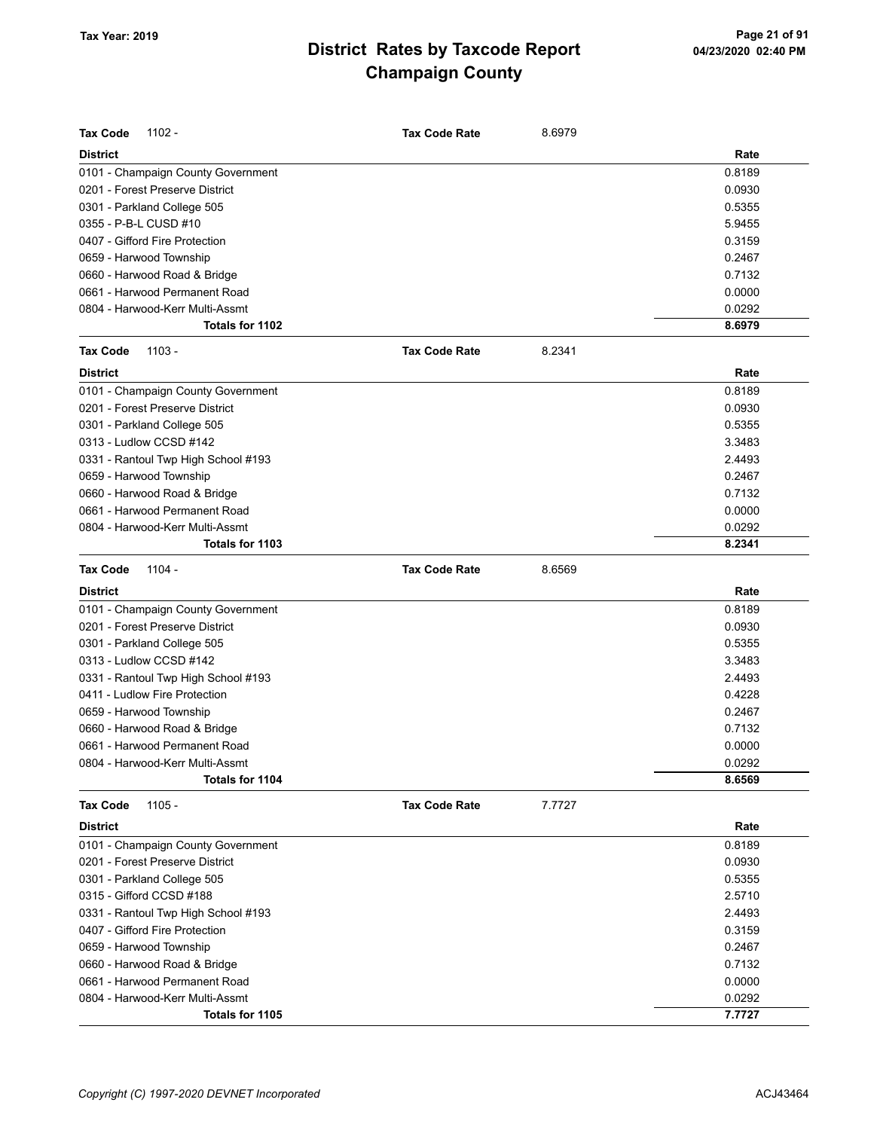| <b>Tax Code</b><br>$1102 -$         | <b>Tax Code Rate</b> | 8.6979 |        |
|-------------------------------------|----------------------|--------|--------|
| <b>District</b>                     |                      |        | Rate   |
| 0101 - Champaign County Government  |                      |        | 0.8189 |
| 0201 - Forest Preserve District     |                      |        | 0.0930 |
| 0301 - Parkland College 505         |                      |        | 0.5355 |
| 0355 - P-B-L CUSD #10               |                      |        | 5.9455 |
| 0407 - Gifford Fire Protection      |                      |        | 0.3159 |
| 0659 - Harwood Township             |                      |        | 0.2467 |
| 0660 - Harwood Road & Bridge        |                      |        | 0.7132 |
| 0661 - Harwood Permanent Road       |                      |        | 0.0000 |
| 0804 - Harwood-Kerr Multi-Assmt     |                      |        | 0.0292 |
| Totals for 1102                     |                      |        | 8.6979 |
| <b>Tax Code</b><br>$1103 -$         | <b>Tax Code Rate</b> | 8.2341 |        |
| <b>District</b>                     |                      |        | Rate   |
| 0101 - Champaign County Government  |                      |        | 0.8189 |
| 0201 - Forest Preserve District     |                      |        | 0.0930 |
| 0301 - Parkland College 505         |                      |        | 0.5355 |
| 0313 - Ludlow CCSD #142             |                      |        | 3.3483 |
| 0331 - Rantoul Twp High School #193 |                      |        | 2.4493 |
| 0659 - Harwood Township             |                      |        | 0.2467 |
| 0660 - Harwood Road & Bridge        |                      |        | 0.7132 |
| 0661 - Harwood Permanent Road       |                      |        | 0.0000 |
| 0804 - Harwood-Kerr Multi-Assmt     |                      |        | 0.0292 |
| Totals for 1103                     |                      |        | 8.2341 |
| 1104 -<br><b>Tax Code</b>           | <b>Tax Code Rate</b> | 8.6569 |        |
| <b>District</b>                     |                      |        | Rate   |
| 0101 - Champaign County Government  |                      |        | 0.8189 |
| 0201 - Forest Preserve District     |                      |        | 0.0930 |
| 0301 - Parkland College 505         |                      |        | 0.5355 |
| 0313 - Ludlow CCSD #142             |                      |        | 3.3483 |
| 0331 - Rantoul Twp High School #193 |                      |        | 2.4493 |
| 0411 - Ludlow Fire Protection       |                      |        | 0.4228 |
| 0659 - Harwood Township             |                      |        | 0.2467 |
| 0660 - Harwood Road & Bridge        |                      |        | 0.7132 |
| 0661 - Harwood Permanent Road       |                      |        | 0.0000 |
| 0804 - Harwood-Kerr Multi-Assmt     |                      |        | 0.0292 |
| Totals for 1104                     |                      |        | 8.6569 |
| 1105 -<br><b>Tax Code</b>           | <b>Tax Code Rate</b> | 7.7727 |        |
| <b>District</b>                     |                      |        | Rate   |
| 0101 - Champaign County Government  |                      |        | 0.8189 |
| 0201 - Forest Preserve District     |                      |        | 0.0930 |
| 0301 - Parkland College 505         |                      |        | 0.5355 |
| 0315 - Gifford CCSD #188            |                      |        | 2.5710 |
| 0331 - Rantoul Twp High School #193 |                      |        | 2.4493 |
| 0407 - Gifford Fire Protection      |                      |        | 0.3159 |
| 0659 - Harwood Township             |                      |        | 0.2467 |
| 0660 - Harwood Road & Bridge        |                      |        | 0.7132 |
| 0661 - Harwood Permanent Road       |                      |        | 0.0000 |
| 0804 - Harwood-Kerr Multi-Assmt     |                      |        | 0.0292 |
| Totals for 1105                     |                      |        | 7.7727 |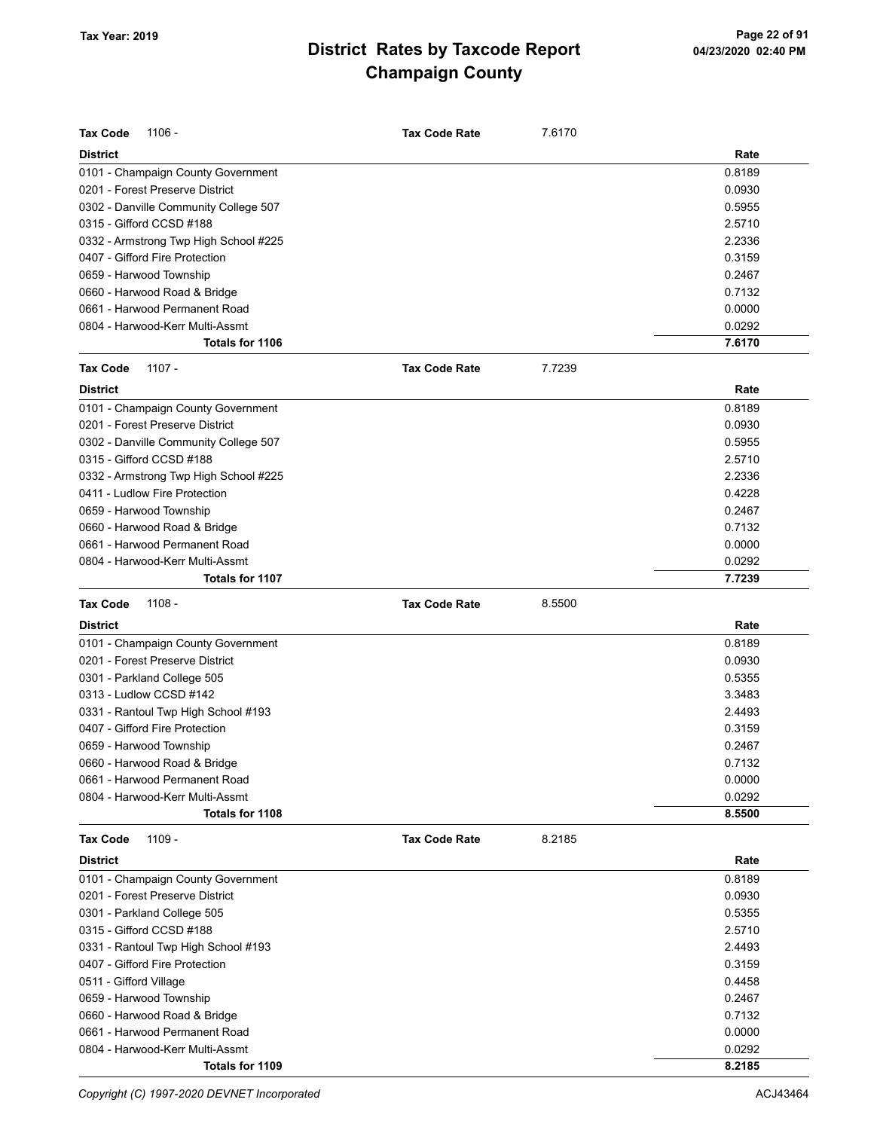| <b>Tax Code</b>                 | $1106 -$                              | <b>Tax Code Rate</b> | 7.6170 |        |
|---------------------------------|---------------------------------------|----------------------|--------|--------|
| <b>District</b>                 |                                       |                      |        | Rate   |
|                                 | 0101 - Champaign County Government    |                      |        | 0.8189 |
| 0201 - Forest Preserve District |                                       |                      |        | 0.0930 |
|                                 | 0302 - Danville Community College 507 |                      |        | 0.5955 |
| 0315 - Gifford CCSD #188        |                                       |                      |        | 2.5710 |
|                                 | 0332 - Armstrong Twp High School #225 |                      |        | 2.2336 |
| 0407 - Gifford Fire Protection  |                                       |                      |        | 0.3159 |
| 0659 - Harwood Township         |                                       |                      |        | 0.2467 |
| 0660 - Harwood Road & Bridge    |                                       |                      |        | 0.7132 |
|                                 | 0661 - Harwood Permanent Road         |                      |        | 0.0000 |
|                                 | 0804 - Harwood-Kerr Multi-Assmt       |                      |        | 0.0292 |
|                                 | Totals for 1106                       |                      |        | 7.6170 |
| <b>Tax Code</b>                 | $1107 -$                              | <b>Tax Code Rate</b> | 7.7239 |        |
| <b>District</b>                 |                                       |                      |        | Rate   |
|                                 | 0101 - Champaign County Government    |                      |        | 0.8189 |
| 0201 - Forest Preserve District |                                       |                      |        | 0.0930 |
|                                 | 0302 - Danville Community College 507 |                      |        | 0.5955 |
| 0315 - Gifford CCSD #188        |                                       |                      |        | 2.5710 |
|                                 | 0332 - Armstrong Twp High School #225 |                      |        | 2.2336 |
| 0411 - Ludlow Fire Protection   |                                       |                      |        | 0.4228 |
| 0659 - Harwood Township         |                                       |                      |        | 0.2467 |
| 0660 - Harwood Road & Bridge    |                                       |                      |        | 0.7132 |
|                                 | 0661 - Harwood Permanent Road         |                      |        | 0.0000 |
|                                 | 0804 - Harwood-Kerr Multi-Assmt       |                      |        | 0.0292 |
|                                 | Totals for 1107                       |                      |        | 7.7239 |
|                                 |                                       |                      |        |        |
| <b>Tax Code</b>                 | $1108 -$                              | <b>Tax Code Rate</b> | 8.5500 |        |
| <b>District</b>                 |                                       |                      |        | Rate   |
|                                 | 0101 - Champaign County Government    |                      |        | 0.8189 |
| 0201 - Forest Preserve District |                                       |                      |        | 0.0930 |
| 0301 - Parkland College 505     |                                       |                      |        | 0.5355 |
| 0313 - Ludlow CCSD #142         |                                       |                      |        | 3.3483 |
|                                 | 0331 - Rantoul Twp High School #193   |                      |        | 2.4493 |
| 0407 - Gifford Fire Protection  |                                       |                      |        | 0.3159 |
| 0659 - Harwood Township         |                                       |                      |        | 0.2467 |
| 0660 - Harwood Road & Bridge    |                                       |                      |        | 0.7132 |
|                                 | 0661 - Harwood Permanent Road         |                      |        | 0.0000 |
|                                 | 0804 - Harwood-Kerr Multi-Assmt       |                      |        | 0.0292 |
|                                 | Totals for 1108                       |                      |        | 8.5500 |
| <b>Tax Code</b>                 | 1109 -                                | <b>Tax Code Rate</b> | 8.2185 |        |
| <b>District</b>                 |                                       |                      |        | Rate   |
|                                 | 0101 - Champaign County Government    |                      |        | 0.8189 |
| 0201 - Forest Preserve District |                                       |                      |        | 0.0930 |
| 0301 - Parkland College 505     |                                       |                      |        | 0.5355 |
| 0315 - Gifford CCSD #188        |                                       |                      |        | 2.5710 |
|                                 | 0331 - Rantoul Twp High School #193   |                      |        | 2.4493 |
| 0407 - Gifford Fire Protection  |                                       |                      |        | 0.3159 |
| 0511 - Gifford Village          |                                       |                      |        | 0.4458 |
| 0659 - Harwood Township         |                                       |                      |        | 0.2467 |
| 0660 - Harwood Road & Bridge    |                                       |                      |        | 0.7132 |
|                                 | 0661 - Harwood Permanent Road         |                      |        | 0.0000 |
|                                 | 0804 - Harwood-Kerr Multi-Assmt       |                      |        | 0.0292 |

Copyright (C) 1997-2020 DEVNET Incorporated **ACJ43464** ACJ43464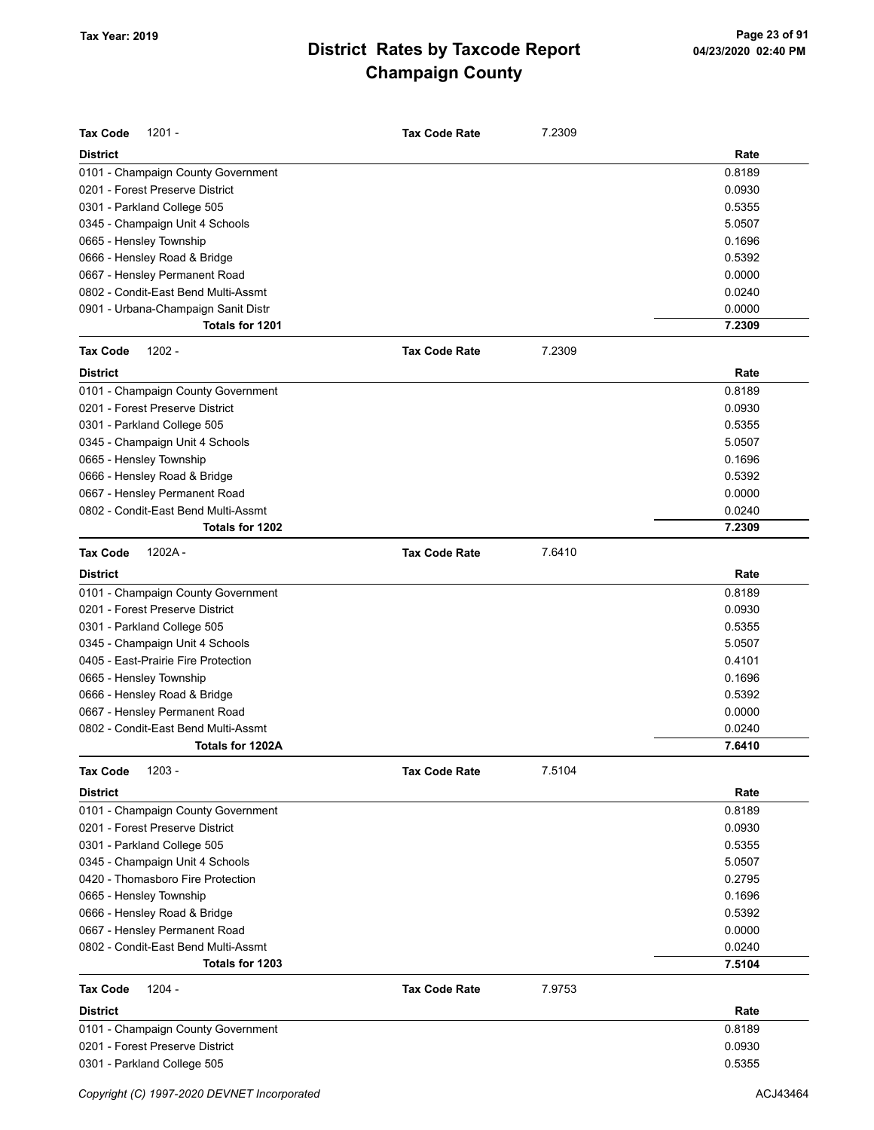| <b>Tax Code</b><br>$1201 -$         | <b>Tax Code Rate</b> | 7.2309 |        |
|-------------------------------------|----------------------|--------|--------|
| <b>District</b>                     |                      |        | Rate   |
| 0101 - Champaign County Government  |                      |        | 0.8189 |
| 0201 - Forest Preserve District     |                      |        | 0.0930 |
| 0301 - Parkland College 505         |                      |        | 0.5355 |
| 0345 - Champaign Unit 4 Schools     |                      |        | 5.0507 |
| 0665 - Hensley Township             |                      |        | 0.1696 |
| 0666 - Hensley Road & Bridge        |                      |        | 0.5392 |
| 0667 - Hensley Permanent Road       |                      |        | 0.0000 |
| 0802 - Condit-East Bend Multi-Assmt |                      |        | 0.0240 |
| 0901 - Urbana-Champaign Sanit Distr |                      |        | 0.0000 |
| Totals for 1201                     |                      |        | 7.2309 |
| <b>Tax Code</b><br>$1202 -$         | <b>Tax Code Rate</b> | 7.2309 |        |
| <b>District</b>                     |                      |        | Rate   |
| 0101 - Champaign County Government  |                      |        | 0.8189 |
| 0201 - Forest Preserve District     |                      |        | 0.0930 |
| 0301 - Parkland College 505         |                      |        | 0.5355 |
| 0345 - Champaign Unit 4 Schools     |                      |        | 5.0507 |
| 0665 - Hensley Township             |                      |        | 0.1696 |
| 0666 - Hensley Road & Bridge        |                      |        | 0.5392 |
| 0667 - Hensley Permanent Road       |                      |        | 0.0000 |
| 0802 - Condit-East Bend Multi-Assmt |                      |        | 0.0240 |
| Totals for 1202                     |                      |        | 7.2309 |
| 1202A-<br><b>Tax Code</b>           | <b>Tax Code Rate</b> | 7.6410 |        |
| <b>District</b>                     |                      |        | Rate   |
| 0101 - Champaign County Government  |                      |        | 0.8189 |
| 0201 - Forest Preserve District     |                      |        | 0.0930 |
| 0301 - Parkland College 505         |                      |        | 0.5355 |
| 0345 - Champaign Unit 4 Schools     |                      |        | 5.0507 |
| 0405 - East-Prairie Fire Protection |                      |        | 0.4101 |
| 0665 - Hensley Township             |                      |        | 0.1696 |
| 0666 - Hensley Road & Bridge        |                      |        | 0.5392 |
| 0667 - Hensley Permanent Road       |                      |        | 0.0000 |
| 0802 - Condit-East Bend Multi-Assmt |                      |        | 0.0240 |
| Totals for 1202A                    |                      |        | 7.6410 |
| <b>Tax Code</b><br>$1203 -$         | <b>Tax Code Rate</b> | 7.5104 |        |
| <b>District</b>                     |                      |        | Rate   |
| 0101 - Champaign County Government  |                      |        | 0.8189 |
| 0201 - Forest Preserve District     |                      |        | 0.0930 |
| 0301 - Parkland College 505         |                      |        | 0.5355 |
| 0345 - Champaign Unit 4 Schools     |                      |        | 5.0507 |
| 0420 - Thomasboro Fire Protection   |                      |        | 0.2795 |
| 0665 - Hensley Township             |                      |        | 0.1696 |
| 0666 - Hensley Road & Bridge        |                      |        | 0.5392 |
| 0667 - Hensley Permanent Road       |                      |        | 0.0000 |
| 0802 - Condit-East Bend Multi-Assmt |                      |        | 0.0240 |
| Totals for 1203                     |                      |        | 7.5104 |
| <b>Tax Code</b><br>1204 -           | <b>Tax Code Rate</b> | 7.9753 |        |
| District                            |                      |        | Rate   |
| 0101 - Champaign County Government  |                      |        | 0.8189 |
| 0201 - Forest Preserve District     |                      |        | 0.0930 |
| 0301 - Parkland College 505         |                      |        | 0.5355 |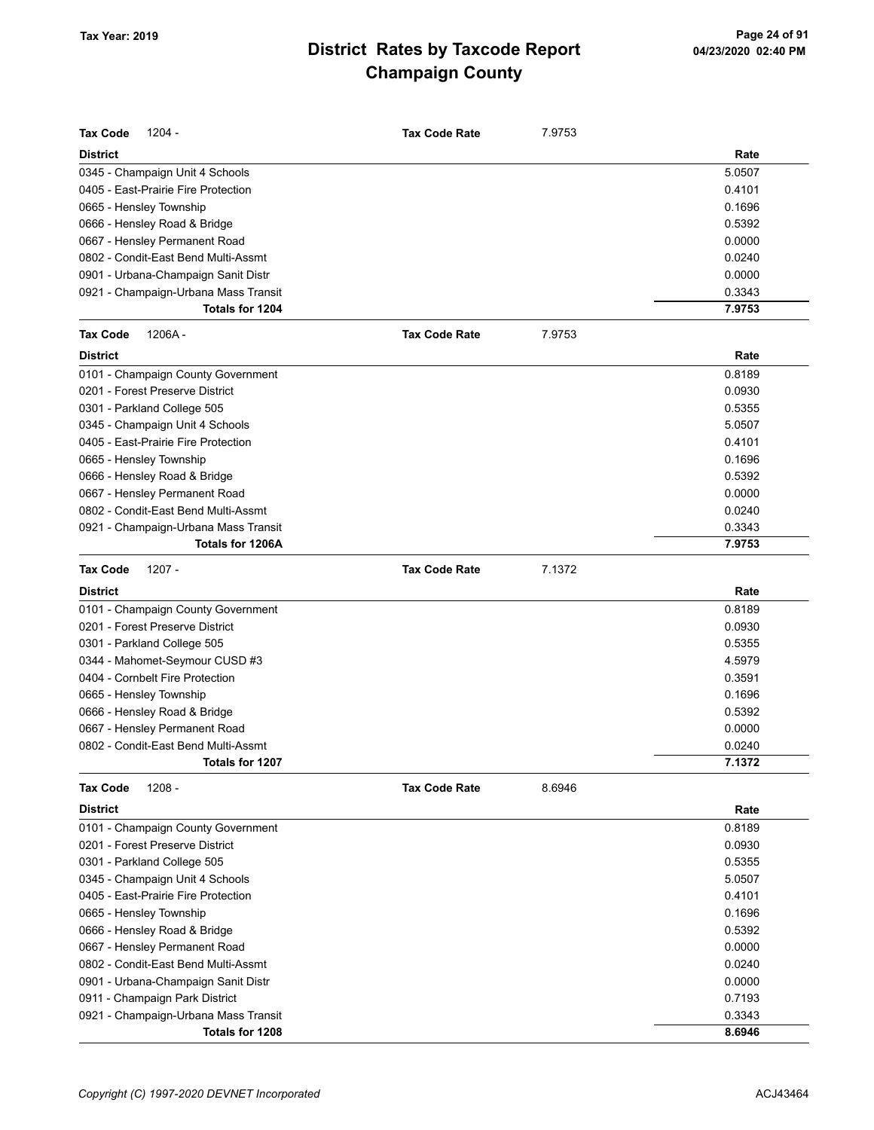| <b>Tax Code</b>         | $1204 -$                             | <b>Tax Code Rate</b> | 7.9753 |        |
|-------------------------|--------------------------------------|----------------------|--------|--------|
| <b>District</b>         |                                      |                      |        | Rate   |
|                         | 0345 - Champaign Unit 4 Schools      |                      |        | 5.0507 |
|                         | 0405 - East-Prairie Fire Protection  |                      |        | 0.4101 |
| 0665 - Hensley Township |                                      |                      |        | 0.1696 |
|                         | 0666 - Hensley Road & Bridge         |                      |        | 0.5392 |
|                         | 0667 - Hensley Permanent Road        |                      |        | 0.0000 |
|                         | 0802 - Condit-East Bend Multi-Assmt  |                      |        | 0.0240 |
|                         | 0901 - Urbana-Champaign Sanit Distr  |                      |        | 0.0000 |
|                         | 0921 - Champaign-Urbana Mass Transit |                      |        | 0.3343 |
|                         | Totals for 1204                      |                      |        | 7.9753 |
| <b>Tax Code</b>         | 1206A-                               | <b>Tax Code Rate</b> | 7.9753 |        |
| <b>District</b>         |                                      |                      |        | Rate   |
|                         | 0101 - Champaign County Government   |                      |        | 0.8189 |
|                         | 0201 - Forest Preserve District      |                      |        | 0.0930 |
|                         | 0301 - Parkland College 505          |                      |        | 0.5355 |
|                         | 0345 - Champaign Unit 4 Schools      |                      |        | 5.0507 |
|                         | 0405 - East-Prairie Fire Protection  |                      |        | 0.4101 |
| 0665 - Hensley Township |                                      |                      |        | 0.1696 |
|                         | 0666 - Hensley Road & Bridge         |                      |        | 0.5392 |
|                         | 0667 - Hensley Permanent Road        |                      |        | 0.0000 |
|                         | 0802 - Condit-East Bend Multi-Assmt  |                      |        | 0.0240 |
|                         | 0921 - Champaign-Urbana Mass Transit |                      |        | 0.3343 |
|                         | Totals for 1206A                     |                      |        | 7.9753 |
| <b>Tax Code</b>         | $1207 -$                             | <b>Tax Code Rate</b> | 7.1372 |        |
| <b>District</b>         |                                      |                      |        | Rate   |
|                         | 0101 - Champaign County Government   |                      |        | 0.8189 |
|                         | 0201 - Forest Preserve District      |                      |        | 0.0930 |
|                         | 0301 - Parkland College 505          |                      |        | 0.5355 |
|                         | 0344 - Mahomet-Seymour CUSD #3       |                      |        | 4.5979 |
|                         | 0404 - Cornbelt Fire Protection      |                      |        | 0.3591 |
| 0665 - Hensley Township |                                      |                      |        | 0.1696 |
|                         | 0666 - Hensley Road & Bridge         |                      |        | 0.5392 |
|                         | 0667 - Hensley Permanent Road        |                      |        | 0.0000 |
|                         | 0802 - Condit-East Bend Multi-Assmt  |                      |        | 0.0240 |
|                         | Totals for 1207                      |                      |        | 7.1372 |
| <b>Tax Code</b>         | $1208 -$                             | <b>Tax Code Rate</b> | 8.6946 |        |
| <b>District</b>         |                                      |                      |        | Rate   |
|                         | 0101 - Champaign County Government   |                      |        | 0.8189 |
|                         | 0201 - Forest Preserve District      |                      |        | 0.0930 |
|                         | 0301 - Parkland College 505          |                      |        | 0.5355 |
|                         | 0345 - Champaign Unit 4 Schools      |                      |        | 5.0507 |
|                         | 0405 - East-Prairie Fire Protection  |                      |        | 0.4101 |
| 0665 - Hensley Township |                                      |                      |        | 0.1696 |
|                         | 0666 - Hensley Road & Bridge         |                      |        | 0.5392 |
|                         | 0667 - Hensley Permanent Road        |                      |        | 0.0000 |
|                         | 0802 - Condit-East Bend Multi-Assmt  |                      |        | 0.0240 |
|                         | 0901 - Urbana-Champaign Sanit Distr  |                      |        | 0.0000 |
|                         | 0911 - Champaign Park District       |                      |        | 0.7193 |
|                         | 0921 - Champaign-Urbana Mass Transit |                      |        | 0.3343 |
|                         | Totals for 1208                      |                      |        | 8.6946 |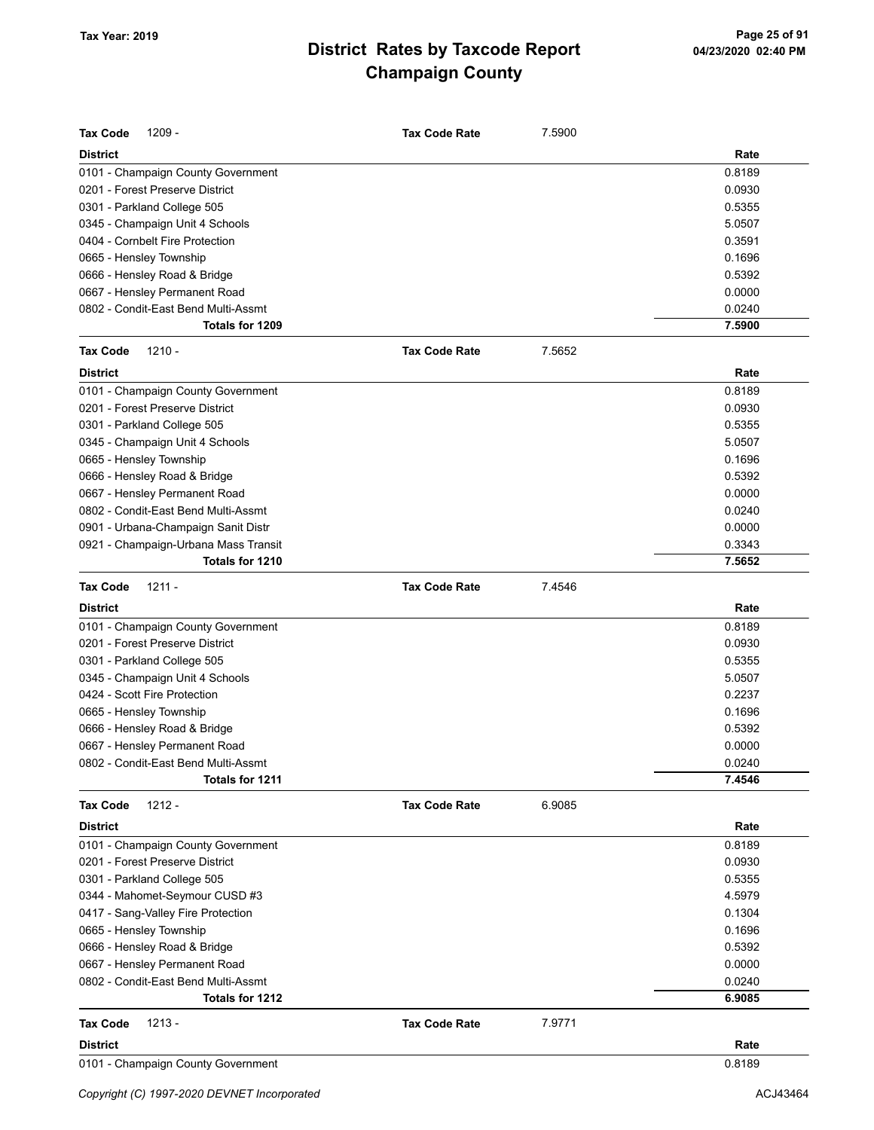| <b>Tax Code</b><br>$1209 -$          | <b>Tax Code Rate</b> | 7.5900 |        |
|--------------------------------------|----------------------|--------|--------|
| <b>District</b>                      |                      |        | Rate   |
| 0101 - Champaign County Government   |                      |        | 0.8189 |
| 0201 - Forest Preserve District      |                      |        | 0.0930 |
| 0301 - Parkland College 505          |                      |        | 0.5355 |
| 0345 - Champaign Unit 4 Schools      |                      |        | 5.0507 |
| 0404 - Cornbelt Fire Protection      |                      |        | 0.3591 |
| 0665 - Hensley Township              |                      |        | 0.1696 |
| 0666 - Hensley Road & Bridge         |                      |        | 0.5392 |
| 0667 - Hensley Permanent Road        |                      |        | 0.0000 |
| 0802 - Condit-East Bend Multi-Assmt  |                      |        | 0.0240 |
| Totals for 1209                      |                      |        | 7.5900 |
| <b>Tax Code</b><br>$1210 -$          | <b>Tax Code Rate</b> | 7.5652 |        |
| <b>District</b>                      |                      |        | Rate   |
| 0101 - Champaign County Government   |                      |        | 0.8189 |
| 0201 - Forest Preserve District      |                      |        | 0.0930 |
| 0301 - Parkland College 505          |                      |        | 0.5355 |
| 0345 - Champaign Unit 4 Schools      |                      |        | 5.0507 |
| 0665 - Hensley Township              |                      |        | 0.1696 |
| 0666 - Hensley Road & Bridge         |                      |        | 0.5392 |
| 0667 - Hensley Permanent Road        |                      |        | 0.0000 |
| 0802 - Condit-East Bend Multi-Assmt  |                      |        | 0.0240 |
| 0901 - Urbana-Champaign Sanit Distr  |                      |        | 0.0000 |
| 0921 - Champaign-Urbana Mass Transit |                      |        | 0.3343 |
| Totals for 1210                      |                      |        | 7.5652 |
| <b>Tax Code</b><br>$1211 -$          | <b>Tax Code Rate</b> | 7.4546 |        |
| <b>District</b>                      |                      |        | Rate   |
| 0101 - Champaign County Government   |                      |        | 0.8189 |
| 0201 - Forest Preserve District      |                      |        | 0.0930 |
| 0301 - Parkland College 505          |                      |        | 0.5355 |
| 0345 - Champaign Unit 4 Schools      |                      |        | 5.0507 |
| 0424 - Scott Fire Protection         |                      |        | 0.2237 |
| 0665 - Hensley Township              |                      |        | 0.1696 |
| 0666 - Hensley Road & Bridge         |                      |        | 0.5392 |
| 0667 - Hensley Permanent Road        |                      |        | 0.0000 |
| 0802 - Condit-East Bend Multi-Assmt  |                      |        | 0.0240 |
| Totals for 1211                      |                      |        | 7.4546 |
| $1212 -$<br><b>Tax Code</b>          | <b>Tax Code Rate</b> | 6.9085 |        |
| <b>District</b>                      |                      |        | Rate   |
| 0101 - Champaign County Government   |                      |        | 0.8189 |
| 0201 - Forest Preserve District      |                      |        | 0.0930 |
| 0301 - Parkland College 505          |                      |        | 0.5355 |
| 0344 - Mahomet-Seymour CUSD #3       |                      |        | 4.5979 |
| 0417 - Sang-Valley Fire Protection   |                      |        | 0.1304 |
| 0665 - Hensley Township              |                      |        | 0.1696 |
| 0666 - Hensley Road & Bridge         |                      |        | 0.5392 |
| 0667 - Hensley Permanent Road        |                      |        | 0.0000 |
| 0802 - Condit-East Bend Multi-Assmt  |                      |        | 0.0240 |
| Totals for 1212                      |                      |        | 6.9085 |
| $1213 -$<br><b>Tax Code</b>          | <b>Tax Code Rate</b> | 7.9771 |        |
| <b>District</b>                      |                      |        | Rate   |
| 0101 - Champaign County Government   |                      |        | 0.8189 |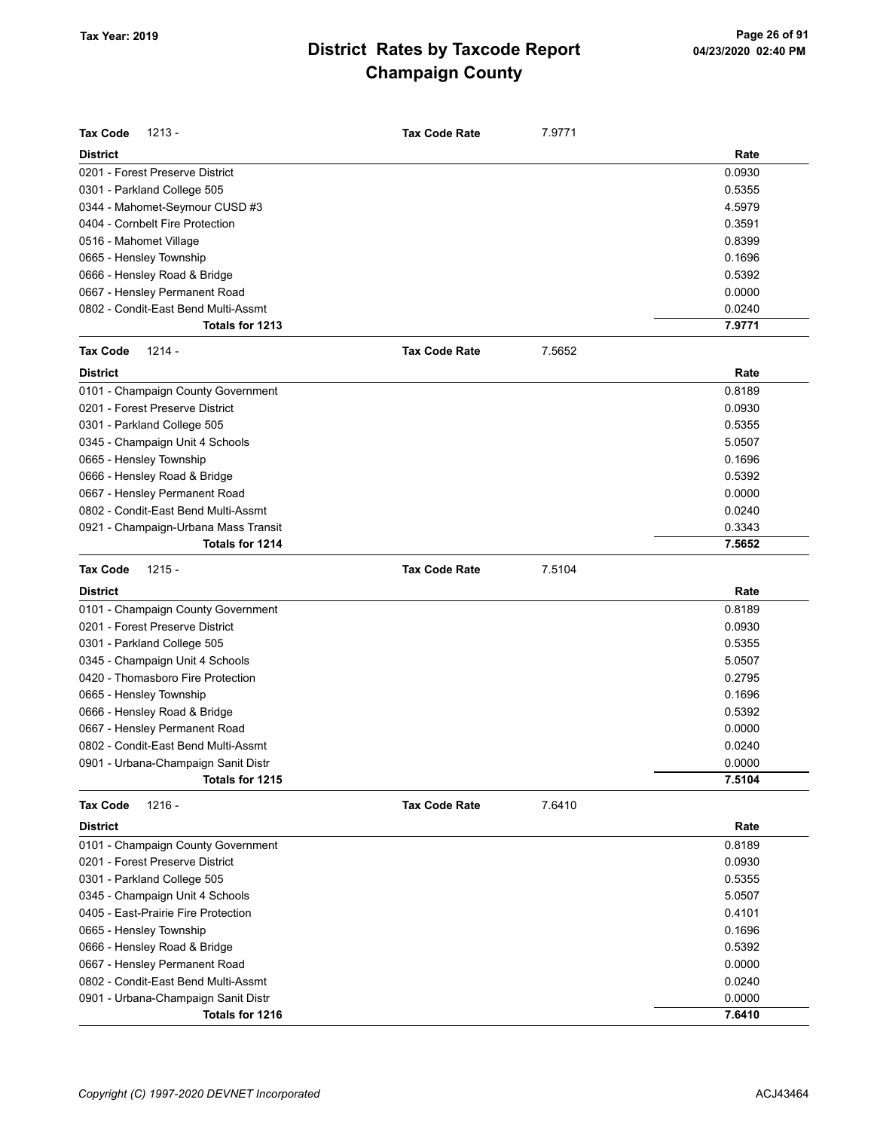| Tax Code<br>$1213 -$                 | <b>Tax Code Rate</b> | 7.9771 |        |
|--------------------------------------|----------------------|--------|--------|
| <b>District</b>                      |                      |        | Rate   |
| 0201 - Forest Preserve District      |                      |        | 0.0930 |
| 0301 - Parkland College 505          |                      |        | 0.5355 |
| 0344 - Mahomet-Seymour CUSD #3       |                      |        | 4.5979 |
| 0404 - Cornbelt Fire Protection      |                      |        | 0.3591 |
| 0516 - Mahomet Village               |                      |        | 0.8399 |
| 0665 - Hensley Township              |                      |        | 0.1696 |
| 0666 - Hensley Road & Bridge         |                      |        | 0.5392 |
| 0667 - Hensley Permanent Road        |                      |        | 0.0000 |
| 0802 - Condit-East Bend Multi-Assmt  |                      |        | 0.0240 |
| Totals for 1213                      |                      |        | 7.9771 |
| Tax Code<br>$1214 -$                 | <b>Tax Code Rate</b> | 7.5652 |        |
| <b>District</b>                      |                      |        | Rate   |
| 0101 - Champaign County Government   |                      |        | 0.8189 |
| 0201 - Forest Preserve District      |                      |        | 0.0930 |
| 0301 - Parkland College 505          |                      |        | 0.5355 |
| 0345 - Champaign Unit 4 Schools      |                      |        | 5.0507 |
| 0665 - Hensley Township              |                      |        | 0.1696 |
| 0666 - Hensley Road & Bridge         |                      |        | 0.5392 |
| 0667 - Hensley Permanent Road        |                      |        | 0.0000 |
| 0802 - Condit-East Bend Multi-Assmt  |                      |        | 0.0240 |
| 0921 - Champaign-Urbana Mass Transit |                      |        | 0.3343 |
| Totals for 1214                      |                      |        | 7.5652 |
| <b>Tax Code</b><br>$1215 -$          | <b>Tax Code Rate</b> | 7.5104 |        |
| <b>District</b>                      |                      |        | Rate   |
| 0101 - Champaign County Government   |                      |        | 0.8189 |
| 0201 - Forest Preserve District      |                      |        | 0.0930 |
| 0301 - Parkland College 505          |                      |        | 0.5355 |
| 0345 - Champaign Unit 4 Schools      |                      |        | 5.0507 |
| 0420 - Thomasboro Fire Protection    |                      |        | 0.2795 |
| 0665 - Hensley Township              |                      |        | 0.1696 |
| 0666 - Hensley Road & Bridge         |                      |        | 0.5392 |
| 0667 - Hensley Permanent Road        |                      |        | 0.0000 |
| 0802 - Condit-East Bend Multi-Assmt  |                      |        | 0.0240 |
| 0901 - Urbana-Champaign Sanit Distr  |                      |        | 0.0000 |
| Totals for 1215                      |                      |        | 7.5104 |
| $1216 -$<br><b>Tax Code</b>          | <b>Tax Code Rate</b> | 7.6410 |        |
| <b>District</b>                      |                      |        | Rate   |
| 0101 - Champaign County Government   |                      |        | 0.8189 |
| 0201 - Forest Preserve District      |                      |        | 0.0930 |
| 0301 - Parkland College 505          |                      |        | 0.5355 |
| 0345 - Champaign Unit 4 Schools      |                      |        | 5.0507 |
| 0405 - East-Prairie Fire Protection  |                      |        | 0.4101 |
| 0665 - Hensley Township              |                      |        | 0.1696 |
| 0666 - Hensley Road & Bridge         |                      |        | 0.5392 |
| 0667 - Hensley Permanent Road        |                      |        | 0.0000 |
| 0802 - Condit-East Bend Multi-Assmt  |                      |        | 0.0240 |
| 0901 - Urbana-Champaign Sanit Distr  |                      |        | 0.0000 |
| Totals for 1216                      |                      |        | 7.6410 |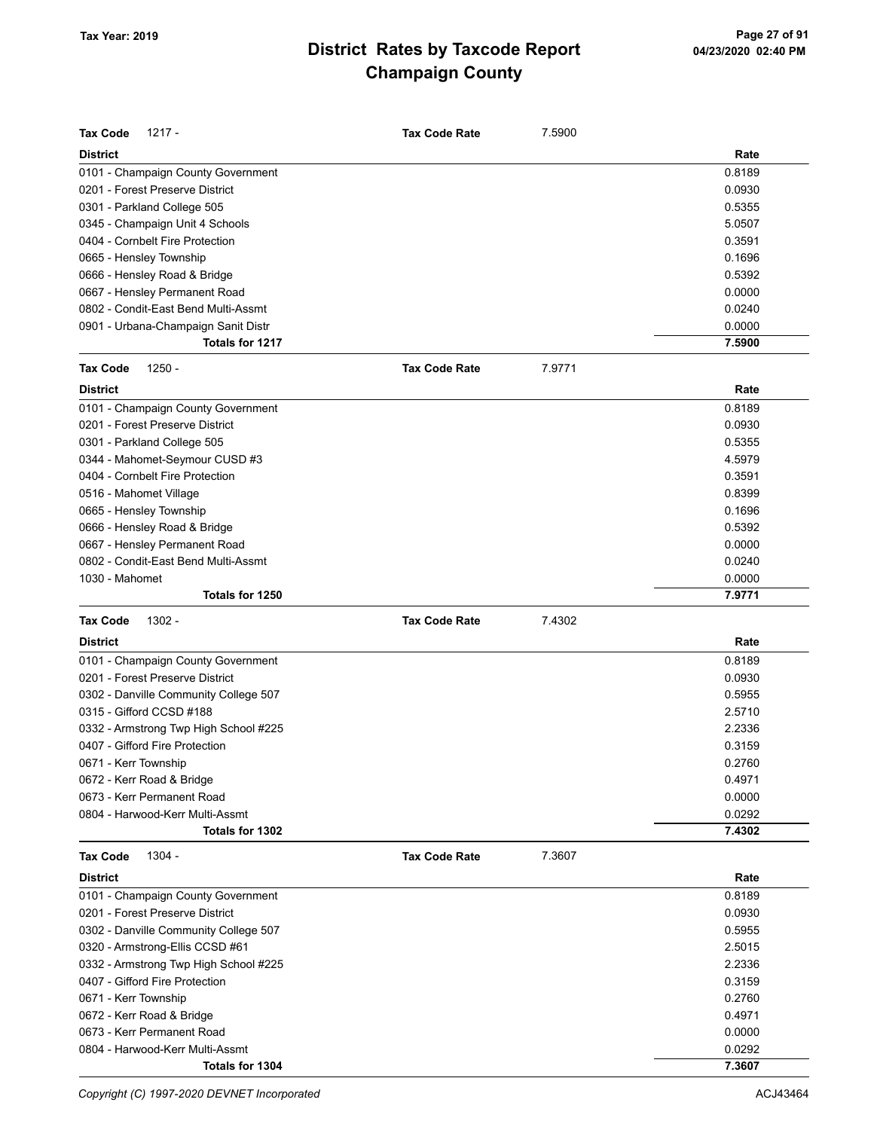| <b>Tax Code</b><br>1217 -             | <b>Tax Code Rate</b> | 7.5900 |        |
|---------------------------------------|----------------------|--------|--------|
| <b>District</b>                       |                      |        | Rate   |
| 0101 - Champaign County Government    |                      |        | 0.8189 |
| 0201 - Forest Preserve District       |                      |        | 0.0930 |
| 0301 - Parkland College 505           |                      |        | 0.5355 |
| 0345 - Champaign Unit 4 Schools       |                      |        | 5.0507 |
| 0404 - Cornbelt Fire Protection       |                      |        | 0.3591 |
| 0665 - Hensley Township               |                      |        | 0.1696 |
| 0666 - Hensley Road & Bridge          |                      |        | 0.5392 |
| 0667 - Hensley Permanent Road         |                      |        | 0.0000 |
| 0802 - Condit-East Bend Multi-Assmt   |                      |        | 0.0240 |
| 0901 - Urbana-Champaign Sanit Distr   |                      |        | 0.0000 |
| Totals for 1217                       |                      |        | 7.5900 |
| <b>Tax Code</b><br>$1250 -$           | <b>Tax Code Rate</b> | 7.9771 |        |
| <b>District</b>                       |                      |        | Rate   |
| 0101 - Champaign County Government    |                      |        | 0.8189 |
| 0201 - Forest Preserve District       |                      |        | 0.0930 |
| 0301 - Parkland College 505           |                      |        | 0.5355 |
| 0344 - Mahomet-Seymour CUSD #3        |                      |        | 4.5979 |
| 0404 - Cornbelt Fire Protection       |                      |        | 0.3591 |
| 0516 - Mahomet Village                |                      |        | 0.8399 |
| 0665 - Hensley Township               |                      |        | 0.1696 |
| 0666 - Hensley Road & Bridge          |                      |        | 0.5392 |
| 0667 - Hensley Permanent Road         |                      |        | 0.0000 |
| 0802 - Condit-East Bend Multi-Assmt   |                      |        | 0.0240 |
| 1030 - Mahomet                        |                      |        | 0.0000 |
| Totals for 1250                       |                      |        | 7.9771 |
| <b>Tax Code</b><br>$1302 -$           | <b>Tax Code Rate</b> | 7.4302 |        |
| <b>District</b>                       |                      |        | Rate   |
| 0101 - Champaign County Government    |                      |        | 0.8189 |
| 0201 - Forest Preserve District       |                      |        | 0.0930 |
| 0302 - Danville Community College 507 |                      |        | 0.5955 |
| 0315 - Gifford CCSD #188              |                      |        | 2.5710 |
| 0332 - Armstrong Twp High School #225 |                      |        | 2.2336 |
| 0407 - Gifford Fire Protection        |                      |        | 0.3159 |
| 0671 - Kerr Township                  |                      |        | 0.2760 |
| 0672 - Kerr Road & Bridge             |                      |        | 0.4971 |
| 0673 - Kerr Permanent Road            |                      |        | 0.0000 |
| 0804 - Harwood-Kerr Multi-Assmt       |                      |        | 0.0292 |
| Totals for 1302                       |                      |        | 7.4302 |
| 1304 -<br><b>Tax Code</b>             | <b>Tax Code Rate</b> | 7.3607 |        |
| <b>District</b>                       |                      |        | Rate   |
| 0101 - Champaign County Government    |                      |        | 0.8189 |
| 0201 - Forest Preserve District       |                      |        | 0.0930 |
| 0302 - Danville Community College 507 |                      |        | 0.5955 |
| 0320 - Armstrong-Ellis CCSD #61       |                      |        | 2.5015 |
| 0332 - Armstrong Twp High School #225 |                      |        | 2.2336 |
| 0407 - Gifford Fire Protection        |                      |        | 0.3159 |
| 0671 - Kerr Township                  |                      |        | 0.2760 |
| 0672 - Kerr Road & Bridge             |                      |        |        |
|                                       |                      |        | 0.4971 |
| 0673 - Kerr Permanent Road            |                      |        | 0.0000 |
| 0804 - Harwood-Kerr Multi-Assmt       |                      |        | 0.0292 |

Copyright (C) 1997-2020 DEVNET Incorporated **ACJ43464** ACJ43464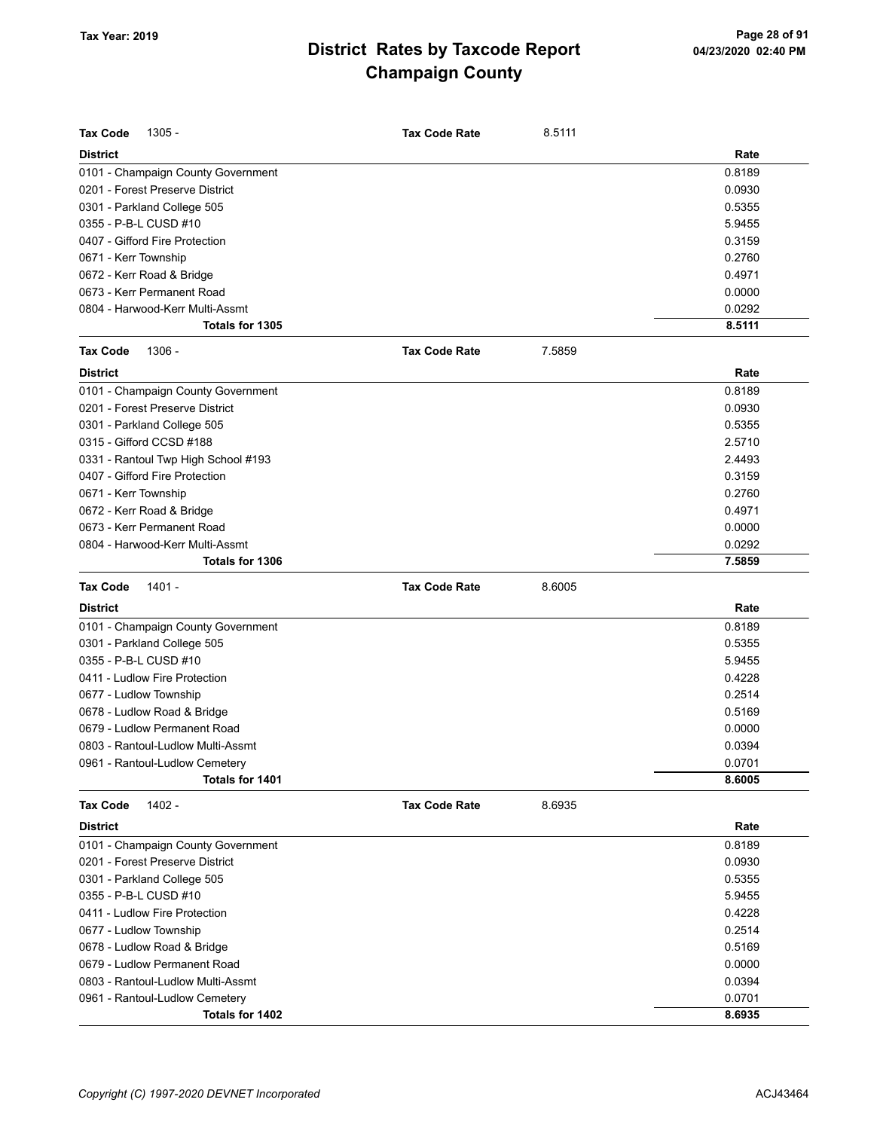| <b>District</b><br>Rate<br>0.8189<br>0101 - Champaign County Government<br>0201 - Forest Preserve District<br>0.0930<br>0.5355<br>0301 - Parkland College 505<br>0355 - P-B-L CUSD #10<br>5.9455<br>0407 - Gifford Fire Protection<br>0.3159<br>0671 - Kerr Township<br>0.2760<br>0672 - Kerr Road & Bridge<br>0.4971<br>0.0000<br>0673 - Kerr Permanent Road<br>0804 - Harwood-Kerr Multi-Assmt<br>0.0292<br>8.5111<br>Totals for 1305<br><b>Tax Code</b><br>1306 -<br><b>Tax Code Rate</b><br>7.5859<br><b>District</b><br>Rate<br>0101 - Champaign County Government<br>0.8189<br>0201 - Forest Preserve District<br>0.0930<br>0301 - Parkland College 505<br>0.5355<br>0315 - Gifford CCSD #188<br>2.5710<br>0331 - Rantoul Twp High School #193<br>2.4493<br>0407 - Gifford Fire Protection<br>0.3159<br>0671 - Kerr Township<br>0.2760<br>0672 - Kerr Road & Bridge<br>0.4971<br>0.0000<br>0673 - Kerr Permanent Road<br>0804 - Harwood-Kerr Multi-Assmt<br>0.0292<br>7.5859<br>Totals for 1306<br><b>Tax Code</b><br>1401 -<br><b>Tax Code Rate</b><br>8.6005<br><b>District</b><br>Rate<br>0.8189<br>0101 - Champaign County Government<br>0301 - Parkland College 505<br>0.5355<br>0355 - P-B-L CUSD #10<br>5.9455<br>0411 - Ludlow Fire Protection<br>0.4228<br>0.2514<br>0677 - Ludlow Township<br>0.5169<br>0678 - Ludlow Road & Bridge<br>0679 - Ludlow Permanent Road<br>0.0000<br>0803 - Rantoul-Ludlow Multi-Assmt<br>0.0394<br>0961 - Rantoul-Ludlow Cemetery<br>0.0701<br>Totals for 1401<br>8.6005<br>1402 -<br>8.6935<br><b>Tax Code</b><br><b>Tax Code Rate</b><br><b>District</b><br>Rate<br>0101 - Champaign County Government<br>0.8189<br>0201 - Forest Preserve District<br>0.0930<br>0301 - Parkland College 505<br>0.5355<br>5.9455<br>0355 - P-B-L CUSD #10<br>0411 - Ludlow Fire Protection<br>0.4228<br>0.2514<br>0677 - Ludlow Township<br>0.5169<br>0678 - Ludlow Road & Bridge<br>0.0000<br>0679 - Ludlow Permanent Road<br>0.0394<br>0803 - Rantoul-Ludlow Multi-Assmt<br>0.0701<br>0961 - Rantoul-Ludlow Cemetery<br>8.6935<br>Totals for 1402 | <b>Tax Code</b><br>$1305 -$ | <b>Tax Code Rate</b> | 8.5111 |  |
|------------------------------------------------------------------------------------------------------------------------------------------------------------------------------------------------------------------------------------------------------------------------------------------------------------------------------------------------------------------------------------------------------------------------------------------------------------------------------------------------------------------------------------------------------------------------------------------------------------------------------------------------------------------------------------------------------------------------------------------------------------------------------------------------------------------------------------------------------------------------------------------------------------------------------------------------------------------------------------------------------------------------------------------------------------------------------------------------------------------------------------------------------------------------------------------------------------------------------------------------------------------------------------------------------------------------------------------------------------------------------------------------------------------------------------------------------------------------------------------------------------------------------------------------------------------------------------------------------------------------------------------------------------------------------------------------------------------------------------------------------------------------------------------------------------------------------------------------------------------------------------------------------------------------------------------------------------------------------------------------------------------------------------------------------------------------------------|-----------------------------|----------------------|--------|--|
|                                                                                                                                                                                                                                                                                                                                                                                                                                                                                                                                                                                                                                                                                                                                                                                                                                                                                                                                                                                                                                                                                                                                                                                                                                                                                                                                                                                                                                                                                                                                                                                                                                                                                                                                                                                                                                                                                                                                                                                                                                                                                    |                             |                      |        |  |
|                                                                                                                                                                                                                                                                                                                                                                                                                                                                                                                                                                                                                                                                                                                                                                                                                                                                                                                                                                                                                                                                                                                                                                                                                                                                                                                                                                                                                                                                                                                                                                                                                                                                                                                                                                                                                                                                                                                                                                                                                                                                                    |                             |                      |        |  |
|                                                                                                                                                                                                                                                                                                                                                                                                                                                                                                                                                                                                                                                                                                                                                                                                                                                                                                                                                                                                                                                                                                                                                                                                                                                                                                                                                                                                                                                                                                                                                                                                                                                                                                                                                                                                                                                                                                                                                                                                                                                                                    |                             |                      |        |  |
|                                                                                                                                                                                                                                                                                                                                                                                                                                                                                                                                                                                                                                                                                                                                                                                                                                                                                                                                                                                                                                                                                                                                                                                                                                                                                                                                                                                                                                                                                                                                                                                                                                                                                                                                                                                                                                                                                                                                                                                                                                                                                    |                             |                      |        |  |
|                                                                                                                                                                                                                                                                                                                                                                                                                                                                                                                                                                                                                                                                                                                                                                                                                                                                                                                                                                                                                                                                                                                                                                                                                                                                                                                                                                                                                                                                                                                                                                                                                                                                                                                                                                                                                                                                                                                                                                                                                                                                                    |                             |                      |        |  |
|                                                                                                                                                                                                                                                                                                                                                                                                                                                                                                                                                                                                                                                                                                                                                                                                                                                                                                                                                                                                                                                                                                                                                                                                                                                                                                                                                                                                                                                                                                                                                                                                                                                                                                                                                                                                                                                                                                                                                                                                                                                                                    |                             |                      |        |  |
|                                                                                                                                                                                                                                                                                                                                                                                                                                                                                                                                                                                                                                                                                                                                                                                                                                                                                                                                                                                                                                                                                                                                                                                                                                                                                                                                                                                                                                                                                                                                                                                                                                                                                                                                                                                                                                                                                                                                                                                                                                                                                    |                             |                      |        |  |
|                                                                                                                                                                                                                                                                                                                                                                                                                                                                                                                                                                                                                                                                                                                                                                                                                                                                                                                                                                                                                                                                                                                                                                                                                                                                                                                                                                                                                                                                                                                                                                                                                                                                                                                                                                                                                                                                                                                                                                                                                                                                                    |                             |                      |        |  |
|                                                                                                                                                                                                                                                                                                                                                                                                                                                                                                                                                                                                                                                                                                                                                                                                                                                                                                                                                                                                                                                                                                                                                                                                                                                                                                                                                                                                                                                                                                                                                                                                                                                                                                                                                                                                                                                                                                                                                                                                                                                                                    |                             |                      |        |  |
|                                                                                                                                                                                                                                                                                                                                                                                                                                                                                                                                                                                                                                                                                                                                                                                                                                                                                                                                                                                                                                                                                                                                                                                                                                                                                                                                                                                                                                                                                                                                                                                                                                                                                                                                                                                                                                                                                                                                                                                                                                                                                    |                             |                      |        |  |
|                                                                                                                                                                                                                                                                                                                                                                                                                                                                                                                                                                                                                                                                                                                                                                                                                                                                                                                                                                                                                                                                                                                                                                                                                                                                                                                                                                                                                                                                                                                                                                                                                                                                                                                                                                                                                                                                                                                                                                                                                                                                                    |                             |                      |        |  |
|                                                                                                                                                                                                                                                                                                                                                                                                                                                                                                                                                                                                                                                                                                                                                                                                                                                                                                                                                                                                                                                                                                                                                                                                                                                                                                                                                                                                                                                                                                                                                                                                                                                                                                                                                                                                                                                                                                                                                                                                                                                                                    |                             |                      |        |  |
|                                                                                                                                                                                                                                                                                                                                                                                                                                                                                                                                                                                                                                                                                                                                                                                                                                                                                                                                                                                                                                                                                                                                                                                                                                                                                                                                                                                                                                                                                                                                                                                                                                                                                                                                                                                                                                                                                                                                                                                                                                                                                    |                             |                      |        |  |
|                                                                                                                                                                                                                                                                                                                                                                                                                                                                                                                                                                                                                                                                                                                                                                                                                                                                                                                                                                                                                                                                                                                                                                                                                                                                                                                                                                                                                                                                                                                                                                                                                                                                                                                                                                                                                                                                                                                                                                                                                                                                                    |                             |                      |        |  |
|                                                                                                                                                                                                                                                                                                                                                                                                                                                                                                                                                                                                                                                                                                                                                                                                                                                                                                                                                                                                                                                                                                                                                                                                                                                                                                                                                                                                                                                                                                                                                                                                                                                                                                                                                                                                                                                                                                                                                                                                                                                                                    |                             |                      |        |  |
|                                                                                                                                                                                                                                                                                                                                                                                                                                                                                                                                                                                                                                                                                                                                                                                                                                                                                                                                                                                                                                                                                                                                                                                                                                                                                                                                                                                                                                                                                                                                                                                                                                                                                                                                                                                                                                                                                                                                                                                                                                                                                    |                             |                      |        |  |
|                                                                                                                                                                                                                                                                                                                                                                                                                                                                                                                                                                                                                                                                                                                                                                                                                                                                                                                                                                                                                                                                                                                                                                                                                                                                                                                                                                                                                                                                                                                                                                                                                                                                                                                                                                                                                                                                                                                                                                                                                                                                                    |                             |                      |        |  |
|                                                                                                                                                                                                                                                                                                                                                                                                                                                                                                                                                                                                                                                                                                                                                                                                                                                                                                                                                                                                                                                                                                                                                                                                                                                                                                                                                                                                                                                                                                                                                                                                                                                                                                                                                                                                                                                                                                                                                                                                                                                                                    |                             |                      |        |  |
|                                                                                                                                                                                                                                                                                                                                                                                                                                                                                                                                                                                                                                                                                                                                                                                                                                                                                                                                                                                                                                                                                                                                                                                                                                                                                                                                                                                                                                                                                                                                                                                                                                                                                                                                                                                                                                                                                                                                                                                                                                                                                    |                             |                      |        |  |
|                                                                                                                                                                                                                                                                                                                                                                                                                                                                                                                                                                                                                                                                                                                                                                                                                                                                                                                                                                                                                                                                                                                                                                                                                                                                                                                                                                                                                                                                                                                                                                                                                                                                                                                                                                                                                                                                                                                                                                                                                                                                                    |                             |                      |        |  |
|                                                                                                                                                                                                                                                                                                                                                                                                                                                                                                                                                                                                                                                                                                                                                                                                                                                                                                                                                                                                                                                                                                                                                                                                                                                                                                                                                                                                                                                                                                                                                                                                                                                                                                                                                                                                                                                                                                                                                                                                                                                                                    |                             |                      |        |  |
|                                                                                                                                                                                                                                                                                                                                                                                                                                                                                                                                                                                                                                                                                                                                                                                                                                                                                                                                                                                                                                                                                                                                                                                                                                                                                                                                                                                                                                                                                                                                                                                                                                                                                                                                                                                                                                                                                                                                                                                                                                                                                    |                             |                      |        |  |
|                                                                                                                                                                                                                                                                                                                                                                                                                                                                                                                                                                                                                                                                                                                                                                                                                                                                                                                                                                                                                                                                                                                                                                                                                                                                                                                                                                                                                                                                                                                                                                                                                                                                                                                                                                                                                                                                                                                                                                                                                                                                                    |                             |                      |        |  |
|                                                                                                                                                                                                                                                                                                                                                                                                                                                                                                                                                                                                                                                                                                                                                                                                                                                                                                                                                                                                                                                                                                                                                                                                                                                                                                                                                                                                                                                                                                                                                                                                                                                                                                                                                                                                                                                                                                                                                                                                                                                                                    |                             |                      |        |  |
|                                                                                                                                                                                                                                                                                                                                                                                                                                                                                                                                                                                                                                                                                                                                                                                                                                                                                                                                                                                                                                                                                                                                                                                                                                                                                                                                                                                                                                                                                                                                                                                                                                                                                                                                                                                                                                                                                                                                                                                                                                                                                    |                             |                      |        |  |
|                                                                                                                                                                                                                                                                                                                                                                                                                                                                                                                                                                                                                                                                                                                                                                                                                                                                                                                                                                                                                                                                                                                                                                                                                                                                                                                                                                                                                                                                                                                                                                                                                                                                                                                                                                                                                                                                                                                                                                                                                                                                                    |                             |                      |        |  |
|                                                                                                                                                                                                                                                                                                                                                                                                                                                                                                                                                                                                                                                                                                                                                                                                                                                                                                                                                                                                                                                                                                                                                                                                                                                                                                                                                                                                                                                                                                                                                                                                                                                                                                                                                                                                                                                                                                                                                                                                                                                                                    |                             |                      |        |  |
|                                                                                                                                                                                                                                                                                                                                                                                                                                                                                                                                                                                                                                                                                                                                                                                                                                                                                                                                                                                                                                                                                                                                                                                                                                                                                                                                                                                                                                                                                                                                                                                                                                                                                                                                                                                                                                                                                                                                                                                                                                                                                    |                             |                      |        |  |
|                                                                                                                                                                                                                                                                                                                                                                                                                                                                                                                                                                                                                                                                                                                                                                                                                                                                                                                                                                                                                                                                                                                                                                                                                                                                                                                                                                                                                                                                                                                                                                                                                                                                                                                                                                                                                                                                                                                                                                                                                                                                                    |                             |                      |        |  |
|                                                                                                                                                                                                                                                                                                                                                                                                                                                                                                                                                                                                                                                                                                                                                                                                                                                                                                                                                                                                                                                                                                                                                                                                                                                                                                                                                                                                                                                                                                                                                                                                                                                                                                                                                                                                                                                                                                                                                                                                                                                                                    |                             |                      |        |  |
|                                                                                                                                                                                                                                                                                                                                                                                                                                                                                                                                                                                                                                                                                                                                                                                                                                                                                                                                                                                                                                                                                                                                                                                                                                                                                                                                                                                                                                                                                                                                                                                                                                                                                                                                                                                                                                                                                                                                                                                                                                                                                    |                             |                      |        |  |
|                                                                                                                                                                                                                                                                                                                                                                                                                                                                                                                                                                                                                                                                                                                                                                                                                                                                                                                                                                                                                                                                                                                                                                                                                                                                                                                                                                                                                                                                                                                                                                                                                                                                                                                                                                                                                                                                                                                                                                                                                                                                                    |                             |                      |        |  |
|                                                                                                                                                                                                                                                                                                                                                                                                                                                                                                                                                                                                                                                                                                                                                                                                                                                                                                                                                                                                                                                                                                                                                                                                                                                                                                                                                                                                                                                                                                                                                                                                                                                                                                                                                                                                                                                                                                                                                                                                                                                                                    |                             |                      |        |  |
|                                                                                                                                                                                                                                                                                                                                                                                                                                                                                                                                                                                                                                                                                                                                                                                                                                                                                                                                                                                                                                                                                                                                                                                                                                                                                                                                                                                                                                                                                                                                                                                                                                                                                                                                                                                                                                                                                                                                                                                                                                                                                    |                             |                      |        |  |
|                                                                                                                                                                                                                                                                                                                                                                                                                                                                                                                                                                                                                                                                                                                                                                                                                                                                                                                                                                                                                                                                                                                                                                                                                                                                                                                                                                                                                                                                                                                                                                                                                                                                                                                                                                                                                                                                                                                                                                                                                                                                                    |                             |                      |        |  |
|                                                                                                                                                                                                                                                                                                                                                                                                                                                                                                                                                                                                                                                                                                                                                                                                                                                                                                                                                                                                                                                                                                                                                                                                                                                                                                                                                                                                                                                                                                                                                                                                                                                                                                                                                                                                                                                                                                                                                                                                                                                                                    |                             |                      |        |  |
|                                                                                                                                                                                                                                                                                                                                                                                                                                                                                                                                                                                                                                                                                                                                                                                                                                                                                                                                                                                                                                                                                                                                                                                                                                                                                                                                                                                                                                                                                                                                                                                                                                                                                                                                                                                                                                                                                                                                                                                                                                                                                    |                             |                      |        |  |
|                                                                                                                                                                                                                                                                                                                                                                                                                                                                                                                                                                                                                                                                                                                                                                                                                                                                                                                                                                                                                                                                                                                                                                                                                                                                                                                                                                                                                                                                                                                                                                                                                                                                                                                                                                                                                                                                                                                                                                                                                                                                                    |                             |                      |        |  |
|                                                                                                                                                                                                                                                                                                                                                                                                                                                                                                                                                                                                                                                                                                                                                                                                                                                                                                                                                                                                                                                                                                                                                                                                                                                                                                                                                                                                                                                                                                                                                                                                                                                                                                                                                                                                                                                                                                                                                                                                                                                                                    |                             |                      |        |  |
|                                                                                                                                                                                                                                                                                                                                                                                                                                                                                                                                                                                                                                                                                                                                                                                                                                                                                                                                                                                                                                                                                                                                                                                                                                                                                                                                                                                                                                                                                                                                                                                                                                                                                                                                                                                                                                                                                                                                                                                                                                                                                    |                             |                      |        |  |
|                                                                                                                                                                                                                                                                                                                                                                                                                                                                                                                                                                                                                                                                                                                                                                                                                                                                                                                                                                                                                                                                                                                                                                                                                                                                                                                                                                                                                                                                                                                                                                                                                                                                                                                                                                                                                                                                                                                                                                                                                                                                                    |                             |                      |        |  |
|                                                                                                                                                                                                                                                                                                                                                                                                                                                                                                                                                                                                                                                                                                                                                                                                                                                                                                                                                                                                                                                                                                                                                                                                                                                                                                                                                                                                                                                                                                                                                                                                                                                                                                                                                                                                                                                                                                                                                                                                                                                                                    |                             |                      |        |  |
|                                                                                                                                                                                                                                                                                                                                                                                                                                                                                                                                                                                                                                                                                                                                                                                                                                                                                                                                                                                                                                                                                                                                                                                                                                                                                                                                                                                                                                                                                                                                                                                                                                                                                                                                                                                                                                                                                                                                                                                                                                                                                    |                             |                      |        |  |
|                                                                                                                                                                                                                                                                                                                                                                                                                                                                                                                                                                                                                                                                                                                                                                                                                                                                                                                                                                                                                                                                                                                                                                                                                                                                                                                                                                                                                                                                                                                                                                                                                                                                                                                                                                                                                                                                                                                                                                                                                                                                                    |                             |                      |        |  |
|                                                                                                                                                                                                                                                                                                                                                                                                                                                                                                                                                                                                                                                                                                                                                                                                                                                                                                                                                                                                                                                                                                                                                                                                                                                                                                                                                                                                                                                                                                                                                                                                                                                                                                                                                                                                                                                                                                                                                                                                                                                                                    |                             |                      |        |  |
|                                                                                                                                                                                                                                                                                                                                                                                                                                                                                                                                                                                                                                                                                                                                                                                                                                                                                                                                                                                                                                                                                                                                                                                                                                                                                                                                                                                                                                                                                                                                                                                                                                                                                                                                                                                                                                                                                                                                                                                                                                                                                    |                             |                      |        |  |
|                                                                                                                                                                                                                                                                                                                                                                                                                                                                                                                                                                                                                                                                                                                                                                                                                                                                                                                                                                                                                                                                                                                                                                                                                                                                                                                                                                                                                                                                                                                                                                                                                                                                                                                                                                                                                                                                                                                                                                                                                                                                                    |                             |                      |        |  |
|                                                                                                                                                                                                                                                                                                                                                                                                                                                                                                                                                                                                                                                                                                                                                                                                                                                                                                                                                                                                                                                                                                                                                                                                                                                                                                                                                                                                                                                                                                                                                                                                                                                                                                                                                                                                                                                                                                                                                                                                                                                                                    |                             |                      |        |  |
|                                                                                                                                                                                                                                                                                                                                                                                                                                                                                                                                                                                                                                                                                                                                                                                                                                                                                                                                                                                                                                                                                                                                                                                                                                                                                                                                                                                                                                                                                                                                                                                                                                                                                                                                                                                                                                                                                                                                                                                                                                                                                    |                             |                      |        |  |
|                                                                                                                                                                                                                                                                                                                                                                                                                                                                                                                                                                                                                                                                                                                                                                                                                                                                                                                                                                                                                                                                                                                                                                                                                                                                                                                                                                                                                                                                                                                                                                                                                                                                                                                                                                                                                                                                                                                                                                                                                                                                                    |                             |                      |        |  |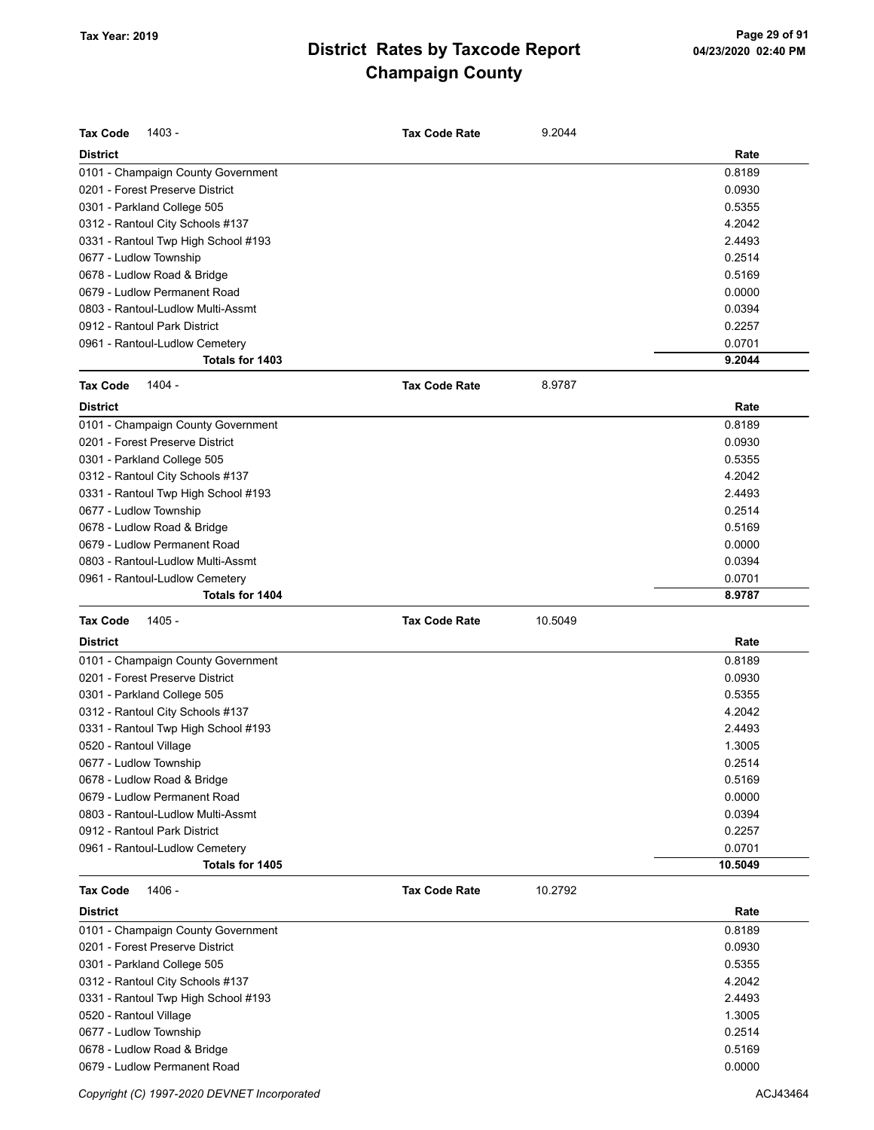| <b>Tax Code</b><br>1403 -           | <b>Tax Code Rate</b> | 9.2044  |         |
|-------------------------------------|----------------------|---------|---------|
| <b>District</b>                     |                      |         | Rate    |
| 0101 - Champaign County Government  |                      |         | 0.8189  |
| 0201 - Forest Preserve District     |                      |         | 0.0930  |
| 0301 - Parkland College 505         |                      |         | 0.5355  |
| 0312 - Rantoul City Schools #137    |                      |         | 4.2042  |
| 0331 - Rantoul Twp High School #193 |                      |         | 2.4493  |
| 0677 - Ludlow Township              |                      |         | 0.2514  |
| 0678 - Ludlow Road & Bridge         |                      |         | 0.5169  |
| 0679 - Ludlow Permanent Road        |                      |         | 0.0000  |
| 0803 - Rantoul-Ludlow Multi-Assmt   |                      |         | 0.0394  |
| 0912 - Rantoul Park District        |                      |         | 0.2257  |
| 0961 - Rantoul-Ludlow Cemetery      |                      |         | 0.0701  |
| Totals for 1403                     |                      |         | 9.2044  |
| 1404 -<br><b>Tax Code</b>           | <b>Tax Code Rate</b> | 8.9787  |         |
| <b>District</b>                     |                      |         | Rate    |
| 0101 - Champaign County Government  |                      |         | 0.8189  |
| 0201 - Forest Preserve District     |                      |         | 0.0930  |
| 0301 - Parkland College 505         |                      |         | 0.5355  |
| 0312 - Rantoul City Schools #137    |                      |         | 4.2042  |
| 0331 - Rantoul Twp High School #193 |                      |         | 2.4493  |
| 0677 - Ludlow Township              |                      |         | 0.2514  |
| 0678 - Ludlow Road & Bridge         |                      |         | 0.5169  |
| 0679 - Ludlow Permanent Road        |                      |         | 0.0000  |
| 0803 - Rantoul-Ludlow Multi-Assmt   |                      |         | 0.0394  |
| 0961 - Rantoul-Ludlow Cemetery      |                      |         | 0.0701  |
| Totals for 1404                     |                      |         | 8.9787  |
| <b>Tax Code</b><br>1405 -           | <b>Tax Code Rate</b> | 10.5049 |         |
| <b>District</b>                     |                      |         | Rate    |
| 0101 - Champaign County Government  |                      |         | 0.8189  |
| 0201 - Forest Preserve District     |                      |         | 0.0930  |
| 0301 - Parkland College 505         |                      |         | 0.5355  |
| 0312 - Rantoul City Schools #137    |                      |         | 4.2042  |
| 0331 - Rantoul Twp High School #193 |                      |         | 2.4493  |
| 0520 - Rantoul Village              |                      |         | 1.3005  |
| 0677 - Ludlow Township              |                      |         | 0.2514  |
| 0678 - Ludlow Road & Bridge         |                      |         | 0.5169  |
| 0679 - Ludlow Permanent Road        |                      |         | 0.0000  |
| 0803 - Rantoul-Ludlow Multi-Assmt   |                      |         | 0.0394  |
| 0912 - Rantoul Park District        |                      |         | 0.2257  |
| 0961 - Rantoul-Ludlow Cemetery      |                      |         | 0.0701  |
| Totals for 1405                     |                      |         | 10.5049 |
| <b>Tax Code</b><br>1406 -           | <b>Tax Code Rate</b> | 10.2792 |         |
| <b>District</b>                     |                      |         | Rate    |
| 0101 - Champaign County Government  |                      |         | 0.8189  |
| 0201 - Forest Preserve District     |                      |         | 0.0930  |
| 0301 - Parkland College 505         |                      |         | 0.5355  |
| 0312 - Rantoul City Schools #137    |                      |         | 4.2042  |
| 0331 - Rantoul Twp High School #193 |                      |         | 2.4493  |
| 0520 - Rantoul Village              |                      |         | 1.3005  |
| 0677 - Ludlow Township              |                      |         | 0.2514  |

0678 - Ludlow Road & Bridge 2.5169 - 2.5169 - 2.5169 - 2.5169 - 2.5169 - 2.5169 - 2.5169 - 2.5169 - 2.5169 - 2 0679 - Ludlow Permanent Road 0.0000

Copyright (C) 1997-2020 DEVNET Incorporated **ACJ43464** ACJ43464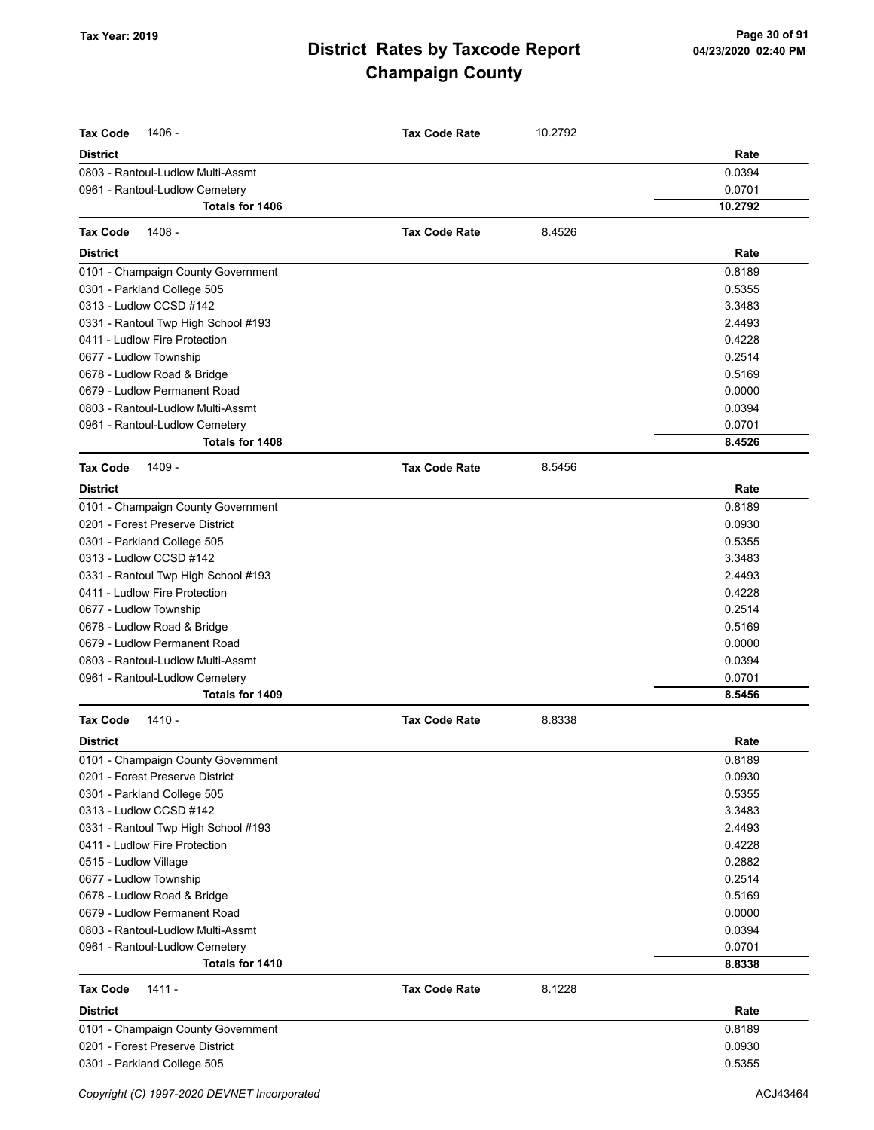| <b>Tax Code</b><br>1406 -           | <b>Tax Code Rate</b> | 10.2792 |         |
|-------------------------------------|----------------------|---------|---------|
| <b>District</b>                     |                      |         | Rate    |
| 0803 - Rantoul-Ludlow Multi-Assmt   |                      |         | 0.0394  |
| 0961 - Rantoul-Ludlow Cemetery      |                      |         | 0.0701  |
| Totals for 1406                     |                      |         | 10.2792 |
| 1408 -<br><b>Tax Code</b>           | <b>Tax Code Rate</b> | 8.4526  |         |
| <b>District</b>                     |                      |         | Rate    |
| 0101 - Champaign County Government  |                      |         | 0.8189  |
| 0301 - Parkland College 505         |                      |         | 0.5355  |
| 0313 - Ludlow CCSD #142             |                      |         | 3.3483  |
| 0331 - Rantoul Twp High School #193 |                      |         | 2.4493  |
| 0411 - Ludlow Fire Protection       |                      |         | 0.4228  |
| 0677 - Ludlow Township              |                      |         | 0.2514  |
| 0678 - Ludlow Road & Bridge         |                      |         | 0.5169  |
| 0679 - Ludlow Permanent Road        |                      |         | 0.0000  |
| 0803 - Rantoul-Ludlow Multi-Assmt   |                      |         | 0.0394  |
| 0961 - Rantoul-Ludlow Cemetery      |                      |         | 0.0701  |
| Totals for 1408                     |                      |         | 8.4526  |
| 1409 -<br><b>Tax Code</b>           | <b>Tax Code Rate</b> | 8.5456  |         |
| <b>District</b>                     |                      |         | Rate    |
| 0101 - Champaign County Government  |                      |         | 0.8189  |
| 0201 - Forest Preserve District     |                      |         | 0.0930  |
| 0301 - Parkland College 505         |                      |         | 0.5355  |
| 0313 - Ludlow CCSD #142             |                      |         | 3.3483  |
| 0331 - Rantoul Twp High School #193 |                      |         | 2.4493  |
| 0411 - Ludlow Fire Protection       |                      |         | 0.4228  |
| 0677 - Ludlow Township              |                      |         | 0.2514  |
| 0678 - Ludlow Road & Bridge         |                      |         | 0.5169  |
| 0679 - Ludlow Permanent Road        |                      |         | 0.0000  |
| 0803 - Rantoul-Ludlow Multi-Assmt   |                      |         | 0.0394  |
| 0961 - Rantoul-Ludlow Cemetery      |                      |         | 0.0701  |
| Totals for 1409                     |                      |         | 8.5456  |
| <b>Tax Code</b><br>$1410 -$         | <b>Tax Code Rate</b> | 8.8338  |         |
| <b>District</b>                     |                      |         | Rate    |
| 0101 - Champaign County Government  |                      |         | 0.8189  |
| 0201 - Forest Preserve District     |                      |         | 0.0930  |
| 0301 - Parkland College 505         |                      |         | 0.5355  |
| 0313 - Ludlow CCSD #142             |                      |         | 3.3483  |
| 0331 - Rantoul Twp High School #193 |                      |         | 2.4493  |
| 0411 - Ludlow Fire Protection       |                      |         | 0.4228  |
| 0515 - Ludlow Village               |                      |         | 0.2882  |
| 0677 - Ludlow Township              |                      |         | 0.2514  |
| 0678 - Ludlow Road & Bridge         |                      |         | 0.5169  |
| 0679 - Ludlow Permanent Road        |                      |         | 0.0000  |
| 0803 - Rantoul-Ludlow Multi-Assmt   |                      |         | 0.0394  |
| 0961 - Rantoul-Ludlow Cemetery      |                      |         | 0.0701  |
| Totals for 1410                     |                      |         | 8.8338  |
| <b>Tax Code</b><br>1411 -           | <b>Tax Code Rate</b> | 8.1228  |         |
| <b>District</b>                     |                      |         | Rate    |
| 0101 - Champaign County Government  |                      |         | 0.8189  |
| 0201 - Forest Preserve District     |                      |         | 0.0930  |
| 0301 - Parkland College 505         |                      |         | 0.5355  |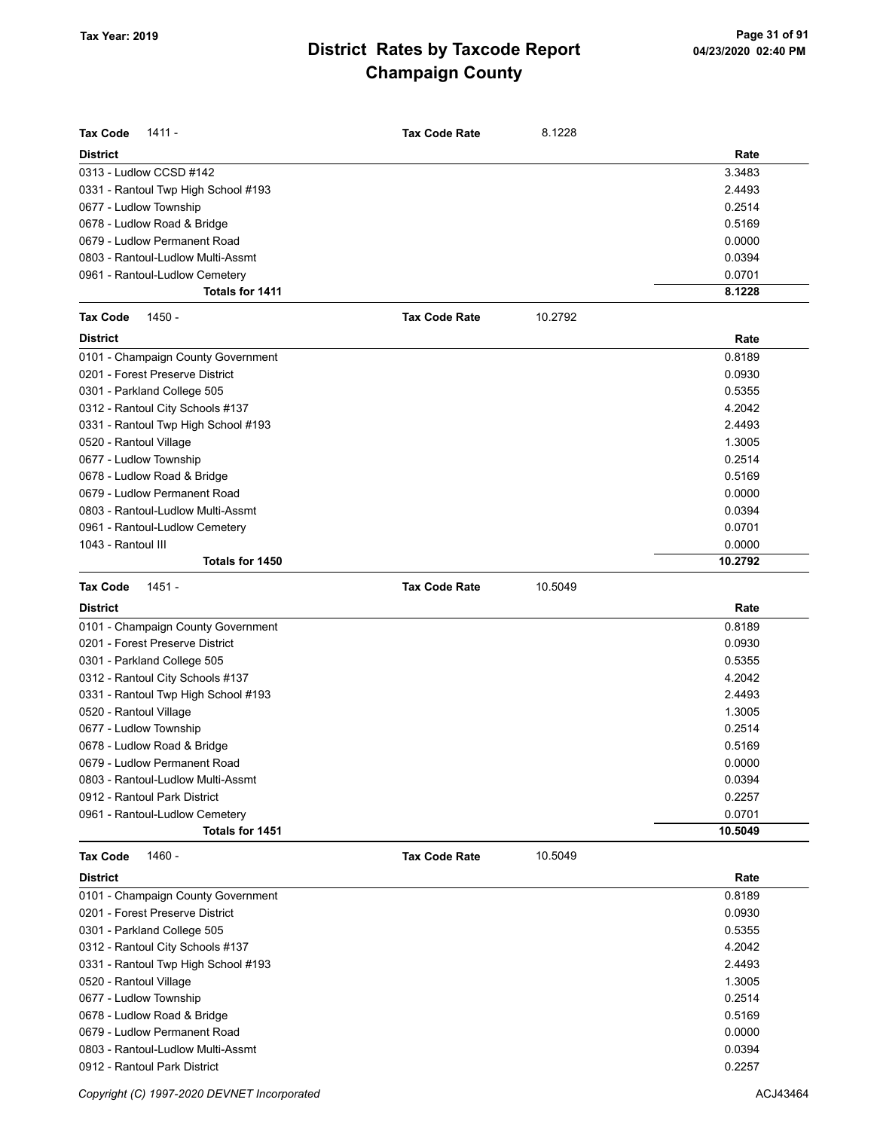| <b>Tax Code</b><br>$1411 -$         | <b>Tax Code Rate</b> | 8.1228  |         |
|-------------------------------------|----------------------|---------|---------|
| <b>District</b>                     |                      |         | Rate    |
| 0313 - Ludlow CCSD #142             |                      |         | 3.3483  |
| 0331 - Rantoul Twp High School #193 |                      |         | 2.4493  |
| 0677 - Ludlow Township              |                      |         | 0.2514  |
| 0678 - Ludlow Road & Bridge         |                      |         | 0.5169  |
| 0679 - Ludlow Permanent Road        |                      |         | 0.0000  |
| 0803 - Rantoul-Ludlow Multi-Assmt   |                      |         | 0.0394  |
| 0961 - Rantoul-Ludlow Cemetery      |                      |         | 0.0701  |
| Totals for 1411                     |                      |         | 8.1228  |
| 1450 -<br><b>Tax Code</b>           | <b>Tax Code Rate</b> | 10.2792 |         |
| <b>District</b>                     |                      |         | Rate    |
| 0101 - Champaign County Government  |                      |         | 0.8189  |
| 0201 - Forest Preserve District     |                      |         | 0.0930  |
| 0301 - Parkland College 505         |                      |         | 0.5355  |
| 0312 - Rantoul City Schools #137    |                      |         | 4.2042  |
| 0331 - Rantoul Twp High School #193 |                      |         | 2.4493  |
| 0520 - Rantoul Village              |                      |         | 1.3005  |
| 0677 - Ludlow Township              |                      |         | 0.2514  |
| 0678 - Ludlow Road & Bridge         |                      |         | 0.5169  |
| 0679 - Ludlow Permanent Road        |                      |         | 0.0000  |
| 0803 - Rantoul-Ludlow Multi-Assmt   |                      |         | 0.0394  |
| 0961 - Rantoul-Ludlow Cemetery      |                      |         | 0.0701  |
| 1043 - Rantoul III                  |                      |         | 0.0000  |
| Totals for 1450                     |                      |         | 10.2792 |
| <b>Tax Code</b><br>1451 -           | <b>Tax Code Rate</b> | 10.5049 |         |
| <b>District</b>                     |                      |         | Rate    |
| 0101 - Champaign County Government  |                      |         | 0.8189  |
| 0201 - Forest Preserve District     |                      |         | 0.0930  |
| 0301 - Parkland College 505         |                      |         | 0.5355  |
| 0312 - Rantoul City Schools #137    |                      |         | 4.2042  |
| 0331 - Rantoul Twp High School #193 |                      |         | 2.4493  |
| 0520 - Rantoul Village              |                      |         | 1.3005  |
| 0677 - Ludlow Township              |                      |         | 0.2514  |
| 0678 - Ludlow Road & Bridge         |                      |         | 0.5169  |
| 0679 - Ludlow Permanent Road        |                      |         | 0.0000  |
| 0803 - Rantoul-Ludlow Multi-Assmt   |                      |         | 0.0394  |
| 0912 - Rantoul Park District        |                      |         | 0.2257  |
| 0961 - Rantoul-Ludlow Cemetery      |                      |         | 0.0701  |
| Totals for 1451                     |                      |         | 10.5049 |
| 1460 -<br><b>Tax Code</b>           | <b>Tax Code Rate</b> | 10.5049 |         |
| <b>District</b>                     |                      |         | Rate    |
| 0101 - Champaign County Government  |                      |         | 0.8189  |
| 0201 - Forest Preserve District     |                      |         | 0.0930  |
| 0301 - Parkland College 505         |                      |         | 0.5355  |
| 0312 - Rantoul City Schools #137    |                      |         | 4.2042  |
| 0331 - Rantoul Twp High School #193 |                      |         | 2.4493  |
| 0520 - Rantoul Village              |                      |         | 1.3005  |
| 0677 - Ludlow Township              |                      |         | 0.2514  |
| 0678 - Ludlow Road & Bridge         |                      |         | 0.5169  |
| 0679 - Ludlow Permanent Road        |                      |         | 0.0000  |
| 0803 - Rantoul-Ludlow Multi-Assmt   |                      |         | 0.0394  |
| 0912 - Rantoul Park District        |                      |         | 0.2257  |

Copyright (C) 1997-2020 DEVNET Incorporated **ACJ43464**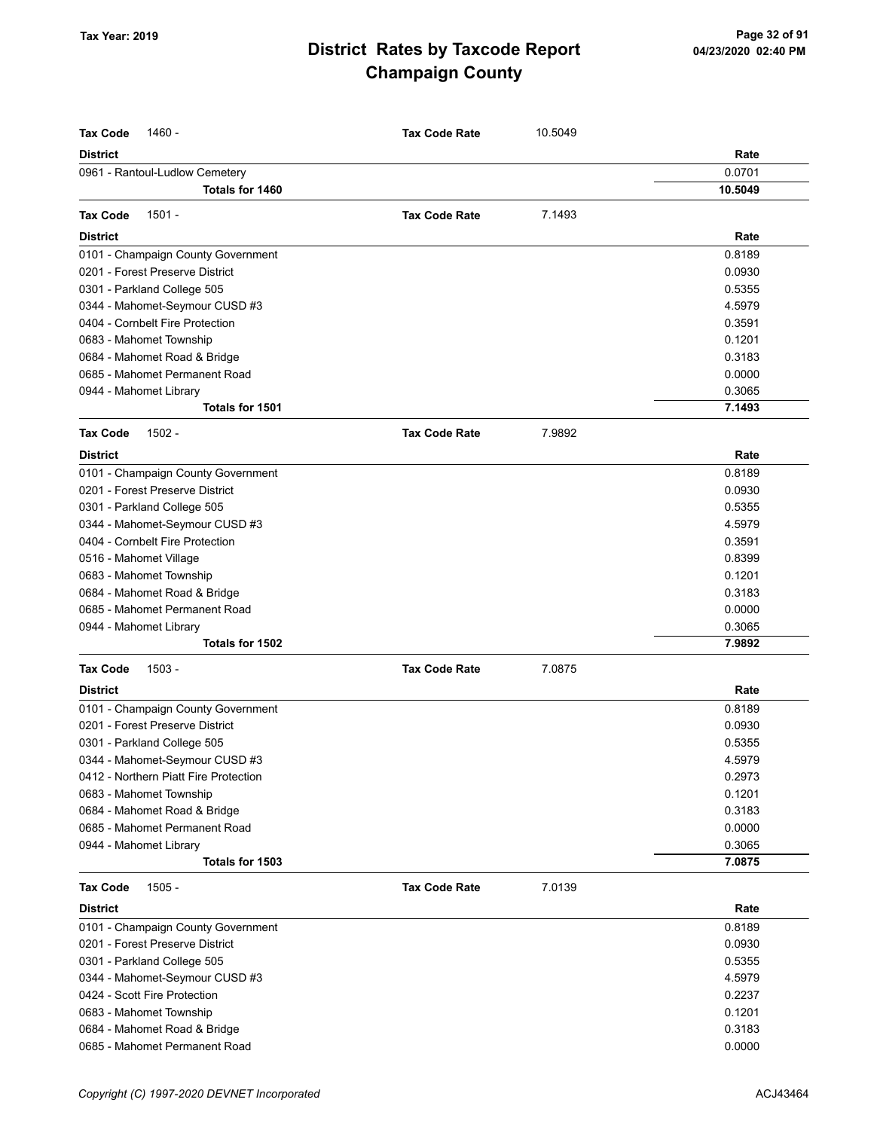| <b>Tax Code</b><br>1460 -             | <b>Tax Code Rate</b> | 10.5049 |         |
|---------------------------------------|----------------------|---------|---------|
| <b>District</b>                       |                      |         | Rate    |
| 0961 - Rantoul-Ludlow Cemetery        |                      |         | 0.0701  |
| Totals for 1460                       |                      |         | 10.5049 |
|                                       |                      |         |         |
| $1501 -$<br><b>Tax Code</b>           | <b>Tax Code Rate</b> | 7.1493  |         |
| <b>District</b>                       |                      |         | Rate    |
| 0101 - Champaign County Government    |                      |         | 0.8189  |
| 0201 - Forest Preserve District       |                      |         | 0.0930  |
| 0301 - Parkland College 505           |                      |         | 0.5355  |
| 0344 - Mahomet-Seymour CUSD #3        |                      |         | 4.5979  |
| 0404 - Cornbelt Fire Protection       |                      |         | 0.3591  |
| 0683 - Mahomet Township               |                      |         | 0.1201  |
| 0684 - Mahomet Road & Bridge          |                      |         | 0.3183  |
| 0685 - Mahomet Permanent Road         |                      |         | 0.0000  |
| 0944 - Mahomet Library                |                      |         | 0.3065  |
| Totals for 1501                       |                      |         | 7.1493  |
| <b>Tax Code</b><br>$1502 -$           | <b>Tax Code Rate</b> | 7.9892  |         |
|                                       |                      |         |         |
| <b>District</b>                       |                      |         | Rate    |
| 0101 - Champaign County Government    |                      |         | 0.8189  |
| 0201 - Forest Preserve District       |                      |         | 0.0930  |
| 0301 - Parkland College 505           |                      |         | 0.5355  |
| 0344 - Mahomet-Seymour CUSD #3        |                      |         | 4.5979  |
| 0404 - Cornbelt Fire Protection       |                      |         | 0.3591  |
| 0516 - Mahomet Village                |                      |         | 0.8399  |
| 0683 - Mahomet Township               |                      |         | 0.1201  |
| 0684 - Mahomet Road & Bridge          |                      |         | 0.3183  |
| 0685 - Mahomet Permanent Road         |                      |         | 0.0000  |
| 0944 - Mahomet Library                |                      |         | 0.3065  |
| Totals for 1502                       |                      |         | 7.9892  |
| <b>Tax Code</b><br>$1503 -$           | <b>Tax Code Rate</b> | 7.0875  |         |
| <b>District</b>                       |                      |         | Rate    |
| 0101 - Champaign County Government    |                      |         | 0.8189  |
| 0201 - Forest Preserve District       |                      |         | 0.0930  |
| 0301 - Parkland College 505           |                      |         | 0.5355  |
| 0344 - Mahomet-Seymour CUSD #3        |                      |         | 4.5979  |
| 0412 - Northern Piatt Fire Protection |                      |         | 0.2973  |
| 0683 - Mahomet Township               |                      |         | 0.1201  |
| 0684 - Mahomet Road & Bridge          |                      |         | 0.3183  |
| 0685 - Mahomet Permanent Road         |                      |         | 0.0000  |
| 0944 - Mahomet Library                |                      |         | 0.3065  |
| Totals for 1503                       |                      |         | 7.0875  |
| <b>Tax Code</b><br>$1505 -$           | <b>Tax Code Rate</b> | 7.0139  |         |
| <b>District</b>                       |                      |         | Rate    |
| 0101 - Champaign County Government    |                      |         | 0.8189  |
| 0201 - Forest Preserve District       |                      |         | 0.0930  |
| 0301 - Parkland College 505           |                      |         | 0.5355  |
| 0344 - Mahomet-Seymour CUSD #3        |                      |         | 4.5979  |
| 0424 - Scott Fire Protection          |                      |         | 0.2237  |
| 0683 - Mahomet Township               |                      |         | 0.1201  |
| 0684 - Mahomet Road & Bridge          |                      |         | 0.3183  |
| 0685 - Mahomet Permanent Road         |                      |         | 0.0000  |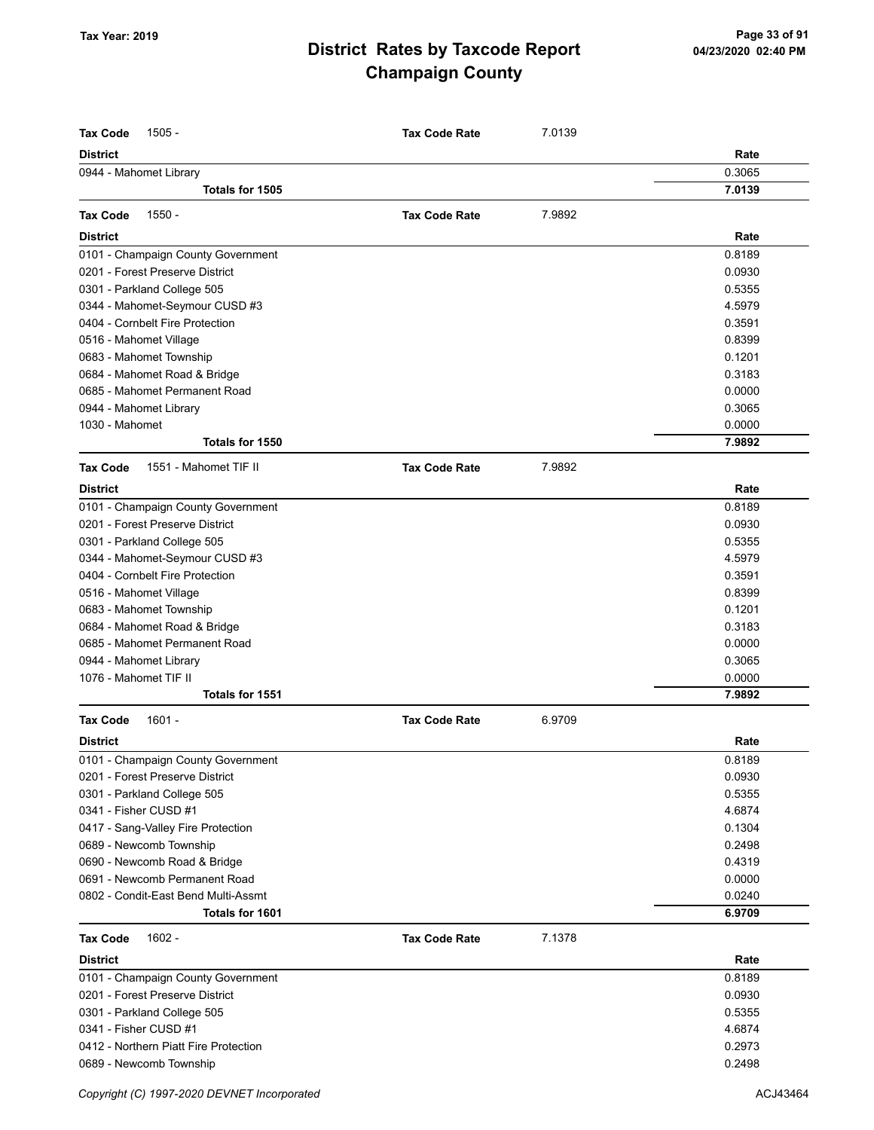| <b>Tax Code</b><br>$1505 -$                     | <b>Tax Code Rate</b> | 7.0139 |        |
|-------------------------------------------------|----------------------|--------|--------|
| <b>District</b>                                 |                      |        | Rate   |
| 0944 - Mahomet Library                          |                      |        | 0.3065 |
| Totals for 1505                                 |                      |        | 7.0139 |
|                                                 |                      |        |        |
| $1550 -$<br><b>Tax Code</b>                     | <b>Tax Code Rate</b> | 7.9892 |        |
| <b>District</b>                                 |                      |        | Rate   |
| 0101 - Champaign County Government              |                      |        | 0.8189 |
| 0201 - Forest Preserve District                 |                      |        | 0.0930 |
| 0301 - Parkland College 505                     |                      |        | 0.5355 |
| 0344 - Mahomet-Seymour CUSD #3                  |                      |        | 4.5979 |
| 0404 - Cornbelt Fire Protection                 |                      |        | 0.3591 |
| 0516 - Mahomet Village                          |                      |        | 0.8399 |
| 0683 - Mahomet Township                         |                      |        | 0.1201 |
| 0684 - Mahomet Road & Bridge                    |                      |        | 0.3183 |
| 0685 - Mahomet Permanent Road                   |                      |        | 0.0000 |
| 0944 - Mahomet Library                          |                      |        | 0.3065 |
| 1030 - Mahomet                                  |                      |        | 0.0000 |
| Totals for 1550                                 |                      |        | 7.9892 |
| <b>Tax Code</b><br>1551 - Mahomet TIF II        | <b>Tax Code Rate</b> | 7.9892 |        |
| <b>District</b>                                 |                      |        | Rate   |
| 0101 - Champaign County Government              |                      |        | 0.8189 |
| 0201 - Forest Preserve District                 |                      |        | 0.0930 |
| 0301 - Parkland College 505                     |                      |        | 0.5355 |
| 0344 - Mahomet-Seymour CUSD #3                  |                      |        | 4.5979 |
| 0404 - Cornbelt Fire Protection                 |                      |        | 0.3591 |
| 0516 - Mahomet Village                          |                      |        | 0.8399 |
| 0683 - Mahomet Township                         |                      |        | 0.1201 |
| 0684 - Mahomet Road & Bridge                    |                      |        | 0.3183 |
| 0685 - Mahomet Permanent Road                   |                      |        | 0.0000 |
|                                                 |                      |        | 0.3065 |
| 0944 - Mahomet Library<br>1076 - Mahomet TIF II |                      |        | 0.0000 |
| Totals for 1551                                 |                      |        | 7.9892 |
|                                                 |                      |        |        |
| <b>Tax Code</b><br>$1601 -$                     | <b>Tax Code Rate</b> | 6.9709 |        |
| <b>District</b>                                 |                      |        | Rate   |
| 0101 - Champaign County Government              |                      |        | 0.8189 |
| 0201 - Forest Preserve District                 |                      |        | 0.0930 |
| 0301 - Parkland College 505                     |                      |        | 0.5355 |
| 0341 - Fisher CUSD #1                           |                      |        | 4.6874 |
| 0417 - Sang-Valley Fire Protection              |                      |        | 0.1304 |
| 0689 - Newcomb Township                         |                      |        | 0.2498 |
| 0690 - Newcomb Road & Bridge                    |                      |        | 0.4319 |
| 0691 - Newcomb Permanent Road                   |                      |        | 0.0000 |
| 0802 - Condit-East Bend Multi-Assmt             |                      |        | 0.0240 |
| Totals for 1601                                 |                      |        | 6.9709 |
| <b>Tax Code</b><br>$1602 -$                     | <b>Tax Code Rate</b> | 7.1378 |        |
| <b>District</b>                                 |                      |        | Rate   |
| 0101 - Champaign County Government              |                      |        | 0.8189 |
| 0201 - Forest Preserve District                 |                      |        | 0.0930 |
| 0301 - Parkland College 505                     |                      |        | 0.5355 |
| 0341 - Fisher CUSD #1                           |                      |        | 4.6874 |
| 0412 - Northern Piatt Fire Protection           |                      |        | 0.2973 |
| 0689 - Newcomb Township                         |                      |        | 0.2498 |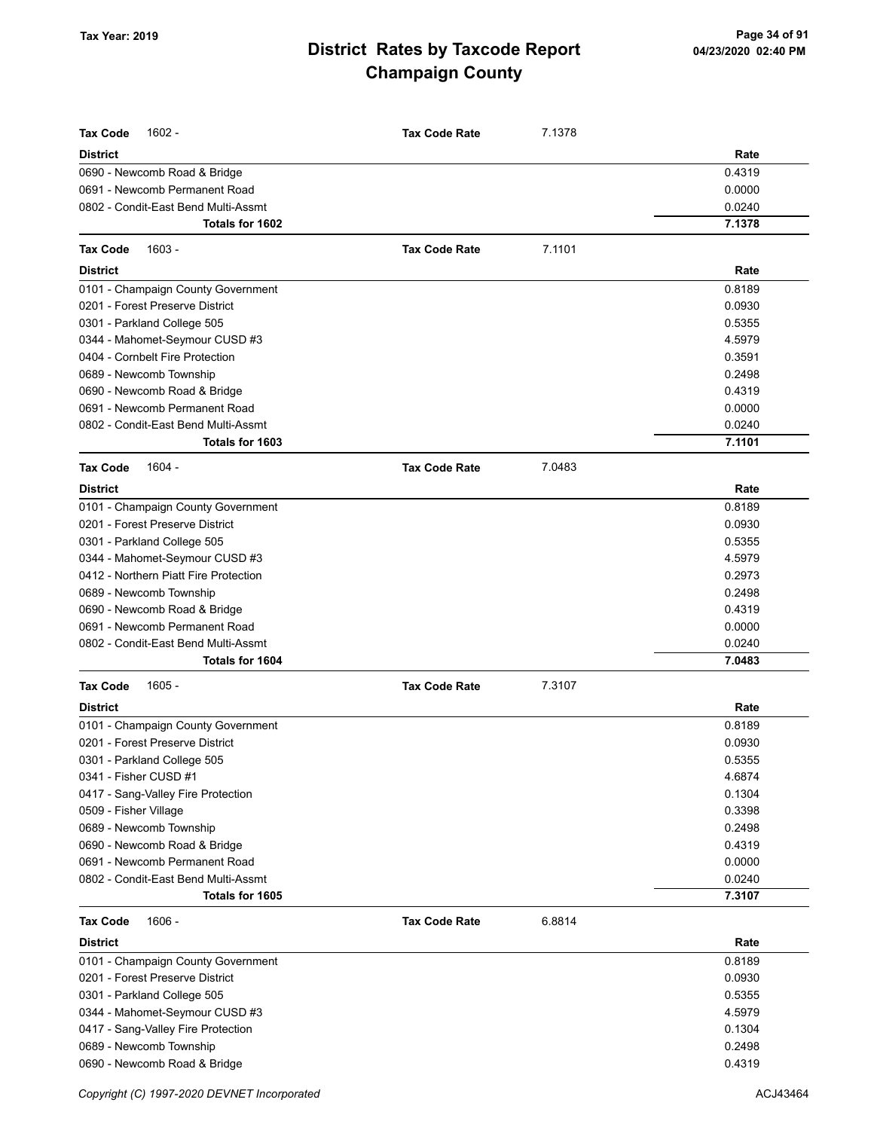| <b>Tax Code</b><br>$1602 -$                                             | <b>Tax Code Rate</b> | 7.1378 |                  |
|-------------------------------------------------------------------------|----------------------|--------|------------------|
| <b>District</b>                                                         |                      |        | Rate             |
| 0690 - Newcomb Road & Bridge                                            |                      |        | 0.4319           |
| 0691 - Newcomb Permanent Road                                           |                      |        | 0.0000           |
| 0802 - Condit-East Bend Multi-Assmt                                     |                      |        | 0.0240           |
| Totals for 1602                                                         |                      |        | 7.1378           |
| <b>Tax Code</b><br>$1603 -$                                             | <b>Tax Code Rate</b> | 7.1101 |                  |
| <b>District</b>                                                         |                      |        | Rate             |
| 0101 - Champaign County Government                                      |                      |        | 0.8189           |
| 0201 - Forest Preserve District                                         |                      |        | 0.0930           |
| 0301 - Parkland College 505                                             |                      |        | 0.5355           |
| 0344 - Mahomet-Seymour CUSD #3                                          |                      |        | 4.5979           |
| 0404 - Cornbelt Fire Protection                                         |                      |        | 0.3591           |
| 0689 - Newcomb Township                                                 |                      |        | 0.2498           |
| 0690 - Newcomb Road & Bridge                                            |                      |        | 0.4319           |
| 0691 - Newcomb Permanent Road                                           |                      |        | 0.0000           |
| 0802 - Condit-East Bend Multi-Assmt                                     |                      |        | 0.0240           |
| Totals for 1603                                                         |                      |        | 7.1101           |
| 1604 -<br><b>Tax Code</b>                                               | <b>Tax Code Rate</b> | 7.0483 |                  |
| <b>District</b>                                                         |                      |        | Rate             |
|                                                                         |                      |        | 0.8189           |
| 0101 - Champaign County Government                                      |                      |        |                  |
| 0201 - Forest Preserve District                                         |                      |        | 0.0930           |
| 0301 - Parkland College 505                                             |                      |        | 0.5355           |
| 0344 - Mahomet-Seymour CUSD #3<br>0412 - Northern Piatt Fire Protection |                      |        | 4.5979<br>0.2973 |
|                                                                         |                      |        | 0.2498           |
| 0689 - Newcomb Township                                                 |                      |        | 0.4319           |
| 0690 - Newcomb Road & Bridge<br>0691 - Newcomb Permanent Road           |                      |        | 0.0000           |
|                                                                         |                      |        |                  |
| 0802 - Condit-East Bend Multi-Assmt<br><b>Totals for 1604</b>           |                      |        | 0.0240<br>7.0483 |
|                                                                         |                      |        |                  |
| $1605 -$<br><b>Tax Code</b>                                             | <b>Tax Code Rate</b> | 7.3107 |                  |
| <b>District</b>                                                         |                      |        | Rate             |
| 0101 - Champaign County Government                                      |                      |        | 0.8189           |
| 0201 - Forest Preserve District                                         |                      |        | 0.0930           |
| 0301 - Parkland College 505                                             |                      |        | 0.5355           |
| 0341 - Fisher CUSD #1                                                   |                      |        | 4.6874           |
| 0417 - Sang-Valley Fire Protection                                      |                      |        | 0.1304           |
| 0509 - Fisher Village                                                   |                      |        | 0.3398           |
| 0689 - Newcomb Township                                                 |                      |        | 0.2498           |
| 0690 - Newcomb Road & Bridge                                            |                      |        | 0.4319           |
| 0691 - Newcomb Permanent Road                                           |                      |        | 0.0000           |
| 0802 - Condit-East Bend Multi-Assmt<br>Totals for 1605                  |                      |        | 0.0240<br>7.3107 |
|                                                                         |                      |        |                  |
| $1606 -$<br><b>Tax Code</b>                                             | <b>Tax Code Rate</b> | 6.8814 |                  |
| <b>District</b>                                                         |                      |        | Rate             |
| 0101 - Champaign County Government                                      |                      |        | 0.8189           |
| 0201 - Forest Preserve District                                         |                      |        | 0.0930           |
| 0301 - Parkland College 505                                             |                      |        | 0.5355           |
| 0344 - Mahomet-Seymour CUSD #3                                          |                      |        | 4.5979           |
| 0417 - Sang-Valley Fire Protection                                      |                      |        | 0.1304           |
| 0689 - Newcomb Township                                                 |                      |        | 0.2498           |
| 0690 - Newcomb Road & Bridge                                            |                      |        | 0.4319           |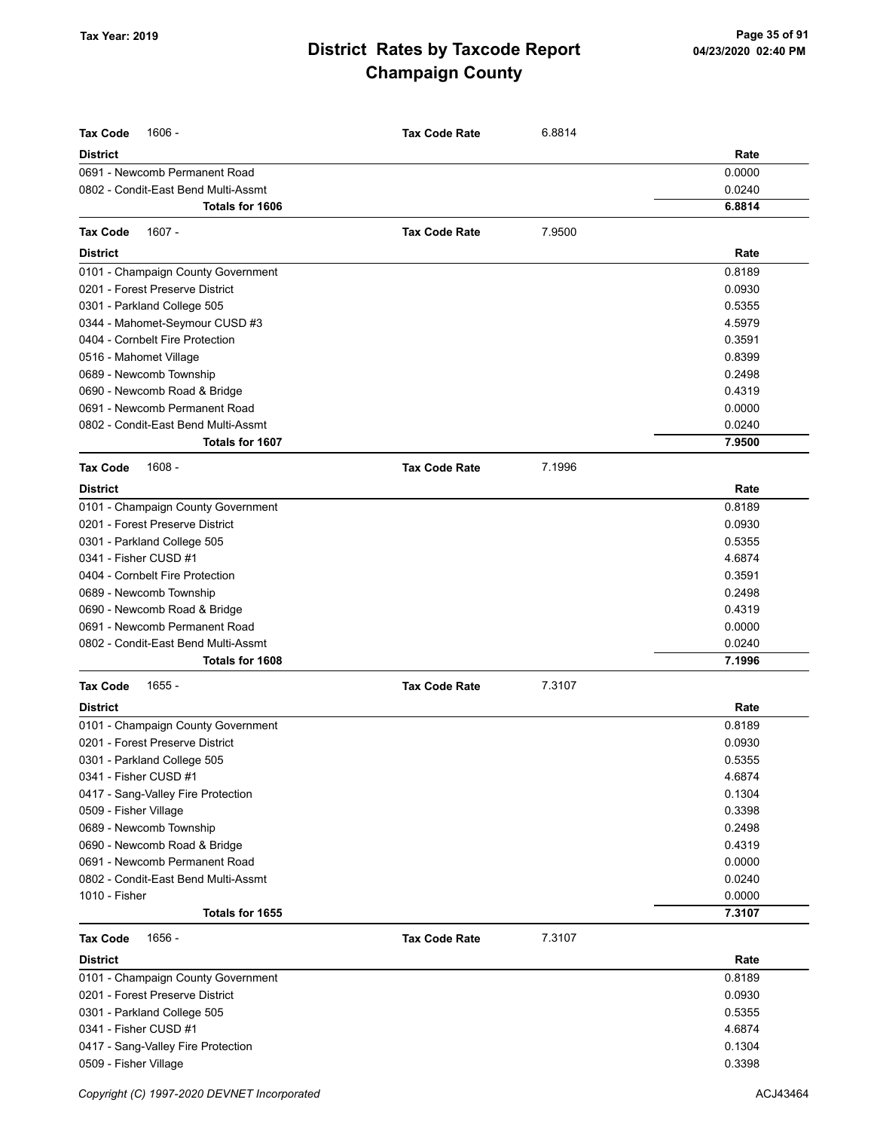| <b>Tax Code</b><br>1606 -                                             | <b>Tax Code Rate</b> | 6.8814 |                  |
|-----------------------------------------------------------------------|----------------------|--------|------------------|
| <b>District</b>                                                       |                      |        | Rate             |
| 0691 - Newcomb Permanent Road                                         |                      |        | 0.0000           |
| 0802 - Condit-East Bend Multi-Assmt                                   |                      |        | 0.0240           |
| <b>Totals for 1606</b>                                                |                      |        | 6.8814           |
| $1607 -$<br><b>Tax Code</b>                                           | <b>Tax Code Rate</b> | 7.9500 |                  |
|                                                                       |                      |        |                  |
| <b>District</b>                                                       |                      |        | Rate<br>0.8189   |
| 0101 - Champaign County Government<br>0201 - Forest Preserve District |                      |        |                  |
|                                                                       |                      |        | 0.0930           |
| 0301 - Parkland College 505                                           |                      |        | 0.5355           |
| 0344 - Mahomet-Seymour CUSD #3<br>0404 - Cornbelt Fire Protection     |                      |        | 4.5979<br>0.3591 |
|                                                                       |                      |        | 0.8399           |
| 0516 - Mahomet Village                                                |                      |        | 0.2498           |
| 0689 - Newcomb Township                                               |                      |        | 0.4319           |
| 0690 - Newcomb Road & Bridge<br>0691 - Newcomb Permanent Road         |                      |        | 0.0000           |
| 0802 - Condit-East Bend Multi-Assmt                                   |                      |        | 0.0240           |
| Totals for 1607                                                       |                      |        | 7.9500           |
|                                                                       |                      |        |                  |
| $1608 -$<br><b>Tax Code</b>                                           | <b>Tax Code Rate</b> | 7.1996 |                  |
| <b>District</b>                                                       |                      |        | Rate             |
| 0101 - Champaign County Government                                    |                      |        | 0.8189           |
| 0201 - Forest Preserve District                                       |                      |        | 0.0930           |
| 0301 - Parkland College 505                                           |                      |        | 0.5355           |
| 0341 - Fisher CUSD #1                                                 |                      |        | 4.6874           |
| 0404 - Cornbelt Fire Protection                                       |                      |        | 0.3591           |
| 0689 - Newcomb Township                                               |                      |        | 0.2498           |
| 0690 - Newcomb Road & Bridge                                          |                      |        | 0.4319           |
| 0691 - Newcomb Permanent Road                                         |                      |        | 0.0000           |
| 0802 - Condit-East Bend Multi-Assmt<br>Totals for 1608                |                      |        | 0.0240<br>7.1996 |
|                                                                       |                      |        |                  |
| $1655 -$<br><b>Tax Code</b>                                           | <b>Tax Code Rate</b> | 7.3107 |                  |
| <b>District</b>                                                       |                      |        | Rate             |
| 0101 - Champaign County Government                                    |                      |        | 0.8189           |
| 0201 - Forest Preserve District                                       |                      |        | 0.0930           |
| 0301 - Parkland College 505                                           |                      |        | 0.5355           |
| 0341 - Fisher CUSD #1                                                 |                      |        | 4.6874           |
| 0417 - Sang-Valley Fire Protection                                    |                      |        | 0.1304           |
| 0509 - Fisher Village                                                 |                      |        | 0.3398           |
| 0689 - Newcomb Township                                               |                      |        | 0.2498           |
| 0690 - Newcomb Road & Bridge                                          |                      |        | 0.4319           |
| 0691 - Newcomb Permanent Road                                         |                      |        | 0.0000           |
| 0802 - Condit-East Bend Multi-Assmt                                   |                      |        | 0.0240           |
| 1010 - Fisher                                                         |                      |        | 0.0000           |
| Totals for 1655                                                       |                      |        | 7.3107           |
| 1656 -<br><b>Tax Code</b>                                             | <b>Tax Code Rate</b> | 7.3107 |                  |
| <b>District</b>                                                       |                      |        | Rate             |
| 0101 - Champaign County Government                                    |                      |        | 0.8189           |
| 0201 - Forest Preserve District                                       |                      |        | 0.0930           |
| 0301 - Parkland College 505                                           |                      |        | 0.5355           |
| 0341 - Fisher CUSD #1                                                 |                      |        | 4.6874           |
| 0417 - Sang-Valley Fire Protection                                    |                      |        | 0.1304           |
| 0509 - Fisher Village                                                 |                      |        | 0.3398           |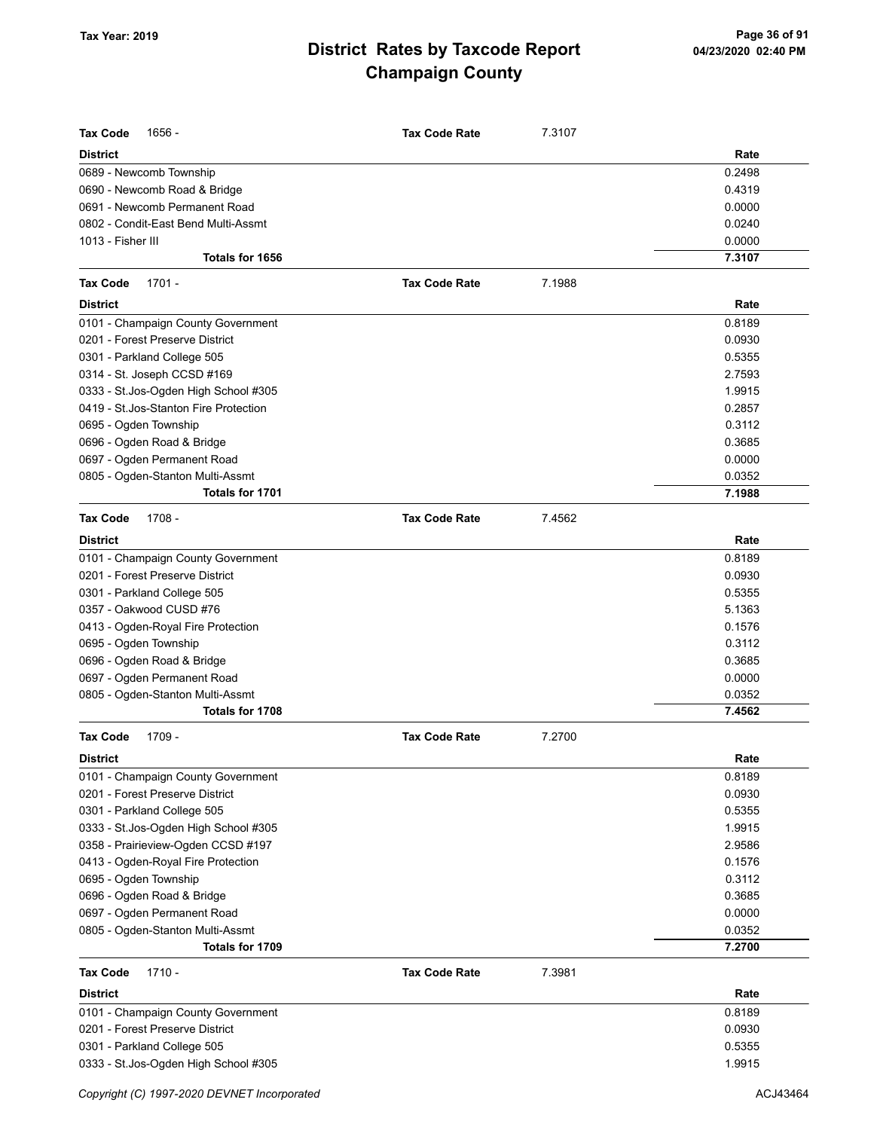| <b>Tax Code</b><br>1656 -              | <b>Tax Code Rate</b> | 7.3107 |        |
|----------------------------------------|----------------------|--------|--------|
| <b>District</b>                        |                      |        | Rate   |
| 0689 - Newcomb Township                |                      |        | 0.2498 |
| 0690 - Newcomb Road & Bridge           |                      |        | 0.4319 |
| 0691 - Newcomb Permanent Road          |                      |        | 0.0000 |
| 0802 - Condit-East Bend Multi-Assmt    |                      |        | 0.0240 |
| 1013 - Fisher III                      |                      |        | 0.0000 |
| Totals for 1656                        |                      |        | 7.3107 |
| Tax Code<br>$1701 -$                   | <b>Tax Code Rate</b> | 7.1988 |        |
| <b>District</b>                        |                      |        | Rate   |
| 0101 - Champaign County Government     |                      |        | 0.8189 |
| 0201 - Forest Preserve District        |                      |        | 0.0930 |
| 0301 - Parkland College 505            |                      |        | 0.5355 |
| 0314 - St. Joseph CCSD #169            |                      |        | 2.7593 |
| 0333 - St.Jos-Ogden High School #305   |                      |        | 1.9915 |
| 0419 - St. Jos-Stanton Fire Protection |                      |        | 0.2857 |
| 0695 - Ogden Township                  |                      |        | 0.3112 |
| 0696 - Ogden Road & Bridge             |                      |        | 0.3685 |
| 0697 - Ogden Permanent Road            |                      |        | 0.0000 |
| 0805 - Ogden-Stanton Multi-Assmt       |                      |        | 0.0352 |
| Totals for 1701                        |                      |        | 7.1988 |
| <b>Tax Code</b><br>$1708 -$            | <b>Tax Code Rate</b> | 7.4562 |        |
| <b>District</b>                        |                      |        | Rate   |
| 0101 - Champaign County Government     |                      |        | 0.8189 |
| 0201 - Forest Preserve District        |                      |        | 0.0930 |
| 0301 - Parkland College 505            |                      |        | 0.5355 |
| 0357 - Oakwood CUSD #76                |                      |        | 5.1363 |
| 0413 - Ogden-Royal Fire Protection     |                      |        | 0.1576 |
| 0695 - Ogden Township                  |                      |        | 0.3112 |
| 0696 - Ogden Road & Bridge             |                      |        | 0.3685 |
| 0697 - Ogden Permanent Road            |                      |        | 0.0000 |
| 0805 - Ogden-Stanton Multi-Assmt       |                      |        | 0.0352 |
| Totals for 1708                        |                      |        | 7.4562 |
| Tax Code<br>$1709 -$                   | <b>Tax Code Rate</b> | 7.2700 |        |
| <b>District</b>                        |                      |        | Rate   |
| 0101 - Champaign County Government     |                      |        | 0.8189 |
| 0201 - Forest Preserve District        |                      |        | 0.0930 |
| 0301 - Parkland College 505            |                      |        | 0.5355 |
| 0333 - St. Jos-Ogden High School #305  |                      |        | 1.9915 |
| 0358 - Prairieview-Ogden CCSD #197     |                      |        | 2.9586 |
| 0413 - Ogden-Royal Fire Protection     |                      |        | 0.1576 |
| 0695 - Ogden Township                  |                      |        | 0.3112 |
| 0696 - Ogden Road & Bridge             |                      |        | 0.3685 |
| 0697 - Ogden Permanent Road            |                      |        | 0.0000 |
| 0805 - Ogden-Stanton Multi-Assmt       |                      |        | 0.0352 |
| Totals for 1709                        |                      |        | 7.2700 |
| Tax Code<br>$1710 -$                   | <b>Tax Code Rate</b> | 7.3981 |        |
| <b>District</b>                        |                      |        | Rate   |
| 0101 - Champaign County Government     |                      |        | 0.8189 |
| 0201 - Forest Preserve District        |                      |        | 0.0930 |
| 0301 - Parkland College 505            |                      |        | 0.5355 |
| 0333 - St.Jos-Ogden High School #305   |                      |        | 1.9915 |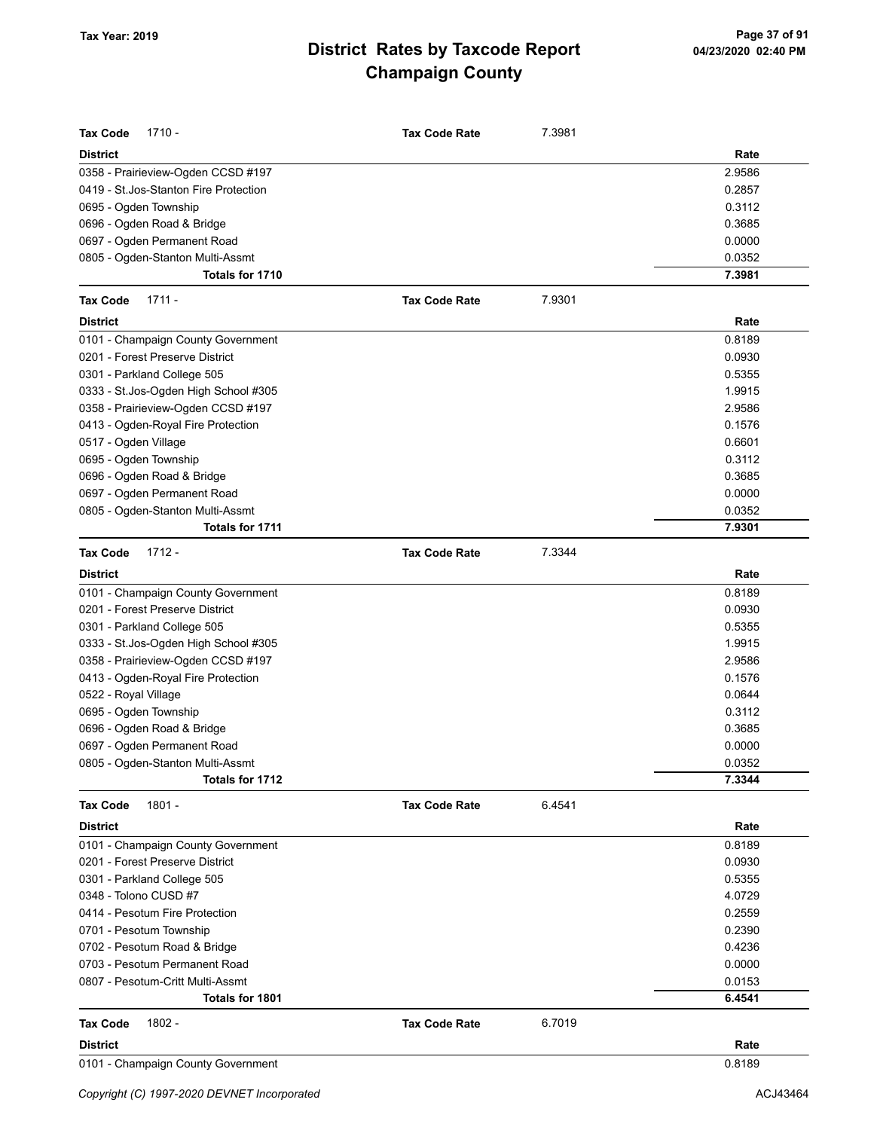| <b>Tax Code</b><br>$1710 -$            | <b>Tax Code Rate</b> | 7.3981 |        |
|----------------------------------------|----------------------|--------|--------|
| <b>District</b>                        |                      |        | Rate   |
| 0358 - Prairieview-Ogden CCSD #197     |                      |        | 2.9586 |
| 0419 - St. Jos-Stanton Fire Protection |                      |        | 0.2857 |
| 0695 - Ogden Township                  |                      |        | 0.3112 |
| 0696 - Ogden Road & Bridge             |                      |        | 0.3685 |
| 0697 - Ogden Permanent Road            |                      |        | 0.0000 |
| 0805 - Ogden-Stanton Multi-Assmt       |                      |        | 0.0352 |
| Totals for 1710                        |                      |        | 7.3981 |
| <b>Tax Code</b><br>$1711 -$            | <b>Tax Code Rate</b> | 7.9301 |        |
| <b>District</b>                        |                      |        | Rate   |
| 0101 - Champaign County Government     |                      |        | 0.8189 |
| 0201 - Forest Preserve District        |                      |        | 0.0930 |
| 0301 - Parkland College 505            |                      |        | 0.5355 |
| 0333 - St. Jos-Ogden High School #305  |                      |        | 1.9915 |
| 0358 - Prairieview-Ogden CCSD #197     |                      |        | 2.9586 |
| 0413 - Ogden-Royal Fire Protection     |                      |        | 0.1576 |
| 0517 - Ogden Village                   |                      |        | 0.6601 |
| 0695 - Ogden Township                  |                      |        | 0.3112 |
| 0696 - Ogden Road & Bridge             |                      |        | 0.3685 |
| 0697 - Ogden Permanent Road            |                      |        | 0.0000 |
| 0805 - Ogden-Stanton Multi-Assmt       |                      |        | 0.0352 |
| Totals for 1711                        |                      |        | 7.9301 |
| $1712 -$<br><b>Tax Code</b>            | <b>Tax Code Rate</b> | 7.3344 |        |
| <b>District</b>                        |                      |        | Rate   |
| 0101 - Champaign County Government     |                      |        | 0.8189 |
| 0201 - Forest Preserve District        |                      |        | 0.0930 |
| 0301 - Parkland College 505            |                      |        | 0.5355 |
| 0333 - St. Jos-Ogden High School #305  |                      |        | 1.9915 |
| 0358 - Prairieview-Ogden CCSD #197     |                      |        | 2.9586 |
| 0413 - Ogden-Royal Fire Protection     |                      |        | 0.1576 |
| 0522 - Royal Village                   |                      |        | 0.0644 |
| 0695 - Ogden Township                  |                      |        | 0.3112 |
| 0696 - Ogden Road & Bridge             |                      |        | 0.3685 |
| 0697 - Ogden Permanent Road            |                      |        | 0.0000 |
| 0805 - Ogden-Stanton Multi-Assmt       |                      |        | 0.0352 |
| Totals for 1712                        |                      |        | 7.3344 |
| $1801 -$<br><b>Tax Code</b>            | <b>Tax Code Rate</b> | 6.4541 |        |
| <b>District</b>                        |                      |        | Rate   |
| 0101 - Champaign County Government     |                      |        | 0.8189 |
| 0201 - Forest Preserve District        |                      |        | 0.0930 |
| 0301 - Parkland College 505            |                      |        | 0.5355 |
| 0348 - Tolono CUSD #7                  |                      |        | 4.0729 |
| 0414 - Pesotum Fire Protection         |                      |        | 0.2559 |
| 0701 - Pesotum Township                |                      |        | 0.2390 |
| 0702 - Pesotum Road & Bridge           |                      |        | 0.4236 |
| 0703 - Pesotum Permanent Road          |                      |        | 0.0000 |
| 0807 - Pesotum-Critt Multi-Assmt       |                      |        | 0.0153 |
| Totals for 1801                        |                      |        | 6.4541 |
| 1802 -<br><b>Tax Code</b>              | <b>Tax Code Rate</b> | 6.7019 |        |
| <b>District</b>                        |                      |        | Rate   |
| 0101 - Champaign County Government     |                      |        | 0.8189 |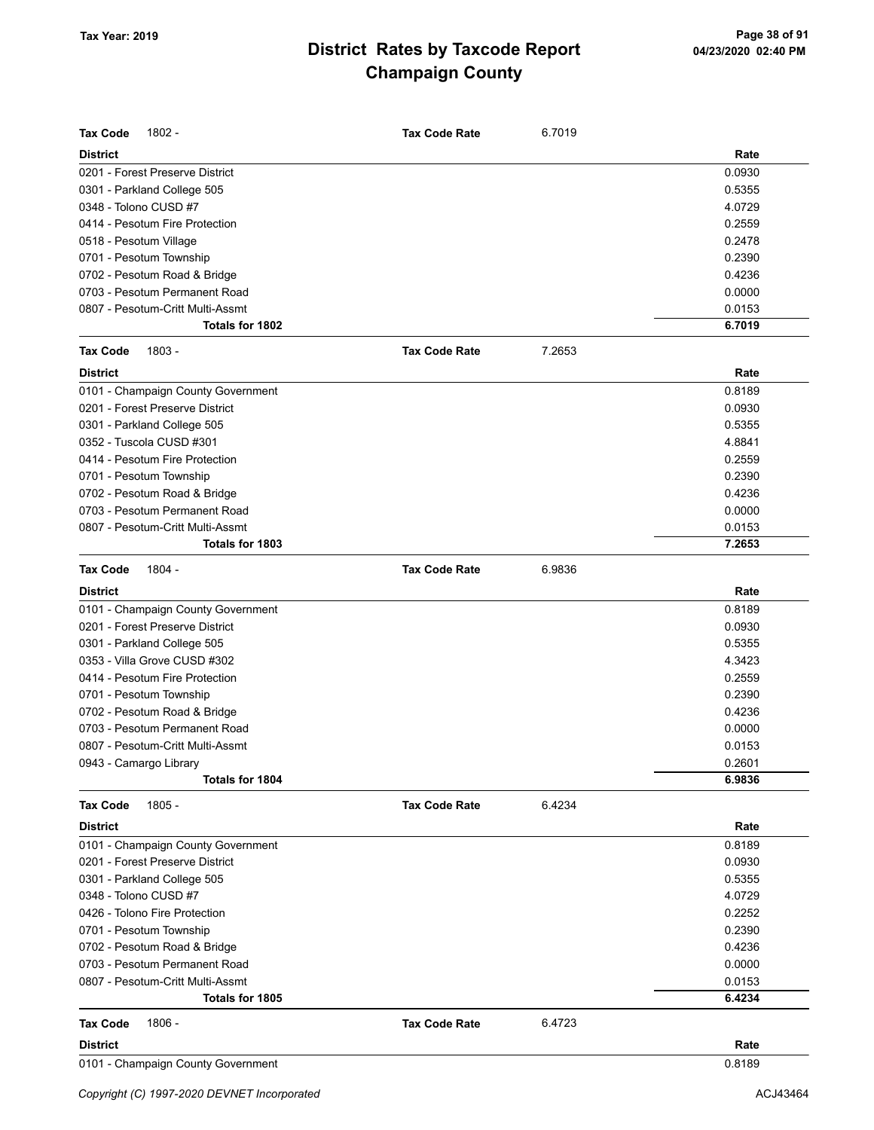| <b>Tax Code</b><br>1802 -          | <b>Tax Code Rate</b> | 6.7019 |        |
|------------------------------------|----------------------|--------|--------|
| <b>District</b>                    |                      |        | Rate   |
| 0201 - Forest Preserve District    |                      |        | 0.0930 |
| 0301 - Parkland College 505        |                      |        | 0.5355 |
| 0348 - Tolono CUSD #7              |                      |        | 4.0729 |
| 0414 - Pesotum Fire Protection     |                      |        | 0.2559 |
| 0518 - Pesotum Village             |                      |        | 0.2478 |
| 0701 - Pesotum Township            |                      |        | 0.2390 |
| 0702 - Pesotum Road & Bridge       |                      |        | 0.4236 |
| 0703 - Pesotum Permanent Road      |                      |        | 0.0000 |
| 0807 - Pesotum-Critt Multi-Assmt   |                      |        | 0.0153 |
| Totals for 1802                    |                      |        | 6.7019 |
| <b>Tax Code</b><br>1803 -          | <b>Tax Code Rate</b> | 7.2653 |        |
| <b>District</b>                    |                      |        | Rate   |
| 0101 - Champaign County Government |                      |        | 0.8189 |
| 0201 - Forest Preserve District    |                      |        | 0.0930 |
| 0301 - Parkland College 505        |                      |        | 0.5355 |
| 0352 - Tuscola CUSD #301           |                      |        | 4.8841 |
| 0414 - Pesotum Fire Protection     |                      |        | 0.2559 |
| 0701 - Pesotum Township            |                      |        | 0.2390 |
| 0702 - Pesotum Road & Bridge       |                      |        | 0.4236 |
| 0703 - Pesotum Permanent Road      |                      |        | 0.0000 |
| 0807 - Pesotum-Critt Multi-Assmt   |                      |        | 0.0153 |
| Totals for 1803                    |                      |        | 7.2653 |
| 1804 -<br><b>Tax Code</b>          | <b>Tax Code Rate</b> | 6.9836 |        |
| <b>District</b>                    |                      |        | Rate   |
| 0101 - Champaign County Government |                      |        | 0.8189 |
| 0201 - Forest Preserve District    |                      |        | 0.0930 |
| 0301 - Parkland College 505        |                      |        | 0.5355 |
| 0353 - Villa Grove CUSD #302       |                      |        | 4.3423 |
| 0414 - Pesotum Fire Protection     |                      |        | 0.2559 |
| 0701 - Pesotum Township            |                      |        | 0.2390 |
| 0702 - Pesotum Road & Bridge       |                      |        | 0.4236 |
| 0703 - Pesotum Permanent Road      |                      |        | 0.0000 |
| 0807 - Pesotum-Critt Multi-Assmt   |                      |        | 0.0153 |
| 0943 - Camargo Library             |                      |        | 0.2601 |
| Totals for 1804                    |                      |        | 6.9836 |
| 1805 -<br><b>Tax Code</b>          | <b>Tax Code Rate</b> | 6.4234 |        |
| <b>District</b>                    |                      |        | Rate   |
| 0101 - Champaign County Government |                      |        | 0.8189 |
| 0201 - Forest Preserve District    |                      |        | 0.0930 |
| 0301 - Parkland College 505        |                      |        | 0.5355 |
| 0348 - Tolono CUSD #7              |                      |        | 4.0729 |
| 0426 - Tolono Fire Protection      |                      |        | 0.2252 |
| 0701 - Pesotum Township            |                      |        | 0.2390 |
| 0702 - Pesotum Road & Bridge       |                      |        | 0.4236 |
| 0703 - Pesotum Permanent Road      |                      |        | 0.0000 |
| 0807 - Pesotum-Critt Multi-Assmt   |                      |        | 0.0153 |
| Totals for 1805                    |                      |        | 6.4234 |
| 1806 -<br><b>Tax Code</b>          | <b>Tax Code Rate</b> | 6.4723 |        |
| <b>District</b>                    |                      |        | Rate   |
| 0101 - Champaign County Government |                      |        | 0.8189 |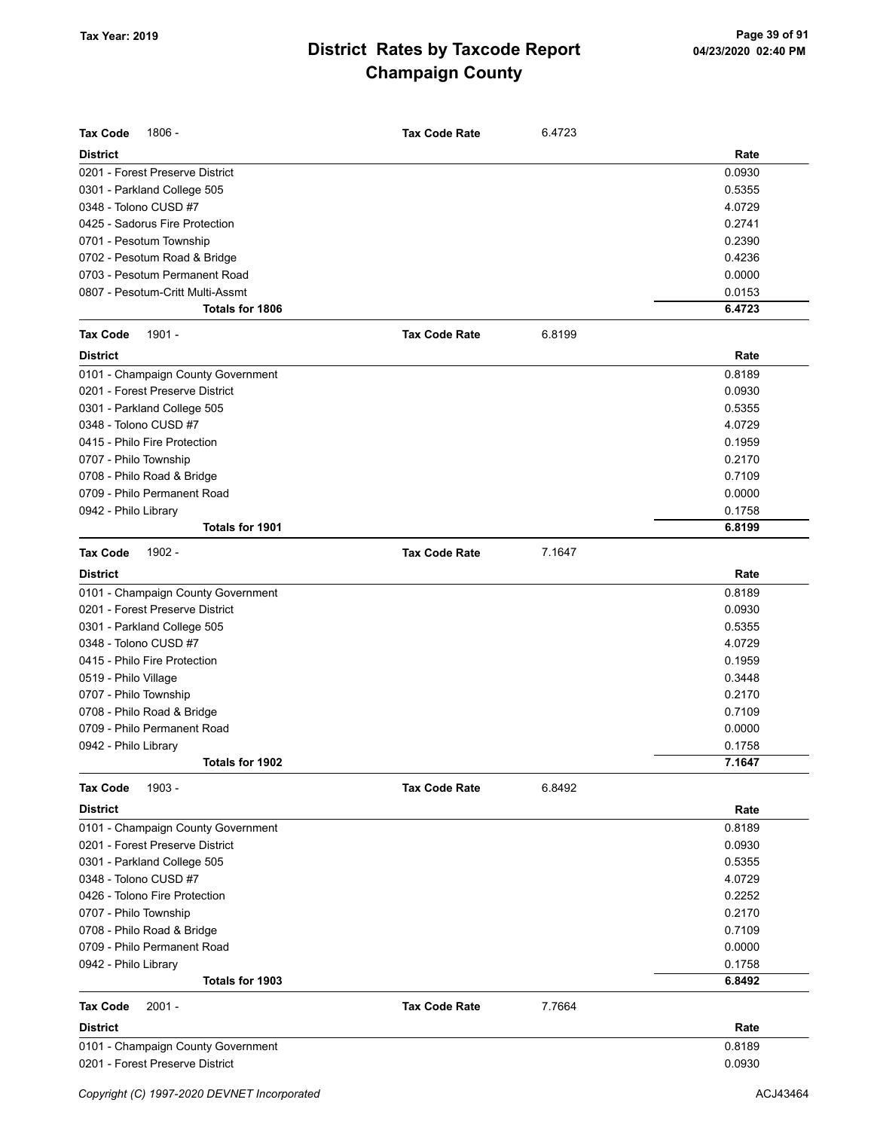| <b>Tax Code</b><br>1806 -          | <b>Tax Code Rate</b> | 6.4723 |        |
|------------------------------------|----------------------|--------|--------|
| <b>District</b>                    |                      |        | Rate   |
| 0201 - Forest Preserve District    |                      |        | 0.0930 |
| 0301 - Parkland College 505        |                      |        | 0.5355 |
| 0348 - Tolono CUSD #7              |                      |        | 4.0729 |
| 0425 - Sadorus Fire Protection     |                      |        | 0.2741 |
| 0701 - Pesotum Township            |                      |        | 0.2390 |
| 0702 - Pesotum Road & Bridge       |                      |        | 0.4236 |
| 0703 - Pesotum Permanent Road      |                      |        | 0.0000 |
| 0807 - Pesotum-Critt Multi-Assmt   |                      |        | 0.0153 |
| <b>Totals for 1806</b>             |                      |        | 6.4723 |
| 1901 -<br><b>Tax Code</b>          | <b>Tax Code Rate</b> | 6.8199 |        |
| <b>District</b>                    |                      |        | Rate   |
| 0101 - Champaign County Government |                      |        | 0.8189 |
| 0201 - Forest Preserve District    |                      |        | 0.0930 |
| 0301 - Parkland College 505        |                      |        | 0.5355 |
| 0348 - Tolono CUSD #7              |                      |        | 4.0729 |
| 0415 - Philo Fire Protection       |                      |        | 0.1959 |
| 0707 - Philo Township              |                      |        | 0.2170 |
| 0708 - Philo Road & Bridge         |                      |        | 0.7109 |
| 0709 - Philo Permanent Road        |                      |        | 0.0000 |
| 0942 - Philo Library               |                      |        | 0.1758 |
| Totals for 1901                    |                      |        | 6.8199 |
| <b>Tax Code</b><br>1902 -          | <b>Tax Code Rate</b> | 7.1647 |        |
| <b>District</b>                    |                      |        | Rate   |
| 0101 - Champaign County Government |                      |        | 0.8189 |
| 0201 - Forest Preserve District    |                      |        | 0.0930 |
| 0301 - Parkland College 505        |                      |        | 0.5355 |
| 0348 - Tolono CUSD #7              |                      |        | 4.0729 |
| 0415 - Philo Fire Protection       |                      |        | 0.1959 |
| 0519 - Philo Village               |                      |        | 0.3448 |
| 0707 - Philo Township              |                      |        | 0.2170 |
| 0708 - Philo Road & Bridge         |                      |        | 0.7109 |
| 0709 - Philo Permanent Road        |                      |        | 0.0000 |
| 0942 - Philo Library               |                      |        | 0.1758 |
| Totals for 1902                    |                      |        | 7.1647 |
| 1903 -<br><b>Tax Code</b>          | <b>Tax Code Rate</b> | 6.8492 |        |
| <b>District</b>                    |                      |        | Rate   |
| 0101 - Champaign County Government |                      |        | 0.8189 |
| 0201 - Forest Preserve District    |                      |        | 0.0930 |
| 0301 - Parkland College 505        |                      |        | 0.5355 |
| 0348 - Tolono CUSD #7              |                      |        | 4.0729 |
| 0426 - Tolono Fire Protection      |                      |        | 0.2252 |
| 0707 - Philo Township              |                      |        | 0.2170 |
| 0708 - Philo Road & Bridge         |                      |        | 0.7109 |
| 0709 - Philo Permanent Road        |                      |        | 0.0000 |
| 0942 - Philo Library               |                      |        | 0.1758 |
| Totals for 1903                    |                      |        | 6.8492 |
| <b>Tax Code</b><br>$2001 -$        | <b>Tax Code Rate</b> | 7.7664 |        |
| <b>District</b>                    |                      |        | Rate   |
| 0101 - Champaign County Government |                      |        | 0.8189 |
| 0201 - Forest Preserve District    |                      |        | 0.0930 |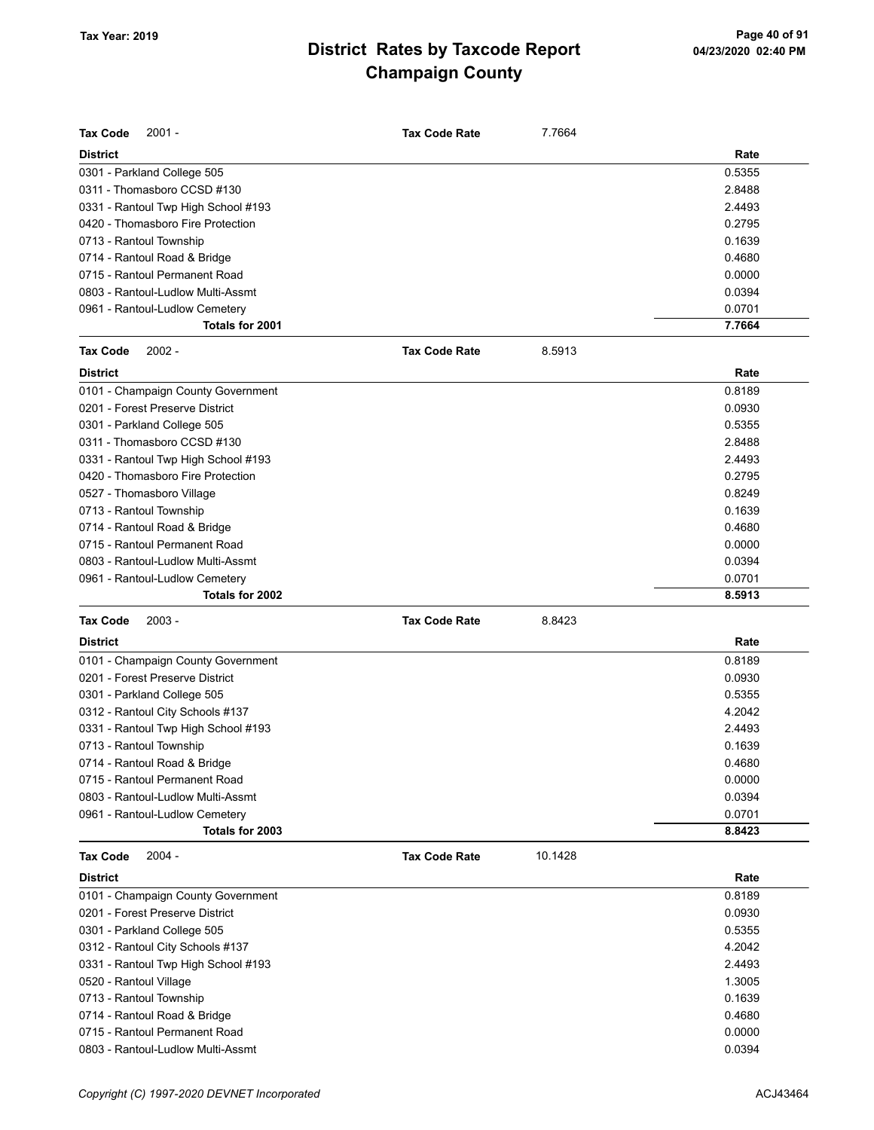| <b>Tax Code</b><br>$2001 -$         | <b>Tax Code Rate</b> | 7.7664  |        |
|-------------------------------------|----------------------|---------|--------|
| <b>District</b>                     |                      |         | Rate   |
| 0301 - Parkland College 505         |                      |         | 0.5355 |
| 0311 - Thomasboro CCSD #130         |                      |         | 2.8488 |
| 0331 - Rantoul Twp High School #193 |                      |         | 2.4493 |
| 0420 - Thomasboro Fire Protection   |                      |         | 0.2795 |
| 0713 - Rantoul Township             |                      |         | 0.1639 |
| 0714 - Rantoul Road & Bridge        |                      |         | 0.4680 |
| 0715 - Rantoul Permanent Road       |                      |         | 0.0000 |
| 0803 - Rantoul-Ludlow Multi-Assmt   |                      |         | 0.0394 |
| 0961 - Rantoul-Ludlow Cemetery      |                      |         | 0.0701 |
| Totals for 2001                     |                      |         | 7.7664 |
| <b>Tax Code</b><br>$2002 -$         | <b>Tax Code Rate</b> | 8.5913  |        |
| <b>District</b>                     |                      |         | Rate   |
| 0101 - Champaign County Government  |                      |         | 0.8189 |
| 0201 - Forest Preserve District     |                      |         | 0.0930 |
| 0301 - Parkland College 505         |                      |         | 0.5355 |
| 0311 - Thomasboro CCSD #130         |                      |         | 2.8488 |
| 0331 - Rantoul Twp High School #193 |                      |         | 2.4493 |
| 0420 - Thomasboro Fire Protection   |                      |         | 0.2795 |
| 0527 - Thomasboro Village           |                      |         | 0.8249 |
| 0713 - Rantoul Township             |                      |         | 0.1639 |
| 0714 - Rantoul Road & Bridge        |                      |         | 0.4680 |
| 0715 - Rantoul Permanent Road       |                      |         | 0.0000 |
| 0803 - Rantoul-Ludlow Multi-Assmt   |                      |         | 0.0394 |
| 0961 - Rantoul-Ludlow Cemetery      |                      |         | 0.0701 |
| Totals for 2002                     |                      |         | 8.5913 |
| <b>Tax Code</b><br>$2003 -$         | <b>Tax Code Rate</b> | 8.8423  |        |
| <b>District</b>                     |                      |         | Rate   |
| 0101 - Champaign County Government  |                      |         | 0.8189 |
| 0201 - Forest Preserve District     |                      |         | 0.0930 |
| 0301 - Parkland College 505         |                      |         | 0.5355 |
| 0312 - Rantoul City Schools #137    |                      |         | 4.2042 |
| 0331 - Rantoul Twp High School #193 |                      |         | 2.4493 |
| 0713 - Rantoul Township             |                      |         | 0.1639 |
| 0714 - Rantoul Road & Bridge        |                      |         | 0.4680 |
| 0715 - Rantoul Permanent Road       |                      |         | 0.0000 |
| 0803 - Rantoul-Ludlow Multi-Assmt   |                      |         | 0.0394 |
| 0961 - Rantoul-Ludlow Cemetery      |                      |         | 0.0701 |
| Totals for 2003                     |                      |         | 8.8423 |
| <b>Tax Code</b><br>2004 -           | <b>Tax Code Rate</b> | 10.1428 |        |
| <b>District</b>                     |                      |         | Rate   |
| 0101 - Champaign County Government  |                      |         | 0.8189 |
| 0201 - Forest Preserve District     |                      |         | 0.0930 |
| 0301 - Parkland College 505         |                      |         | 0.5355 |
| 0312 - Rantoul City Schools #137    |                      |         | 4.2042 |
| 0331 - Rantoul Twp High School #193 |                      |         | 2.4493 |
| 0520 - Rantoul Village              |                      |         | 1.3005 |
| 0713 - Rantoul Township             |                      |         | 0.1639 |
| 0714 - Rantoul Road & Bridge        |                      |         | 0.4680 |
| 0715 - Rantoul Permanent Road       |                      |         | 0.0000 |
|                                     |                      |         | 0.0394 |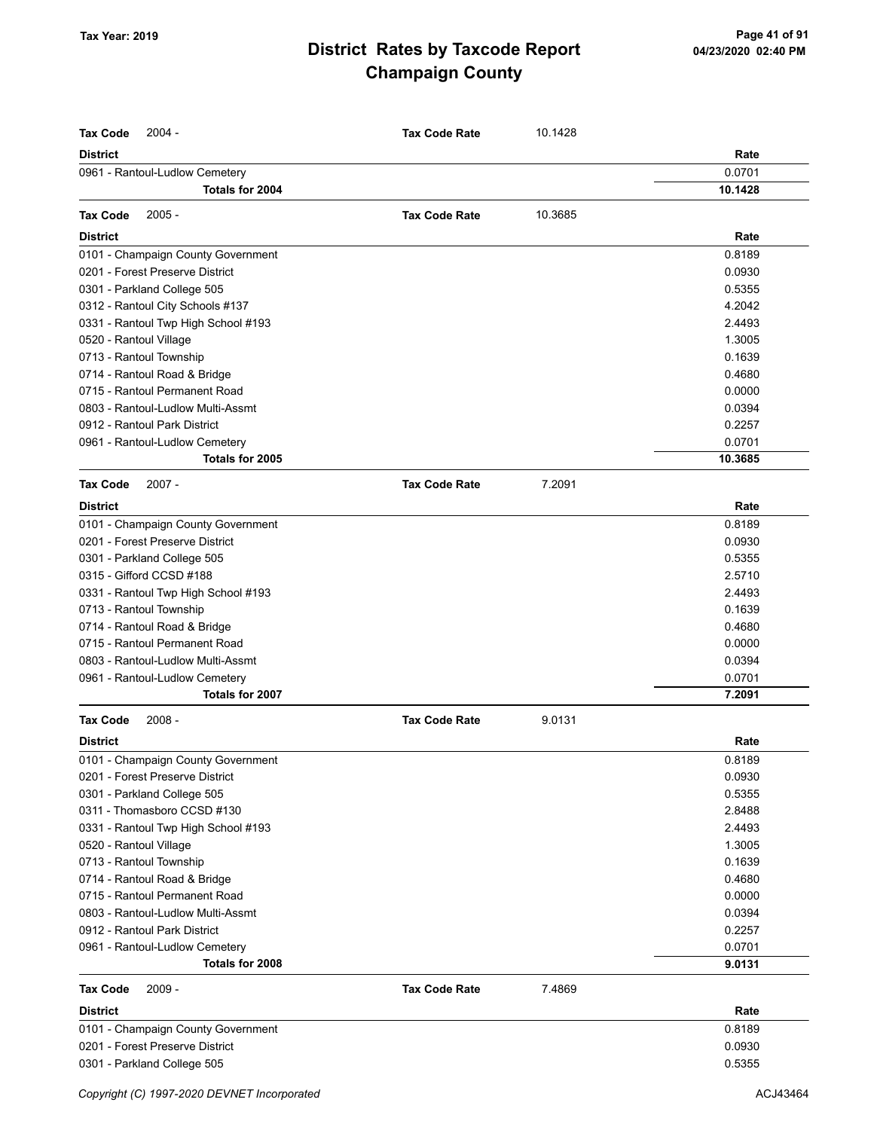| <b>Tax Code</b><br>$2004 -$         | <b>Tax Code Rate</b> | 10.1428 |         |
|-------------------------------------|----------------------|---------|---------|
| <b>District</b>                     |                      |         | Rate    |
| 0961 - Rantoul-Ludlow Cemetery      |                      |         | 0.0701  |
| Totals for 2004                     |                      |         | 10.1428 |
| 2005 -<br><b>Tax Code</b>           | <b>Tax Code Rate</b> | 10.3685 |         |
| <b>District</b>                     |                      |         | Rate    |
| 0101 - Champaign County Government  |                      |         | 0.8189  |
| 0201 - Forest Preserve District     |                      |         | 0.0930  |
| 0301 - Parkland College 505         |                      |         | 0.5355  |
| 0312 - Rantoul City Schools #137    |                      |         | 4.2042  |
| 0331 - Rantoul Twp High School #193 |                      |         | 2.4493  |
| 0520 - Rantoul Village              |                      |         | 1.3005  |
| 0713 - Rantoul Township             |                      |         | 0.1639  |
| 0714 - Rantoul Road & Bridge        |                      |         | 0.4680  |
| 0715 - Rantoul Permanent Road       |                      |         | 0.0000  |
| 0803 - Rantoul-Ludlow Multi-Assmt   |                      |         | 0.0394  |
| 0912 - Rantoul Park District        |                      |         | 0.2257  |
| 0961 - Rantoul-Ludlow Cemetery      |                      |         | 0.0701  |
| Totals for 2005                     |                      |         | 10.3685 |
| <b>Tax Code</b><br>$2007 -$         | <b>Tax Code Rate</b> | 7.2091  |         |
| <b>District</b>                     |                      |         | Rate    |
| 0101 - Champaign County Government  |                      |         | 0.8189  |
| 0201 - Forest Preserve District     |                      |         | 0.0930  |
| 0301 - Parkland College 505         |                      |         | 0.5355  |
| 0315 - Gifford CCSD #188            |                      |         | 2.5710  |
| 0331 - Rantoul Twp High School #193 |                      |         | 2.4493  |
| 0713 - Rantoul Township             |                      |         | 0.1639  |
| 0714 - Rantoul Road & Bridge        |                      |         | 0.4680  |
| 0715 - Rantoul Permanent Road       |                      |         | 0.0000  |
| 0803 - Rantoul-Ludlow Multi-Assmt   |                      |         | 0.0394  |
| 0961 - Rantoul-Ludlow Cemetery      |                      |         | 0.0701  |
| Totals for 2007                     |                      |         | 7.2091  |
| <b>Tax Code</b><br>$2008 -$         | <b>Tax Code Rate</b> | 9.0131  |         |
| <b>District</b>                     |                      |         | Rate    |
| 0101 - Champaign County Government  |                      |         | 0.8189  |
| 0201 - Forest Preserve District     |                      |         | 0.0930  |
| 0301 - Parkland College 505         |                      |         | 0.5355  |
| 0311 - Thomasboro CCSD #130         |                      |         | 2.8488  |
| 0331 - Rantoul Twp High School #193 |                      |         | 2.4493  |
| 0520 - Rantoul Village              |                      |         | 1.3005  |
| 0713 - Rantoul Township             |                      |         | 0.1639  |
| 0714 - Rantoul Road & Bridge        |                      |         | 0.4680  |
| 0715 - Rantoul Permanent Road       |                      |         | 0.0000  |
| 0803 - Rantoul-Ludlow Multi-Assmt   |                      |         | 0.0394  |
| 0912 - Rantoul Park District        |                      |         | 0.2257  |
| 0961 - Rantoul-Ludlow Cemetery      |                      |         | 0.0701  |
| Totals for 2008                     |                      |         | 9.0131  |
| <b>Tax Code</b><br>$2009 -$         | <b>Tax Code Rate</b> | 7.4869  |         |
| <b>District</b>                     |                      |         | Rate    |
| 0101 - Champaign County Government  |                      |         | 0.8189  |
| 0201 - Forest Preserve District     |                      |         | 0.0930  |
| 0301 - Parkland College 505         |                      |         | 0.5355  |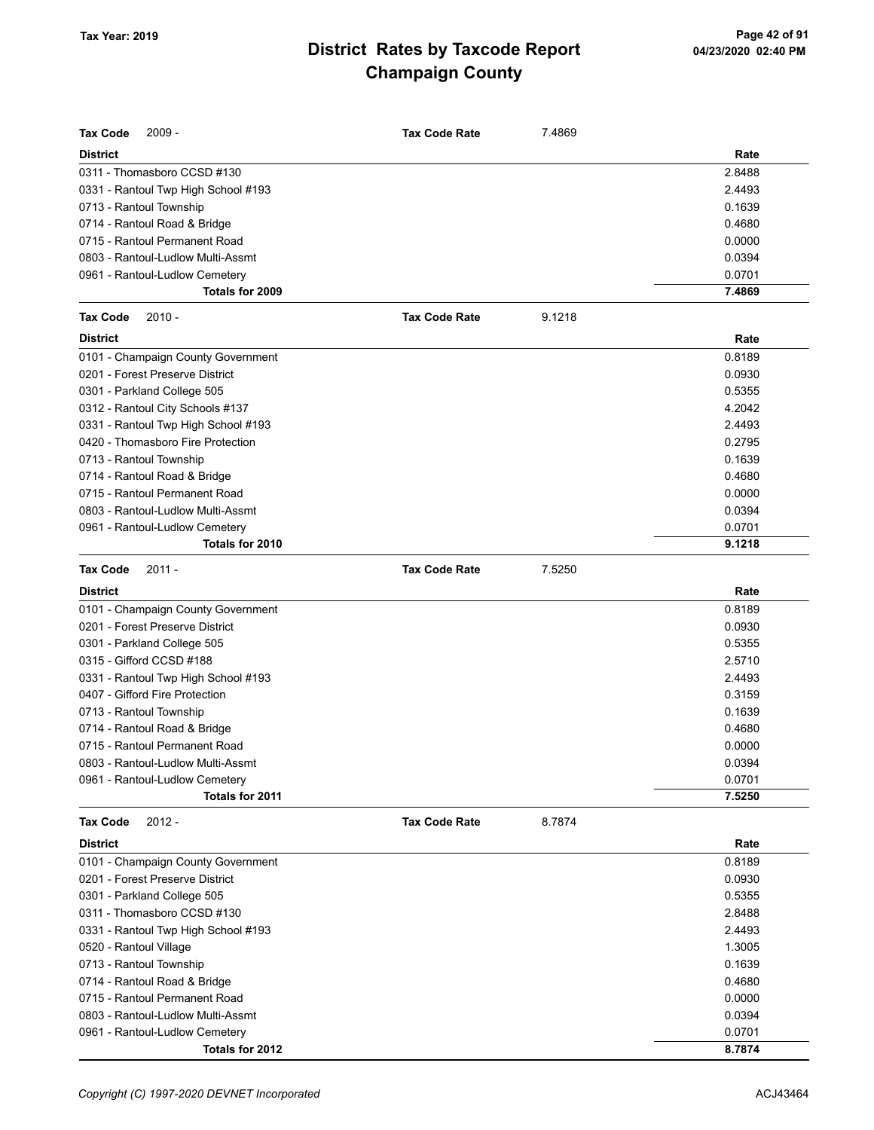| <b>Tax Code</b><br>$2009 -$         | <b>Tax Code Rate</b> | 7.4869 |        |
|-------------------------------------|----------------------|--------|--------|
| <b>District</b>                     |                      |        | Rate   |
| 0311 - Thomasboro CCSD #130         |                      |        | 2.8488 |
| 0331 - Rantoul Twp High School #193 |                      |        | 2.4493 |
| 0713 - Rantoul Township             |                      |        | 0.1639 |
| 0714 - Rantoul Road & Bridge        |                      |        | 0.4680 |
| 0715 - Rantoul Permanent Road       |                      |        | 0.0000 |
| 0803 - Rantoul-Ludlow Multi-Assmt   |                      |        | 0.0394 |
| 0961 - Rantoul-Ludlow Cemetery      |                      |        | 0.0701 |
| Totals for 2009                     |                      |        | 7.4869 |
| $2010 -$<br><b>Tax Code</b>         | <b>Tax Code Rate</b> | 9.1218 |        |
| <b>District</b>                     |                      |        | Rate   |
| 0101 - Champaign County Government  |                      |        | 0.8189 |
| 0201 - Forest Preserve District     |                      |        | 0.0930 |
| 0301 - Parkland College 505         |                      |        | 0.5355 |
| 0312 - Rantoul City Schools #137    |                      |        | 4.2042 |
| 0331 - Rantoul Twp High School #193 |                      |        | 2.4493 |
| 0420 - Thomasboro Fire Protection   |                      |        | 0.2795 |
| 0713 - Rantoul Township             |                      |        | 0.1639 |
| 0714 - Rantoul Road & Bridge        |                      |        | 0.4680 |
| 0715 - Rantoul Permanent Road       |                      |        | 0.0000 |
| 0803 - Rantoul-Ludlow Multi-Assmt   |                      |        | 0.0394 |
| 0961 - Rantoul-Ludlow Cemetery      |                      |        | 0.0701 |
| Totals for 2010                     |                      |        | 9.1218 |
| <b>Tax Code</b><br>2011 -           | <b>Tax Code Rate</b> | 7.5250 |        |
| <b>District</b>                     |                      |        | Rate   |
| 0101 - Champaign County Government  |                      |        | 0.8189 |
| 0201 - Forest Preserve District     |                      |        | 0.0930 |
| 0301 - Parkland College 505         |                      |        | 0.5355 |
| 0315 - Gifford CCSD #188            |                      |        | 2.5710 |
| 0331 - Rantoul Twp High School #193 |                      |        | 2.4493 |
| 0407 - Gifford Fire Protection      |                      |        | 0.3159 |
| 0713 - Rantoul Township             |                      |        | 0.1639 |
| 0714 - Rantoul Road & Bridge        |                      |        | 0.4680 |
| 0715 - Rantoul Permanent Road       |                      |        | 0.0000 |
| 0803 - Rantoul-Ludlow Multi-Assmt   |                      |        | 0.0394 |
| 0961 - Rantoul-Ludlow Cemetery      |                      |        | 0.0701 |
| Totals for 2011                     |                      |        | 7.5250 |
| <b>Tax Code</b><br>$2012 -$         | <b>Tax Code Rate</b> | 8.7874 |        |
| <b>District</b>                     |                      |        | Rate   |
| 0101 - Champaign County Government  |                      |        | 0.8189 |
| 0201 - Forest Preserve District     |                      |        | 0.0930 |
| 0301 - Parkland College 505         |                      |        | 0.5355 |
| 0311 - Thomasboro CCSD #130         |                      |        | 2.8488 |
| 0331 - Rantoul Twp High School #193 |                      |        | 2.4493 |
| 0520 - Rantoul Village              |                      |        | 1.3005 |
| 0713 - Rantoul Township             |                      |        | 0.1639 |
| 0714 - Rantoul Road & Bridge        |                      |        | 0.4680 |
| 0715 - Rantoul Permanent Road       |                      |        | 0.0000 |
| 0803 - Rantoul-Ludlow Multi-Assmt   |                      |        | 0.0394 |
| 0961 - Rantoul-Ludlow Cemetery      |                      |        | 0.0701 |
| Totals for 2012                     |                      |        | 8.7874 |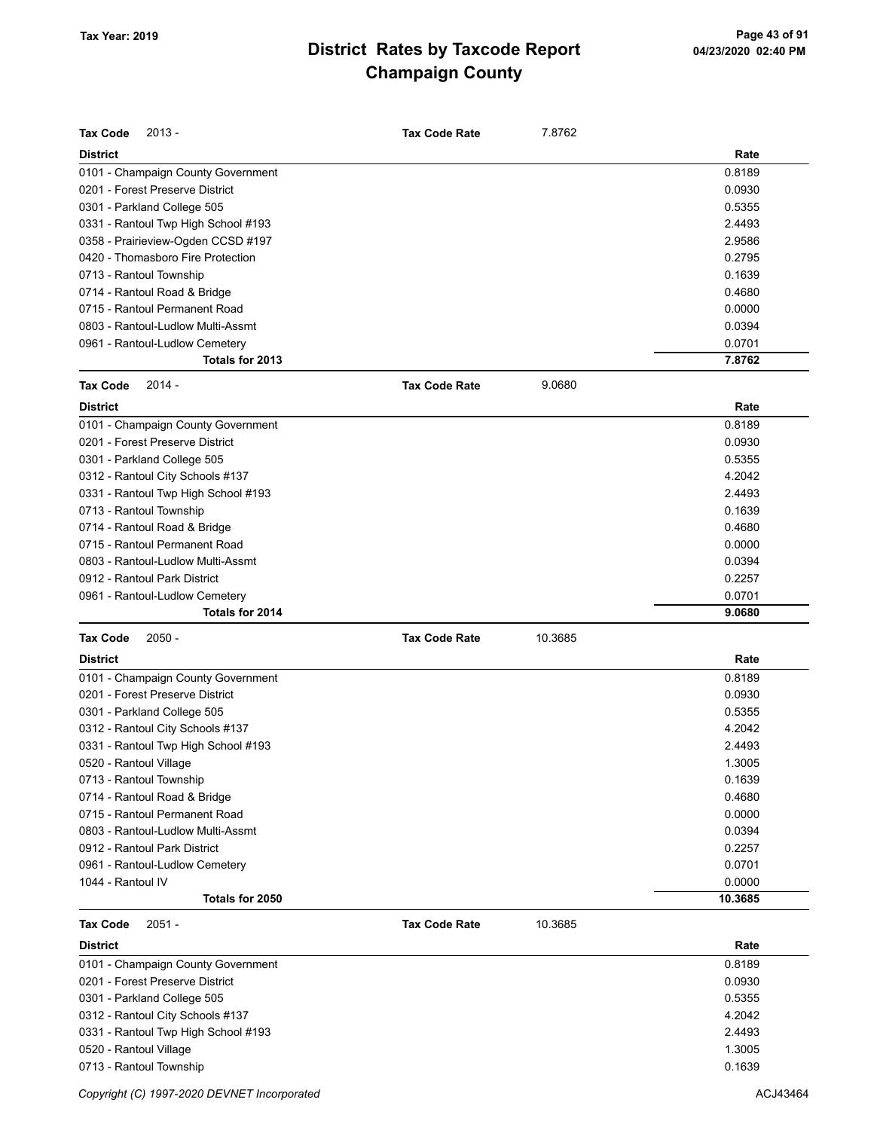| <b>District</b><br>Rate<br>0101 - Champaign County Government<br>0.8189<br>0201 - Forest Preserve District<br>0.0930<br>0.5355<br>0301 - Parkland College 505<br>2.4493<br>0331 - Rantoul Twp High School #193<br>0358 - Prairieview-Ogden CCSD #197<br>2.9586<br>0420 - Thomasboro Fire Protection<br>0.2795<br>0713 - Rantoul Township<br>0.1639<br>0.4680<br>0714 - Rantoul Road & Bridge<br>0715 - Rantoul Permanent Road<br>0.0000<br>0803 - Rantoul-Ludlow Multi-Assmt<br>0.0394<br>0.0701<br>0961 - Rantoul-Ludlow Cemetery<br>Totals for 2013<br>7.8762<br><b>Tax Code</b><br>$2014 -$<br><b>Tax Code Rate</b><br>9.0680<br>Rate<br><b>District</b><br>0101 - Champaign County Government<br>0.8189<br>0201 - Forest Preserve District<br>0.0930<br>0301 - Parkland College 505<br>0.5355<br>4.2042<br>0312 - Rantoul City Schools #137<br>0331 - Rantoul Twp High School #193<br>2.4493<br>0.1639<br>0713 - Rantoul Township<br>0.4680<br>0714 - Rantoul Road & Bridge<br>0715 - Rantoul Permanent Road<br>0.0000<br>0803 - Rantoul-Ludlow Multi-Assmt<br>0.0394<br>0912 - Rantoul Park District<br>0.2257<br>0.0701<br>0961 - Rantoul-Ludlow Cemetery<br>Totals for 2014<br>9.0680<br><b>Tax Code</b><br>$2050 -$<br><b>Tax Code Rate</b><br>10.3685<br>Rate<br><b>District</b><br>0101 - Champaign County Government<br>0.8189<br>0201 - Forest Preserve District<br>0.0930<br>0301 - Parkland College 505<br>0.5355<br>4.2042<br>0312 - Rantoul City Schools #137<br>0331 - Rantoul Twp High School #193<br>2.4493<br>0520 - Rantoul Village<br>1.3005<br>0713 - Rantoul Township<br>0.1639<br>0714 - Rantoul Road & Bridge<br>0.4680<br>0715 - Rantoul Permanent Road<br>0.0000<br>0803 - Rantoul-Ludlow Multi-Assmt<br>0.0394<br>0912 - Rantoul Park District<br>0.2257<br>0.0701<br>0961 - Rantoul-Ludlow Cemetery<br>1044 - Rantoul IV<br>0.0000<br>Totals for 2050<br>10.3685<br>$2051 -$<br>10.3685<br><b>Tax Code</b><br><b>Tax Code Rate</b><br>District<br>Rate<br>0.8189<br>0101 - Champaign County Government<br>0201 - Forest Preserve District<br>0.0930<br>0301 - Parkland College 505<br>0.5355<br>0312 - Rantoul City Schools #137<br>4.2042<br>0331 - Rantoul Twp High School #193<br>2.4493 | <b>Tax Code</b><br>$2013 -$ | <b>Tax Code Rate</b> | 7.8762 |        |
|---------------------------------------------------------------------------------------------------------------------------------------------------------------------------------------------------------------------------------------------------------------------------------------------------------------------------------------------------------------------------------------------------------------------------------------------------------------------------------------------------------------------------------------------------------------------------------------------------------------------------------------------------------------------------------------------------------------------------------------------------------------------------------------------------------------------------------------------------------------------------------------------------------------------------------------------------------------------------------------------------------------------------------------------------------------------------------------------------------------------------------------------------------------------------------------------------------------------------------------------------------------------------------------------------------------------------------------------------------------------------------------------------------------------------------------------------------------------------------------------------------------------------------------------------------------------------------------------------------------------------------------------------------------------------------------------------------------------------------------------------------------------------------------------------------------------------------------------------------------------------------------------------------------------------------------------------------------------------------------------------------------------------------------------------------------------------------------------------------------------------------------------------------------------------------------------------------------------------|-----------------------------|----------------------|--------|--------|
|                                                                                                                                                                                                                                                                                                                                                                                                                                                                                                                                                                                                                                                                                                                                                                                                                                                                                                                                                                                                                                                                                                                                                                                                                                                                                                                                                                                                                                                                                                                                                                                                                                                                                                                                                                                                                                                                                                                                                                                                                                                                                                                                                                                                                           |                             |                      |        |        |
|                                                                                                                                                                                                                                                                                                                                                                                                                                                                                                                                                                                                                                                                                                                                                                                                                                                                                                                                                                                                                                                                                                                                                                                                                                                                                                                                                                                                                                                                                                                                                                                                                                                                                                                                                                                                                                                                                                                                                                                                                                                                                                                                                                                                                           |                             |                      |        |        |
|                                                                                                                                                                                                                                                                                                                                                                                                                                                                                                                                                                                                                                                                                                                                                                                                                                                                                                                                                                                                                                                                                                                                                                                                                                                                                                                                                                                                                                                                                                                                                                                                                                                                                                                                                                                                                                                                                                                                                                                                                                                                                                                                                                                                                           |                             |                      |        |        |
|                                                                                                                                                                                                                                                                                                                                                                                                                                                                                                                                                                                                                                                                                                                                                                                                                                                                                                                                                                                                                                                                                                                                                                                                                                                                                                                                                                                                                                                                                                                                                                                                                                                                                                                                                                                                                                                                                                                                                                                                                                                                                                                                                                                                                           |                             |                      |        |        |
|                                                                                                                                                                                                                                                                                                                                                                                                                                                                                                                                                                                                                                                                                                                                                                                                                                                                                                                                                                                                                                                                                                                                                                                                                                                                                                                                                                                                                                                                                                                                                                                                                                                                                                                                                                                                                                                                                                                                                                                                                                                                                                                                                                                                                           |                             |                      |        |        |
|                                                                                                                                                                                                                                                                                                                                                                                                                                                                                                                                                                                                                                                                                                                                                                                                                                                                                                                                                                                                                                                                                                                                                                                                                                                                                                                                                                                                                                                                                                                                                                                                                                                                                                                                                                                                                                                                                                                                                                                                                                                                                                                                                                                                                           |                             |                      |        |        |
|                                                                                                                                                                                                                                                                                                                                                                                                                                                                                                                                                                                                                                                                                                                                                                                                                                                                                                                                                                                                                                                                                                                                                                                                                                                                                                                                                                                                                                                                                                                                                                                                                                                                                                                                                                                                                                                                                                                                                                                                                                                                                                                                                                                                                           |                             |                      |        |        |
|                                                                                                                                                                                                                                                                                                                                                                                                                                                                                                                                                                                                                                                                                                                                                                                                                                                                                                                                                                                                                                                                                                                                                                                                                                                                                                                                                                                                                                                                                                                                                                                                                                                                                                                                                                                                                                                                                                                                                                                                                                                                                                                                                                                                                           |                             |                      |        |        |
|                                                                                                                                                                                                                                                                                                                                                                                                                                                                                                                                                                                                                                                                                                                                                                                                                                                                                                                                                                                                                                                                                                                                                                                                                                                                                                                                                                                                                                                                                                                                                                                                                                                                                                                                                                                                                                                                                                                                                                                                                                                                                                                                                                                                                           |                             |                      |        |        |
|                                                                                                                                                                                                                                                                                                                                                                                                                                                                                                                                                                                                                                                                                                                                                                                                                                                                                                                                                                                                                                                                                                                                                                                                                                                                                                                                                                                                                                                                                                                                                                                                                                                                                                                                                                                                                                                                                                                                                                                                                                                                                                                                                                                                                           |                             |                      |        |        |
|                                                                                                                                                                                                                                                                                                                                                                                                                                                                                                                                                                                                                                                                                                                                                                                                                                                                                                                                                                                                                                                                                                                                                                                                                                                                                                                                                                                                                                                                                                                                                                                                                                                                                                                                                                                                                                                                                                                                                                                                                                                                                                                                                                                                                           |                             |                      |        |        |
|                                                                                                                                                                                                                                                                                                                                                                                                                                                                                                                                                                                                                                                                                                                                                                                                                                                                                                                                                                                                                                                                                                                                                                                                                                                                                                                                                                                                                                                                                                                                                                                                                                                                                                                                                                                                                                                                                                                                                                                                                                                                                                                                                                                                                           |                             |                      |        |        |
|                                                                                                                                                                                                                                                                                                                                                                                                                                                                                                                                                                                                                                                                                                                                                                                                                                                                                                                                                                                                                                                                                                                                                                                                                                                                                                                                                                                                                                                                                                                                                                                                                                                                                                                                                                                                                                                                                                                                                                                                                                                                                                                                                                                                                           |                             |                      |        |        |
|                                                                                                                                                                                                                                                                                                                                                                                                                                                                                                                                                                                                                                                                                                                                                                                                                                                                                                                                                                                                                                                                                                                                                                                                                                                                                                                                                                                                                                                                                                                                                                                                                                                                                                                                                                                                                                                                                                                                                                                                                                                                                                                                                                                                                           |                             |                      |        |        |
|                                                                                                                                                                                                                                                                                                                                                                                                                                                                                                                                                                                                                                                                                                                                                                                                                                                                                                                                                                                                                                                                                                                                                                                                                                                                                                                                                                                                                                                                                                                                                                                                                                                                                                                                                                                                                                                                                                                                                                                                                                                                                                                                                                                                                           |                             |                      |        |        |
|                                                                                                                                                                                                                                                                                                                                                                                                                                                                                                                                                                                                                                                                                                                                                                                                                                                                                                                                                                                                                                                                                                                                                                                                                                                                                                                                                                                                                                                                                                                                                                                                                                                                                                                                                                                                                                                                                                                                                                                                                                                                                                                                                                                                                           |                             |                      |        |        |
|                                                                                                                                                                                                                                                                                                                                                                                                                                                                                                                                                                                                                                                                                                                                                                                                                                                                                                                                                                                                                                                                                                                                                                                                                                                                                                                                                                                                                                                                                                                                                                                                                                                                                                                                                                                                                                                                                                                                                                                                                                                                                                                                                                                                                           |                             |                      |        |        |
|                                                                                                                                                                                                                                                                                                                                                                                                                                                                                                                                                                                                                                                                                                                                                                                                                                                                                                                                                                                                                                                                                                                                                                                                                                                                                                                                                                                                                                                                                                                                                                                                                                                                                                                                                                                                                                                                                                                                                                                                                                                                                                                                                                                                                           |                             |                      |        |        |
|                                                                                                                                                                                                                                                                                                                                                                                                                                                                                                                                                                                                                                                                                                                                                                                                                                                                                                                                                                                                                                                                                                                                                                                                                                                                                                                                                                                                                                                                                                                                                                                                                                                                                                                                                                                                                                                                                                                                                                                                                                                                                                                                                                                                                           |                             |                      |        |        |
|                                                                                                                                                                                                                                                                                                                                                                                                                                                                                                                                                                                                                                                                                                                                                                                                                                                                                                                                                                                                                                                                                                                                                                                                                                                                                                                                                                                                                                                                                                                                                                                                                                                                                                                                                                                                                                                                                                                                                                                                                                                                                                                                                                                                                           |                             |                      |        |        |
|                                                                                                                                                                                                                                                                                                                                                                                                                                                                                                                                                                                                                                                                                                                                                                                                                                                                                                                                                                                                                                                                                                                                                                                                                                                                                                                                                                                                                                                                                                                                                                                                                                                                                                                                                                                                                                                                                                                                                                                                                                                                                                                                                                                                                           |                             |                      |        |        |
|                                                                                                                                                                                                                                                                                                                                                                                                                                                                                                                                                                                                                                                                                                                                                                                                                                                                                                                                                                                                                                                                                                                                                                                                                                                                                                                                                                                                                                                                                                                                                                                                                                                                                                                                                                                                                                                                                                                                                                                                                                                                                                                                                                                                                           |                             |                      |        |        |
|                                                                                                                                                                                                                                                                                                                                                                                                                                                                                                                                                                                                                                                                                                                                                                                                                                                                                                                                                                                                                                                                                                                                                                                                                                                                                                                                                                                                                                                                                                                                                                                                                                                                                                                                                                                                                                                                                                                                                                                                                                                                                                                                                                                                                           |                             |                      |        |        |
|                                                                                                                                                                                                                                                                                                                                                                                                                                                                                                                                                                                                                                                                                                                                                                                                                                                                                                                                                                                                                                                                                                                                                                                                                                                                                                                                                                                                                                                                                                                                                                                                                                                                                                                                                                                                                                                                                                                                                                                                                                                                                                                                                                                                                           |                             |                      |        |        |
|                                                                                                                                                                                                                                                                                                                                                                                                                                                                                                                                                                                                                                                                                                                                                                                                                                                                                                                                                                                                                                                                                                                                                                                                                                                                                                                                                                                                                                                                                                                                                                                                                                                                                                                                                                                                                                                                                                                                                                                                                                                                                                                                                                                                                           |                             |                      |        |        |
|                                                                                                                                                                                                                                                                                                                                                                                                                                                                                                                                                                                                                                                                                                                                                                                                                                                                                                                                                                                                                                                                                                                                                                                                                                                                                                                                                                                                                                                                                                                                                                                                                                                                                                                                                                                                                                                                                                                                                                                                                                                                                                                                                                                                                           |                             |                      |        |        |
|                                                                                                                                                                                                                                                                                                                                                                                                                                                                                                                                                                                                                                                                                                                                                                                                                                                                                                                                                                                                                                                                                                                                                                                                                                                                                                                                                                                                                                                                                                                                                                                                                                                                                                                                                                                                                                                                                                                                                                                                                                                                                                                                                                                                                           |                             |                      |        |        |
|                                                                                                                                                                                                                                                                                                                                                                                                                                                                                                                                                                                                                                                                                                                                                                                                                                                                                                                                                                                                                                                                                                                                                                                                                                                                                                                                                                                                                                                                                                                                                                                                                                                                                                                                                                                                                                                                                                                                                                                                                                                                                                                                                                                                                           |                             |                      |        |        |
|                                                                                                                                                                                                                                                                                                                                                                                                                                                                                                                                                                                                                                                                                                                                                                                                                                                                                                                                                                                                                                                                                                                                                                                                                                                                                                                                                                                                                                                                                                                                                                                                                                                                                                                                                                                                                                                                                                                                                                                                                                                                                                                                                                                                                           |                             |                      |        |        |
|                                                                                                                                                                                                                                                                                                                                                                                                                                                                                                                                                                                                                                                                                                                                                                                                                                                                                                                                                                                                                                                                                                                                                                                                                                                                                                                                                                                                                                                                                                                                                                                                                                                                                                                                                                                                                                                                                                                                                                                                                                                                                                                                                                                                                           |                             |                      |        |        |
|                                                                                                                                                                                                                                                                                                                                                                                                                                                                                                                                                                                                                                                                                                                                                                                                                                                                                                                                                                                                                                                                                                                                                                                                                                                                                                                                                                                                                                                                                                                                                                                                                                                                                                                                                                                                                                                                                                                                                                                                                                                                                                                                                                                                                           |                             |                      |        |        |
|                                                                                                                                                                                                                                                                                                                                                                                                                                                                                                                                                                                                                                                                                                                                                                                                                                                                                                                                                                                                                                                                                                                                                                                                                                                                                                                                                                                                                                                                                                                                                                                                                                                                                                                                                                                                                                                                                                                                                                                                                                                                                                                                                                                                                           |                             |                      |        |        |
|                                                                                                                                                                                                                                                                                                                                                                                                                                                                                                                                                                                                                                                                                                                                                                                                                                                                                                                                                                                                                                                                                                                                                                                                                                                                                                                                                                                                                                                                                                                                                                                                                                                                                                                                                                                                                                                                                                                                                                                                                                                                                                                                                                                                                           |                             |                      |        |        |
|                                                                                                                                                                                                                                                                                                                                                                                                                                                                                                                                                                                                                                                                                                                                                                                                                                                                                                                                                                                                                                                                                                                                                                                                                                                                                                                                                                                                                                                                                                                                                                                                                                                                                                                                                                                                                                                                                                                                                                                                                                                                                                                                                                                                                           |                             |                      |        |        |
|                                                                                                                                                                                                                                                                                                                                                                                                                                                                                                                                                                                                                                                                                                                                                                                                                                                                                                                                                                                                                                                                                                                                                                                                                                                                                                                                                                                                                                                                                                                                                                                                                                                                                                                                                                                                                                                                                                                                                                                                                                                                                                                                                                                                                           |                             |                      |        |        |
|                                                                                                                                                                                                                                                                                                                                                                                                                                                                                                                                                                                                                                                                                                                                                                                                                                                                                                                                                                                                                                                                                                                                                                                                                                                                                                                                                                                                                                                                                                                                                                                                                                                                                                                                                                                                                                                                                                                                                                                                                                                                                                                                                                                                                           |                             |                      |        |        |
|                                                                                                                                                                                                                                                                                                                                                                                                                                                                                                                                                                                                                                                                                                                                                                                                                                                                                                                                                                                                                                                                                                                                                                                                                                                                                                                                                                                                                                                                                                                                                                                                                                                                                                                                                                                                                                                                                                                                                                                                                                                                                                                                                                                                                           |                             |                      |        |        |
|                                                                                                                                                                                                                                                                                                                                                                                                                                                                                                                                                                                                                                                                                                                                                                                                                                                                                                                                                                                                                                                                                                                                                                                                                                                                                                                                                                                                                                                                                                                                                                                                                                                                                                                                                                                                                                                                                                                                                                                                                                                                                                                                                                                                                           |                             |                      |        |        |
|                                                                                                                                                                                                                                                                                                                                                                                                                                                                                                                                                                                                                                                                                                                                                                                                                                                                                                                                                                                                                                                                                                                                                                                                                                                                                                                                                                                                                                                                                                                                                                                                                                                                                                                                                                                                                                                                                                                                                                                                                                                                                                                                                                                                                           |                             |                      |        |        |
|                                                                                                                                                                                                                                                                                                                                                                                                                                                                                                                                                                                                                                                                                                                                                                                                                                                                                                                                                                                                                                                                                                                                                                                                                                                                                                                                                                                                                                                                                                                                                                                                                                                                                                                                                                                                                                                                                                                                                                                                                                                                                                                                                                                                                           |                             |                      |        |        |
|                                                                                                                                                                                                                                                                                                                                                                                                                                                                                                                                                                                                                                                                                                                                                                                                                                                                                                                                                                                                                                                                                                                                                                                                                                                                                                                                                                                                                                                                                                                                                                                                                                                                                                                                                                                                                                                                                                                                                                                                                                                                                                                                                                                                                           |                             |                      |        |        |
|                                                                                                                                                                                                                                                                                                                                                                                                                                                                                                                                                                                                                                                                                                                                                                                                                                                                                                                                                                                                                                                                                                                                                                                                                                                                                                                                                                                                                                                                                                                                                                                                                                                                                                                                                                                                                                                                                                                                                                                                                                                                                                                                                                                                                           |                             |                      |        |        |
|                                                                                                                                                                                                                                                                                                                                                                                                                                                                                                                                                                                                                                                                                                                                                                                                                                                                                                                                                                                                                                                                                                                                                                                                                                                                                                                                                                                                                                                                                                                                                                                                                                                                                                                                                                                                                                                                                                                                                                                                                                                                                                                                                                                                                           |                             |                      |        |        |
|                                                                                                                                                                                                                                                                                                                                                                                                                                                                                                                                                                                                                                                                                                                                                                                                                                                                                                                                                                                                                                                                                                                                                                                                                                                                                                                                                                                                                                                                                                                                                                                                                                                                                                                                                                                                                                                                                                                                                                                                                                                                                                                                                                                                                           |                             |                      |        |        |
|                                                                                                                                                                                                                                                                                                                                                                                                                                                                                                                                                                                                                                                                                                                                                                                                                                                                                                                                                                                                                                                                                                                                                                                                                                                                                                                                                                                                                                                                                                                                                                                                                                                                                                                                                                                                                                                                                                                                                                                                                                                                                                                                                                                                                           |                             |                      |        |        |
|                                                                                                                                                                                                                                                                                                                                                                                                                                                                                                                                                                                                                                                                                                                                                                                                                                                                                                                                                                                                                                                                                                                                                                                                                                                                                                                                                                                                                                                                                                                                                                                                                                                                                                                                                                                                                                                                                                                                                                                                                                                                                                                                                                                                                           |                             |                      |        |        |
|                                                                                                                                                                                                                                                                                                                                                                                                                                                                                                                                                                                                                                                                                                                                                                                                                                                                                                                                                                                                                                                                                                                                                                                                                                                                                                                                                                                                                                                                                                                                                                                                                                                                                                                                                                                                                                                                                                                                                                                                                                                                                                                                                                                                                           |                             |                      |        |        |
|                                                                                                                                                                                                                                                                                                                                                                                                                                                                                                                                                                                                                                                                                                                                                                                                                                                                                                                                                                                                                                                                                                                                                                                                                                                                                                                                                                                                                                                                                                                                                                                                                                                                                                                                                                                                                                                                                                                                                                                                                                                                                                                                                                                                                           |                             |                      |        |        |
|                                                                                                                                                                                                                                                                                                                                                                                                                                                                                                                                                                                                                                                                                                                                                                                                                                                                                                                                                                                                                                                                                                                                                                                                                                                                                                                                                                                                                                                                                                                                                                                                                                                                                                                                                                                                                                                                                                                                                                                                                                                                                                                                                                                                                           |                             |                      |        |        |
|                                                                                                                                                                                                                                                                                                                                                                                                                                                                                                                                                                                                                                                                                                                                                                                                                                                                                                                                                                                                                                                                                                                                                                                                                                                                                                                                                                                                                                                                                                                                                                                                                                                                                                                                                                                                                                                                                                                                                                                                                                                                                                                                                                                                                           |                             |                      |        |        |
|                                                                                                                                                                                                                                                                                                                                                                                                                                                                                                                                                                                                                                                                                                                                                                                                                                                                                                                                                                                                                                                                                                                                                                                                                                                                                                                                                                                                                                                                                                                                                                                                                                                                                                                                                                                                                                                                                                                                                                                                                                                                                                                                                                                                                           |                             |                      |        |        |
|                                                                                                                                                                                                                                                                                                                                                                                                                                                                                                                                                                                                                                                                                                                                                                                                                                                                                                                                                                                                                                                                                                                                                                                                                                                                                                                                                                                                                                                                                                                                                                                                                                                                                                                                                                                                                                                                                                                                                                                                                                                                                                                                                                                                                           | 0520 - Rantoul Village      |                      |        | 1.3005 |

0713 - Rantoul Township 0.1639

Copyright (C) 1997-2020 DEVNET Incorporated **ACJ43464** ACJ43464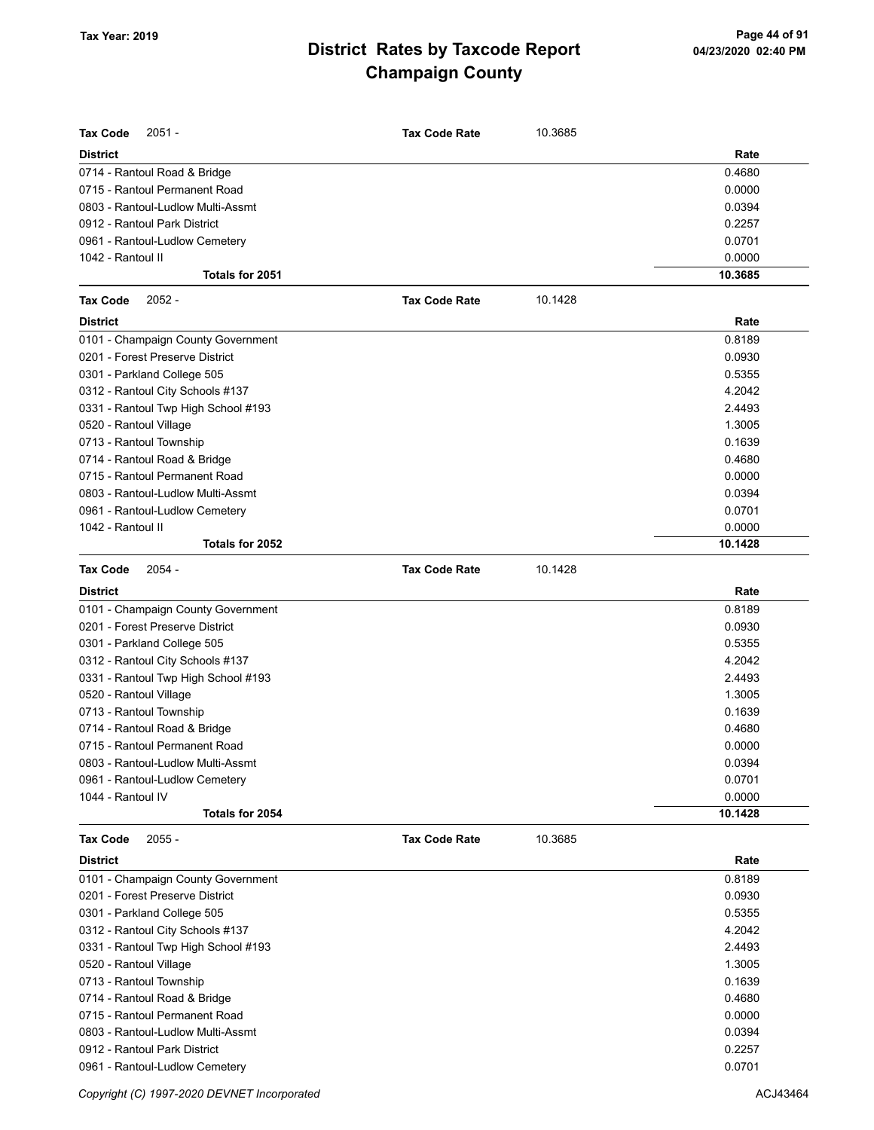| <b>Tax Code</b><br>$2051 -$         | <b>Tax Code Rate</b> | 10.3685 |         |
|-------------------------------------|----------------------|---------|---------|
| <b>District</b>                     |                      |         | Rate    |
| 0714 - Rantoul Road & Bridge        |                      |         | 0.4680  |
| 0715 - Rantoul Permanent Road       |                      |         | 0.0000  |
| 0803 - Rantoul-Ludlow Multi-Assmt   |                      |         | 0.0394  |
| 0912 - Rantoul Park District        |                      |         | 0.2257  |
| 0961 - Rantoul-Ludlow Cemetery      |                      |         | 0.0701  |
| 1042 - Rantoul II                   |                      |         | 0.0000  |
| Totals for 2051                     |                      |         | 10.3685 |
| <b>Tax Code</b><br>$2052 -$         | <b>Tax Code Rate</b> | 10.1428 |         |
| <b>District</b>                     |                      |         | Rate    |
| 0101 - Champaign County Government  |                      |         | 0.8189  |
| 0201 - Forest Preserve District     |                      |         | 0.0930  |
| 0301 - Parkland College 505         |                      |         | 0.5355  |
| 0312 - Rantoul City Schools #137    |                      |         | 4.2042  |
| 0331 - Rantoul Twp High School #193 |                      |         | 2.4493  |
| 0520 - Rantoul Village              |                      |         | 1.3005  |
| 0713 - Rantoul Township             |                      |         | 0.1639  |
| 0714 - Rantoul Road & Bridge        |                      |         | 0.4680  |
| 0715 - Rantoul Permanent Road       |                      |         | 0.0000  |
| 0803 - Rantoul-Ludlow Multi-Assmt   |                      |         | 0.0394  |
| 0961 - Rantoul-Ludlow Cemetery      |                      |         | 0.0701  |
| 1042 - Rantoul II                   |                      |         | 0.0000  |
| Totals for 2052                     |                      |         | 10.1428 |
| $2054 -$<br><b>Tax Code</b>         | <b>Tax Code Rate</b> | 10.1428 |         |
| <b>District</b>                     |                      |         | Rate    |
| 0101 - Champaign County Government  |                      |         | 0.8189  |
| 0201 - Forest Preserve District     |                      |         | 0.0930  |
| 0301 - Parkland College 505         |                      |         | 0.5355  |
| 0312 - Rantoul City Schools #137    |                      |         | 4.2042  |
| 0331 - Rantoul Twp High School #193 |                      |         | 2.4493  |
| 0520 - Rantoul Village              |                      |         | 1.3005  |
| 0713 - Rantoul Township             |                      |         | 0.1639  |
| 0714 - Rantoul Road & Bridge        |                      |         | 0.4680  |
| 0715 - Rantoul Permanent Road       |                      |         | 0.0000  |
| 0803 - Rantoul-Ludlow Multi-Assmt   |                      |         | 0.0394  |
| 0961 - Rantoul-Ludlow Cemetery      |                      |         | 0.0701  |
| 1044 - Rantoul IV                   |                      |         | 0.0000  |
| Totals for 2054                     |                      |         | 10.1428 |
| <b>Tax Code</b><br>$2055 -$         | <b>Tax Code Rate</b> | 10.3685 |         |
| <b>District</b>                     |                      |         | Rate    |
| 0101 - Champaign County Government  |                      |         | 0.8189  |
| 0201 - Forest Preserve District     |                      |         | 0.0930  |
| 0301 - Parkland College 505         |                      |         | 0.5355  |
| 0312 - Rantoul City Schools #137    |                      |         | 4.2042  |
| 0331 - Rantoul Twp High School #193 |                      |         | 2.4493  |
| 0520 - Rantoul Village              |                      |         | 1.3005  |
| 0713 - Rantoul Township             |                      |         | 0.1639  |
| 0714 - Rantoul Road & Bridge        |                      |         | 0.4680  |
| 0715 - Rantoul Permanent Road       |                      |         | 0.0000  |
| 0803 - Rantoul-Ludlow Multi-Assmt   |                      |         | 0.0394  |
| 0912 - Rantoul Park District        |                      |         | 0.2257  |
| 0961 - Rantoul-Ludlow Cemetery      |                      |         | 0.0701  |

Copyright (C) 1997-2020 DEVNET Incorporated **ACJ43464**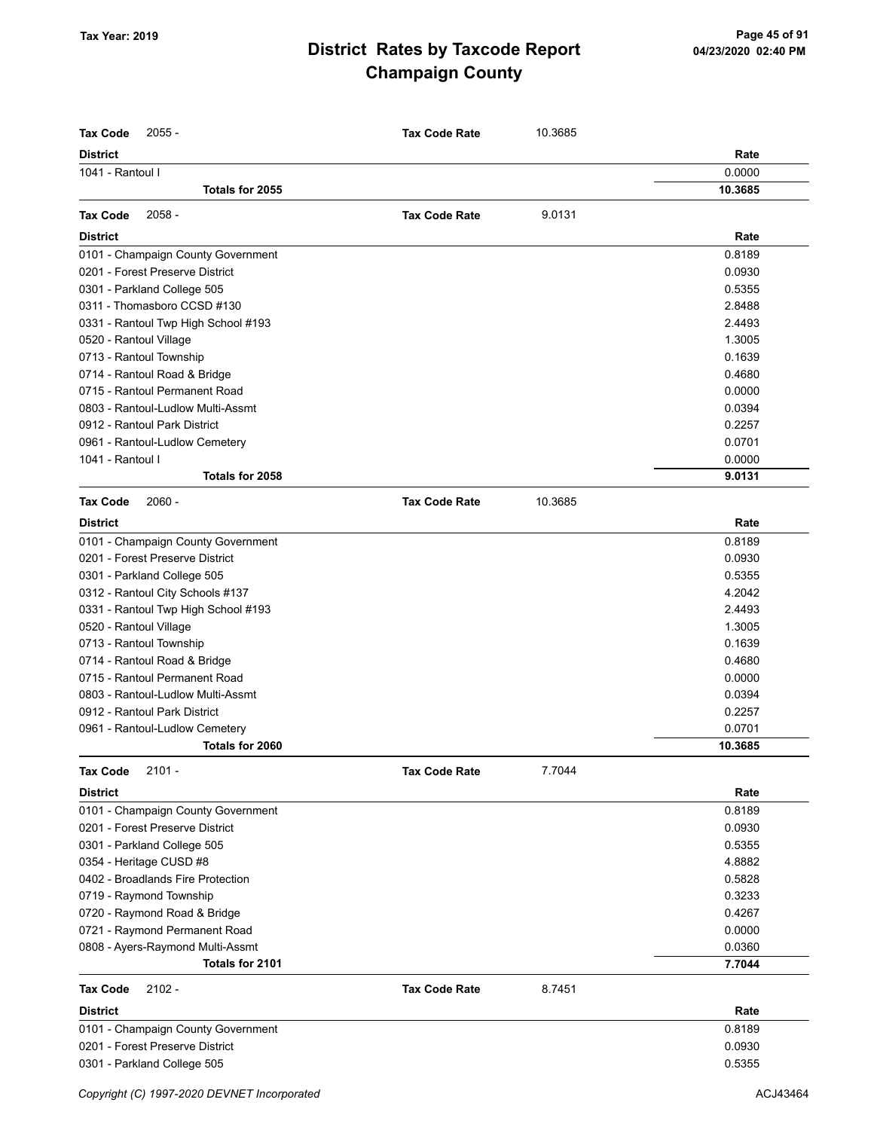| <b>District</b><br>Rate<br>0.0000<br>1041 - Rantoul I<br>Totals for 2055<br>10.3685<br>$2058 -$<br>9.0131<br><b>Tax Code</b><br><b>Tax Code Rate</b><br>Rate<br><b>District</b><br>0101 - Champaign County Government<br>0.8189<br>0201 - Forest Preserve District<br>0.0930<br>0301 - Parkland College 505<br>0.5355<br>0311 - Thomasboro CCSD #130<br>2.8488<br>0331 - Rantoul Twp High School #193<br>2.4493<br>1.3005<br>0520 - Rantoul Village<br>0713 - Rantoul Township<br>0.1639<br>0714 - Rantoul Road & Bridge<br>0.4680<br>0715 - Rantoul Permanent Road<br>0.0000<br>0803 - Rantoul-Ludlow Multi-Assmt<br>0.0394<br>0912 - Rantoul Park District<br>0.2257<br>0.0701<br>0961 - Rantoul-Ludlow Cemetery<br>1041 - Rantoul I<br>0.0000<br>Totals for 2058<br>9.0131<br><b>Tax Code</b><br>$2060 -$<br><b>Tax Code Rate</b><br>10.3685<br>Rate<br><b>District</b><br>0101 - Champaign County Government<br>0.8189<br>0201 - Forest Preserve District<br>0.0930<br>0301 - Parkland College 505<br>0.5355<br>0312 - Rantoul City Schools #137<br>4.2042<br>0331 - Rantoul Twp High School #193<br>2.4493<br>0520 - Rantoul Village<br>1.3005<br>0713 - Rantoul Township<br>0.1639<br>0714 - Rantoul Road & Bridge<br>0.4680<br>0715 - Rantoul Permanent Road<br>0.0000<br>0803 - Rantoul-Ludlow Multi-Assmt<br>0.0394<br>0912 - Rantoul Park District<br>0.2257<br>0.0701<br>0961 - Rantoul-Ludlow Cemetery<br>10.3685<br>Totals for 2060<br><b>Tax Code</b><br>$2101 -$<br><b>Tax Code Rate</b><br>7.7044<br><b>District</b><br>Rate<br>0101 - Champaign County Government<br>0.8189<br>0201 - Forest Preserve District<br>0.0930<br>0301 - Parkland College 505<br>0.5355<br>0354 - Heritage CUSD #8<br>4.8882<br>0402 - Broadlands Fire Protection<br>0.5828<br>0719 - Raymond Township<br>0.3233<br>0720 - Raymond Road & Bridge<br>0.4267<br>0721 - Raymond Permanent Road<br>0.0000<br>0808 - Ayers-Raymond Multi-Assmt<br>0.0360<br>7.7044<br>Totals for 2101<br><b>Tax Code</b><br>$2102 -$<br><b>Tax Code Rate</b><br>8.7451<br><b>District</b><br>Rate<br>0101 - Champaign County Government<br>0.8189<br>0201 - Forest Preserve District<br>0.0930<br>0301 - Parkland College 505<br>0.5355 | <b>Tax Code</b><br>$2055 -$ | <b>Tax Code Rate</b> | 10.3685 |  |
|---------------------------------------------------------------------------------------------------------------------------------------------------------------------------------------------------------------------------------------------------------------------------------------------------------------------------------------------------------------------------------------------------------------------------------------------------------------------------------------------------------------------------------------------------------------------------------------------------------------------------------------------------------------------------------------------------------------------------------------------------------------------------------------------------------------------------------------------------------------------------------------------------------------------------------------------------------------------------------------------------------------------------------------------------------------------------------------------------------------------------------------------------------------------------------------------------------------------------------------------------------------------------------------------------------------------------------------------------------------------------------------------------------------------------------------------------------------------------------------------------------------------------------------------------------------------------------------------------------------------------------------------------------------------------------------------------------------------------------------------------------------------------------------------------------------------------------------------------------------------------------------------------------------------------------------------------------------------------------------------------------------------------------------------------------------------------------------------------------------------------------------------------------------------------------------------------------------|-----------------------------|----------------------|---------|--|
|                                                                                                                                                                                                                                                                                                                                                                                                                                                                                                                                                                                                                                                                                                                                                                                                                                                                                                                                                                                                                                                                                                                                                                                                                                                                                                                                                                                                                                                                                                                                                                                                                                                                                                                                                                                                                                                                                                                                                                                                                                                                                                                                                                                                               |                             |                      |         |  |
|                                                                                                                                                                                                                                                                                                                                                                                                                                                                                                                                                                                                                                                                                                                                                                                                                                                                                                                                                                                                                                                                                                                                                                                                                                                                                                                                                                                                                                                                                                                                                                                                                                                                                                                                                                                                                                                                                                                                                                                                                                                                                                                                                                                                               |                             |                      |         |  |
|                                                                                                                                                                                                                                                                                                                                                                                                                                                                                                                                                                                                                                                                                                                                                                                                                                                                                                                                                                                                                                                                                                                                                                                                                                                                                                                                                                                                                                                                                                                                                                                                                                                                                                                                                                                                                                                                                                                                                                                                                                                                                                                                                                                                               |                             |                      |         |  |
|                                                                                                                                                                                                                                                                                                                                                                                                                                                                                                                                                                                                                                                                                                                                                                                                                                                                                                                                                                                                                                                                                                                                                                                                                                                                                                                                                                                                                                                                                                                                                                                                                                                                                                                                                                                                                                                                                                                                                                                                                                                                                                                                                                                                               |                             |                      |         |  |
|                                                                                                                                                                                                                                                                                                                                                                                                                                                                                                                                                                                                                                                                                                                                                                                                                                                                                                                                                                                                                                                                                                                                                                                                                                                                                                                                                                                                                                                                                                                                                                                                                                                                                                                                                                                                                                                                                                                                                                                                                                                                                                                                                                                                               |                             |                      |         |  |
|                                                                                                                                                                                                                                                                                                                                                                                                                                                                                                                                                                                                                                                                                                                                                                                                                                                                                                                                                                                                                                                                                                                                                                                                                                                                                                                                                                                                                                                                                                                                                                                                                                                                                                                                                                                                                                                                                                                                                                                                                                                                                                                                                                                                               |                             |                      |         |  |
|                                                                                                                                                                                                                                                                                                                                                                                                                                                                                                                                                                                                                                                                                                                                                                                                                                                                                                                                                                                                                                                                                                                                                                                                                                                                                                                                                                                                                                                                                                                                                                                                                                                                                                                                                                                                                                                                                                                                                                                                                                                                                                                                                                                                               |                             |                      |         |  |
|                                                                                                                                                                                                                                                                                                                                                                                                                                                                                                                                                                                                                                                                                                                                                                                                                                                                                                                                                                                                                                                                                                                                                                                                                                                                                                                                                                                                                                                                                                                                                                                                                                                                                                                                                                                                                                                                                                                                                                                                                                                                                                                                                                                                               |                             |                      |         |  |
|                                                                                                                                                                                                                                                                                                                                                                                                                                                                                                                                                                                                                                                                                                                                                                                                                                                                                                                                                                                                                                                                                                                                                                                                                                                                                                                                                                                                                                                                                                                                                                                                                                                                                                                                                                                                                                                                                                                                                                                                                                                                                                                                                                                                               |                             |                      |         |  |
|                                                                                                                                                                                                                                                                                                                                                                                                                                                                                                                                                                                                                                                                                                                                                                                                                                                                                                                                                                                                                                                                                                                                                                                                                                                                                                                                                                                                                                                                                                                                                                                                                                                                                                                                                                                                                                                                                                                                                                                                                                                                                                                                                                                                               |                             |                      |         |  |
|                                                                                                                                                                                                                                                                                                                                                                                                                                                                                                                                                                                                                                                                                                                                                                                                                                                                                                                                                                                                                                                                                                                                                                                                                                                                                                                                                                                                                                                                                                                                                                                                                                                                                                                                                                                                                                                                                                                                                                                                                                                                                                                                                                                                               |                             |                      |         |  |
|                                                                                                                                                                                                                                                                                                                                                                                                                                                                                                                                                                                                                                                                                                                                                                                                                                                                                                                                                                                                                                                                                                                                                                                                                                                                                                                                                                                                                                                                                                                                                                                                                                                                                                                                                                                                                                                                                                                                                                                                                                                                                                                                                                                                               |                             |                      |         |  |
|                                                                                                                                                                                                                                                                                                                                                                                                                                                                                                                                                                                                                                                                                                                                                                                                                                                                                                                                                                                                                                                                                                                                                                                                                                                                                                                                                                                                                                                                                                                                                                                                                                                                                                                                                                                                                                                                                                                                                                                                                                                                                                                                                                                                               |                             |                      |         |  |
|                                                                                                                                                                                                                                                                                                                                                                                                                                                                                                                                                                                                                                                                                                                                                                                                                                                                                                                                                                                                                                                                                                                                                                                                                                                                                                                                                                                                                                                                                                                                                                                                                                                                                                                                                                                                                                                                                                                                                                                                                                                                                                                                                                                                               |                             |                      |         |  |
|                                                                                                                                                                                                                                                                                                                                                                                                                                                                                                                                                                                                                                                                                                                                                                                                                                                                                                                                                                                                                                                                                                                                                                                                                                                                                                                                                                                                                                                                                                                                                                                                                                                                                                                                                                                                                                                                                                                                                                                                                                                                                                                                                                                                               |                             |                      |         |  |
|                                                                                                                                                                                                                                                                                                                                                                                                                                                                                                                                                                                                                                                                                                                                                                                                                                                                                                                                                                                                                                                                                                                                                                                                                                                                                                                                                                                                                                                                                                                                                                                                                                                                                                                                                                                                                                                                                                                                                                                                                                                                                                                                                                                                               |                             |                      |         |  |
|                                                                                                                                                                                                                                                                                                                                                                                                                                                                                                                                                                                                                                                                                                                                                                                                                                                                                                                                                                                                                                                                                                                                                                                                                                                                                                                                                                                                                                                                                                                                                                                                                                                                                                                                                                                                                                                                                                                                                                                                                                                                                                                                                                                                               |                             |                      |         |  |
|                                                                                                                                                                                                                                                                                                                                                                                                                                                                                                                                                                                                                                                                                                                                                                                                                                                                                                                                                                                                                                                                                                                                                                                                                                                                                                                                                                                                                                                                                                                                                                                                                                                                                                                                                                                                                                                                                                                                                                                                                                                                                                                                                                                                               |                             |                      |         |  |
|                                                                                                                                                                                                                                                                                                                                                                                                                                                                                                                                                                                                                                                                                                                                                                                                                                                                                                                                                                                                                                                                                                                                                                                                                                                                                                                                                                                                                                                                                                                                                                                                                                                                                                                                                                                                                                                                                                                                                                                                                                                                                                                                                                                                               |                             |                      |         |  |
|                                                                                                                                                                                                                                                                                                                                                                                                                                                                                                                                                                                                                                                                                                                                                                                                                                                                                                                                                                                                                                                                                                                                                                                                                                                                                                                                                                                                                                                                                                                                                                                                                                                                                                                                                                                                                                                                                                                                                                                                                                                                                                                                                                                                               |                             |                      |         |  |
|                                                                                                                                                                                                                                                                                                                                                                                                                                                                                                                                                                                                                                                                                                                                                                                                                                                                                                                                                                                                                                                                                                                                                                                                                                                                                                                                                                                                                                                                                                                                                                                                                                                                                                                                                                                                                                                                                                                                                                                                                                                                                                                                                                                                               |                             |                      |         |  |
|                                                                                                                                                                                                                                                                                                                                                                                                                                                                                                                                                                                                                                                                                                                                                                                                                                                                                                                                                                                                                                                                                                                                                                                                                                                                                                                                                                                                                                                                                                                                                                                                                                                                                                                                                                                                                                                                                                                                                                                                                                                                                                                                                                                                               |                             |                      |         |  |
|                                                                                                                                                                                                                                                                                                                                                                                                                                                                                                                                                                                                                                                                                                                                                                                                                                                                                                                                                                                                                                                                                                                                                                                                                                                                                                                                                                                                                                                                                                                                                                                                                                                                                                                                                                                                                                                                                                                                                                                                                                                                                                                                                                                                               |                             |                      |         |  |
|                                                                                                                                                                                                                                                                                                                                                                                                                                                                                                                                                                                                                                                                                                                                                                                                                                                                                                                                                                                                                                                                                                                                                                                                                                                                                                                                                                                                                                                                                                                                                                                                                                                                                                                                                                                                                                                                                                                                                                                                                                                                                                                                                                                                               |                             |                      |         |  |
|                                                                                                                                                                                                                                                                                                                                                                                                                                                                                                                                                                                                                                                                                                                                                                                                                                                                                                                                                                                                                                                                                                                                                                                                                                                                                                                                                                                                                                                                                                                                                                                                                                                                                                                                                                                                                                                                                                                                                                                                                                                                                                                                                                                                               |                             |                      |         |  |
|                                                                                                                                                                                                                                                                                                                                                                                                                                                                                                                                                                                                                                                                                                                                                                                                                                                                                                                                                                                                                                                                                                                                                                                                                                                                                                                                                                                                                                                                                                                                                                                                                                                                                                                                                                                                                                                                                                                                                                                                                                                                                                                                                                                                               |                             |                      |         |  |
|                                                                                                                                                                                                                                                                                                                                                                                                                                                                                                                                                                                                                                                                                                                                                                                                                                                                                                                                                                                                                                                                                                                                                                                                                                                                                                                                                                                                                                                                                                                                                                                                                                                                                                                                                                                                                                                                                                                                                                                                                                                                                                                                                                                                               |                             |                      |         |  |
|                                                                                                                                                                                                                                                                                                                                                                                                                                                                                                                                                                                                                                                                                                                                                                                                                                                                                                                                                                                                                                                                                                                                                                                                                                                                                                                                                                                                                                                                                                                                                                                                                                                                                                                                                                                                                                                                                                                                                                                                                                                                                                                                                                                                               |                             |                      |         |  |
|                                                                                                                                                                                                                                                                                                                                                                                                                                                                                                                                                                                                                                                                                                                                                                                                                                                                                                                                                                                                                                                                                                                                                                                                                                                                                                                                                                                                                                                                                                                                                                                                                                                                                                                                                                                                                                                                                                                                                                                                                                                                                                                                                                                                               |                             |                      |         |  |
|                                                                                                                                                                                                                                                                                                                                                                                                                                                                                                                                                                                                                                                                                                                                                                                                                                                                                                                                                                                                                                                                                                                                                                                                                                                                                                                                                                                                                                                                                                                                                                                                                                                                                                                                                                                                                                                                                                                                                                                                                                                                                                                                                                                                               |                             |                      |         |  |
|                                                                                                                                                                                                                                                                                                                                                                                                                                                                                                                                                                                                                                                                                                                                                                                                                                                                                                                                                                                                                                                                                                                                                                                                                                                                                                                                                                                                                                                                                                                                                                                                                                                                                                                                                                                                                                                                                                                                                                                                                                                                                                                                                                                                               |                             |                      |         |  |
|                                                                                                                                                                                                                                                                                                                                                                                                                                                                                                                                                                                                                                                                                                                                                                                                                                                                                                                                                                                                                                                                                                                                                                                                                                                                                                                                                                                                                                                                                                                                                                                                                                                                                                                                                                                                                                                                                                                                                                                                                                                                                                                                                                                                               |                             |                      |         |  |
|                                                                                                                                                                                                                                                                                                                                                                                                                                                                                                                                                                                                                                                                                                                                                                                                                                                                                                                                                                                                                                                                                                                                                                                                                                                                                                                                                                                                                                                                                                                                                                                                                                                                                                                                                                                                                                                                                                                                                                                                                                                                                                                                                                                                               |                             |                      |         |  |
|                                                                                                                                                                                                                                                                                                                                                                                                                                                                                                                                                                                                                                                                                                                                                                                                                                                                                                                                                                                                                                                                                                                                                                                                                                                                                                                                                                                                                                                                                                                                                                                                                                                                                                                                                                                                                                                                                                                                                                                                                                                                                                                                                                                                               |                             |                      |         |  |
|                                                                                                                                                                                                                                                                                                                                                                                                                                                                                                                                                                                                                                                                                                                                                                                                                                                                                                                                                                                                                                                                                                                                                                                                                                                                                                                                                                                                                                                                                                                                                                                                                                                                                                                                                                                                                                                                                                                                                                                                                                                                                                                                                                                                               |                             |                      |         |  |
|                                                                                                                                                                                                                                                                                                                                                                                                                                                                                                                                                                                                                                                                                                                                                                                                                                                                                                                                                                                                                                                                                                                                                                                                                                                                                                                                                                                                                                                                                                                                                                                                                                                                                                                                                                                                                                                                                                                                                                                                                                                                                                                                                                                                               |                             |                      |         |  |
|                                                                                                                                                                                                                                                                                                                                                                                                                                                                                                                                                                                                                                                                                                                                                                                                                                                                                                                                                                                                                                                                                                                                                                                                                                                                                                                                                                                                                                                                                                                                                                                                                                                                                                                                                                                                                                                                                                                                                                                                                                                                                                                                                                                                               |                             |                      |         |  |
|                                                                                                                                                                                                                                                                                                                                                                                                                                                                                                                                                                                                                                                                                                                                                                                                                                                                                                                                                                                                                                                                                                                                                                                                                                                                                                                                                                                                                                                                                                                                                                                                                                                                                                                                                                                                                                                                                                                                                                                                                                                                                                                                                                                                               |                             |                      |         |  |
|                                                                                                                                                                                                                                                                                                                                                                                                                                                                                                                                                                                                                                                                                                                                                                                                                                                                                                                                                                                                                                                                                                                                                                                                                                                                                                                                                                                                                                                                                                                                                                                                                                                                                                                                                                                                                                                                                                                                                                                                                                                                                                                                                                                                               |                             |                      |         |  |
|                                                                                                                                                                                                                                                                                                                                                                                                                                                                                                                                                                                                                                                                                                                                                                                                                                                                                                                                                                                                                                                                                                                                                                                                                                                                                                                                                                                                                                                                                                                                                                                                                                                                                                                                                                                                                                                                                                                                                                                                                                                                                                                                                                                                               |                             |                      |         |  |
|                                                                                                                                                                                                                                                                                                                                                                                                                                                                                                                                                                                                                                                                                                                                                                                                                                                                                                                                                                                                                                                                                                                                                                                                                                                                                                                                                                                                                                                                                                                                                                                                                                                                                                                                                                                                                                                                                                                                                                                                                                                                                                                                                                                                               |                             |                      |         |  |
|                                                                                                                                                                                                                                                                                                                                                                                                                                                                                                                                                                                                                                                                                                                                                                                                                                                                                                                                                                                                                                                                                                                                                                                                                                                                                                                                                                                                                                                                                                                                                                                                                                                                                                                                                                                                                                                                                                                                                                                                                                                                                                                                                                                                               |                             |                      |         |  |
|                                                                                                                                                                                                                                                                                                                                                                                                                                                                                                                                                                                                                                                                                                                                                                                                                                                                                                                                                                                                                                                                                                                                                                                                                                                                                                                                                                                                                                                                                                                                                                                                                                                                                                                                                                                                                                                                                                                                                                                                                                                                                                                                                                                                               |                             |                      |         |  |
|                                                                                                                                                                                                                                                                                                                                                                                                                                                                                                                                                                                                                                                                                                                                                                                                                                                                                                                                                                                                                                                                                                                                                                                                                                                                                                                                                                                                                                                                                                                                                                                                                                                                                                                                                                                                                                                                                                                                                                                                                                                                                                                                                                                                               |                             |                      |         |  |
|                                                                                                                                                                                                                                                                                                                                                                                                                                                                                                                                                                                                                                                                                                                                                                                                                                                                                                                                                                                                                                                                                                                                                                                                                                                                                                                                                                                                                                                                                                                                                                                                                                                                                                                                                                                                                                                                                                                                                                                                                                                                                                                                                                                                               |                             |                      |         |  |
|                                                                                                                                                                                                                                                                                                                                                                                                                                                                                                                                                                                                                                                                                                                                                                                                                                                                                                                                                                                                                                                                                                                                                                                                                                                                                                                                                                                                                                                                                                                                                                                                                                                                                                                                                                                                                                                                                                                                                                                                                                                                                                                                                                                                               |                             |                      |         |  |
|                                                                                                                                                                                                                                                                                                                                                                                                                                                                                                                                                                                                                                                                                                                                                                                                                                                                                                                                                                                                                                                                                                                                                                                                                                                                                                                                                                                                                                                                                                                                                                                                                                                                                                                                                                                                                                                                                                                                                                                                                                                                                                                                                                                                               |                             |                      |         |  |
|                                                                                                                                                                                                                                                                                                                                                                                                                                                                                                                                                                                                                                                                                                                                                                                                                                                                                                                                                                                                                                                                                                                                                                                                                                                                                                                                                                                                                                                                                                                                                                                                                                                                                                                                                                                                                                                                                                                                                                                                                                                                                                                                                                                                               |                             |                      |         |  |
|                                                                                                                                                                                                                                                                                                                                                                                                                                                                                                                                                                                                                                                                                                                                                                                                                                                                                                                                                                                                                                                                                                                                                                                                                                                                                                                                                                                                                                                                                                                                                                                                                                                                                                                                                                                                                                                                                                                                                                                                                                                                                                                                                                                                               |                             |                      |         |  |
|                                                                                                                                                                                                                                                                                                                                                                                                                                                                                                                                                                                                                                                                                                                                                                                                                                                                                                                                                                                                                                                                                                                                                                                                                                                                                                                                                                                                                                                                                                                                                                                                                                                                                                                                                                                                                                                                                                                                                                                                                                                                                                                                                                                                               |                             |                      |         |  |
|                                                                                                                                                                                                                                                                                                                                                                                                                                                                                                                                                                                                                                                                                                                                                                                                                                                                                                                                                                                                                                                                                                                                                                                                                                                                                                                                                                                                                                                                                                                                                                                                                                                                                                                                                                                                                                                                                                                                                                                                                                                                                                                                                                                                               |                             |                      |         |  |
|                                                                                                                                                                                                                                                                                                                                                                                                                                                                                                                                                                                                                                                                                                                                                                                                                                                                                                                                                                                                                                                                                                                                                                                                                                                                                                                                                                                                                                                                                                                                                                                                                                                                                                                                                                                                                                                                                                                                                                                                                                                                                                                                                                                                               |                             |                      |         |  |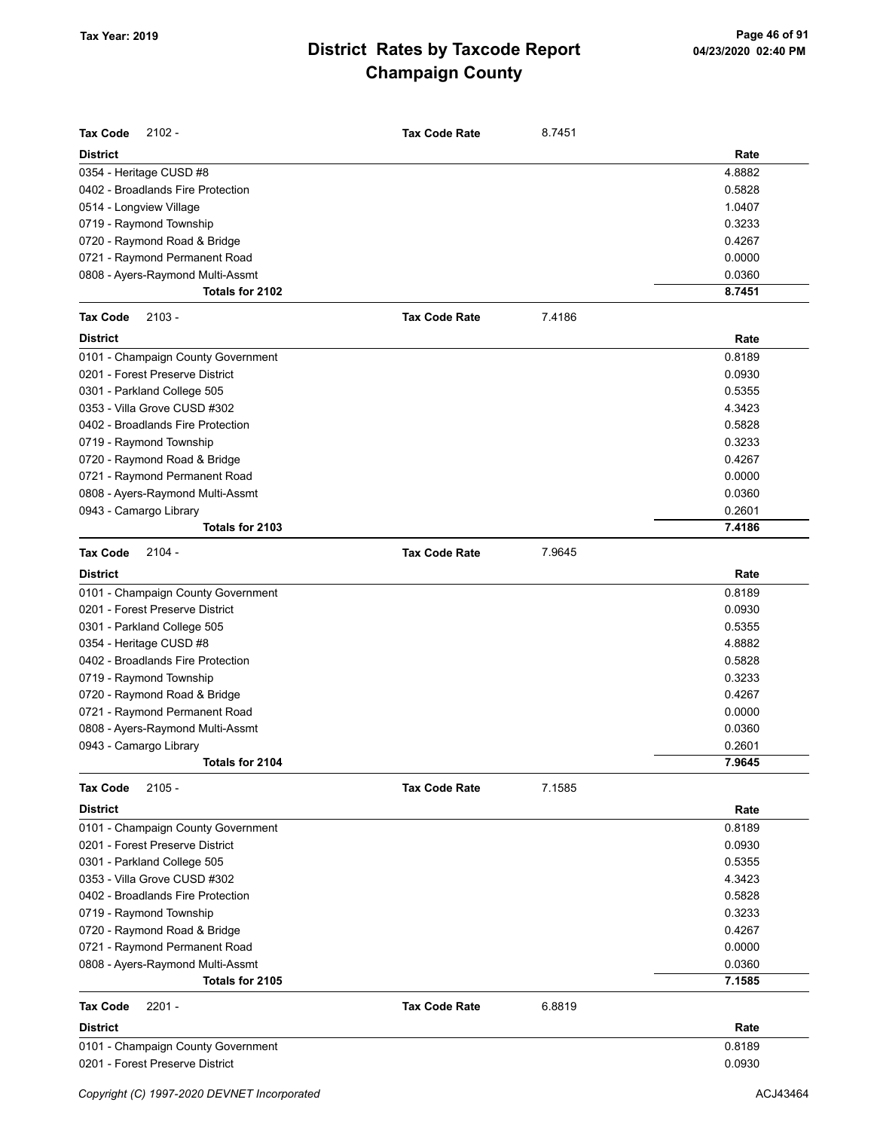| <b>Tax Code</b><br>$2102 -$                                       | <b>Tax Code Rate</b> | 8.7451 |                  |
|-------------------------------------------------------------------|----------------------|--------|------------------|
| <b>District</b>                                                   |                      |        | Rate             |
| 0354 - Heritage CUSD #8                                           |                      |        | 4.8882           |
| 0402 - Broadlands Fire Protection                                 |                      |        | 0.5828           |
| 0514 - Longview Village                                           |                      |        | 1.0407           |
| 0719 - Raymond Township                                           |                      |        | 0.3233           |
| 0720 - Raymond Road & Bridge                                      |                      |        | 0.4267           |
| 0721 - Raymond Permanent Road                                     |                      |        | 0.0000           |
| 0808 - Ayers-Raymond Multi-Assmt                                  |                      |        | 0.0360           |
| Totals for 2102                                                   |                      |        | 8.7451           |
| $2103 -$<br><b>Tax Code</b>                                       | <b>Tax Code Rate</b> | 7.4186 |                  |
| <b>District</b>                                                   |                      |        | Rate             |
| 0101 - Champaign County Government                                |                      |        | 0.8189           |
| 0201 - Forest Preserve District                                   |                      |        | 0.0930           |
| 0301 - Parkland College 505                                       |                      |        | 0.5355           |
| 0353 - Villa Grove CUSD #302                                      |                      |        | 4.3423           |
| 0402 - Broadlands Fire Protection                                 |                      |        | 0.5828           |
| 0719 - Raymond Township                                           |                      |        | 0.3233           |
| 0720 - Raymond Road & Bridge                                      |                      |        | 0.4267           |
| 0721 - Raymond Permanent Road                                     |                      |        | 0.0000           |
| 0808 - Ayers-Raymond Multi-Assmt                                  |                      |        | 0.0360           |
| 0943 - Camargo Library                                            |                      |        | 0.2601           |
| Totals for 2103                                                   |                      |        | 7.4186           |
| <b>Tax Code</b><br>$2104 -$                                       | <b>Tax Code Rate</b> | 7.9645 |                  |
| <b>District</b>                                                   |                      |        | Rate             |
| 0101 - Champaign County Government                                |                      |        | 0.8189           |
| 0201 - Forest Preserve District                                   |                      |        | 0.0930           |
| 0301 - Parkland College 505                                       |                      |        | 0.5355           |
| 0354 - Heritage CUSD #8                                           |                      |        | 4.8882           |
| 0402 - Broadlands Fire Protection                                 |                      |        | 0.5828           |
| 0719 - Raymond Township                                           |                      |        | 0.3233           |
| 0720 - Raymond Road & Bridge                                      |                      |        | 0.4267           |
| 0721 - Raymond Permanent Road                                     |                      |        | 0.0000           |
| 0808 - Ayers-Raymond Multi-Assmt                                  |                      |        | 0.0360           |
| 0943 - Camargo Library                                            |                      |        | 0.2601           |
| Totals for 2104                                                   |                      |        | 7.9645           |
| $2105 -$<br><b>Tax Code</b>                                       | <b>Tax Code Rate</b> | 7.1585 |                  |
| <b>District</b>                                                   |                      |        | Rate             |
| 0101 - Champaign County Government                                |                      |        | 0.8189           |
| 0201 - Forest Preserve District                                   |                      |        | 0.0930           |
| 0301 - Parkland College 505                                       |                      |        | 0.5355           |
| 0353 - Villa Grove CUSD #302                                      |                      |        | 4.3423           |
| 0402 - Broadlands Fire Protection                                 |                      |        | 0.5828           |
| 0719 - Raymond Township                                           |                      |        | 0.3233           |
| 0720 - Raymond Road & Bridge                                      |                      |        | 0.4267           |
| 0721 - Raymond Permanent Road<br>0808 - Ayers-Raymond Multi-Assmt |                      |        | 0.0000<br>0.0360 |
| Totals for 2105                                                   |                      |        | 7.1585           |
|                                                                   |                      |        |                  |
| <b>Tax Code</b><br>$2201 -$                                       | <b>Tax Code Rate</b> | 6.8819 |                  |
| <b>District</b>                                                   |                      |        | Rate             |
| 0101 - Champaign County Government                                |                      |        | 0.8189           |
| 0201 - Forest Preserve District                                   |                      |        | 0.0930           |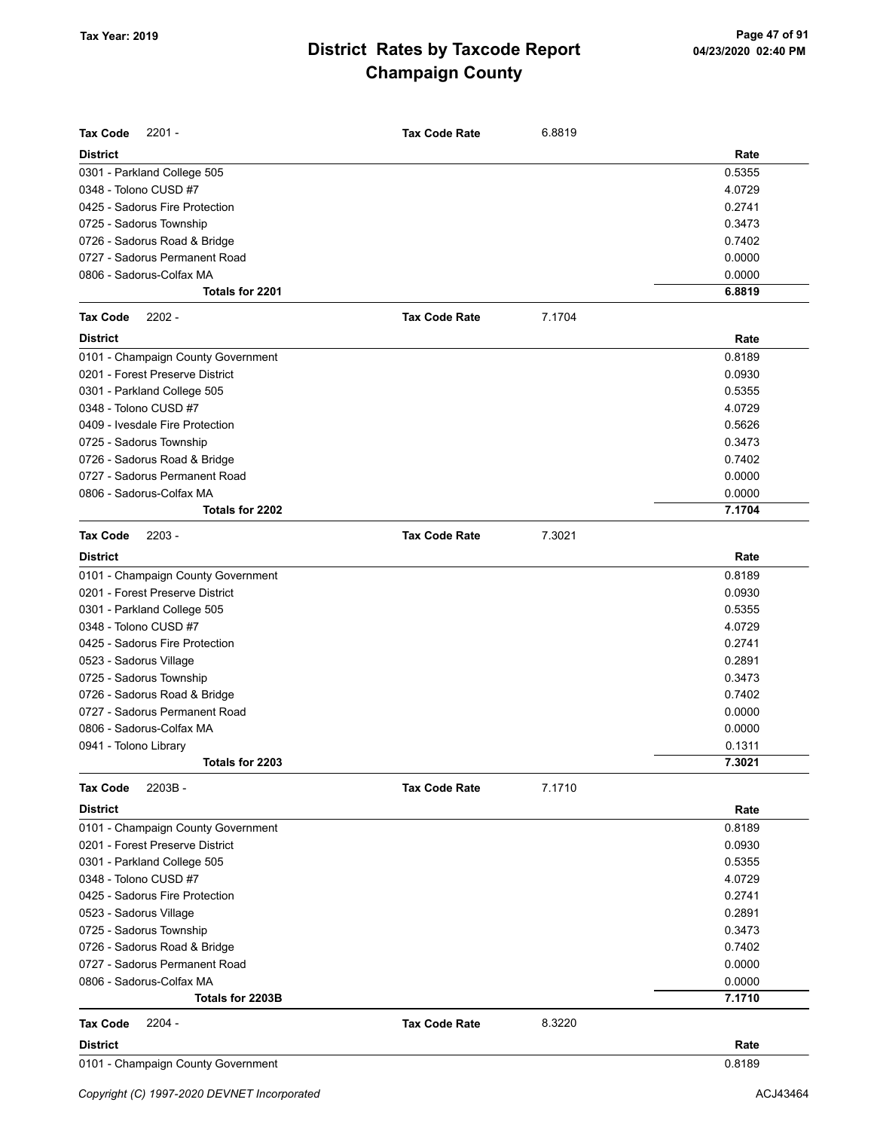| <b>Tax Code</b><br>$2201 -$        | <b>Tax Code Rate</b> | 6.8819 |        |
|------------------------------------|----------------------|--------|--------|
| <b>District</b>                    |                      |        | Rate   |
| 0301 - Parkland College 505        |                      |        | 0.5355 |
| 0348 - Tolono CUSD #7              |                      |        | 4.0729 |
| 0425 - Sadorus Fire Protection     |                      |        | 0.2741 |
| 0725 - Sadorus Township            |                      |        | 0.3473 |
| 0726 - Sadorus Road & Bridge       |                      |        | 0.7402 |
| 0727 - Sadorus Permanent Road      |                      |        | 0.0000 |
| 0806 - Sadorus-Colfax MA           |                      |        | 0.0000 |
| Totals for 2201                    |                      |        | 6.8819 |
| $2202 -$<br><b>Tax Code</b>        | <b>Tax Code Rate</b> | 7.1704 |        |
| <b>District</b>                    |                      |        | Rate   |
| 0101 - Champaign County Government |                      |        | 0.8189 |
| 0201 - Forest Preserve District    |                      |        | 0.0930 |
| 0301 - Parkland College 505        |                      |        | 0.5355 |
| 0348 - Tolono CUSD #7              |                      |        | 4.0729 |
| 0409 - Ivesdale Fire Protection    |                      |        | 0.5626 |
| 0725 - Sadorus Township            |                      |        | 0.3473 |
| 0726 - Sadorus Road & Bridge       |                      |        | 0.7402 |
| 0727 - Sadorus Permanent Road      |                      |        | 0.0000 |
| 0806 - Sadorus-Colfax MA           |                      |        | 0.0000 |
| Totals for 2202                    |                      |        | 7.1704 |
| <b>Tax Code</b><br>$2203 -$        | <b>Tax Code Rate</b> | 7.3021 |        |
| <b>District</b>                    |                      |        | Rate   |
| 0101 - Champaign County Government |                      |        | 0.8189 |
| 0201 - Forest Preserve District    |                      |        | 0.0930 |
| 0301 - Parkland College 505        |                      |        | 0.5355 |
| 0348 - Tolono CUSD #7              |                      |        | 4.0729 |
| 0425 - Sadorus Fire Protection     |                      |        | 0.2741 |
| 0523 - Sadorus Village             |                      |        | 0.2891 |
| 0725 - Sadorus Township            |                      |        | 0.3473 |
| 0726 - Sadorus Road & Bridge       |                      |        | 0.7402 |
| 0727 - Sadorus Permanent Road      |                      |        | 0.0000 |
| 0806 - Sadorus-Colfax MA           |                      |        | 0.0000 |
| 0941 - Tolono Library              |                      |        | 0.1311 |
| Totals for 2203                    |                      |        | 7.3021 |
| 2203B-<br><b>Tax Code</b>          | <b>Tax Code Rate</b> | 7.1710 |        |
| <b>District</b>                    |                      |        | Rate   |
| 0101 - Champaign County Government |                      |        | 0.8189 |
| 0201 - Forest Preserve District    |                      |        | 0.0930 |
| 0301 - Parkland College 505        |                      |        | 0.5355 |
| 0348 - Tolono CUSD #7              |                      |        | 4.0729 |
| 0425 - Sadorus Fire Protection     |                      |        | 0.2741 |
| 0523 - Sadorus Village             |                      |        | 0.2891 |
| 0725 - Sadorus Township            |                      |        | 0.3473 |
| 0726 - Sadorus Road & Bridge       |                      |        | 0.7402 |
| 0727 - Sadorus Permanent Road      |                      |        | 0.0000 |
| 0806 - Sadorus-Colfax MA           |                      |        | 0.0000 |
| Totals for 2203B                   |                      |        | 7.1710 |
| $2204 -$<br><b>Tax Code</b>        | <b>Tax Code Rate</b> | 8.3220 |        |
| <b>District</b>                    |                      |        | Rate   |
| 0101 - Champaign County Government |                      |        | 0.8189 |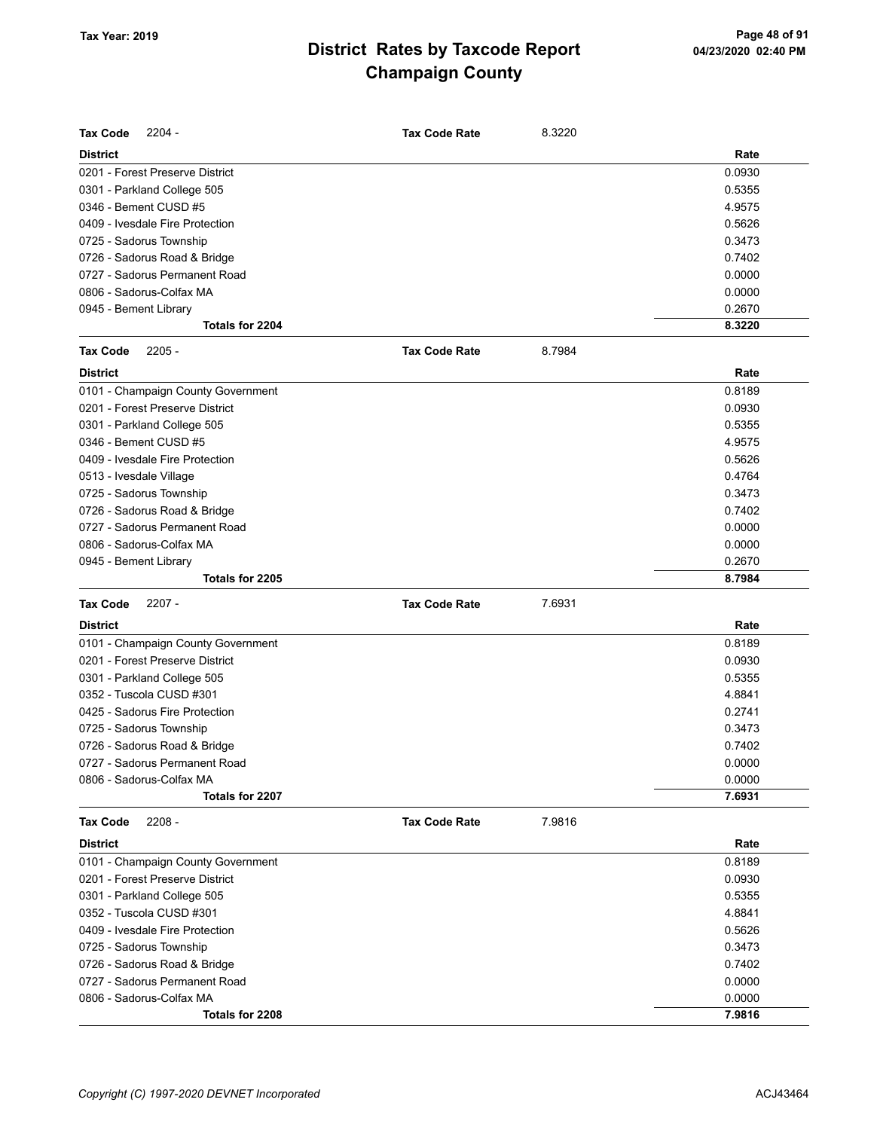| <b>Tax Code</b><br>$2204 -$        | <b>Tax Code Rate</b> | 8.3220 |        |
|------------------------------------|----------------------|--------|--------|
| <b>District</b>                    |                      |        | Rate   |
| 0201 - Forest Preserve District    |                      |        | 0.0930 |
| 0301 - Parkland College 505        |                      |        | 0.5355 |
| 0346 - Bement CUSD #5              |                      |        | 4.9575 |
| 0409 - Ivesdale Fire Protection    |                      |        | 0.5626 |
| 0725 - Sadorus Township            |                      |        | 0.3473 |
| 0726 - Sadorus Road & Bridge       |                      |        | 0.7402 |
| 0727 - Sadorus Permanent Road      |                      |        | 0.0000 |
| 0806 - Sadorus-Colfax MA           |                      |        | 0.0000 |
| 0945 - Bement Library              |                      |        | 0.2670 |
| Totals for 2204                    |                      |        | 8.3220 |
| <b>Tax Code</b><br>$2205 -$        | <b>Tax Code Rate</b> | 8.7984 |        |
| <b>District</b>                    |                      |        | Rate   |
| 0101 - Champaign County Government |                      |        | 0.8189 |
| 0201 - Forest Preserve District    |                      |        | 0.0930 |
| 0301 - Parkland College 505        |                      |        | 0.5355 |
| 0346 - Bement CUSD #5              |                      |        | 4.9575 |
| 0409 - Ivesdale Fire Protection    |                      |        | 0.5626 |
| 0513 - Ivesdale Village            |                      |        | 0.4764 |
| 0725 - Sadorus Township            |                      |        | 0.3473 |
| 0726 - Sadorus Road & Bridge       |                      |        | 0.7402 |
| 0727 - Sadorus Permanent Road      |                      |        | 0.0000 |
| 0806 - Sadorus-Colfax MA           |                      |        | 0.0000 |
| 0945 - Bement Library              |                      |        | 0.2670 |
| Totals for 2205                    |                      |        | 8.7984 |
|                                    |                      |        |        |
| <b>Tax Code</b><br>$2207 -$        | <b>Tax Code Rate</b> | 7.6931 |        |
| <b>District</b>                    |                      |        | Rate   |
| 0101 - Champaign County Government |                      |        | 0.8189 |
| 0201 - Forest Preserve District    |                      |        | 0.0930 |
| 0301 - Parkland College 505        |                      |        | 0.5355 |
| 0352 - Tuscola CUSD #301           |                      |        | 4.8841 |
| 0425 - Sadorus Fire Protection     |                      |        | 0.2741 |
| 0725 - Sadorus Township            |                      |        | 0.3473 |
| 0726 - Sadorus Road & Bridge       |                      |        | 0.7402 |
| 0727 - Sadorus Permanent Road      |                      |        | 0.0000 |
| 0806 - Sadorus-Colfax MA           |                      |        | 0.0000 |
| Totals for 2207                    |                      |        | 7.6931 |
| <b>Tax Code</b><br>$2208 -$        | <b>Tax Code Rate</b> | 7.9816 |        |
| <b>District</b>                    |                      |        | Rate   |
| 0101 - Champaign County Government |                      |        | 0.8189 |
| 0201 - Forest Preserve District    |                      |        | 0.0930 |
| 0301 - Parkland College 505        |                      |        | 0.5355 |
| 0352 - Tuscola CUSD #301           |                      |        | 4.8841 |
| 0409 - Ivesdale Fire Protection    |                      |        | 0.5626 |
| 0725 - Sadorus Township            |                      |        | 0.3473 |
| 0726 - Sadorus Road & Bridge       |                      |        | 0.7402 |
| 0727 - Sadorus Permanent Road      |                      |        | 0.0000 |
| 0806 - Sadorus-Colfax MA           |                      |        | 0.0000 |
| Totals for 2208                    |                      |        | 7.9816 |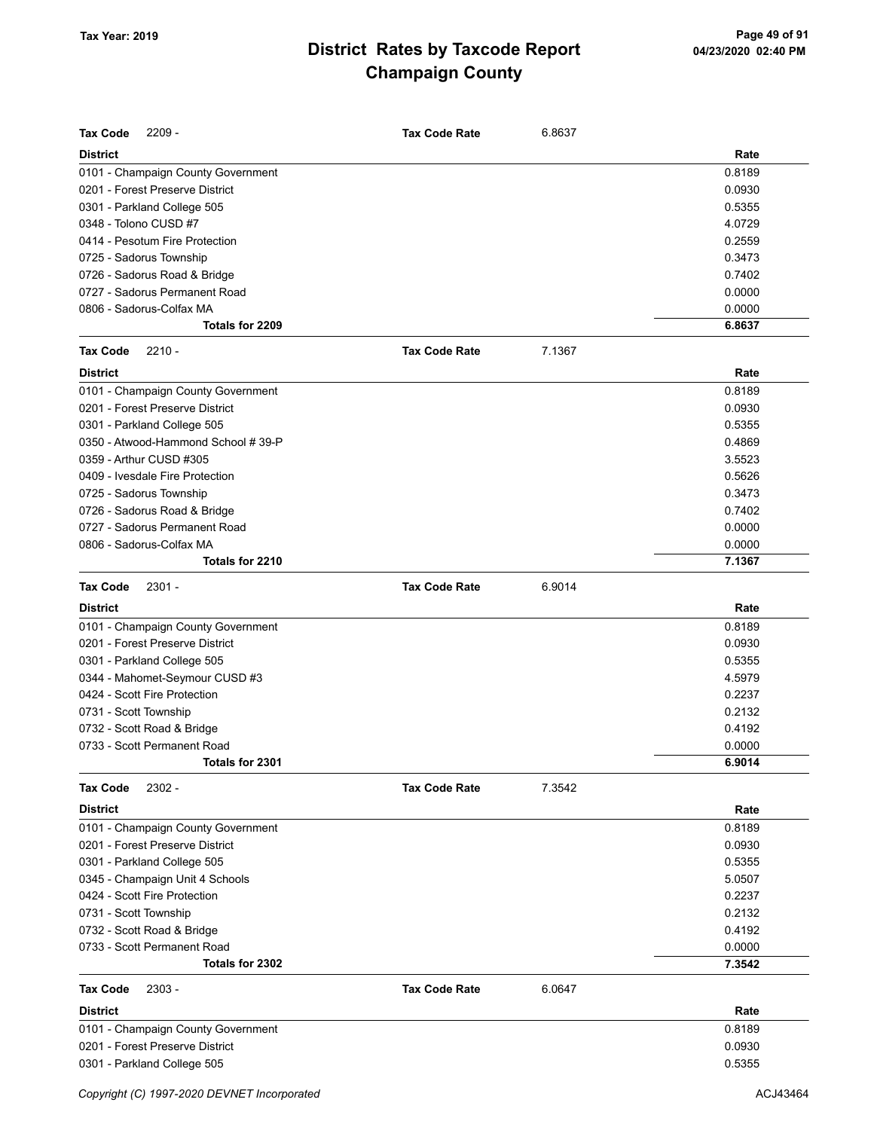| <b>Tax Code</b><br>$2209 -$        | <b>Tax Code Rate</b> | 6.8637 |        |
|------------------------------------|----------------------|--------|--------|
| <b>District</b>                    |                      |        | Rate   |
| 0101 - Champaign County Government |                      |        | 0.8189 |
| 0201 - Forest Preserve District    |                      |        | 0.0930 |
| 0301 - Parkland College 505        |                      |        | 0.5355 |
| 0348 - Tolono CUSD #7              |                      |        | 4.0729 |
| 0414 - Pesotum Fire Protection     |                      |        | 0.2559 |
| 0725 - Sadorus Township            |                      |        | 0.3473 |
| 0726 - Sadorus Road & Bridge       |                      |        | 0.7402 |
| 0727 - Sadorus Permanent Road      |                      |        | 0.0000 |
| 0806 - Sadorus-Colfax MA           |                      |        | 0.0000 |
| Totals for 2209                    |                      |        | 6.8637 |
| <b>Tax Code</b><br>$2210 -$        | <b>Tax Code Rate</b> | 7.1367 |        |
| <b>District</b>                    |                      |        | Rate   |
| 0101 - Champaign County Government |                      |        | 0.8189 |
| 0201 - Forest Preserve District    |                      |        | 0.0930 |
| 0301 - Parkland College 505        |                      |        | 0.5355 |
| 0350 - Atwood-Hammond School #39-P |                      |        | 0.4869 |
| 0359 - Arthur CUSD #305            |                      |        | 3.5523 |
| 0409 - Ivesdale Fire Protection    |                      |        | 0.5626 |
| 0725 - Sadorus Township            |                      |        | 0.3473 |
| 0726 - Sadorus Road & Bridge       |                      |        | 0.7402 |
| 0727 - Sadorus Permanent Road      |                      |        | 0.0000 |
| 0806 - Sadorus-Colfax MA           |                      |        | 0.0000 |
| Totals for 2210                    |                      |        | 7.1367 |
| <b>Tax Code</b><br>$2301 -$        | <b>Tax Code Rate</b> | 6.9014 |        |
| <b>District</b>                    |                      |        | Rate   |
| 0101 - Champaign County Government |                      |        | 0.8189 |
| 0201 - Forest Preserve District    |                      |        | 0.0930 |
| 0301 - Parkland College 505        |                      |        | 0.5355 |
| 0344 - Mahomet-Seymour CUSD #3     |                      |        | 4.5979 |
| 0424 - Scott Fire Protection       |                      |        | 0.2237 |
| 0731 - Scott Township              |                      |        | 0.2132 |
| 0732 - Scott Road & Bridge         |                      |        | 0.4192 |
| 0733 - Scott Permanent Road        |                      |        | 0.0000 |
| Totals for 2301                    |                      |        | 6.9014 |
|                                    |                      |        |        |
| 2302 -<br><b>Tax Code</b>          | <b>Tax Code Rate</b> | 7.3542 |        |
| <b>District</b>                    |                      |        | Rate   |
| 0101 - Champaign County Government |                      |        | 0.8189 |
| 0201 - Forest Preserve District    |                      |        | 0.0930 |
| 0301 - Parkland College 505        |                      |        | 0.5355 |
| 0345 - Champaign Unit 4 Schools    |                      |        | 5.0507 |
| 0424 - Scott Fire Protection       |                      |        | 0.2237 |
| 0731 - Scott Township              |                      |        | 0.2132 |
| 0732 - Scott Road & Bridge         |                      |        | 0.4192 |
| 0733 - Scott Permanent Road        |                      |        | 0.0000 |
| Totals for 2302                    |                      |        | 7.3542 |
| <b>Tax Code</b><br>$2303 -$        | <b>Tax Code Rate</b> | 6.0647 |        |
| <b>District</b>                    |                      |        | Rate   |
| 0101 - Champaign County Government |                      |        | 0.8189 |
| 0201 - Forest Preserve District    |                      |        | 0.0930 |
| 0301 - Parkland College 505        |                      |        | 0.5355 |
|                                    |                      |        |        |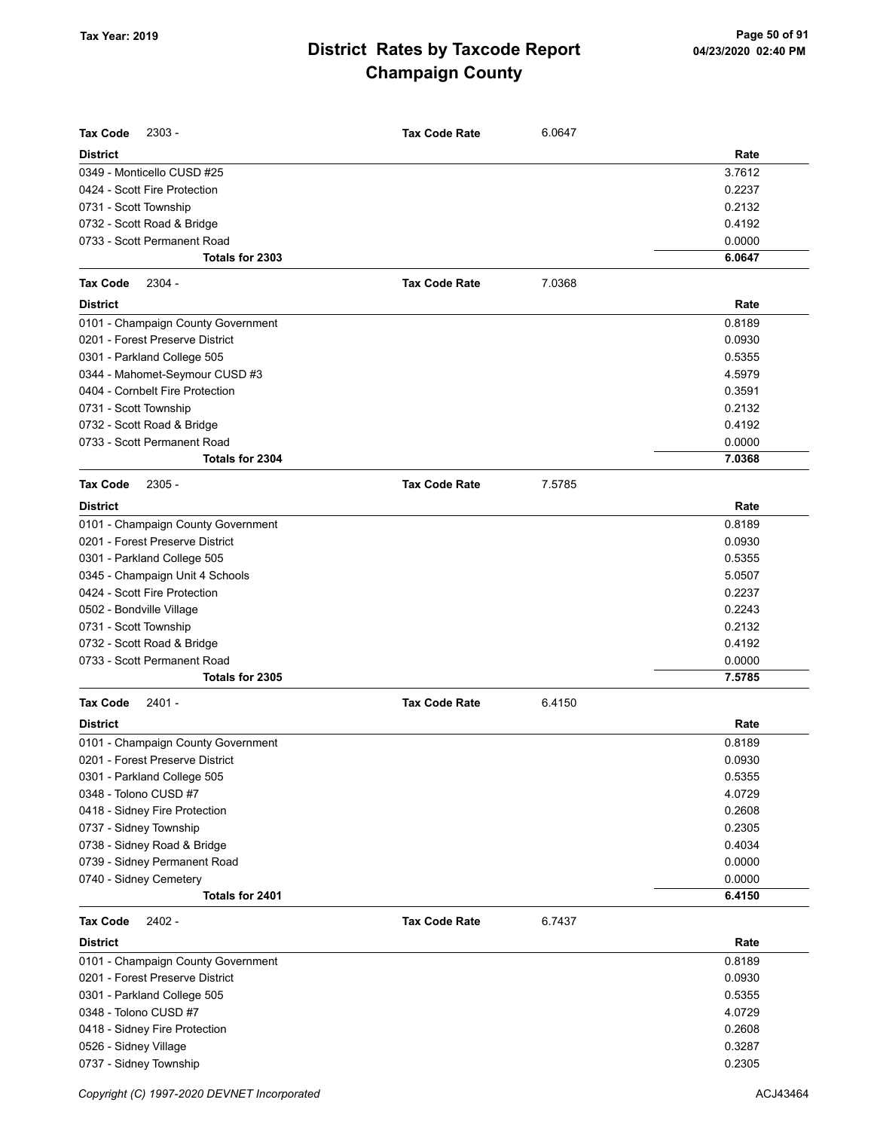| <b>Tax Code</b><br>$2303 -$        | <b>Tax Code Rate</b> | 6.0647 |        |
|------------------------------------|----------------------|--------|--------|
| <b>District</b>                    |                      |        | Rate   |
| 0349 - Monticello CUSD #25         |                      |        | 3.7612 |
| 0424 - Scott Fire Protection       |                      |        | 0.2237 |
| 0731 - Scott Township              |                      |        | 0.2132 |
| 0732 - Scott Road & Bridge         |                      |        | 0.4192 |
| 0733 - Scott Permanent Road        |                      |        | 0.0000 |
| Totals for 2303                    |                      |        | 6.0647 |
| <b>Tax Code</b><br>2304 -          | <b>Tax Code Rate</b> | 7.0368 |        |
| <b>District</b>                    |                      |        | Rate   |
| 0101 - Champaign County Government |                      |        | 0.8189 |
| 0201 - Forest Preserve District    |                      |        | 0.0930 |
| 0301 - Parkland College 505        |                      |        | 0.5355 |
| 0344 - Mahomet-Seymour CUSD #3     |                      |        | 4.5979 |
| 0404 - Cornbelt Fire Protection    |                      |        | 0.3591 |
| 0731 - Scott Township              |                      |        | 0.2132 |
| 0732 - Scott Road & Bridge         |                      |        | 0.4192 |
| 0733 - Scott Permanent Road        |                      |        | 0.0000 |
| Totals for 2304                    |                      |        | 7.0368 |
| <b>Tax Code</b><br>$2305 -$        | <b>Tax Code Rate</b> | 7.5785 |        |
| <b>District</b>                    |                      |        | Rate   |
| 0101 - Champaign County Government |                      |        | 0.8189 |
| 0201 - Forest Preserve District    |                      |        | 0.0930 |
| 0301 - Parkland College 505        |                      |        | 0.5355 |
| 0345 - Champaign Unit 4 Schools    |                      |        | 5.0507 |
| 0424 - Scott Fire Protection       |                      |        | 0.2237 |
| 0502 - Bondville Village           |                      |        | 0.2243 |
| 0731 - Scott Township              |                      |        | 0.2132 |
| 0732 - Scott Road & Bridge         |                      |        | 0.4192 |
| 0733 - Scott Permanent Road        |                      |        | 0.0000 |
| Totals for 2305                    |                      |        | 7.5785 |
| <b>Tax Code</b><br>$2401 -$        | <b>Tax Code Rate</b> | 6.4150 |        |
| <b>District</b>                    |                      |        | Rate   |
| 0101 - Champaign County Government |                      |        | 0.8189 |
| 0201 - Forest Preserve District    |                      |        | 0.0930 |
| 0301 - Parkland College 505        |                      |        | 0.5355 |
| 0348 - Tolono CUSD #7              |                      |        | 4.0729 |
| 0418 - Sidney Fire Protection      |                      |        | 0.2608 |
| 0737 - Sidney Township             |                      |        | 0.2305 |
| 0738 - Sidney Road & Bridge        |                      |        | 0.4034 |
| 0739 - Sidney Permanent Road       |                      |        | 0.0000 |
| 0740 - Sidney Cemetery             |                      |        | 0.0000 |
| Totals for 2401                    |                      |        | 6.4150 |
| 2402 -<br><b>Tax Code</b>          | <b>Tax Code Rate</b> | 6.7437 |        |
| <b>District</b>                    |                      |        | Rate   |
| 0101 - Champaign County Government |                      |        | 0.8189 |
| 0201 - Forest Preserve District    |                      |        | 0.0930 |
| 0301 - Parkland College 505        |                      |        | 0.5355 |
| 0348 - Tolono CUSD #7              |                      |        | 4.0729 |
| 0418 - Sidney Fire Protection      |                      |        | 0.2608 |
| 0526 - Sidney Village              |                      |        | 0.3287 |
| 0737 - Sidney Township             |                      |        | 0.2305 |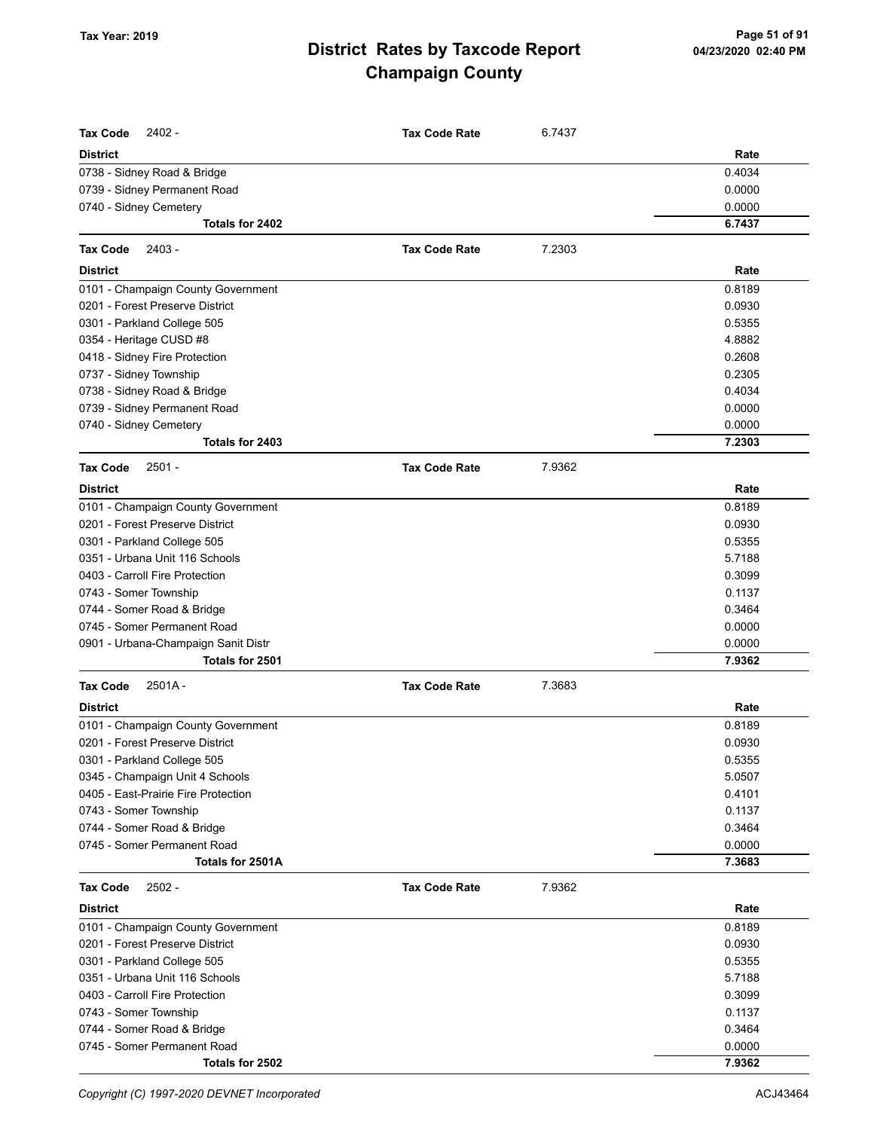| <b>Tax Code</b><br>$2402 -$         | <b>Tax Code Rate</b> | 6.7437 |        |
|-------------------------------------|----------------------|--------|--------|
| <b>District</b>                     |                      |        | Rate   |
| 0738 - Sidney Road & Bridge         |                      |        | 0.4034 |
| 0739 - Sidney Permanent Road        |                      |        | 0.0000 |
| 0740 - Sidney Cemetery              |                      |        | 0.0000 |
| Totals for 2402                     |                      |        | 6.7437 |
| <b>Tax Code</b><br>2403 -           | <b>Tax Code Rate</b> | 7.2303 |        |
|                                     |                      |        |        |
| <b>District</b>                     |                      |        | Rate   |
| 0101 - Champaign County Government  |                      |        | 0.8189 |
| 0201 - Forest Preserve District     |                      |        | 0.0930 |
| 0301 - Parkland College 505         |                      |        | 0.5355 |
| 0354 - Heritage CUSD #8             |                      |        | 4.8882 |
| 0418 - Sidney Fire Protection       |                      |        | 0.2608 |
| 0737 - Sidney Township              |                      |        | 0.2305 |
| 0738 - Sidney Road & Bridge         |                      |        | 0.4034 |
| 0739 - Sidney Permanent Road        |                      |        | 0.0000 |
| 0740 - Sidney Cemetery              |                      |        | 0.0000 |
| Totals for 2403                     |                      |        | 7.2303 |
| <b>Tax Code</b><br>2501 -           | <b>Tax Code Rate</b> | 7.9362 |        |
| <b>District</b>                     |                      |        | Rate   |
| 0101 - Champaign County Government  |                      |        | 0.8189 |
| 0201 - Forest Preserve District     |                      |        | 0.0930 |
| 0301 - Parkland College 505         |                      |        | 0.5355 |
| 0351 - Urbana Unit 116 Schools      |                      |        | 5.7188 |
| 0403 - Carroll Fire Protection      |                      |        | 0.3099 |
| 0743 - Somer Township               |                      |        | 0.1137 |
| 0744 - Somer Road & Bridge          |                      |        | 0.3464 |
| 0745 - Somer Permanent Road         |                      |        | 0.0000 |
| 0901 - Urbana-Champaign Sanit Distr |                      |        | 0.0000 |
| Totals for 2501                     |                      |        | 7.9362 |
| $2501A -$<br><b>Tax Code</b>        | <b>Tax Code Rate</b> | 7.3683 |        |
| <b>District</b>                     |                      |        | Rate   |
| 0101 - Champaign County Government  |                      |        | 0.8189 |
| 0201 - Forest Preserve District     |                      |        | 0.0930 |
| 0301 - Parkland College 505         |                      |        | 0.5355 |
| 0345 - Champaign Unit 4 Schools     |                      |        | 5.0507 |
| 0405 - East-Prairie Fire Protection |                      |        | 0.4101 |
| 0743 - Somer Township               |                      |        | 0.1137 |
| 0744 - Somer Road & Bridge          |                      |        | 0.3464 |
| 0745 - Somer Permanent Road         |                      |        | 0.0000 |
| Totals for 2501A                    |                      |        | 7.3683 |
| <b>Tax Code</b><br>2502 -           | <b>Tax Code Rate</b> | 7.9362 |        |
| <b>District</b>                     |                      |        | Rate   |
| 0101 - Champaign County Government  |                      |        | 0.8189 |
| 0201 - Forest Preserve District     |                      |        | 0.0930 |
| 0301 - Parkland College 505         |                      |        | 0.5355 |
| 0351 - Urbana Unit 116 Schools      |                      |        | 5.7188 |
| 0403 - Carroll Fire Protection      |                      |        | 0.3099 |
| 0743 - Somer Township               |                      |        | 0.1137 |
| 0744 - Somer Road & Bridge          |                      |        | 0.3464 |
| 0745 - Somer Permanent Road         |                      |        | 0.0000 |
| Totals for 2502                     |                      |        | 7.9362 |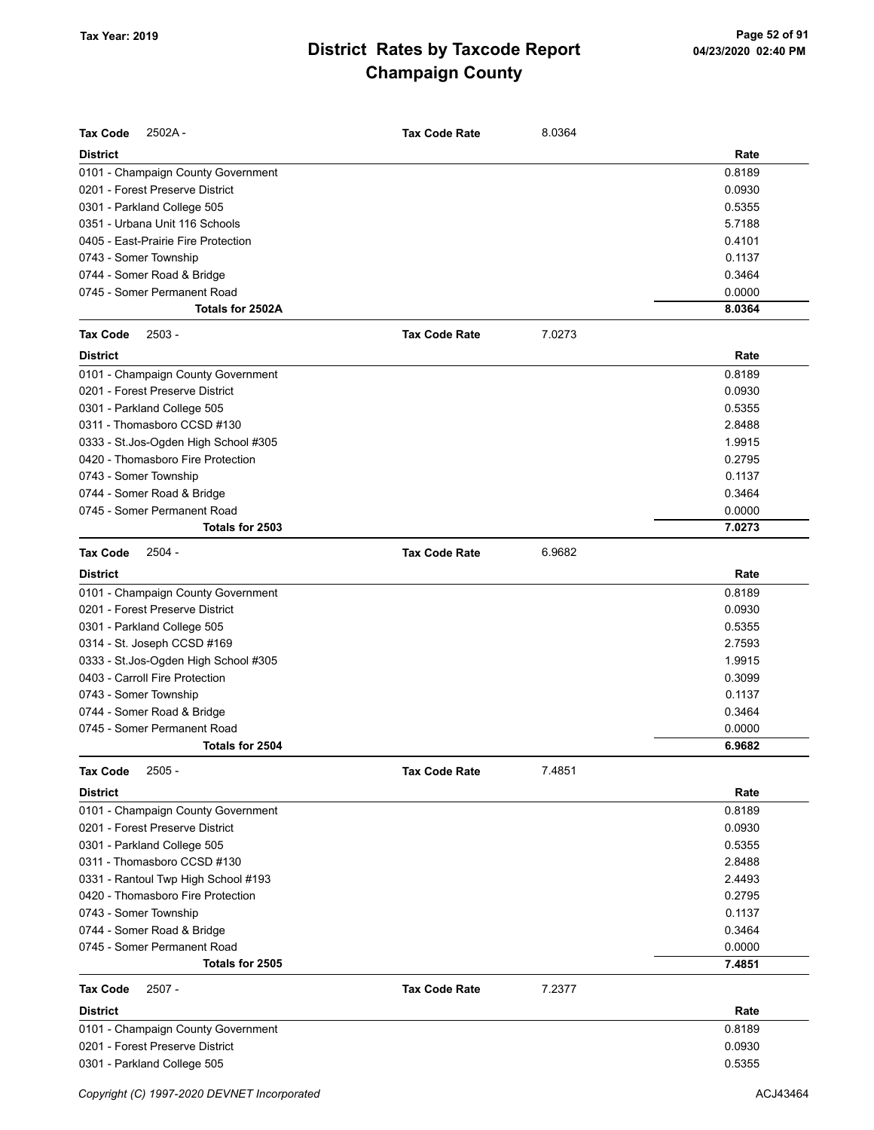| <b>Tax Code</b><br>$2502A -$         | <b>Tax Code Rate</b> | 8.0364 |        |
|--------------------------------------|----------------------|--------|--------|
| <b>District</b>                      |                      |        | Rate   |
| 0101 - Champaign County Government   |                      |        | 0.8189 |
| 0201 - Forest Preserve District      |                      |        | 0.0930 |
| 0301 - Parkland College 505          |                      |        | 0.5355 |
| 0351 - Urbana Unit 116 Schools       |                      |        | 5.7188 |
| 0405 - East-Prairie Fire Protection  |                      |        | 0.4101 |
| 0743 - Somer Township                |                      |        | 0.1137 |
| 0744 - Somer Road & Bridge           |                      |        | 0.3464 |
| 0745 - Somer Permanent Road          |                      |        | 0.0000 |
| Totals for 2502A                     |                      |        | 8.0364 |
| $2503 -$<br><b>Tax Code</b>          | <b>Tax Code Rate</b> | 7.0273 |        |
| <b>District</b>                      |                      |        | Rate   |
| 0101 - Champaign County Government   |                      |        | 0.8189 |
| 0201 - Forest Preserve District      |                      |        | 0.0930 |
| 0301 - Parkland College 505          |                      |        | 0.5355 |
| 0311 - Thomasboro CCSD #130          |                      |        | 2.8488 |
| 0333 - St.Jos-Ogden High School #305 |                      |        | 1.9915 |
| 0420 - Thomasboro Fire Protection    |                      |        | 0.2795 |
| 0743 - Somer Township                |                      |        | 0.1137 |
| 0744 - Somer Road & Bridge           |                      |        | 0.3464 |
| 0745 - Somer Permanent Road          |                      |        | 0.0000 |
| Totals for 2503                      |                      |        | 7.0273 |
| $2504 -$<br><b>Tax Code</b>          | <b>Tax Code Rate</b> | 6.9682 |        |
| <b>District</b>                      |                      |        | Rate   |
| 0101 - Champaign County Government   |                      |        | 0.8189 |
| 0201 - Forest Preserve District      |                      |        | 0.0930 |
| 0301 - Parkland College 505          |                      |        | 0.5355 |
| 0314 - St. Joseph CCSD #169          |                      |        | 2.7593 |
| 0333 - St.Jos-Ogden High School #305 |                      |        | 1.9915 |
| 0403 - Carroll Fire Protection       |                      |        | 0.3099 |
| 0743 - Somer Township                |                      |        | 0.1137 |
| 0744 - Somer Road & Bridge           |                      |        | 0.3464 |
| 0745 - Somer Permanent Road          |                      |        | 0.0000 |
| Totals for 2504                      |                      |        | 6.9682 |
| <b>Tax Code</b><br>$2505 -$          | <b>Tax Code Rate</b> | 7.4851 |        |
| <b>District</b>                      |                      |        | Rate   |
| 0101 - Champaign County Government   |                      |        | 0.8189 |
| 0201 - Forest Preserve District      |                      |        | 0.0930 |
| 0301 - Parkland College 505          |                      |        | 0.5355 |
| 0311 - Thomasboro CCSD #130          |                      |        | 2.8488 |
| 0331 - Rantoul Twp High School #193  |                      |        | 2.4493 |
| 0420 - Thomasboro Fire Protection    |                      |        | 0.2795 |
| 0743 - Somer Township                |                      |        | 0.1137 |
| 0744 - Somer Road & Bridge           |                      |        | 0.3464 |
| 0745 - Somer Permanent Road          |                      |        | 0.0000 |
| Totals for 2505                      |                      |        | 7.4851 |
| <b>Tax Code</b><br>$2507 -$          | <b>Tax Code Rate</b> | 7.2377 |        |
| <b>District</b>                      |                      |        | Rate   |
| 0101 - Champaign County Government   |                      |        | 0.8189 |
| 0201 - Forest Preserve District      |                      |        | 0.0930 |
| 0301 - Parkland College 505          |                      |        | 0.5355 |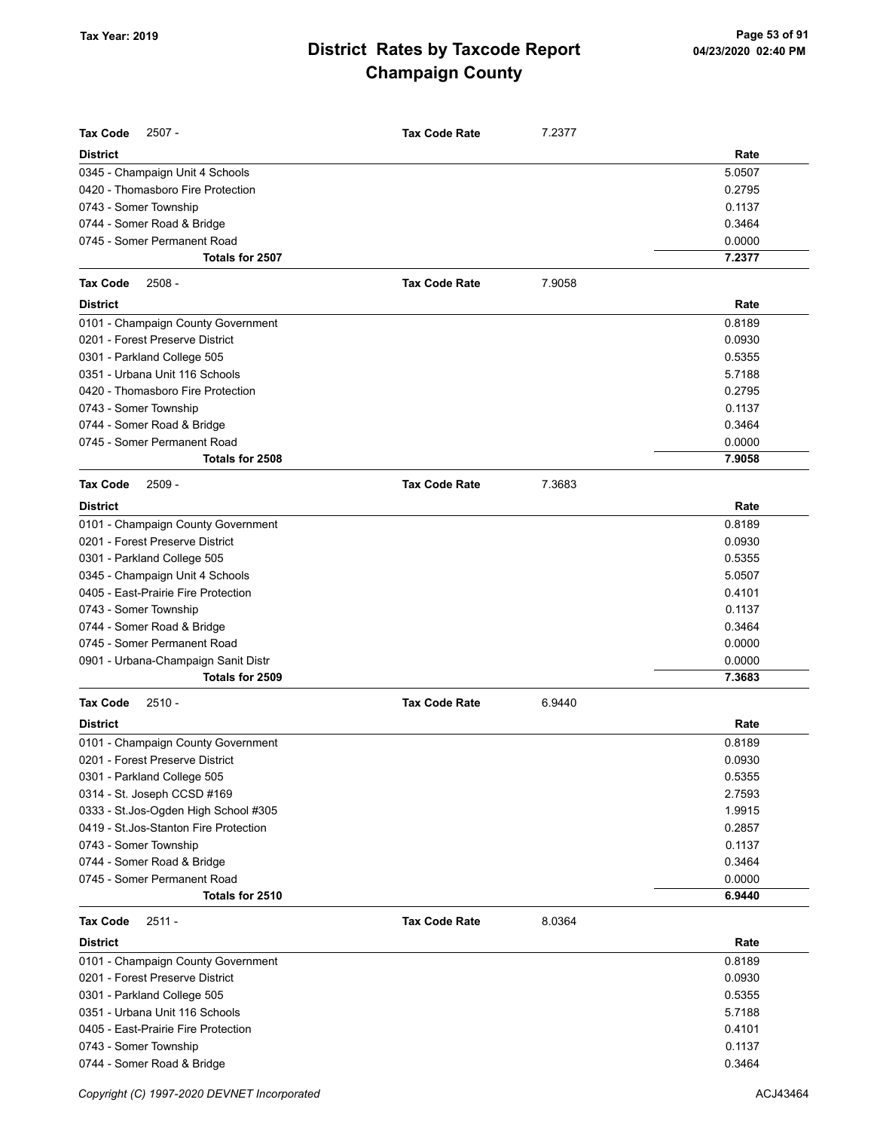| <b>Tax Code</b><br>$2507 -$            | <b>Tax Code Rate</b> | 7.2377 |        |
|----------------------------------------|----------------------|--------|--------|
| <b>District</b>                        |                      |        | Rate   |
| 0345 - Champaign Unit 4 Schools        |                      |        | 5.0507 |
| 0420 - Thomasboro Fire Protection      |                      |        | 0.2795 |
| 0743 - Somer Township                  |                      |        | 0.1137 |
| 0744 - Somer Road & Bridge             |                      |        | 0.3464 |
| 0745 - Somer Permanent Road            |                      |        | 0.0000 |
| Totals for 2507                        |                      |        | 7.2377 |
| <b>Tax Code</b><br>$2508 -$            | <b>Tax Code Rate</b> | 7.9058 |        |
| <b>District</b>                        |                      |        | Rate   |
| 0101 - Champaign County Government     |                      |        | 0.8189 |
| 0201 - Forest Preserve District        |                      |        | 0.0930 |
| 0301 - Parkland College 505            |                      |        | 0.5355 |
| 0351 - Urbana Unit 116 Schools         |                      |        | 5.7188 |
| 0420 - Thomasboro Fire Protection      |                      |        | 0.2795 |
| 0743 - Somer Township                  |                      |        | 0.1137 |
| 0744 - Somer Road & Bridge             |                      |        | 0.3464 |
| 0745 - Somer Permanent Road            |                      |        | 0.0000 |
| Totals for 2508                        |                      |        | 7.9058 |
| <b>Tax Code</b><br>$2509 -$            | <b>Tax Code Rate</b> | 7.3683 |        |
| <b>District</b>                        |                      |        | Rate   |
| 0101 - Champaign County Government     |                      |        | 0.8189 |
| 0201 - Forest Preserve District        |                      |        | 0.0930 |
| 0301 - Parkland College 505            |                      |        | 0.5355 |
| 0345 - Champaign Unit 4 Schools        |                      |        | 5.0507 |
| 0405 - East-Prairie Fire Protection    |                      |        | 0.4101 |
| 0743 - Somer Township                  |                      |        | 0.1137 |
| 0744 - Somer Road & Bridge             |                      |        | 0.3464 |
| 0745 - Somer Permanent Road            |                      |        | 0.0000 |
| 0901 - Urbana-Champaign Sanit Distr    |                      |        | 0.0000 |
| Totals for 2509                        |                      |        | 7.3683 |
| $2510 -$<br><b>Tax Code</b>            | <b>Tax Code Rate</b> | 6.9440 |        |
| <b>District</b>                        |                      |        | Rate   |
| 0101 - Champaign County Government     |                      |        | 0.8189 |
| 0201 - Forest Preserve District        |                      |        | 0.0930 |
| 0301 - Parkland College 505            |                      |        | 0.5355 |
| 0314 - St. Joseph CCSD #169            |                      |        | 2.7593 |
| 0333 - St.Jos-Ogden High School #305   |                      |        | 1.9915 |
| 0419 - St. Jos-Stanton Fire Protection |                      |        | 0.2857 |
| 0743 - Somer Township                  |                      |        | 0.1137 |
| 0744 - Somer Road & Bridge             |                      |        | 0.3464 |
| 0745 - Somer Permanent Road            |                      |        | 0.0000 |
| Totals for 2510                        |                      |        | 6.9440 |
| $2511 -$<br><b>Tax Code</b>            | <b>Tax Code Rate</b> | 8.0364 |        |
| <b>District</b>                        |                      |        | Rate   |
| 0101 - Champaign County Government     |                      |        | 0.8189 |
| 0201 - Forest Preserve District        |                      |        | 0.0930 |
| 0301 - Parkland College 505            |                      |        | 0.5355 |
| 0351 - Urbana Unit 116 Schools         |                      |        | 5.7188 |
| 0405 - East-Prairie Fire Protection    |                      |        | 0.4101 |
| 0743 - Somer Township                  |                      |        | 0.1137 |
| 0744 - Somer Road & Bridge             |                      |        | 0.3464 |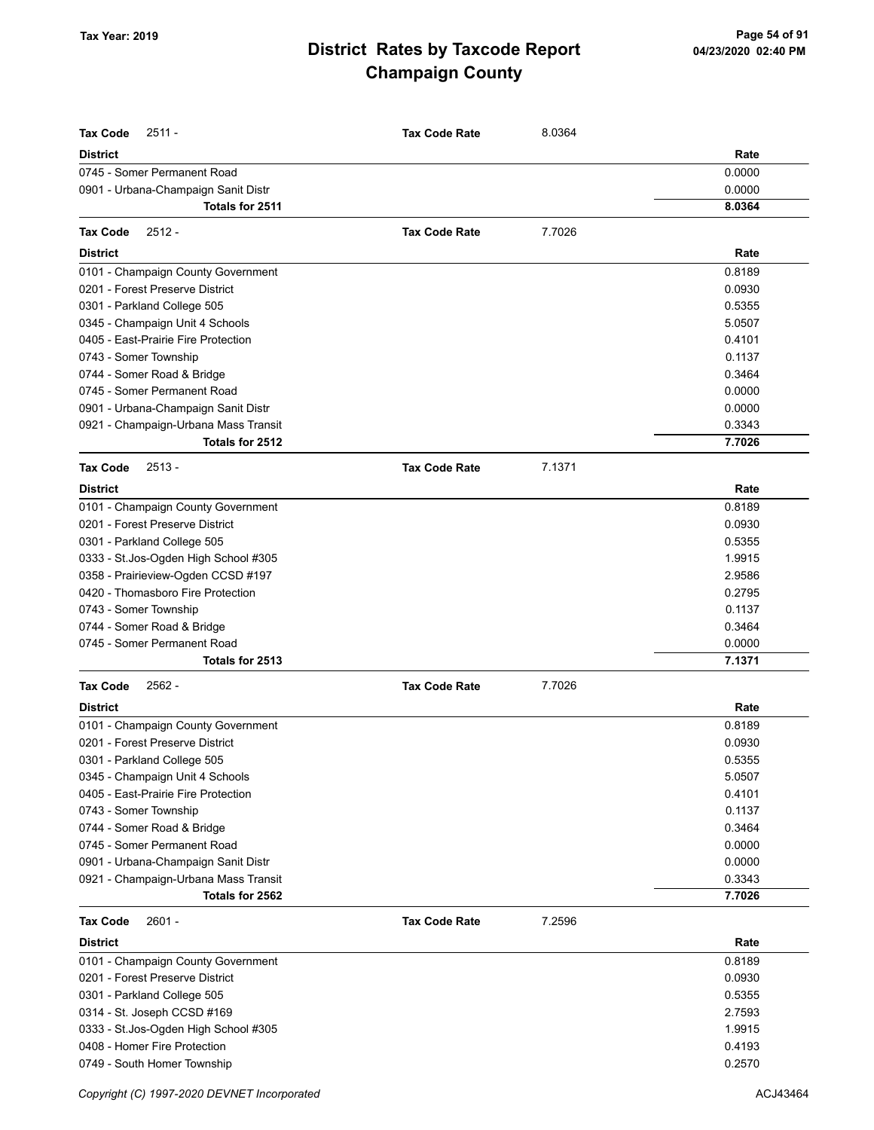| <b>Tax Code</b><br>$2511 -$                                            | <b>Tax Code Rate</b> | 8.0364 |                  |
|------------------------------------------------------------------------|----------------------|--------|------------------|
| <b>District</b>                                                        |                      |        | Rate             |
| 0745 - Somer Permanent Road                                            |                      |        | 0.0000           |
| 0901 - Urbana-Champaign Sanit Distr                                    |                      |        | 0.0000           |
| Totals for 2511                                                        |                      |        | 8.0364           |
|                                                                        |                      |        |                  |
| <b>Tax Code</b><br>$2512 -$                                            | <b>Tax Code Rate</b> | 7.7026 |                  |
| <b>District</b>                                                        |                      |        | Rate             |
| 0101 - Champaign County Government                                     |                      |        | 0.8189           |
| 0201 - Forest Preserve District                                        |                      |        | 0.0930           |
| 0301 - Parkland College 505                                            |                      |        | 0.5355           |
| 0345 - Champaign Unit 4 Schools                                        |                      |        | 5.0507           |
| 0405 - East-Prairie Fire Protection                                    |                      |        | 0.4101           |
| 0743 - Somer Township                                                  |                      |        | 0.1137           |
| 0744 - Somer Road & Bridge                                             |                      |        | 0.3464           |
| 0745 - Somer Permanent Road                                            |                      |        | 0.0000           |
| 0901 - Urbana-Champaign Sanit Distr                                    |                      |        | 0.0000           |
| 0921 - Champaign-Urbana Mass Transit                                   |                      |        | 0.3343           |
| Totals for 2512                                                        |                      |        | 7.7026           |
| <b>Tax Code</b><br>$2513 -$                                            | <b>Tax Code Rate</b> | 7.1371 |                  |
| <b>District</b>                                                        |                      |        | Rate             |
| 0101 - Champaign County Government                                     |                      |        | 0.8189           |
| 0201 - Forest Preserve District                                        |                      |        | 0.0930           |
| 0301 - Parkland College 505                                            |                      |        | 0.5355           |
| 0333 - St. Jos-Ogden High School #305                                  |                      |        | 1.9915           |
| 0358 - Prairieview-Ogden CCSD #197                                     |                      |        | 2.9586           |
| 0420 - Thomasboro Fire Protection                                      |                      |        | 0.2795           |
| 0743 - Somer Township                                                  |                      |        | 0.1137           |
| 0744 - Somer Road & Bridge                                             |                      |        | 0.3464           |
| 0745 - Somer Permanent Road                                            |                      |        | 0.0000           |
| Totals for 2513                                                        |                      |        | 7.1371           |
| <b>Tax Code</b><br>$2562 -$                                            | <b>Tax Code Rate</b> | 7.7026 |                  |
| <b>District</b>                                                        |                      |        | Rate             |
| 0101 - Champaign County Government                                     |                      |        | 0.8189           |
| 0201 - Forest Preserve District                                        |                      |        | 0.0930           |
| 0301 - Parkland College 505                                            |                      |        | 0.5355           |
|                                                                        |                      |        |                  |
| 0345 - Champaign Unit 4 Schools<br>0405 - East-Prairie Fire Protection |                      |        | 5.0507           |
| 0743 - Somer Township                                                  |                      |        | 0.4101<br>0.1137 |
|                                                                        |                      |        |                  |
| 0744 - Somer Road & Bridge<br>0745 - Somer Permanent Road              |                      |        | 0.3464           |
|                                                                        |                      |        | 0.0000           |
| 0901 - Urbana-Champaign Sanit Distr                                    |                      |        | 0.0000           |
| 0921 - Champaign-Urbana Mass Transit<br>Totals for 2562                |                      |        | 0.3343<br>7.7026 |
| $2601 -$                                                               |                      | 7.2596 |                  |
| <b>Tax Code</b>                                                        | <b>Tax Code Rate</b> |        |                  |
| <b>District</b><br>0101 - Champaign County Government                  |                      |        | Rate<br>0.8189   |
| 0201 - Forest Preserve District                                        |                      |        | 0.0930           |
|                                                                        |                      |        | 0.5355           |
| 0301 - Parkland College 505                                            |                      |        | 2.7593           |
| 0314 - St. Joseph CCSD #169                                            |                      |        |                  |
| 0333 - St. Jos-Ogden High School #305<br>0408 - Homer Fire Protection  |                      |        | 1.9915<br>0.4193 |
|                                                                        |                      |        |                  |
| 0749 - South Homer Township                                            |                      |        | 0.2570           |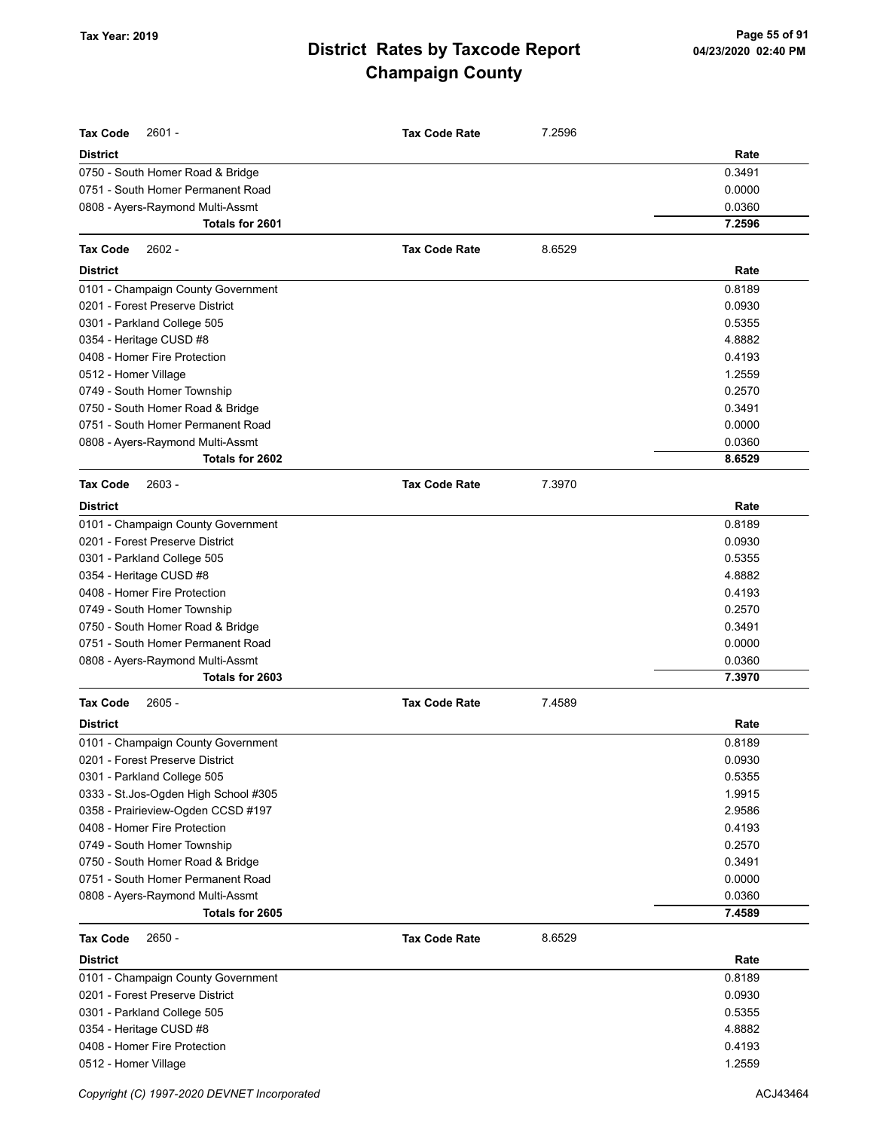| <b>Tax Code</b><br>$2601 -$                                           | <b>Tax Code Rate</b> | 7.2596 |                  |
|-----------------------------------------------------------------------|----------------------|--------|------------------|
| <b>District</b>                                                       |                      |        | Rate             |
|                                                                       |                      |        |                  |
| 0750 - South Homer Road & Bridge<br>0751 - South Homer Permanent Road |                      |        | 0.3491<br>0.0000 |
| 0808 - Ayers-Raymond Multi-Assmt                                      |                      |        | 0.0360           |
| Totals for 2601                                                       |                      |        | 7.2596           |
|                                                                       |                      |        |                  |
| <b>Tax Code</b><br>$2602 -$                                           | <b>Tax Code Rate</b> | 8.6529 |                  |
| <b>District</b>                                                       |                      |        | Rate             |
| 0101 - Champaign County Government                                    |                      |        | 0.8189           |
| 0201 - Forest Preserve District                                       |                      |        | 0.0930           |
| 0301 - Parkland College 505                                           |                      |        | 0.5355           |
| 0354 - Heritage CUSD #8                                               |                      |        | 4.8882           |
| 0408 - Homer Fire Protection                                          |                      |        | 0.4193           |
| 0512 - Homer Village                                                  |                      |        | 1.2559           |
| 0749 - South Homer Township                                           |                      |        | 0.2570           |
| 0750 - South Homer Road & Bridge                                      |                      |        | 0.3491           |
| 0751 - South Homer Permanent Road                                     |                      |        | 0.0000           |
| 0808 - Ayers-Raymond Multi-Assmt                                      |                      |        | 0.0360           |
| Totals for 2602                                                       |                      |        | 8.6529           |
| <b>Tax Code</b><br>$2603 -$                                           | <b>Tax Code Rate</b> | 7.3970 |                  |
| <b>District</b>                                                       |                      |        | Rate             |
| 0101 - Champaign County Government                                    |                      |        | 0.8189           |
| 0201 - Forest Preserve District                                       |                      |        | 0.0930           |
| 0301 - Parkland College 505                                           |                      |        | 0.5355           |
| 0354 - Heritage CUSD #8                                               |                      |        | 4.8882           |
| 0408 - Homer Fire Protection                                          |                      |        | 0.4193           |
| 0749 - South Homer Township                                           |                      |        | 0.2570           |
| 0750 - South Homer Road & Bridge                                      |                      |        | 0.3491           |
| 0751 - South Homer Permanent Road                                     |                      |        | 0.0000           |
| 0808 - Ayers-Raymond Multi-Assmt                                      |                      |        | 0.0360           |
| Totals for 2603                                                       |                      |        | 7.3970           |
| $2605 -$<br><b>Tax Code</b>                                           | <b>Tax Code Rate</b> | 7.4589 |                  |
| <b>District</b>                                                       |                      |        | Rate             |
| 0101 - Champaign County Government                                    |                      |        | 0.8189           |
| 0201 - Forest Preserve District                                       |                      |        | 0.0930           |
| 0301 - Parkland College 505                                           |                      |        | 0.5355           |
| 0333 - St.Jos-Ogden High School #305                                  |                      |        | 1.9915           |
| 0358 - Prairieview-Ogden CCSD #197                                    |                      |        | 2.9586           |
| 0408 - Homer Fire Protection                                          |                      |        | 0.4193           |
| 0749 - South Homer Township                                           |                      |        | 0.2570           |
| 0750 - South Homer Road & Bridge                                      |                      |        | 0.3491           |
| 0751 - South Homer Permanent Road                                     |                      |        | 0.0000           |
| 0808 - Ayers-Raymond Multi-Assmt                                      |                      |        | 0.0360           |
| Totals for 2605                                                       |                      |        | 7.4589           |
| $2650 -$<br><b>Tax Code</b>                                           | <b>Tax Code Rate</b> | 8.6529 |                  |
| <b>District</b>                                                       |                      |        | Rate             |
| 0101 - Champaign County Government                                    |                      |        | 0.8189           |
| 0201 - Forest Preserve District                                       |                      |        | 0.0930           |
| 0301 - Parkland College 505                                           |                      |        | 0.5355           |
| 0354 - Heritage CUSD #8                                               |                      |        | 4.8882           |
| 0408 - Homer Fire Protection                                          |                      |        | 0.4193           |
| 0512 - Homer Village                                                  |                      |        | 1.2559           |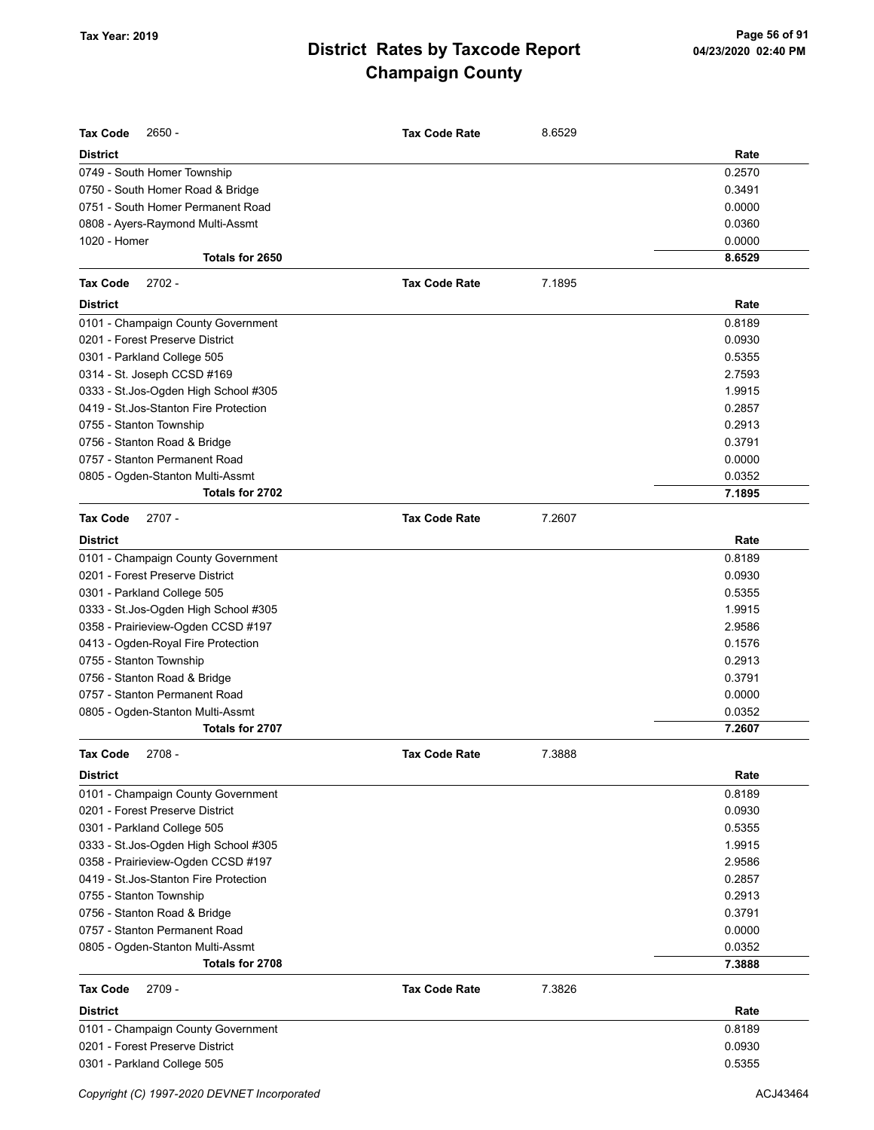| <b>Tax Code</b><br>2650 -              | <b>Tax Code Rate</b> | 8.6529 |        |
|----------------------------------------|----------------------|--------|--------|
| <b>District</b>                        |                      |        | Rate   |
| 0749 - South Homer Township            |                      |        | 0.2570 |
| 0750 - South Homer Road & Bridge       |                      |        | 0.3491 |
| 0751 - South Homer Permanent Road      |                      |        | 0.0000 |
| 0808 - Ayers-Raymond Multi-Assmt       |                      |        | 0.0360 |
| 1020 - Homer                           |                      |        | 0.0000 |
| Totals for 2650                        |                      |        | 8.6529 |
| <b>Tax Code</b><br>$2702 -$            | <b>Tax Code Rate</b> | 7.1895 |        |
| <b>District</b>                        |                      |        | Rate   |
| 0101 - Champaign County Government     |                      |        | 0.8189 |
| 0201 - Forest Preserve District        |                      |        | 0.0930 |
| 0301 - Parkland College 505            |                      |        | 0.5355 |
| 0314 - St. Joseph CCSD #169            |                      |        | 2.7593 |
| 0333 - St.Jos-Ogden High School #305   |                      |        | 1.9915 |
| 0419 - St. Jos-Stanton Fire Protection |                      |        | 0.2857 |
| 0755 - Stanton Township                |                      |        | 0.2913 |
| 0756 - Stanton Road & Bridge           |                      |        | 0.3791 |
| 0757 - Stanton Permanent Road          |                      |        | 0.0000 |
| 0805 - Ogden-Stanton Multi-Assmt       |                      |        | 0.0352 |
| Totals for 2702                        |                      |        | 7.1895 |
| <b>Tax Code</b><br>$2707 -$            | <b>Tax Code Rate</b> | 7.2607 |        |
| <b>District</b>                        |                      |        | Rate   |
| 0101 - Champaign County Government     |                      |        | 0.8189 |
| 0201 - Forest Preserve District        |                      |        | 0.0930 |
| 0301 - Parkland College 505            |                      |        | 0.5355 |
| 0333 - St.Jos-Ogden High School #305   |                      |        | 1.9915 |
| 0358 - Prairieview-Ogden CCSD #197     |                      |        | 2.9586 |
| 0413 - Ogden-Royal Fire Protection     |                      |        | 0.1576 |
| 0755 - Stanton Township                |                      |        | 0.2913 |
| 0756 - Stanton Road & Bridge           |                      |        | 0.3791 |
| 0757 - Stanton Permanent Road          |                      |        | 0.0000 |
| 0805 - Ogden-Stanton Multi-Assmt       |                      |        | 0.0352 |
| Totals for 2707                        |                      |        | 7.2607 |
| <b>Tax Code</b><br>$2708 -$            | <b>Tax Code Rate</b> | 7.3888 |        |
| <b>District</b>                        |                      |        | Rate   |
| 0101 - Champaign County Government     |                      |        | 0.8189 |
| 0201 - Forest Preserve District        |                      |        | 0.0930 |
| 0301 - Parkland College 505            |                      |        | 0.5355 |
| 0333 - St.Jos-Ogden High School #305   |                      |        | 1.9915 |
| 0358 - Prairieview-Ogden CCSD #197     |                      |        | 2.9586 |
| 0419 - St. Jos-Stanton Fire Protection |                      |        | 0.2857 |
| 0755 - Stanton Township                |                      |        | 0.2913 |
| 0756 - Stanton Road & Bridge           |                      |        | 0.3791 |
| 0757 - Stanton Permanent Road          |                      |        | 0.0000 |
| 0805 - Ogden-Stanton Multi-Assmt       |                      |        | 0.0352 |
| Totals for 2708                        |                      |        | 7.3888 |
| <b>Tax Code</b><br>2709 -              | <b>Tax Code Rate</b> | 7.3826 |        |
| <b>District</b>                        |                      |        | Rate   |
| 0101 - Champaign County Government     |                      |        | 0.8189 |
| 0201 - Forest Preserve District        |                      |        | 0.0930 |
| 0301 - Parkland College 505            |                      |        | 0.5355 |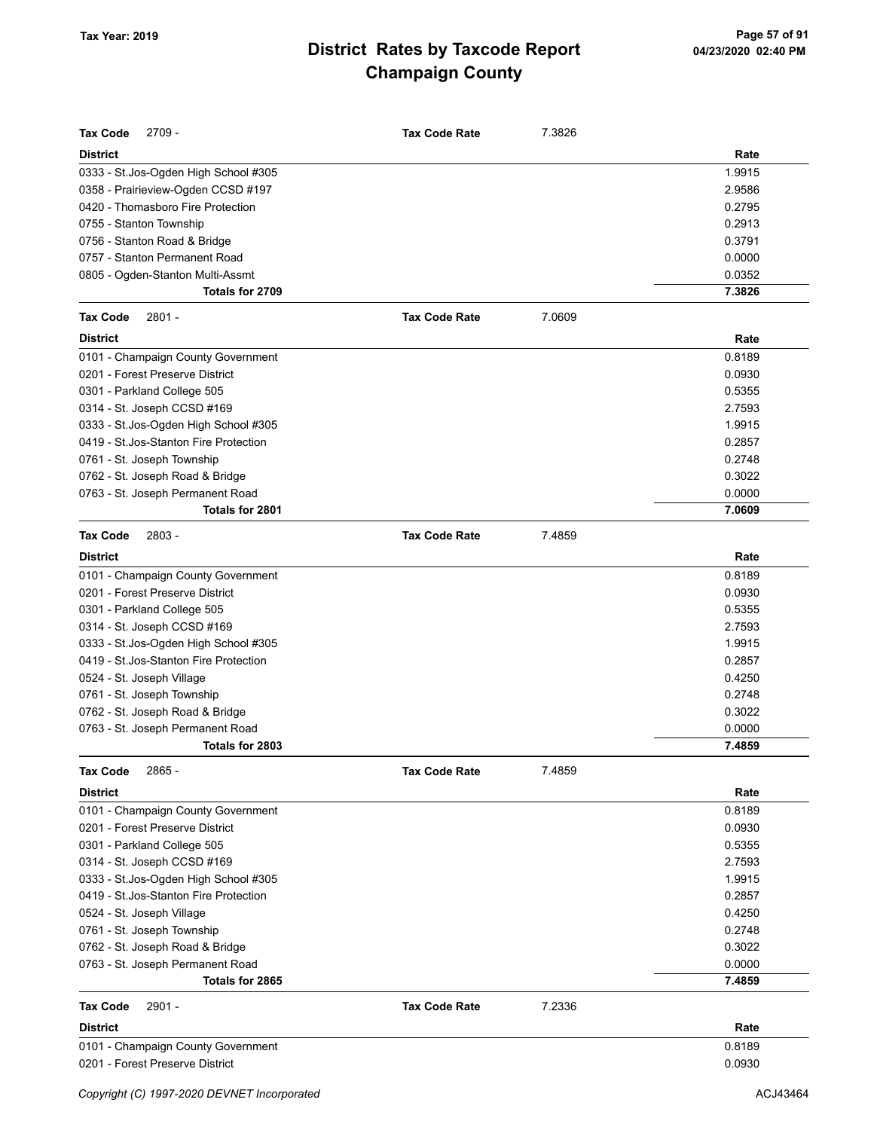| <b>Tax Code</b><br>2709 -              | <b>Tax Code Rate</b> | 7.3826 |        |
|----------------------------------------|----------------------|--------|--------|
| <b>District</b>                        |                      |        | Rate   |
| 0333 - St.Jos-Ogden High School #305   |                      |        | 1.9915 |
| 0358 - Prairieview-Ogden CCSD #197     |                      |        | 2.9586 |
| 0420 - Thomasboro Fire Protection      |                      |        | 0.2795 |
| 0755 - Stanton Township                |                      |        | 0.2913 |
| 0756 - Stanton Road & Bridge           |                      |        | 0.3791 |
| 0757 - Stanton Permanent Road          |                      |        | 0.0000 |
| 0805 - Ogden-Stanton Multi-Assmt       |                      |        | 0.0352 |
| Totals for 2709                        |                      |        | 7.3826 |
| <b>Tax Code</b><br>2801 -              | <b>Tax Code Rate</b> | 7.0609 |        |
| <b>District</b>                        |                      |        | Rate   |
| 0101 - Champaign County Government     |                      |        | 0.8189 |
| 0201 - Forest Preserve District        |                      |        | 0.0930 |
| 0301 - Parkland College 505            |                      |        | 0.5355 |
| 0314 - St. Joseph CCSD #169            |                      |        | 2.7593 |
| 0333 - St.Jos-Ogden High School #305   |                      |        | 1.9915 |
| 0419 - St. Jos-Stanton Fire Protection |                      |        | 0.2857 |
| 0761 - St. Joseph Township             |                      |        | 0.2748 |
| 0762 - St. Joseph Road & Bridge        |                      |        | 0.3022 |
| 0763 - St. Joseph Permanent Road       |                      |        | 0.0000 |
| Totals for 2801                        |                      |        | 7.0609 |
| <b>Tax Code</b><br>$2803 -$            | <b>Tax Code Rate</b> | 7.4859 |        |
| <b>District</b>                        |                      |        | Rate   |
| 0101 - Champaign County Government     |                      |        | 0.8189 |
| 0201 - Forest Preserve District        |                      |        | 0.0930 |
| 0301 - Parkland College 505            |                      |        | 0.5355 |
| 0314 - St. Joseph CCSD #169            |                      |        | 2.7593 |
| 0333 - St.Jos-Ogden High School #305   |                      |        | 1.9915 |
| 0419 - St. Jos-Stanton Fire Protection |                      |        | 0.2857 |
| 0524 - St. Joseph Village              |                      |        | 0.4250 |
| 0761 - St. Joseph Township             |                      |        | 0.2748 |
| 0762 - St. Joseph Road & Bridge        |                      |        | 0.3022 |
| 0763 - St. Joseph Permanent Road       |                      |        | 0.0000 |
| Totals for 2803                        |                      |        | 7.4859 |
| <b>Tax Code</b><br>2865 -              | <b>Tax Code Rate</b> | 7.4859 |        |
| <b>District</b>                        |                      |        | Rate   |
| 0101 - Champaign County Government     |                      |        | 0.8189 |
| 0201 - Forest Preserve District        |                      |        | 0.0930 |
| 0301 - Parkland College 505            |                      |        | 0.5355 |
| 0314 - St. Joseph CCSD #169            |                      |        | 2.7593 |
| 0333 - St.Jos-Ogden High School #305   |                      |        | 1.9915 |
| 0419 - St. Jos-Stanton Fire Protection |                      |        | 0.2857 |
| 0524 - St. Joseph Village              |                      |        | 0.4250 |
| 0761 - St. Joseph Township             |                      |        | 0.2748 |
| 0762 - St. Joseph Road & Bridge        |                      |        | 0.3022 |
| 0763 - St. Joseph Permanent Road       |                      |        | 0.0000 |
| Totals for 2865                        |                      |        | 7.4859 |
| <b>Tax Code</b><br>2901 -              | <b>Tax Code Rate</b> | 7.2336 |        |
| <b>District</b>                        |                      |        | Rate   |
| 0101 - Champaign County Government     |                      |        | 0.8189 |
| 0201 - Forest Preserve District        |                      |        | 0.0930 |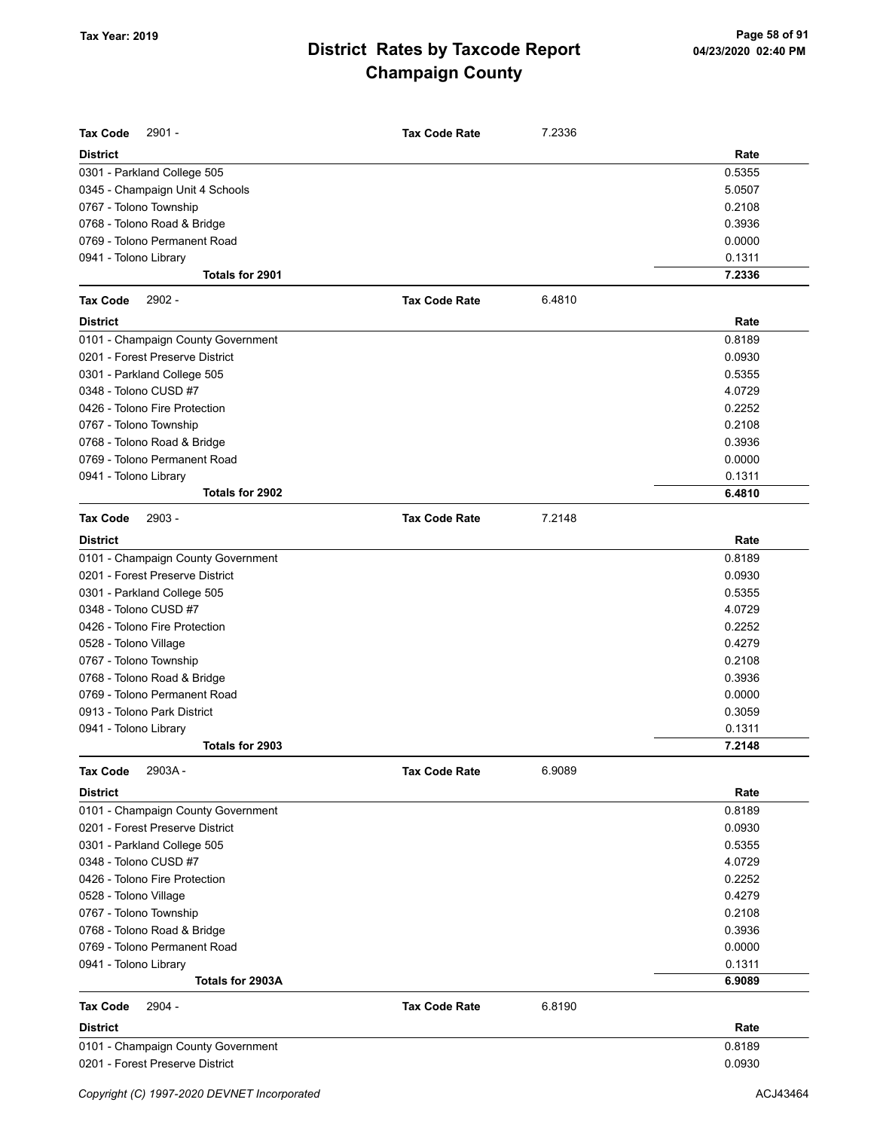| <b>Tax Code</b><br>$2901 -$        | <b>Tax Code Rate</b> | 7.2336 |        |
|------------------------------------|----------------------|--------|--------|
| <b>District</b>                    |                      |        | Rate   |
| 0301 - Parkland College 505        |                      |        | 0.5355 |
| 0345 - Champaign Unit 4 Schools    |                      |        | 5.0507 |
| 0767 - Tolono Township             |                      |        | 0.2108 |
| 0768 - Tolono Road & Bridge        |                      |        | 0.3936 |
| 0769 - Tolono Permanent Road       |                      |        | 0.0000 |
| 0941 - Tolono Library              |                      |        | 0.1311 |
| Totals for 2901                    |                      |        | 7.2336 |
| <b>Tax Code</b><br>2902 -          | <b>Tax Code Rate</b> | 6.4810 |        |
| <b>District</b>                    |                      |        | Rate   |
| 0101 - Champaign County Government |                      |        | 0.8189 |
| 0201 - Forest Preserve District    |                      |        | 0.0930 |
| 0301 - Parkland College 505        |                      |        | 0.5355 |
| 0348 - Tolono CUSD #7              |                      |        | 4.0729 |
| 0426 - Tolono Fire Protection      |                      |        | 0.2252 |
| 0767 - Tolono Township             |                      |        | 0.2108 |
| 0768 - Tolono Road & Bridge        |                      |        | 0.3936 |
| 0769 - Tolono Permanent Road       |                      |        | 0.0000 |
| 0941 - Tolono Library              |                      |        | 0.1311 |
| Totals for 2902                    |                      |        | 6.4810 |
| <b>Tax Code</b><br>2903 -          | <b>Tax Code Rate</b> | 7.2148 |        |
| <b>District</b>                    |                      |        | Rate   |
| 0101 - Champaign County Government |                      |        | 0.8189 |
| 0201 - Forest Preserve District    |                      |        | 0.0930 |
| 0301 - Parkland College 505        |                      |        | 0.5355 |
| 0348 - Tolono CUSD #7              |                      |        | 4.0729 |
| 0426 - Tolono Fire Protection      |                      |        | 0.2252 |
| 0528 - Tolono Village              |                      |        | 0.4279 |
| 0767 - Tolono Township             |                      |        | 0.2108 |
| 0768 - Tolono Road & Bridge        |                      |        | 0.3936 |
| 0769 - Tolono Permanent Road       |                      |        | 0.0000 |
| 0913 - Tolono Park District        |                      |        | 0.3059 |
| 0941 - Tolono Library              |                      |        | 0.1311 |
| Totals for 2903                    |                      |        | 7.2148 |
| <b>Tax Code</b><br>2903A-          | <b>Tax Code Rate</b> | 6.9089 |        |
| <b>District</b>                    |                      |        | Rate   |
| 0101 - Champaign County Government |                      |        | 0.8189 |
| 0201 - Forest Preserve District    |                      |        | 0.0930 |
| 0301 - Parkland College 505        |                      |        | 0.5355 |
| 0348 - Tolono CUSD #7              |                      |        | 4.0729 |
| 0426 - Tolono Fire Protection      |                      |        | 0.2252 |
| 0528 - Tolono Village              |                      |        | 0.4279 |
| 0767 - Tolono Township             |                      |        | 0.2108 |
| 0768 - Tolono Road & Bridge        |                      |        | 0.3936 |
| 0769 - Tolono Permanent Road       |                      |        | 0.0000 |
| 0941 - Tolono Library              |                      |        | 0.1311 |
| Totals for 2903A                   |                      |        | 6.9089 |
| <b>Tax Code</b><br>2904 -          | <b>Tax Code Rate</b> | 6.8190 |        |
| <b>District</b>                    |                      |        | Rate   |
| 0101 - Champaign County Government |                      |        | 0.8189 |
| 0201 - Forest Preserve District    |                      |        | 0.0930 |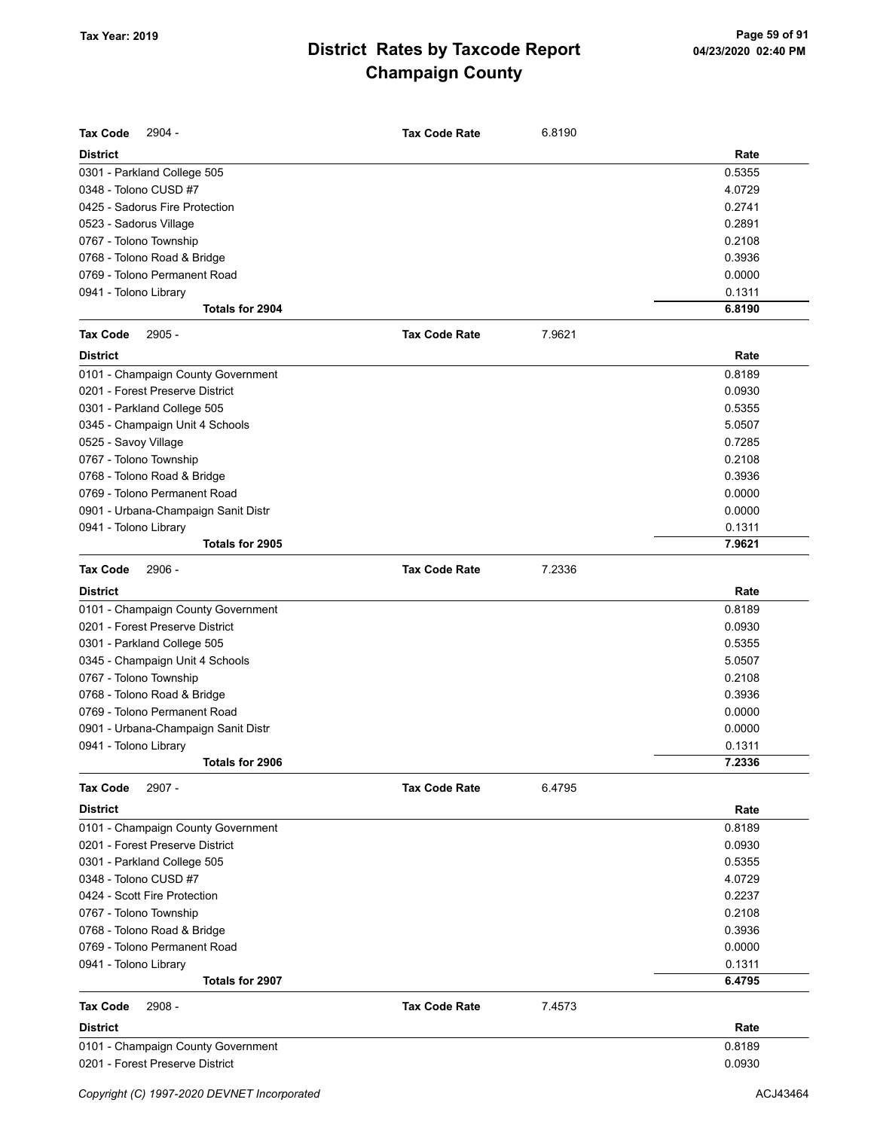| Rate<br><b>District</b><br>0.5355<br>0301 - Parkland College 505<br>0348 - Tolono CUSD #7<br>4.0729<br>0425 - Sadorus Fire Protection<br>0.2741<br>0.2891<br>0523 - Sadorus Village<br>0.2108<br>0767 - Tolono Township<br>0.3936<br>0768 - Tolono Road & Bridge<br>0769 - Tolono Permanent Road<br>0.0000<br>0.1311<br>0941 - Tolono Library<br>Totals for 2904<br>6.8190<br>$2905 -$<br>7.9621<br><b>Tax Code Rate</b><br><b>District</b><br>Rate<br>0101 - Champaign County Government<br>0.8189<br>0201 - Forest Preserve District<br>0.0930<br>0.5355<br>0301 - Parkland College 505<br>5.0507<br>0345 - Champaign Unit 4 Schools<br>0.7285<br>0525 - Savoy Village<br>0.2108<br>0767 - Tolono Township<br>0.3936<br>0768 - Tolono Road & Bridge<br>0769 - Tolono Permanent Road<br>0.0000<br>0901 - Urbana-Champaign Sanit Distr<br>0.0000<br>0.1311<br>0941 - Tolono Library<br>Totals for 2905<br>7.9621<br>2906 -<br>7.2336<br><b>Tax Code Rate</b><br>Rate<br>0.8189<br>0.0930<br>0.5355<br>5.0507<br>0.2108<br>0.3936<br>0.0000<br>0.0000<br>0.1311<br>Totals for 2906<br>7.2336<br>2907 -<br>6.4795<br><b>Tax Code Rate</b><br>Rate<br>0.8189<br>0.0930<br>0.5355<br>4.0729<br>0.2237<br>0.2108<br>0.3936<br>0.0000<br>0.1311<br>Totals for 2907<br>6.4795<br>2908 -<br><b>Tax Code Rate</b><br>7.4573<br>Rate<br>0.8189<br>0.0930 | <b>Tax Code</b><br>2904 -           | <b>Tax Code Rate</b> | 6.8190 |  |
|------------------------------------------------------------------------------------------------------------------------------------------------------------------------------------------------------------------------------------------------------------------------------------------------------------------------------------------------------------------------------------------------------------------------------------------------------------------------------------------------------------------------------------------------------------------------------------------------------------------------------------------------------------------------------------------------------------------------------------------------------------------------------------------------------------------------------------------------------------------------------------------------------------------------------------------------------------------------------------------------------------------------------------------------------------------------------------------------------------------------------------------------------------------------------------------------------------------------------------------------------------------------------------------------------------------------------------------------|-------------------------------------|----------------------|--------|--|
|                                                                                                                                                                                                                                                                                                                                                                                                                                                                                                                                                                                                                                                                                                                                                                                                                                                                                                                                                                                                                                                                                                                                                                                                                                                                                                                                                |                                     |                      |        |  |
|                                                                                                                                                                                                                                                                                                                                                                                                                                                                                                                                                                                                                                                                                                                                                                                                                                                                                                                                                                                                                                                                                                                                                                                                                                                                                                                                                |                                     |                      |        |  |
|                                                                                                                                                                                                                                                                                                                                                                                                                                                                                                                                                                                                                                                                                                                                                                                                                                                                                                                                                                                                                                                                                                                                                                                                                                                                                                                                                |                                     |                      |        |  |
|                                                                                                                                                                                                                                                                                                                                                                                                                                                                                                                                                                                                                                                                                                                                                                                                                                                                                                                                                                                                                                                                                                                                                                                                                                                                                                                                                |                                     |                      |        |  |
|                                                                                                                                                                                                                                                                                                                                                                                                                                                                                                                                                                                                                                                                                                                                                                                                                                                                                                                                                                                                                                                                                                                                                                                                                                                                                                                                                |                                     |                      |        |  |
|                                                                                                                                                                                                                                                                                                                                                                                                                                                                                                                                                                                                                                                                                                                                                                                                                                                                                                                                                                                                                                                                                                                                                                                                                                                                                                                                                |                                     |                      |        |  |
|                                                                                                                                                                                                                                                                                                                                                                                                                                                                                                                                                                                                                                                                                                                                                                                                                                                                                                                                                                                                                                                                                                                                                                                                                                                                                                                                                |                                     |                      |        |  |
|                                                                                                                                                                                                                                                                                                                                                                                                                                                                                                                                                                                                                                                                                                                                                                                                                                                                                                                                                                                                                                                                                                                                                                                                                                                                                                                                                |                                     |                      |        |  |
|                                                                                                                                                                                                                                                                                                                                                                                                                                                                                                                                                                                                                                                                                                                                                                                                                                                                                                                                                                                                                                                                                                                                                                                                                                                                                                                                                |                                     |                      |        |  |
|                                                                                                                                                                                                                                                                                                                                                                                                                                                                                                                                                                                                                                                                                                                                                                                                                                                                                                                                                                                                                                                                                                                                                                                                                                                                                                                                                |                                     |                      |        |  |
|                                                                                                                                                                                                                                                                                                                                                                                                                                                                                                                                                                                                                                                                                                                                                                                                                                                                                                                                                                                                                                                                                                                                                                                                                                                                                                                                                |                                     |                      |        |  |
|                                                                                                                                                                                                                                                                                                                                                                                                                                                                                                                                                                                                                                                                                                                                                                                                                                                                                                                                                                                                                                                                                                                                                                                                                                                                                                                                                | <b>Tax Code</b>                     |                      |        |  |
|                                                                                                                                                                                                                                                                                                                                                                                                                                                                                                                                                                                                                                                                                                                                                                                                                                                                                                                                                                                                                                                                                                                                                                                                                                                                                                                                                |                                     |                      |        |  |
|                                                                                                                                                                                                                                                                                                                                                                                                                                                                                                                                                                                                                                                                                                                                                                                                                                                                                                                                                                                                                                                                                                                                                                                                                                                                                                                                                |                                     |                      |        |  |
|                                                                                                                                                                                                                                                                                                                                                                                                                                                                                                                                                                                                                                                                                                                                                                                                                                                                                                                                                                                                                                                                                                                                                                                                                                                                                                                                                |                                     |                      |        |  |
|                                                                                                                                                                                                                                                                                                                                                                                                                                                                                                                                                                                                                                                                                                                                                                                                                                                                                                                                                                                                                                                                                                                                                                                                                                                                                                                                                |                                     |                      |        |  |
|                                                                                                                                                                                                                                                                                                                                                                                                                                                                                                                                                                                                                                                                                                                                                                                                                                                                                                                                                                                                                                                                                                                                                                                                                                                                                                                                                |                                     |                      |        |  |
|                                                                                                                                                                                                                                                                                                                                                                                                                                                                                                                                                                                                                                                                                                                                                                                                                                                                                                                                                                                                                                                                                                                                                                                                                                                                                                                                                |                                     |                      |        |  |
|                                                                                                                                                                                                                                                                                                                                                                                                                                                                                                                                                                                                                                                                                                                                                                                                                                                                                                                                                                                                                                                                                                                                                                                                                                                                                                                                                |                                     |                      |        |  |
|                                                                                                                                                                                                                                                                                                                                                                                                                                                                                                                                                                                                                                                                                                                                                                                                                                                                                                                                                                                                                                                                                                                                                                                                                                                                                                                                                |                                     |                      |        |  |
|                                                                                                                                                                                                                                                                                                                                                                                                                                                                                                                                                                                                                                                                                                                                                                                                                                                                                                                                                                                                                                                                                                                                                                                                                                                                                                                                                |                                     |                      |        |  |
|                                                                                                                                                                                                                                                                                                                                                                                                                                                                                                                                                                                                                                                                                                                                                                                                                                                                                                                                                                                                                                                                                                                                                                                                                                                                                                                                                |                                     |                      |        |  |
|                                                                                                                                                                                                                                                                                                                                                                                                                                                                                                                                                                                                                                                                                                                                                                                                                                                                                                                                                                                                                                                                                                                                                                                                                                                                                                                                                |                                     |                      |        |  |
|                                                                                                                                                                                                                                                                                                                                                                                                                                                                                                                                                                                                                                                                                                                                                                                                                                                                                                                                                                                                                                                                                                                                                                                                                                                                                                                                                |                                     |                      |        |  |
|                                                                                                                                                                                                                                                                                                                                                                                                                                                                                                                                                                                                                                                                                                                                                                                                                                                                                                                                                                                                                                                                                                                                                                                                                                                                                                                                                | <b>Tax Code</b>                     |                      |        |  |
|                                                                                                                                                                                                                                                                                                                                                                                                                                                                                                                                                                                                                                                                                                                                                                                                                                                                                                                                                                                                                                                                                                                                                                                                                                                                                                                                                | <b>District</b>                     |                      |        |  |
|                                                                                                                                                                                                                                                                                                                                                                                                                                                                                                                                                                                                                                                                                                                                                                                                                                                                                                                                                                                                                                                                                                                                                                                                                                                                                                                                                | 0101 - Champaign County Government  |                      |        |  |
|                                                                                                                                                                                                                                                                                                                                                                                                                                                                                                                                                                                                                                                                                                                                                                                                                                                                                                                                                                                                                                                                                                                                                                                                                                                                                                                                                | 0201 - Forest Preserve District     |                      |        |  |
|                                                                                                                                                                                                                                                                                                                                                                                                                                                                                                                                                                                                                                                                                                                                                                                                                                                                                                                                                                                                                                                                                                                                                                                                                                                                                                                                                | 0301 - Parkland College 505         |                      |        |  |
|                                                                                                                                                                                                                                                                                                                                                                                                                                                                                                                                                                                                                                                                                                                                                                                                                                                                                                                                                                                                                                                                                                                                                                                                                                                                                                                                                | 0345 - Champaign Unit 4 Schools     |                      |        |  |
|                                                                                                                                                                                                                                                                                                                                                                                                                                                                                                                                                                                                                                                                                                                                                                                                                                                                                                                                                                                                                                                                                                                                                                                                                                                                                                                                                | 0767 - Tolono Township              |                      |        |  |
|                                                                                                                                                                                                                                                                                                                                                                                                                                                                                                                                                                                                                                                                                                                                                                                                                                                                                                                                                                                                                                                                                                                                                                                                                                                                                                                                                | 0768 - Tolono Road & Bridge         |                      |        |  |
|                                                                                                                                                                                                                                                                                                                                                                                                                                                                                                                                                                                                                                                                                                                                                                                                                                                                                                                                                                                                                                                                                                                                                                                                                                                                                                                                                | 0769 - Tolono Permanent Road        |                      |        |  |
|                                                                                                                                                                                                                                                                                                                                                                                                                                                                                                                                                                                                                                                                                                                                                                                                                                                                                                                                                                                                                                                                                                                                                                                                                                                                                                                                                | 0901 - Urbana-Champaign Sanit Distr |                      |        |  |
|                                                                                                                                                                                                                                                                                                                                                                                                                                                                                                                                                                                                                                                                                                                                                                                                                                                                                                                                                                                                                                                                                                                                                                                                                                                                                                                                                | 0941 - Tolono Library               |                      |        |  |
|                                                                                                                                                                                                                                                                                                                                                                                                                                                                                                                                                                                                                                                                                                                                                                                                                                                                                                                                                                                                                                                                                                                                                                                                                                                                                                                                                |                                     |                      |        |  |
|                                                                                                                                                                                                                                                                                                                                                                                                                                                                                                                                                                                                                                                                                                                                                                                                                                                                                                                                                                                                                                                                                                                                                                                                                                                                                                                                                | <b>Tax Code</b>                     |                      |        |  |
|                                                                                                                                                                                                                                                                                                                                                                                                                                                                                                                                                                                                                                                                                                                                                                                                                                                                                                                                                                                                                                                                                                                                                                                                                                                                                                                                                | <b>District</b>                     |                      |        |  |
|                                                                                                                                                                                                                                                                                                                                                                                                                                                                                                                                                                                                                                                                                                                                                                                                                                                                                                                                                                                                                                                                                                                                                                                                                                                                                                                                                | 0101 - Champaign County Government  |                      |        |  |
|                                                                                                                                                                                                                                                                                                                                                                                                                                                                                                                                                                                                                                                                                                                                                                                                                                                                                                                                                                                                                                                                                                                                                                                                                                                                                                                                                | 0201 - Forest Preserve District     |                      |        |  |
|                                                                                                                                                                                                                                                                                                                                                                                                                                                                                                                                                                                                                                                                                                                                                                                                                                                                                                                                                                                                                                                                                                                                                                                                                                                                                                                                                | 0301 - Parkland College 505         |                      |        |  |
|                                                                                                                                                                                                                                                                                                                                                                                                                                                                                                                                                                                                                                                                                                                                                                                                                                                                                                                                                                                                                                                                                                                                                                                                                                                                                                                                                | 0348 - Tolono CUSD #7               |                      |        |  |
|                                                                                                                                                                                                                                                                                                                                                                                                                                                                                                                                                                                                                                                                                                                                                                                                                                                                                                                                                                                                                                                                                                                                                                                                                                                                                                                                                | 0424 - Scott Fire Protection        |                      |        |  |
|                                                                                                                                                                                                                                                                                                                                                                                                                                                                                                                                                                                                                                                                                                                                                                                                                                                                                                                                                                                                                                                                                                                                                                                                                                                                                                                                                | 0767 - Tolono Township              |                      |        |  |
|                                                                                                                                                                                                                                                                                                                                                                                                                                                                                                                                                                                                                                                                                                                                                                                                                                                                                                                                                                                                                                                                                                                                                                                                                                                                                                                                                | 0768 - Tolono Road & Bridge         |                      |        |  |
|                                                                                                                                                                                                                                                                                                                                                                                                                                                                                                                                                                                                                                                                                                                                                                                                                                                                                                                                                                                                                                                                                                                                                                                                                                                                                                                                                | 0769 - Tolono Permanent Road        |                      |        |  |
|                                                                                                                                                                                                                                                                                                                                                                                                                                                                                                                                                                                                                                                                                                                                                                                                                                                                                                                                                                                                                                                                                                                                                                                                                                                                                                                                                | 0941 - Tolono Library               |                      |        |  |
|                                                                                                                                                                                                                                                                                                                                                                                                                                                                                                                                                                                                                                                                                                                                                                                                                                                                                                                                                                                                                                                                                                                                                                                                                                                                                                                                                |                                     |                      |        |  |
|                                                                                                                                                                                                                                                                                                                                                                                                                                                                                                                                                                                                                                                                                                                                                                                                                                                                                                                                                                                                                                                                                                                                                                                                                                                                                                                                                | <b>Tax Code</b>                     |                      |        |  |
|                                                                                                                                                                                                                                                                                                                                                                                                                                                                                                                                                                                                                                                                                                                                                                                                                                                                                                                                                                                                                                                                                                                                                                                                                                                                                                                                                | <b>District</b>                     |                      |        |  |
|                                                                                                                                                                                                                                                                                                                                                                                                                                                                                                                                                                                                                                                                                                                                                                                                                                                                                                                                                                                                                                                                                                                                                                                                                                                                                                                                                | 0101 - Champaign County Government  |                      |        |  |
|                                                                                                                                                                                                                                                                                                                                                                                                                                                                                                                                                                                                                                                                                                                                                                                                                                                                                                                                                                                                                                                                                                                                                                                                                                                                                                                                                | 0201 - Forest Preserve District     |                      |        |  |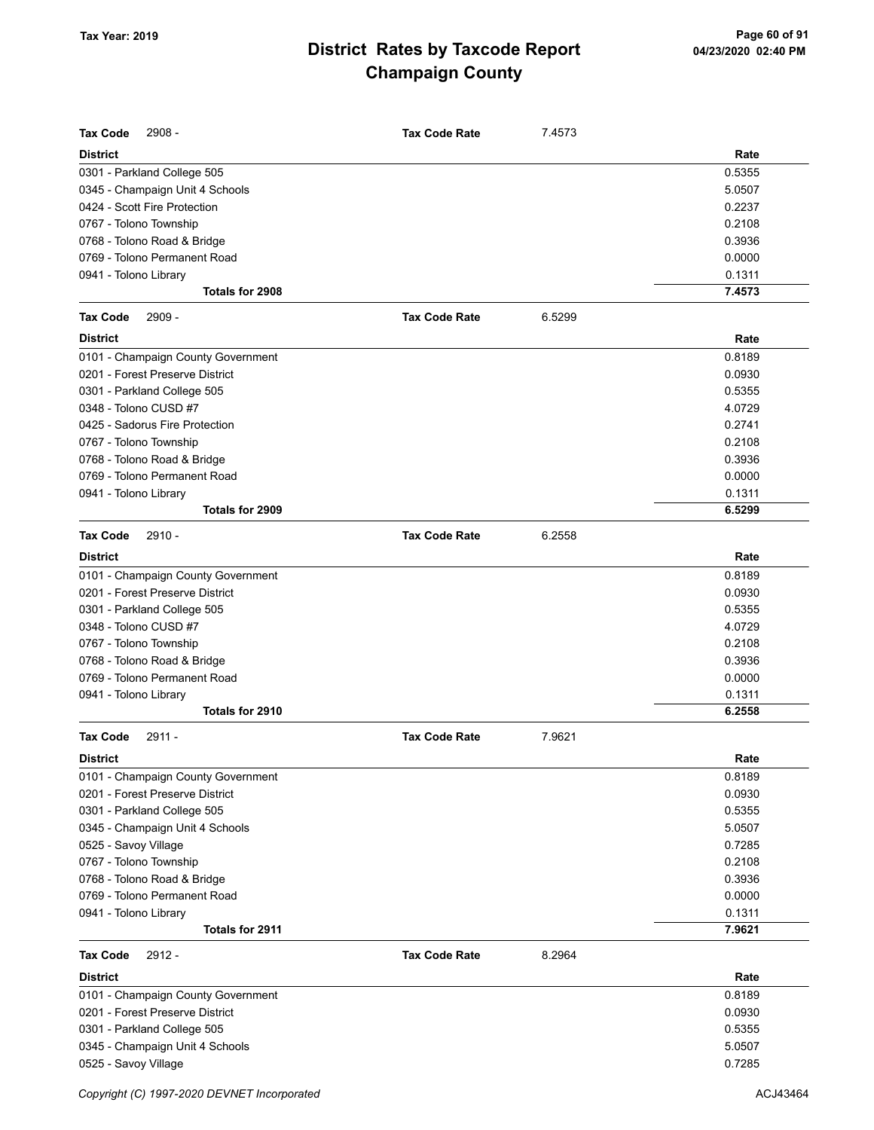| <b>Tax Code</b><br>$2908 -$              | <b>Tax Code Rate</b> | 7.4573 |                  |
|------------------------------------------|----------------------|--------|------------------|
| <b>District</b>                          |                      |        | Rate             |
| 0301 - Parkland College 505              |                      |        | 0.5355           |
| 0345 - Champaign Unit 4 Schools          |                      |        | 5.0507           |
| 0424 - Scott Fire Protection             |                      |        | 0.2237           |
| 0767 - Tolono Township                   |                      |        | 0.2108           |
| 0768 - Tolono Road & Bridge              |                      |        | 0.3936           |
| 0769 - Tolono Permanent Road             |                      |        | 0.0000           |
| 0941 - Tolono Library                    |                      |        | 0.1311           |
| Totals for 2908                          |                      |        | 7.4573           |
| 2909 -<br><b>Tax Code</b>                | <b>Tax Code Rate</b> | 6.5299 |                  |
| <b>District</b>                          |                      |        | Rate             |
| 0101 - Champaign County Government       |                      |        | 0.8189           |
| 0201 - Forest Preserve District          |                      |        | 0.0930           |
| 0301 - Parkland College 505              |                      |        | 0.5355           |
| 0348 - Tolono CUSD #7                    |                      |        | 4.0729           |
| 0425 - Sadorus Fire Protection           |                      |        | 0.2741           |
| 0767 - Tolono Township                   |                      |        | 0.2108           |
| 0768 - Tolono Road & Bridge              |                      |        | 0.3936           |
| 0769 - Tolono Permanent Road             |                      |        | 0.0000           |
| 0941 - Tolono Library                    |                      |        | 0.1311           |
| Totals for 2909                          |                      |        | 6.5299           |
| <b>Tax Code</b><br>$2910 -$              | <b>Tax Code Rate</b> | 6.2558 |                  |
|                                          |                      |        |                  |
| <b>District</b>                          |                      |        | Rate             |
| 0101 - Champaign County Government       |                      |        | 0.8189           |
| 0201 - Forest Preserve District          |                      |        | 0.0930           |
| 0301 - Parkland College 505              |                      |        | 0.5355           |
| 0348 - Tolono CUSD #7                    |                      |        | 4.0729           |
| 0767 - Tolono Township                   |                      |        | 0.2108           |
| 0768 - Tolono Road & Bridge              |                      |        | 0.3936           |
| 0769 - Tolono Permanent Road             |                      |        | 0.0000           |
| 0941 - Tolono Library<br>Totals for 2910 |                      |        | 0.1311<br>6.2558 |
|                                          |                      |        |                  |
| <b>Tax Code</b><br>$2911 -$              | <b>Tax Code Rate</b> | 7.9621 |                  |
| <b>District</b>                          |                      |        | Rate             |
| 0101 - Champaign County Government       |                      |        | 0.8189           |
| 0201 - Forest Preserve District          |                      |        | 0.0930           |
| 0301 - Parkland College 505              |                      |        | 0.5355           |
| 0345 - Champaign Unit 4 Schools          |                      |        | 5.0507           |
| 0525 - Savoy Village                     |                      |        | 0.7285           |
| 0767 - Tolono Township                   |                      |        | 0.2108           |
| 0768 - Tolono Road & Bridge              |                      |        | 0.3936           |
| 0769 - Tolono Permanent Road             |                      |        | 0.0000           |
| 0941 - Tolono Library                    |                      |        | 0.1311           |
| Totals for 2911                          |                      |        | 7.9621           |
| <b>Tax Code</b><br>$2912 -$              | <b>Tax Code Rate</b> | 8.2964 |                  |
| <b>District</b>                          |                      |        | Rate             |
| 0101 - Champaign County Government       |                      |        | 0.8189           |
| 0201 - Forest Preserve District          |                      |        | 0.0930           |
| 0301 - Parkland College 505              |                      |        | 0.5355           |
| 0345 - Champaign Unit 4 Schools          |                      |        | 5.0507           |
| 0525 - Savoy Village                     |                      |        | 0.7285           |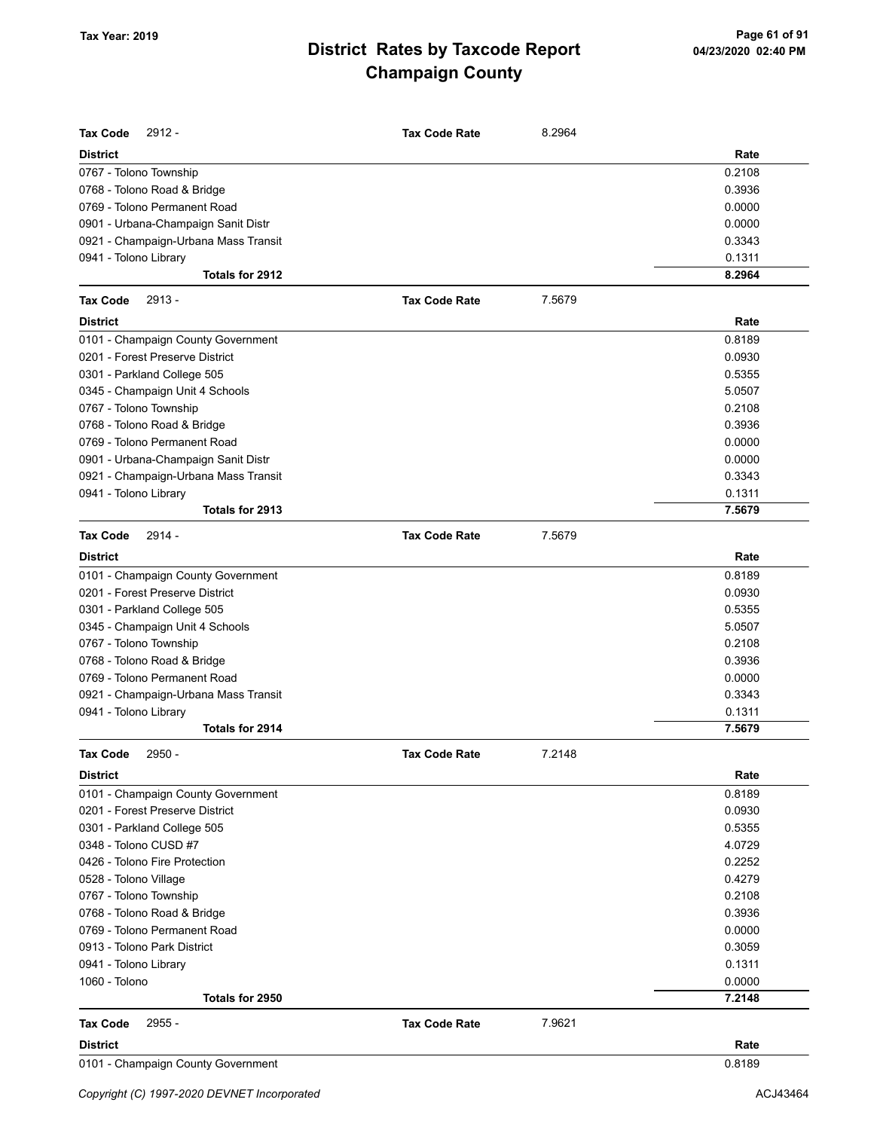| <b>Tax Code</b><br>2912 -            | <b>Tax Code Rate</b> | 8.2964 |        |
|--------------------------------------|----------------------|--------|--------|
| <b>District</b>                      |                      |        | Rate   |
| 0767 - Tolono Township               |                      |        | 0.2108 |
| 0768 - Tolono Road & Bridge          |                      |        | 0.3936 |
| 0769 - Tolono Permanent Road         |                      |        | 0.0000 |
| 0901 - Urbana-Champaign Sanit Distr  |                      |        | 0.0000 |
| 0921 - Champaign-Urbana Mass Transit |                      |        | 0.3343 |
| 0941 - Tolono Library                |                      |        | 0.1311 |
| Totals for 2912                      |                      |        | 8.2964 |
| <b>Tax Code</b><br>2913 -            | <b>Tax Code Rate</b> | 7.5679 |        |
| <b>District</b>                      |                      |        | Rate   |
| 0101 - Champaign County Government   |                      |        | 0.8189 |
| 0201 - Forest Preserve District      |                      |        | 0.0930 |
| 0301 - Parkland College 505          |                      |        | 0.5355 |
| 0345 - Champaign Unit 4 Schools      |                      |        | 5.0507 |
| 0767 - Tolono Township               |                      |        | 0.2108 |
| 0768 - Tolono Road & Bridge          |                      |        | 0.3936 |
| 0769 - Tolono Permanent Road         |                      |        | 0.0000 |
| 0901 - Urbana-Champaign Sanit Distr  |                      |        | 0.0000 |
| 0921 - Champaign-Urbana Mass Transit |                      |        | 0.3343 |
| 0941 - Tolono Library                |                      |        | 0.1311 |
| Totals for 2913                      |                      |        | 7.5679 |
| <b>Tax Code</b><br>$2914 -$          | <b>Tax Code Rate</b> | 7.5679 |        |
| <b>District</b>                      |                      |        | Rate   |
| 0101 - Champaign County Government   |                      |        | 0.8189 |
| 0201 - Forest Preserve District      |                      |        | 0.0930 |
| 0301 - Parkland College 505          |                      |        | 0.5355 |
| 0345 - Champaign Unit 4 Schools      |                      |        | 5.0507 |
| 0767 - Tolono Township               |                      |        | 0.2108 |
| 0768 - Tolono Road & Bridge          |                      |        | 0.3936 |
| 0769 - Tolono Permanent Road         |                      |        | 0.0000 |
| 0921 - Champaign-Urbana Mass Transit |                      |        | 0.3343 |
| 0941 - Tolono Library                |                      |        | 0.1311 |
| Totals for 2914                      |                      |        | 7.5679 |
| <b>Tax Code</b><br>2950 -            | <b>Tax Code Rate</b> | 7.2148 |        |
| <b>District</b>                      |                      |        | Rate   |
| 0101 - Champaign County Government   |                      |        | 0.8189 |
| 0201 - Forest Preserve District      |                      |        | 0.0930 |
| 0301 - Parkland College 505          |                      |        | 0.5355 |
| 0348 - Tolono CUSD #7                |                      |        | 4.0729 |
| 0426 - Tolono Fire Protection        |                      |        | 0.2252 |
| 0528 - Tolono Village                |                      |        | 0.4279 |
| 0767 - Tolono Township               |                      |        | 0.2108 |
| 0768 - Tolono Road & Bridge          |                      |        | 0.3936 |
| 0769 - Tolono Permanent Road         |                      |        | 0.0000 |
| 0913 - Tolono Park District          |                      |        | 0.3059 |
| 0941 - Tolono Library                |                      |        | 0.1311 |
| 1060 - Tolono                        |                      |        | 0.0000 |
| Totals for 2950                      |                      |        | 7.2148 |
| 2955 -<br><b>Tax Code</b>            | <b>Tax Code Rate</b> | 7.9621 |        |
| <b>District</b>                      |                      |        | Rate   |
| 0101 - Champaign County Government   |                      |        | 0.8189 |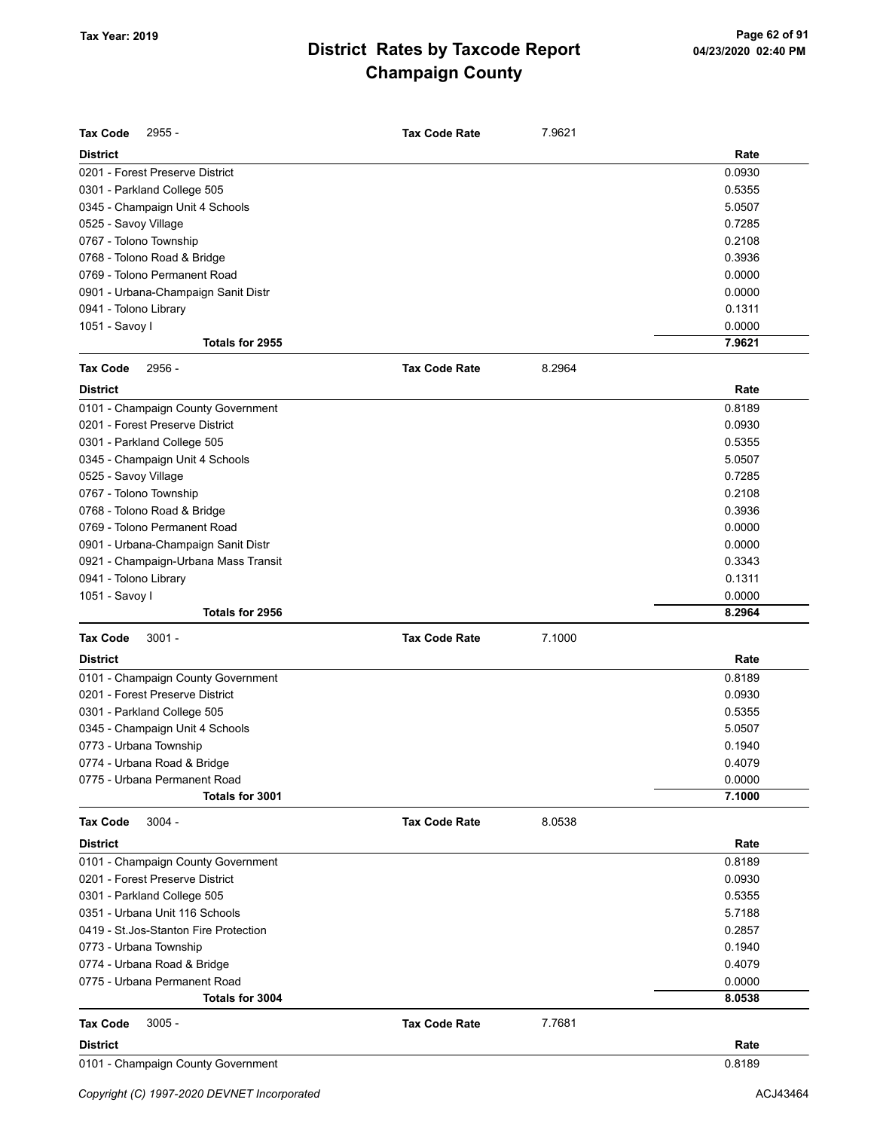| <b>District</b><br>Rate<br>0201 - Forest Preserve District<br>0.0930<br>0301 - Parkland College 505<br>0.5355<br>0345 - Champaign Unit 4 Schools<br>5.0507<br>0.7285<br>0525 - Savoy Village<br>0.2108<br>0767 - Tolono Township<br>0.3936<br>0768 - Tolono Road & Bridge<br>0769 - Tolono Permanent Road<br>0.0000<br>0901 - Urbana-Champaign Sanit Distr<br>0.0000<br>0941 - Tolono Library<br>0.1311<br>0.0000<br>1051 - Savoy I<br>7.9621<br>Totals for 2955<br><b>Tax Code</b><br>2956 -<br><b>Tax Code Rate</b><br>8.2964<br><b>District</b><br>Rate<br>0.8189<br>0101 - Champaign County Government<br>0201 - Forest Preserve District<br>0.0930<br>0301 - Parkland College 505<br>0.5355<br>0345 - Champaign Unit 4 Schools<br>5.0507<br>0525 - Savoy Village<br>0.7285<br>0767 - Tolono Township<br>0.2108<br>0768 - Tolono Road & Bridge<br>0.3936<br>0769 - Tolono Permanent Road<br>0.0000<br>0901 - Urbana-Champaign Sanit Distr<br>0.0000<br>0.3343<br>0921 - Champaign-Urbana Mass Transit<br>0941 - Tolono Library<br>0.1311<br>1051 - Savoy I<br>0.0000<br>8.2964<br>Totals for 2956<br><b>Tax Code</b><br>$3001 -$<br><b>Tax Code Rate</b><br>7.1000<br><b>District</b><br>Rate<br>0.8189<br>0101 - Champaign County Government<br>0201 - Forest Preserve District<br>0.0930<br>0301 - Parkland College 505<br>0.5355<br>0345 - Champaign Unit 4 Schools<br>5.0507<br>0773 - Urbana Township<br>0.1940<br>0.4079<br>0774 - Urbana Road & Bridge<br>0.0000<br>0775 - Urbana Permanent Road<br>7.1000<br>Totals for 3001<br><b>Tax Code</b><br>$3004 -$<br><b>Tax Code Rate</b><br>8.0538<br><b>District</b><br>Rate<br>0101 - Champaign County Government<br>0.8189<br>0201 - Forest Preserve District<br>0.0930<br>0301 - Parkland College 505<br>0.5355<br>0351 - Urbana Unit 116 Schools<br>5.7188<br>0419 - St. Jos-Stanton Fire Protection<br>0.2857<br>0773 - Urbana Township<br>0.1940<br>0774 - Urbana Road & Bridge<br>0.4079<br>0775 - Urbana Permanent Road<br>0.0000<br>8.0538<br>Totals for 3004<br>$3005 -$<br>7.7681<br><b>Tax Code</b><br><b>Tax Code Rate</b><br><b>District</b><br>Rate | <b>Tax Code</b><br>2955 -          | <b>Tax Code Rate</b> | 7.9621 |        |
|----------------------------------------------------------------------------------------------------------------------------------------------------------------------------------------------------------------------------------------------------------------------------------------------------------------------------------------------------------------------------------------------------------------------------------------------------------------------------------------------------------------------------------------------------------------------------------------------------------------------------------------------------------------------------------------------------------------------------------------------------------------------------------------------------------------------------------------------------------------------------------------------------------------------------------------------------------------------------------------------------------------------------------------------------------------------------------------------------------------------------------------------------------------------------------------------------------------------------------------------------------------------------------------------------------------------------------------------------------------------------------------------------------------------------------------------------------------------------------------------------------------------------------------------------------------------------------------------------------------------------------------------------------------------------------------------------------------------------------------------------------------------------------------------------------------------------------------------------------------------------------------------------------------------------------------------------------------------------------------------------------------------------------------------------------------------------------------------------------------------------|------------------------------------|----------------------|--------|--------|
|                                                                                                                                                                                                                                                                                                                                                                                                                                                                                                                                                                                                                                                                                                                                                                                                                                                                                                                                                                                                                                                                                                                                                                                                                                                                                                                                                                                                                                                                                                                                                                                                                                                                                                                                                                                                                                                                                                                                                                                                                                                                                                                            |                                    |                      |        |        |
|                                                                                                                                                                                                                                                                                                                                                                                                                                                                                                                                                                                                                                                                                                                                                                                                                                                                                                                                                                                                                                                                                                                                                                                                                                                                                                                                                                                                                                                                                                                                                                                                                                                                                                                                                                                                                                                                                                                                                                                                                                                                                                                            |                                    |                      |        |        |
|                                                                                                                                                                                                                                                                                                                                                                                                                                                                                                                                                                                                                                                                                                                                                                                                                                                                                                                                                                                                                                                                                                                                                                                                                                                                                                                                                                                                                                                                                                                                                                                                                                                                                                                                                                                                                                                                                                                                                                                                                                                                                                                            |                                    |                      |        |        |
|                                                                                                                                                                                                                                                                                                                                                                                                                                                                                                                                                                                                                                                                                                                                                                                                                                                                                                                                                                                                                                                                                                                                                                                                                                                                                                                                                                                                                                                                                                                                                                                                                                                                                                                                                                                                                                                                                                                                                                                                                                                                                                                            |                                    |                      |        |        |
|                                                                                                                                                                                                                                                                                                                                                                                                                                                                                                                                                                                                                                                                                                                                                                                                                                                                                                                                                                                                                                                                                                                                                                                                                                                                                                                                                                                                                                                                                                                                                                                                                                                                                                                                                                                                                                                                                                                                                                                                                                                                                                                            |                                    |                      |        |        |
|                                                                                                                                                                                                                                                                                                                                                                                                                                                                                                                                                                                                                                                                                                                                                                                                                                                                                                                                                                                                                                                                                                                                                                                                                                                                                                                                                                                                                                                                                                                                                                                                                                                                                                                                                                                                                                                                                                                                                                                                                                                                                                                            |                                    |                      |        |        |
|                                                                                                                                                                                                                                                                                                                                                                                                                                                                                                                                                                                                                                                                                                                                                                                                                                                                                                                                                                                                                                                                                                                                                                                                                                                                                                                                                                                                                                                                                                                                                                                                                                                                                                                                                                                                                                                                                                                                                                                                                                                                                                                            |                                    |                      |        |        |
|                                                                                                                                                                                                                                                                                                                                                                                                                                                                                                                                                                                                                                                                                                                                                                                                                                                                                                                                                                                                                                                                                                                                                                                                                                                                                                                                                                                                                                                                                                                                                                                                                                                                                                                                                                                                                                                                                                                                                                                                                                                                                                                            |                                    |                      |        |        |
|                                                                                                                                                                                                                                                                                                                                                                                                                                                                                                                                                                                                                                                                                                                                                                                                                                                                                                                                                                                                                                                                                                                                                                                                                                                                                                                                                                                                                                                                                                                                                                                                                                                                                                                                                                                                                                                                                                                                                                                                                                                                                                                            |                                    |                      |        |        |
|                                                                                                                                                                                                                                                                                                                                                                                                                                                                                                                                                                                                                                                                                                                                                                                                                                                                                                                                                                                                                                                                                                                                                                                                                                                                                                                                                                                                                                                                                                                                                                                                                                                                                                                                                                                                                                                                                                                                                                                                                                                                                                                            |                                    |                      |        |        |
|                                                                                                                                                                                                                                                                                                                                                                                                                                                                                                                                                                                                                                                                                                                                                                                                                                                                                                                                                                                                                                                                                                                                                                                                                                                                                                                                                                                                                                                                                                                                                                                                                                                                                                                                                                                                                                                                                                                                                                                                                                                                                                                            |                                    |                      |        |        |
|                                                                                                                                                                                                                                                                                                                                                                                                                                                                                                                                                                                                                                                                                                                                                                                                                                                                                                                                                                                                                                                                                                                                                                                                                                                                                                                                                                                                                                                                                                                                                                                                                                                                                                                                                                                                                                                                                                                                                                                                                                                                                                                            |                                    |                      |        |        |
|                                                                                                                                                                                                                                                                                                                                                                                                                                                                                                                                                                                                                                                                                                                                                                                                                                                                                                                                                                                                                                                                                                                                                                                                                                                                                                                                                                                                                                                                                                                                                                                                                                                                                                                                                                                                                                                                                                                                                                                                                                                                                                                            |                                    |                      |        |        |
|                                                                                                                                                                                                                                                                                                                                                                                                                                                                                                                                                                                                                                                                                                                                                                                                                                                                                                                                                                                                                                                                                                                                                                                                                                                                                                                                                                                                                                                                                                                                                                                                                                                                                                                                                                                                                                                                                                                                                                                                                                                                                                                            |                                    |                      |        |        |
|                                                                                                                                                                                                                                                                                                                                                                                                                                                                                                                                                                                                                                                                                                                                                                                                                                                                                                                                                                                                                                                                                                                                                                                                                                                                                                                                                                                                                                                                                                                                                                                                                                                                                                                                                                                                                                                                                                                                                                                                                                                                                                                            |                                    |                      |        |        |
|                                                                                                                                                                                                                                                                                                                                                                                                                                                                                                                                                                                                                                                                                                                                                                                                                                                                                                                                                                                                                                                                                                                                                                                                                                                                                                                                                                                                                                                                                                                                                                                                                                                                                                                                                                                                                                                                                                                                                                                                                                                                                                                            |                                    |                      |        |        |
|                                                                                                                                                                                                                                                                                                                                                                                                                                                                                                                                                                                                                                                                                                                                                                                                                                                                                                                                                                                                                                                                                                                                                                                                                                                                                                                                                                                                                                                                                                                                                                                                                                                                                                                                                                                                                                                                                                                                                                                                                                                                                                                            |                                    |                      |        |        |
|                                                                                                                                                                                                                                                                                                                                                                                                                                                                                                                                                                                                                                                                                                                                                                                                                                                                                                                                                                                                                                                                                                                                                                                                                                                                                                                                                                                                                                                                                                                                                                                                                                                                                                                                                                                                                                                                                                                                                                                                                                                                                                                            |                                    |                      |        |        |
|                                                                                                                                                                                                                                                                                                                                                                                                                                                                                                                                                                                                                                                                                                                                                                                                                                                                                                                                                                                                                                                                                                                                                                                                                                                                                                                                                                                                                                                                                                                                                                                                                                                                                                                                                                                                                                                                                                                                                                                                                                                                                                                            |                                    |                      |        |        |
|                                                                                                                                                                                                                                                                                                                                                                                                                                                                                                                                                                                                                                                                                                                                                                                                                                                                                                                                                                                                                                                                                                                                                                                                                                                                                                                                                                                                                                                                                                                                                                                                                                                                                                                                                                                                                                                                                                                                                                                                                                                                                                                            |                                    |                      |        |        |
|                                                                                                                                                                                                                                                                                                                                                                                                                                                                                                                                                                                                                                                                                                                                                                                                                                                                                                                                                                                                                                                                                                                                                                                                                                                                                                                                                                                                                                                                                                                                                                                                                                                                                                                                                                                                                                                                                                                                                                                                                                                                                                                            |                                    |                      |        |        |
|                                                                                                                                                                                                                                                                                                                                                                                                                                                                                                                                                                                                                                                                                                                                                                                                                                                                                                                                                                                                                                                                                                                                                                                                                                                                                                                                                                                                                                                                                                                                                                                                                                                                                                                                                                                                                                                                                                                                                                                                                                                                                                                            |                                    |                      |        |        |
|                                                                                                                                                                                                                                                                                                                                                                                                                                                                                                                                                                                                                                                                                                                                                                                                                                                                                                                                                                                                                                                                                                                                                                                                                                                                                                                                                                                                                                                                                                                                                                                                                                                                                                                                                                                                                                                                                                                                                                                                                                                                                                                            |                                    |                      |        |        |
|                                                                                                                                                                                                                                                                                                                                                                                                                                                                                                                                                                                                                                                                                                                                                                                                                                                                                                                                                                                                                                                                                                                                                                                                                                                                                                                                                                                                                                                                                                                                                                                                                                                                                                                                                                                                                                                                                                                                                                                                                                                                                                                            |                                    |                      |        |        |
|                                                                                                                                                                                                                                                                                                                                                                                                                                                                                                                                                                                                                                                                                                                                                                                                                                                                                                                                                                                                                                                                                                                                                                                                                                                                                                                                                                                                                                                                                                                                                                                                                                                                                                                                                                                                                                                                                                                                                                                                                                                                                                                            |                                    |                      |        |        |
|                                                                                                                                                                                                                                                                                                                                                                                                                                                                                                                                                                                                                                                                                                                                                                                                                                                                                                                                                                                                                                                                                                                                                                                                                                                                                                                                                                                                                                                                                                                                                                                                                                                                                                                                                                                                                                                                                                                                                                                                                                                                                                                            |                                    |                      |        |        |
|                                                                                                                                                                                                                                                                                                                                                                                                                                                                                                                                                                                                                                                                                                                                                                                                                                                                                                                                                                                                                                                                                                                                                                                                                                                                                                                                                                                                                                                                                                                                                                                                                                                                                                                                                                                                                                                                                                                                                                                                                                                                                                                            |                                    |                      |        |        |
|                                                                                                                                                                                                                                                                                                                                                                                                                                                                                                                                                                                                                                                                                                                                                                                                                                                                                                                                                                                                                                                                                                                                                                                                                                                                                                                                                                                                                                                                                                                                                                                                                                                                                                                                                                                                                                                                                                                                                                                                                                                                                                                            |                                    |                      |        |        |
|                                                                                                                                                                                                                                                                                                                                                                                                                                                                                                                                                                                                                                                                                                                                                                                                                                                                                                                                                                                                                                                                                                                                                                                                                                                                                                                                                                                                                                                                                                                                                                                                                                                                                                                                                                                                                                                                                                                                                                                                                                                                                                                            |                                    |                      |        |        |
|                                                                                                                                                                                                                                                                                                                                                                                                                                                                                                                                                                                                                                                                                                                                                                                                                                                                                                                                                                                                                                                                                                                                                                                                                                                                                                                                                                                                                                                                                                                                                                                                                                                                                                                                                                                                                                                                                                                                                                                                                                                                                                                            |                                    |                      |        |        |
|                                                                                                                                                                                                                                                                                                                                                                                                                                                                                                                                                                                                                                                                                                                                                                                                                                                                                                                                                                                                                                                                                                                                                                                                                                                                                                                                                                                                                                                                                                                                                                                                                                                                                                                                                                                                                                                                                                                                                                                                                                                                                                                            |                                    |                      |        |        |
|                                                                                                                                                                                                                                                                                                                                                                                                                                                                                                                                                                                                                                                                                                                                                                                                                                                                                                                                                                                                                                                                                                                                                                                                                                                                                                                                                                                                                                                                                                                                                                                                                                                                                                                                                                                                                                                                                                                                                                                                                                                                                                                            |                                    |                      |        |        |
|                                                                                                                                                                                                                                                                                                                                                                                                                                                                                                                                                                                                                                                                                                                                                                                                                                                                                                                                                                                                                                                                                                                                                                                                                                                                                                                                                                                                                                                                                                                                                                                                                                                                                                                                                                                                                                                                                                                                                                                                                                                                                                                            |                                    |                      |        |        |
|                                                                                                                                                                                                                                                                                                                                                                                                                                                                                                                                                                                                                                                                                                                                                                                                                                                                                                                                                                                                                                                                                                                                                                                                                                                                                                                                                                                                                                                                                                                                                                                                                                                                                                                                                                                                                                                                                                                                                                                                                                                                                                                            |                                    |                      |        |        |
|                                                                                                                                                                                                                                                                                                                                                                                                                                                                                                                                                                                                                                                                                                                                                                                                                                                                                                                                                                                                                                                                                                                                                                                                                                                                                                                                                                                                                                                                                                                                                                                                                                                                                                                                                                                                                                                                                                                                                                                                                                                                                                                            |                                    |                      |        |        |
|                                                                                                                                                                                                                                                                                                                                                                                                                                                                                                                                                                                                                                                                                                                                                                                                                                                                                                                                                                                                                                                                                                                                                                                                                                                                                                                                                                                                                                                                                                                                                                                                                                                                                                                                                                                                                                                                                                                                                                                                                                                                                                                            |                                    |                      |        |        |
|                                                                                                                                                                                                                                                                                                                                                                                                                                                                                                                                                                                                                                                                                                                                                                                                                                                                                                                                                                                                                                                                                                                                                                                                                                                                                                                                                                                                                                                                                                                                                                                                                                                                                                                                                                                                                                                                                                                                                                                                                                                                                                                            |                                    |                      |        |        |
|                                                                                                                                                                                                                                                                                                                                                                                                                                                                                                                                                                                                                                                                                                                                                                                                                                                                                                                                                                                                                                                                                                                                                                                                                                                                                                                                                                                                                                                                                                                                                                                                                                                                                                                                                                                                                                                                                                                                                                                                                                                                                                                            |                                    |                      |        |        |
|                                                                                                                                                                                                                                                                                                                                                                                                                                                                                                                                                                                                                                                                                                                                                                                                                                                                                                                                                                                                                                                                                                                                                                                                                                                                                                                                                                                                                                                                                                                                                                                                                                                                                                                                                                                                                                                                                                                                                                                                                                                                                                                            |                                    |                      |        |        |
|                                                                                                                                                                                                                                                                                                                                                                                                                                                                                                                                                                                                                                                                                                                                                                                                                                                                                                                                                                                                                                                                                                                                                                                                                                                                                                                                                                                                                                                                                                                                                                                                                                                                                                                                                                                                                                                                                                                                                                                                                                                                                                                            |                                    |                      |        |        |
|                                                                                                                                                                                                                                                                                                                                                                                                                                                                                                                                                                                                                                                                                                                                                                                                                                                                                                                                                                                                                                                                                                                                                                                                                                                                                                                                                                                                                                                                                                                                                                                                                                                                                                                                                                                                                                                                                                                                                                                                                                                                                                                            |                                    |                      |        |        |
|                                                                                                                                                                                                                                                                                                                                                                                                                                                                                                                                                                                                                                                                                                                                                                                                                                                                                                                                                                                                                                                                                                                                                                                                                                                                                                                                                                                                                                                                                                                                                                                                                                                                                                                                                                                                                                                                                                                                                                                                                                                                                                                            |                                    |                      |        |        |
|                                                                                                                                                                                                                                                                                                                                                                                                                                                                                                                                                                                                                                                                                                                                                                                                                                                                                                                                                                                                                                                                                                                                                                                                                                                                                                                                                                                                                                                                                                                                                                                                                                                                                                                                                                                                                                                                                                                                                                                                                                                                                                                            |                                    |                      |        |        |
|                                                                                                                                                                                                                                                                                                                                                                                                                                                                                                                                                                                                                                                                                                                                                                                                                                                                                                                                                                                                                                                                                                                                                                                                                                                                                                                                                                                                                                                                                                                                                                                                                                                                                                                                                                                                                                                                                                                                                                                                                                                                                                                            |                                    |                      |        |        |
|                                                                                                                                                                                                                                                                                                                                                                                                                                                                                                                                                                                                                                                                                                                                                                                                                                                                                                                                                                                                                                                                                                                                                                                                                                                                                                                                                                                                                                                                                                                                                                                                                                                                                                                                                                                                                                                                                                                                                                                                                                                                                                                            |                                    |                      |        |        |
|                                                                                                                                                                                                                                                                                                                                                                                                                                                                                                                                                                                                                                                                                                                                                                                                                                                                                                                                                                                                                                                                                                                                                                                                                                                                                                                                                                                                                                                                                                                                                                                                                                                                                                                                                                                                                                                                                                                                                                                                                                                                                                                            |                                    |                      |        |        |
|                                                                                                                                                                                                                                                                                                                                                                                                                                                                                                                                                                                                                                                                                                                                                                                                                                                                                                                                                                                                                                                                                                                                                                                                                                                                                                                                                                                                                                                                                                                                                                                                                                                                                                                                                                                                                                                                                                                                                                                                                                                                                                                            |                                    |                      |        |        |
|                                                                                                                                                                                                                                                                                                                                                                                                                                                                                                                                                                                                                                                                                                                                                                                                                                                                                                                                                                                                                                                                                                                                                                                                                                                                                                                                                                                                                                                                                                                                                                                                                                                                                                                                                                                                                                                                                                                                                                                                                                                                                                                            |                                    |                      |        |        |
|                                                                                                                                                                                                                                                                                                                                                                                                                                                                                                                                                                                                                                                                                                                                                                                                                                                                                                                                                                                                                                                                                                                                                                                                                                                                                                                                                                                                                                                                                                                                                                                                                                                                                                                                                                                                                                                                                                                                                                                                                                                                                                                            |                                    |                      |        |        |
|                                                                                                                                                                                                                                                                                                                                                                                                                                                                                                                                                                                                                                                                                                                                                                                                                                                                                                                                                                                                                                                                                                                                                                                                                                                                                                                                                                                                                                                                                                                                                                                                                                                                                                                                                                                                                                                                                                                                                                                                                                                                                                                            |                                    |                      |        |        |
|                                                                                                                                                                                                                                                                                                                                                                                                                                                                                                                                                                                                                                                                                                                                                                                                                                                                                                                                                                                                                                                                                                                                                                                                                                                                                                                                                                                                                                                                                                                                                                                                                                                                                                                                                                                                                                                                                                                                                                                                                                                                                                                            |                                    |                      |        |        |
|                                                                                                                                                                                                                                                                                                                                                                                                                                                                                                                                                                                                                                                                                                                                                                                                                                                                                                                                                                                                                                                                                                                                                                                                                                                                                                                                                                                                                                                                                                                                                                                                                                                                                                                                                                                                                                                                                                                                                                                                                                                                                                                            | 0101 - Champaign County Government |                      |        | 0.8189 |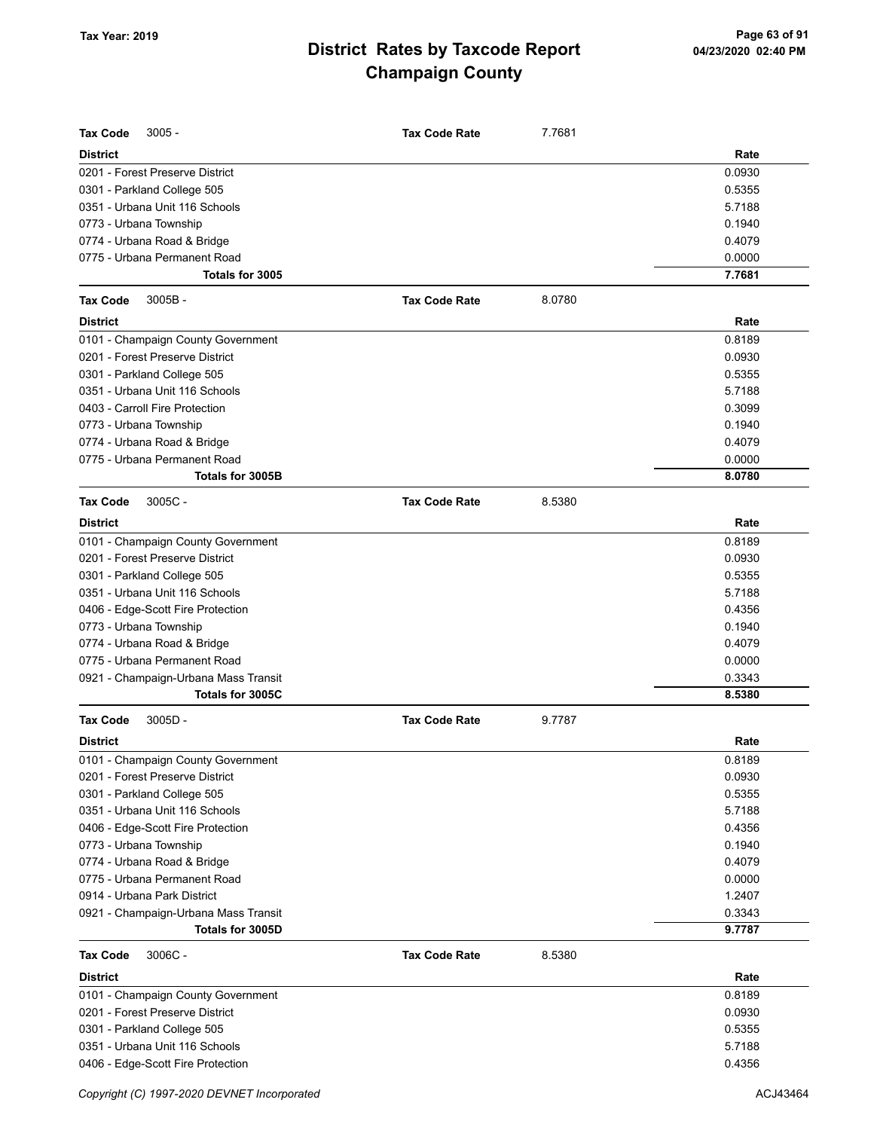| <b>Tax Code</b><br>$3005 -$                                 | <b>Tax Code Rate</b> | 7.7681 |                  |
|-------------------------------------------------------------|----------------------|--------|------------------|
| <b>District</b>                                             |                      |        | Rate             |
| 0201 - Forest Preserve District                             |                      |        | 0.0930           |
| 0301 - Parkland College 505                                 |                      |        | 0.5355           |
| 0351 - Urbana Unit 116 Schools                              |                      |        | 5.7188           |
| 0773 - Urbana Township                                      |                      |        | 0.1940           |
| 0774 - Urbana Road & Bridge                                 |                      |        | 0.4079           |
| 0775 - Urbana Permanent Road                                |                      |        | 0.0000           |
| Totals for 3005                                             |                      |        | 7.7681           |
| <b>Tax Code</b><br>$3005B -$                                | <b>Tax Code Rate</b> | 8.0780 |                  |
| <b>District</b>                                             |                      |        | Rate             |
| 0101 - Champaign County Government                          |                      |        | 0.8189           |
| 0201 - Forest Preserve District                             |                      |        | 0.0930           |
| 0301 - Parkland College 505                                 |                      |        | 0.5355           |
| 0351 - Urbana Unit 116 Schools                              |                      |        | 5.7188           |
| 0403 - Carroll Fire Protection                              |                      |        | 0.3099           |
| 0773 - Urbana Township                                      |                      |        | 0.1940           |
| 0774 - Urbana Road & Bridge                                 |                      |        | 0.4079           |
| 0775 - Urbana Permanent Road                                |                      |        | 0.0000           |
| Totals for 3005B                                            |                      |        | 8.0780           |
| <b>Tax Code</b><br>3005C-                                   | <b>Tax Code Rate</b> | 8.5380 |                  |
| <b>District</b>                                             |                      |        | Rate             |
| 0101 - Champaign County Government                          |                      |        | 0.8189           |
| 0201 - Forest Preserve District                             |                      |        | 0.0930           |
| 0301 - Parkland College 505                                 |                      |        | 0.5355           |
| 0351 - Urbana Unit 116 Schools                              |                      |        | 5.7188           |
| 0406 - Edge-Scott Fire Protection                           |                      |        | 0.4356           |
| 0773 - Urbana Township                                      |                      |        | 0.1940           |
| 0774 - Urbana Road & Bridge                                 |                      |        | 0.4079           |
| 0775 - Urbana Permanent Road                                |                      |        | 0.0000           |
| 0921 - Champaign-Urbana Mass Transit                        |                      |        | 0.3343           |
| Totals for 3005C                                            |                      |        | 8.5380           |
| <b>Tax Code</b><br>$3005D -$                                | <b>Tax Code Rate</b> | 9.7787 |                  |
|                                                             |                      |        |                  |
| <b>District</b>                                             |                      |        | Rate             |
| 0101 - Champaign County Government                          |                      |        | 0.8189           |
| 0201 - Forest Preserve District                             |                      |        | 0.0930           |
| 0301 - Parkland College 505                                 |                      |        | 0.5355           |
| 0351 - Urbana Unit 116 Schools                              |                      |        | 5.7188           |
| 0406 - Edge-Scott Fire Protection                           |                      |        | 0.4356           |
| 0773 - Urbana Township                                      |                      |        | 0.1940<br>0.4079 |
| 0774 - Urbana Road & Bridge<br>0775 - Urbana Permanent Road |                      |        |                  |
| 0914 - Urbana Park District                                 |                      |        | 0.0000<br>1.2407 |
| 0921 - Champaign-Urbana Mass Transit                        |                      |        | 0.3343           |
| Totals for 3005D                                            |                      |        | 9.7787           |
|                                                             |                      |        |                  |
| <b>Tax Code</b><br>3006C-                                   | <b>Tax Code Rate</b> | 8.5380 |                  |
| <b>District</b>                                             |                      |        | Rate             |
| 0101 - Champaign County Government                          |                      |        | 0.8189           |
| 0201 - Forest Preserve District                             |                      |        | 0.0930           |
| 0301 - Parkland College 505                                 |                      |        | 0.5355           |
| 0351 - Urbana Unit 116 Schools                              |                      |        | 5.7188           |
| 0406 - Edge-Scott Fire Protection                           |                      |        | 0.4356           |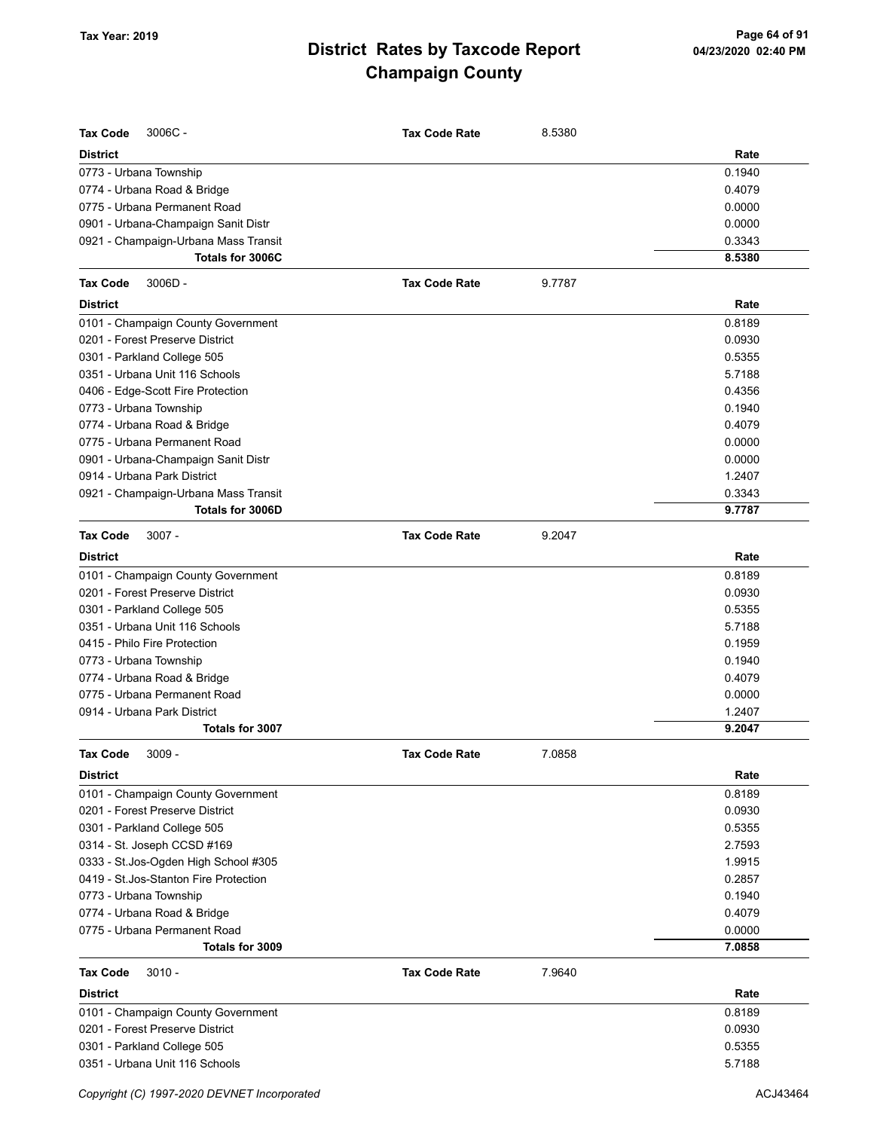| <b>Tax Code</b><br>3006C-              | <b>Tax Code Rate</b> | 8.5380 |        |
|----------------------------------------|----------------------|--------|--------|
| <b>District</b>                        |                      |        | Rate   |
| 0773 - Urbana Township                 |                      |        | 0.1940 |
| 0774 - Urbana Road & Bridge            |                      |        | 0.4079 |
| 0775 - Urbana Permanent Road           |                      |        | 0.0000 |
| 0901 - Urbana-Champaign Sanit Distr    |                      |        | 0.0000 |
| 0921 - Champaign-Urbana Mass Transit   |                      |        | 0.3343 |
| Totals for 3006C                       |                      |        | 8.5380 |
| <b>Tax Code</b><br>$3006D -$           | <b>Tax Code Rate</b> | 9.7787 |        |
| <b>District</b>                        |                      |        | Rate   |
| 0101 - Champaign County Government     |                      |        | 0.8189 |
| 0201 - Forest Preserve District        |                      |        | 0.0930 |
| 0301 - Parkland College 505            |                      |        | 0.5355 |
| 0351 - Urbana Unit 116 Schools         |                      |        | 5.7188 |
| 0406 - Edge-Scott Fire Protection      |                      |        | 0.4356 |
| 0773 - Urbana Township                 |                      |        | 0.1940 |
| 0774 - Urbana Road & Bridge            |                      |        | 0.4079 |
| 0775 - Urbana Permanent Road           |                      |        | 0.0000 |
| 0901 - Urbana-Champaign Sanit Distr    |                      |        | 0.0000 |
| 0914 - Urbana Park District            |                      |        | 1.2407 |
| 0921 - Champaign-Urbana Mass Transit   |                      |        | 0.3343 |
| Totals for 3006D                       |                      |        | 9.7787 |
| <b>Tax Code</b><br>$3007 -$            | <b>Tax Code Rate</b> | 9.2047 |        |
| <b>District</b>                        |                      |        | Rate   |
| 0101 - Champaign County Government     |                      |        | 0.8189 |
| 0201 - Forest Preserve District        |                      |        | 0.0930 |
| 0301 - Parkland College 505            |                      |        | 0.5355 |
| 0351 - Urbana Unit 116 Schools         |                      |        | 5.7188 |
| 0415 - Philo Fire Protection           |                      |        | 0.1959 |
| 0773 - Urbana Township                 |                      |        | 0.1940 |
| 0774 - Urbana Road & Bridge            |                      |        | 0.4079 |
| 0775 - Urbana Permanent Road           |                      |        | 0.0000 |
| 0914 - Urbana Park District            |                      |        | 1.2407 |
| Totals for 3007                        |                      |        | 9.2047 |
| $3009 -$<br><b>Tax Code</b>            | <b>Tax Code Rate</b> | 7.0858 |        |
| <b>District</b>                        |                      |        | Rate   |
| 0101 - Champaign County Government     |                      |        | 0.8189 |
| 0201 - Forest Preserve District        |                      |        | 0.0930 |
| 0301 - Parkland College 505            |                      |        | 0.5355 |
| 0314 - St. Joseph CCSD #169            |                      |        | 2.7593 |
| 0333 - St.Jos-Ogden High School #305   |                      |        | 1.9915 |
| 0419 - St. Jos-Stanton Fire Protection |                      |        | 0.2857 |
| 0773 - Urbana Township                 |                      |        | 0.1940 |
| 0774 - Urbana Road & Bridge            |                      |        | 0.4079 |
| 0775 - Urbana Permanent Road           |                      |        | 0.0000 |
| Totals for 3009                        |                      |        | 7.0858 |
| <b>Tax Code</b><br>$3010 -$            | <b>Tax Code Rate</b> | 7.9640 |        |
| <b>District</b>                        |                      |        | Rate   |
| 0101 - Champaign County Government     |                      |        | 0.8189 |
| 0201 - Forest Preserve District        |                      |        | 0.0930 |
| 0301 - Parkland College 505            |                      |        | 0.5355 |
| 0351 - Urbana Unit 116 Schools         |                      |        | 5.7188 |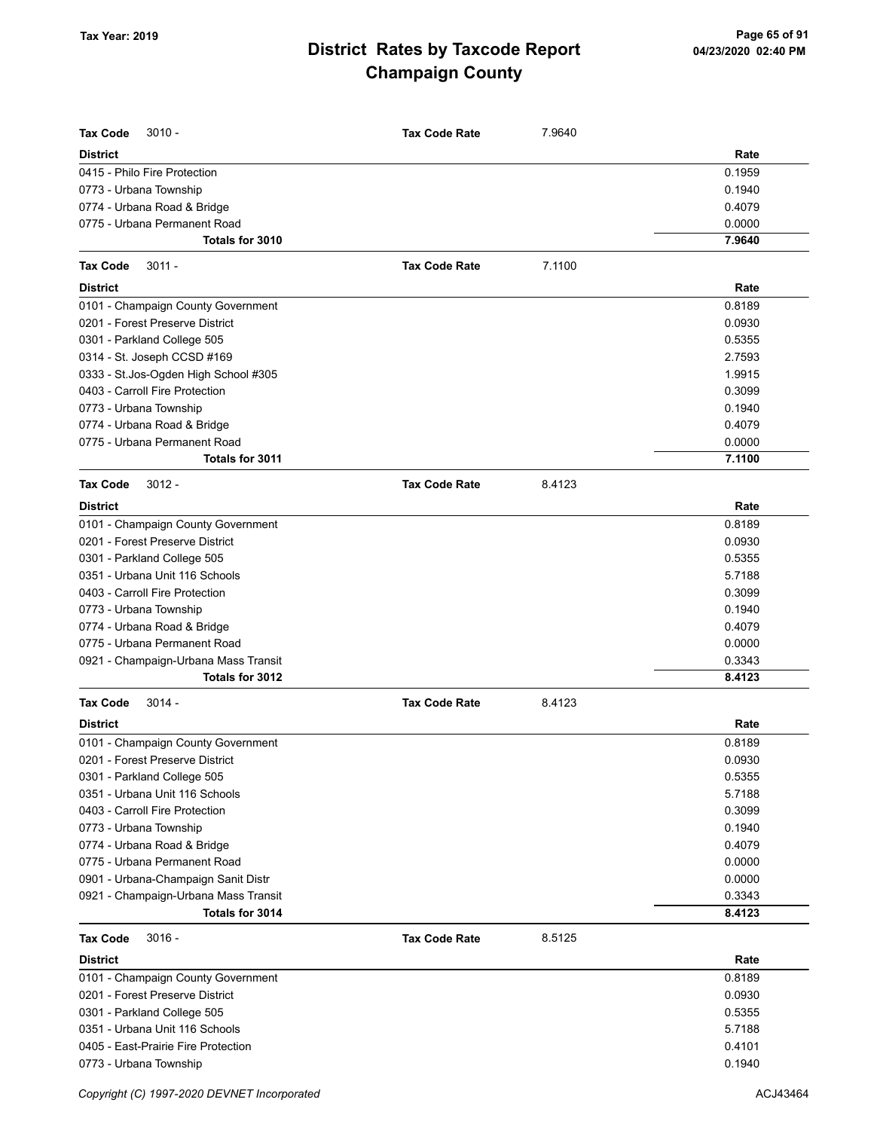| <b>Tax Code</b><br>$3010 -$          | <b>Tax Code Rate</b> | 7.9640 |        |
|--------------------------------------|----------------------|--------|--------|
| <b>District</b>                      |                      |        | Rate   |
| 0415 - Philo Fire Protection         |                      |        | 0.1959 |
| 0773 - Urbana Township               |                      |        | 0.1940 |
| 0774 - Urbana Road & Bridge          |                      |        | 0.4079 |
| 0775 - Urbana Permanent Road         |                      |        | 0.0000 |
| Totals for 3010                      |                      |        | 7.9640 |
| <b>Tax Code</b><br>$3011 -$          | <b>Tax Code Rate</b> | 7.1100 |        |
| <b>District</b>                      |                      |        | Rate   |
| 0101 - Champaign County Government   |                      |        | 0.8189 |
| 0201 - Forest Preserve District      |                      |        | 0.0930 |
| 0301 - Parkland College 505          |                      |        | 0.5355 |
| 0314 - St. Joseph CCSD #169          |                      |        | 2.7593 |
| 0333 - St.Jos-Ogden High School #305 |                      |        | 1.9915 |
| 0403 - Carroll Fire Protection       |                      |        | 0.3099 |
| 0773 - Urbana Township               |                      |        | 0.1940 |
| 0774 - Urbana Road & Bridge          |                      |        | 0.4079 |
| 0775 - Urbana Permanent Road         |                      |        | 0.0000 |
| Totals for 3011                      |                      |        | 7.1100 |
| <b>Tax Code</b><br>$3012 -$          | <b>Tax Code Rate</b> | 8.4123 |        |
| <b>District</b>                      |                      |        | Rate   |
| 0101 - Champaign County Government   |                      |        | 0.8189 |
| 0201 - Forest Preserve District      |                      |        | 0.0930 |
| 0301 - Parkland College 505          |                      |        | 0.5355 |
| 0351 - Urbana Unit 116 Schools       |                      |        | 5.7188 |
| 0403 - Carroll Fire Protection       |                      |        | 0.3099 |
| 0773 - Urbana Township               |                      |        | 0.1940 |
| 0774 - Urbana Road & Bridge          |                      |        | 0.4079 |
| 0775 - Urbana Permanent Road         |                      |        | 0.0000 |
| 0921 - Champaign-Urbana Mass Transit |                      |        | 0.3343 |
| Totals for 3012                      |                      |        | 8.4123 |
| $3014 -$<br><b>Tax Code</b>          | <b>Tax Code Rate</b> | 8.4123 |        |
| <b>District</b>                      |                      |        | Rate   |
| 0101 - Champaign County Government   |                      |        | 0.8189 |
| 0201 - Forest Preserve District      |                      |        | 0.0930 |
| 0301 - Parkland College 505          |                      |        | 0.5355 |
| 0351 - Urbana Unit 116 Schools       |                      |        | 5.7188 |
| 0403 - Carroll Fire Protection       |                      |        | 0.3099 |
| 0773 - Urbana Township               |                      |        | 0.1940 |
| 0774 - Urbana Road & Bridge          |                      |        | 0.4079 |
| 0775 - Urbana Permanent Road         |                      |        | 0.0000 |
| 0901 - Urbana-Champaign Sanit Distr  |                      |        | 0.0000 |
| 0921 - Champaign-Urbana Mass Transit |                      |        | 0.3343 |
| Totals for 3014                      |                      |        | 8.4123 |
| $3016 -$<br><b>Tax Code</b>          | <b>Tax Code Rate</b> | 8.5125 |        |
| <b>District</b>                      |                      |        | Rate   |
| 0101 - Champaign County Government   |                      |        | 0.8189 |
| 0201 - Forest Preserve District      |                      |        | 0.0930 |
| 0301 - Parkland College 505          |                      |        | 0.5355 |
| 0351 - Urbana Unit 116 Schools       |                      |        | 5.7188 |
| 0405 - East-Prairie Fire Protection  |                      |        | 0.4101 |
| 0773 - Urbana Township               |                      |        | 0.1940 |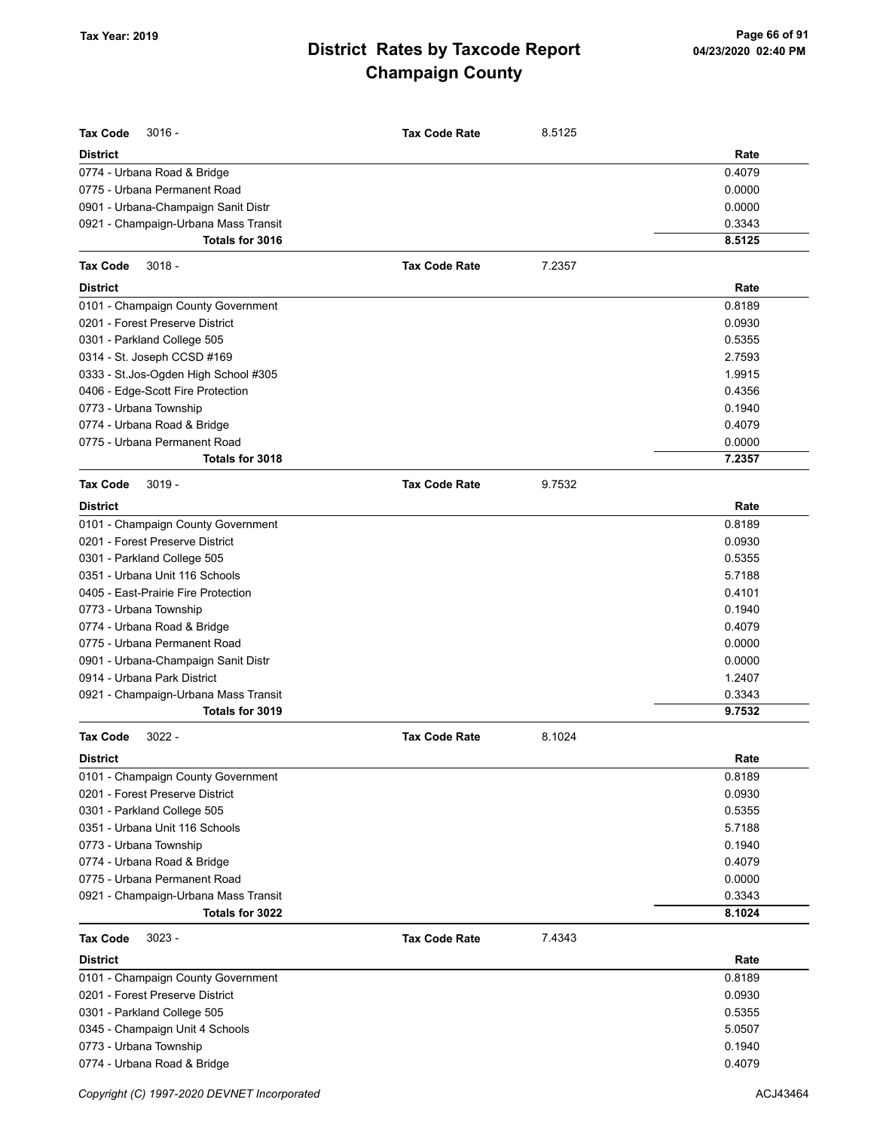| <b>Tax Code</b><br>$3016 -$                             | <b>Tax Code Rate</b> | 8.5125 |                  |
|---------------------------------------------------------|----------------------|--------|------------------|
| <b>District</b>                                         |                      |        | Rate             |
| 0774 - Urbana Road & Bridge                             |                      |        | 0.4079           |
| 0775 - Urbana Permanent Road                            |                      |        | 0.0000           |
| 0901 - Urbana-Champaign Sanit Distr                     |                      |        | 0.0000           |
| 0921 - Champaign-Urbana Mass Transit                    |                      |        | 0.3343           |
| Totals for 3016                                         |                      |        | 8.5125           |
| <b>Tax Code</b><br>$3018 -$                             | <b>Tax Code Rate</b> | 7.2357 |                  |
| <b>District</b>                                         |                      |        | Rate             |
| 0101 - Champaign County Government                      |                      |        | 0.8189           |
| 0201 - Forest Preserve District                         |                      |        | 0.0930           |
| 0301 - Parkland College 505                             |                      |        | 0.5355           |
| 0314 - St. Joseph CCSD #169                             |                      |        | 2.7593           |
| 0333 - St.Jos-Ogden High School #305                    |                      |        | 1.9915           |
| 0406 - Edge-Scott Fire Protection                       |                      |        | 0.4356           |
| 0773 - Urbana Township                                  |                      |        | 0.1940           |
| 0774 - Urbana Road & Bridge                             |                      |        | 0.4079           |
| 0775 - Urbana Permanent Road                            |                      |        | 0.0000           |
| Totals for 3018                                         |                      |        | 7.2357           |
| <b>Tax Code</b><br>$3019 -$                             | <b>Tax Code Rate</b> | 9.7532 |                  |
| <b>District</b>                                         |                      |        | Rate             |
| 0101 - Champaign County Government                      |                      |        | 0.8189           |
| 0201 - Forest Preserve District                         |                      |        | 0.0930           |
| 0301 - Parkland College 505                             |                      |        | 0.5355           |
| 0351 - Urbana Unit 116 Schools                          |                      |        | 5.7188           |
| 0405 - East-Prairie Fire Protection                     |                      |        | 0.4101           |
| 0773 - Urbana Township                                  |                      |        | 0.1940           |
| 0774 - Urbana Road & Bridge                             |                      |        | 0.4079           |
| 0775 - Urbana Permanent Road                            |                      |        | 0.0000           |
| 0901 - Urbana-Champaign Sanit Distr                     |                      |        | 0.0000           |
| 0914 - Urbana Park District                             |                      |        | 1.2407           |
| 0921 - Champaign-Urbana Mass Transit<br>Totals for 3019 |                      |        | 0.3343<br>9.7532 |
|                                                         |                      |        |                  |
| <b>Tax Code</b><br>$3022 -$                             | <b>Tax Code Rate</b> | 8.1024 |                  |
| District<br>0101 - Champaign County Government          |                      |        | Rate<br>0.8189   |
| 0201 - Forest Preserve District                         |                      |        | 0.0930           |
| 0301 - Parkland College 505                             |                      |        | 0.5355           |
| 0351 - Urbana Unit 116 Schools                          |                      |        | 5.7188           |
| 0773 - Urbana Township                                  |                      |        | 0.1940           |
| 0774 - Urbana Road & Bridge                             |                      |        | 0.4079           |
| 0775 - Urbana Permanent Road                            |                      |        | 0.0000           |
| 0921 - Champaign-Urbana Mass Transit                    |                      |        | 0.3343           |
| Totals for 3022                                         |                      |        | 8.1024           |
| $3023 -$<br>Tax Code                                    | <b>Tax Code Rate</b> | 7.4343 |                  |
| <b>District</b>                                         |                      |        | Rate             |
| 0101 - Champaign County Government                      |                      |        | 0.8189           |
| 0201 - Forest Preserve District                         |                      |        | 0.0930           |
| 0301 - Parkland College 505                             |                      |        | 0.5355           |
| 0345 - Champaign Unit 4 Schools                         |                      |        | 5.0507           |
| 0773 - Urbana Township                                  |                      |        | 0.1940           |
| 0774 - Urbana Road & Bridge                             |                      |        | 0.4079           |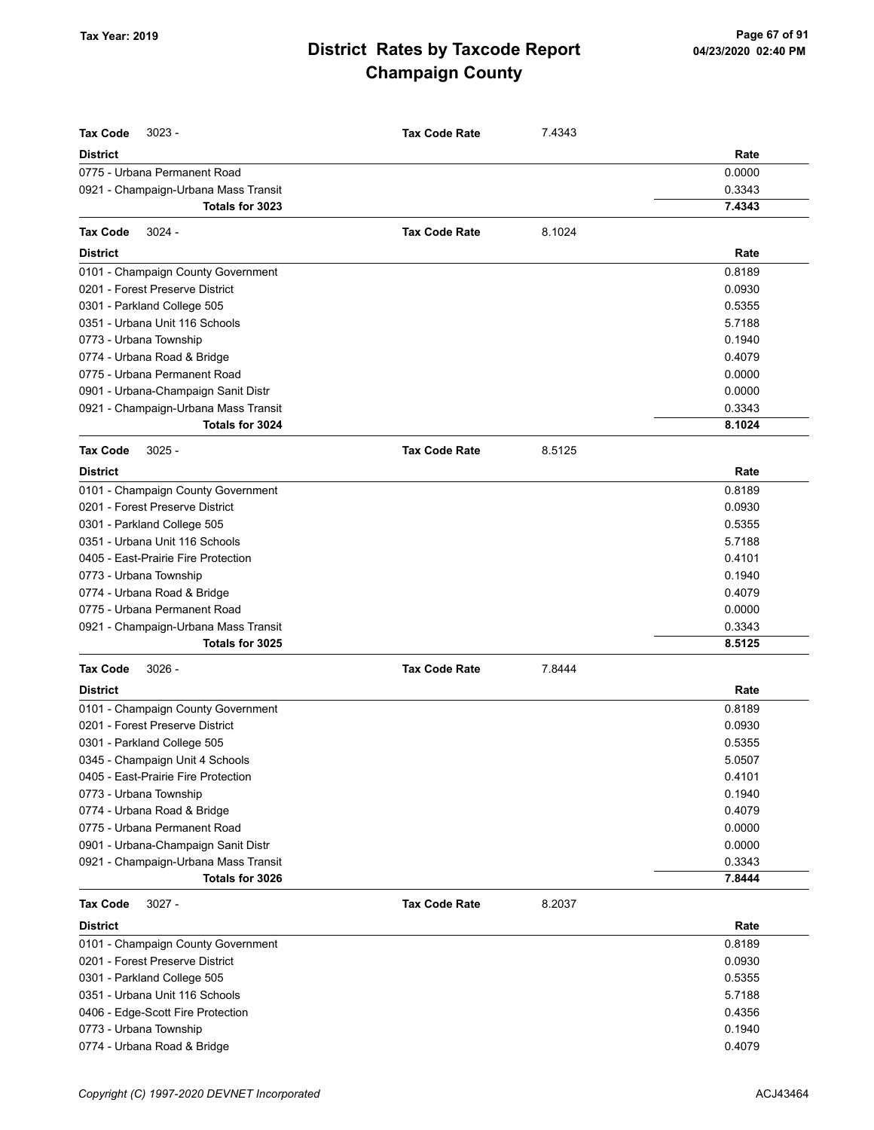| <b>Tax Code</b><br>$3023 -$          | <b>Tax Code Rate</b> | 7.4343 |        |
|--------------------------------------|----------------------|--------|--------|
| <b>District</b>                      |                      |        | Rate   |
| 0775 - Urbana Permanent Road         |                      |        | 0.0000 |
| 0921 - Champaign-Urbana Mass Transit |                      |        | 0.3343 |
| Totals for 3023                      |                      |        | 7.4343 |
| $3024 -$<br><b>Tax Code</b>          | <b>Tax Code Rate</b> | 8.1024 |        |
| <b>District</b>                      |                      |        | Rate   |
| 0101 - Champaign County Government   |                      |        | 0.8189 |
| 0201 - Forest Preserve District      |                      |        | 0.0930 |
| 0301 - Parkland College 505          |                      |        | 0.5355 |
| 0351 - Urbana Unit 116 Schools       |                      |        | 5.7188 |
| 0773 - Urbana Township               |                      |        | 0.1940 |
| 0774 - Urbana Road & Bridge          |                      |        | 0.4079 |
| 0775 - Urbana Permanent Road         |                      |        | 0.0000 |
| 0901 - Urbana-Champaign Sanit Distr  |                      |        | 0.0000 |
| 0921 - Champaign-Urbana Mass Transit |                      |        | 0.3343 |
| Totals for 3024                      |                      |        | 8.1024 |
| $3025 -$<br><b>Tax Code</b>          | <b>Tax Code Rate</b> | 8.5125 |        |
| <b>District</b>                      |                      |        | Rate   |
| 0101 - Champaign County Government   |                      |        | 0.8189 |
| 0201 - Forest Preserve District      |                      |        | 0.0930 |
| 0301 - Parkland College 505          |                      |        | 0.5355 |
| 0351 - Urbana Unit 116 Schools       |                      |        | 5.7188 |
| 0405 - East-Prairie Fire Protection  |                      |        | 0.4101 |
| 0773 - Urbana Township               |                      |        | 0.1940 |
| 0774 - Urbana Road & Bridge          |                      |        | 0.4079 |
| 0775 - Urbana Permanent Road         |                      |        | 0.0000 |
| 0921 - Champaign-Urbana Mass Transit |                      |        | 0.3343 |
| Totals for 3025                      |                      |        | 8.5125 |
| <b>Tax Code</b><br>$3026 -$          | <b>Tax Code Rate</b> | 7.8444 |        |
| <b>District</b>                      |                      |        | Rate   |
| 0101 - Champaign County Government   |                      |        | 0.8189 |
| 0201 - Forest Preserve District      |                      |        | 0.0930 |
| 0301 - Parkland College 505          |                      |        | 0.5355 |
| 0345 - Champaign Unit 4 Schools      |                      |        | 5.0507 |
| 0405 - East-Prairie Fire Protection  |                      |        | 0.4101 |
| 0773 - Urbana Township               |                      |        | 0.1940 |
| 0774 - Urbana Road & Bridge          |                      |        | 0.4079 |
| 0775 - Urbana Permanent Road         |                      |        | 0.0000 |
| 0901 - Urbana-Champaign Sanit Distr  |                      |        | 0.0000 |
| 0921 - Champaign-Urbana Mass Transit |                      |        | 0.3343 |
| Totals for 3026                      |                      |        | 7.8444 |
| <b>Tax Code</b><br>$3027 -$          | <b>Tax Code Rate</b> | 8.2037 |        |
| <b>District</b>                      |                      |        | Rate   |
| 0101 - Champaign County Government   |                      |        | 0.8189 |
| 0201 - Forest Preserve District      |                      |        | 0.0930 |
| 0301 - Parkland College 505          |                      |        | 0.5355 |
| 0351 - Urbana Unit 116 Schools       |                      |        | 5.7188 |
| 0406 - Edge-Scott Fire Protection    |                      |        | 0.4356 |
| 0773 - Urbana Township               |                      |        | 0.1940 |
| 0774 - Urbana Road & Bridge          |                      |        | 0.4079 |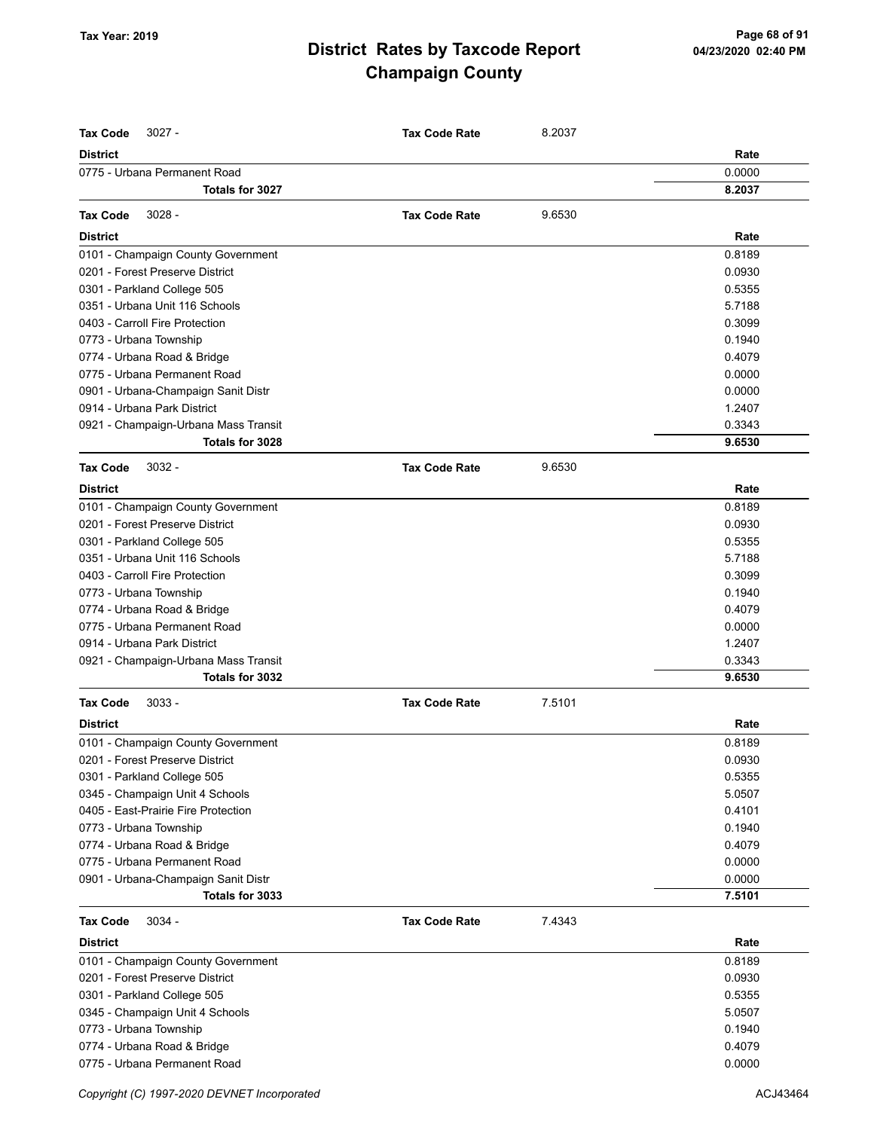| <b>District</b><br>Rate<br>0775 - Urbana Permanent Road<br>0.0000<br>Totals for 3027<br>8.2037<br>$3028 -$<br>9.6530<br><b>Tax Code</b><br><b>Tax Code Rate</b><br>Rate<br><b>District</b><br>0.8189<br>0101 - Champaign County Government<br>0201 - Forest Preserve District<br>0.0930<br>0301 - Parkland College 505<br>0.5355<br>0351 - Urbana Unit 116 Schools<br>5.7188<br>0403 - Carroll Fire Protection<br>0.3099<br>0.1940<br>0773 - Urbana Township<br>0774 - Urbana Road & Bridge<br>0.4079<br>0775 - Urbana Permanent Road<br>0.0000<br>0901 - Urbana-Champaign Sanit Distr<br>0.0000<br>0914 - Urbana Park District<br>1.2407<br>0921 - Champaign-Urbana Mass Transit<br>0.3343<br>Totals for 3028<br>9.6530<br>$3032 -$<br><b>Tax Code</b><br><b>Tax Code Rate</b><br>9.6530<br><b>District</b><br>Rate<br>0101 - Champaign County Government<br>0.8189<br>0201 - Forest Preserve District<br>0.0930<br>0301 - Parkland College 505<br>0.5355<br>0351 - Urbana Unit 116 Schools<br>5.7188<br>0403 - Carroll Fire Protection<br>0.3099<br>0.1940<br>0773 - Urbana Township<br>0774 - Urbana Road & Bridge<br>0.4079<br>0775 - Urbana Permanent Road<br>0.0000<br>0914 - Urbana Park District<br>1.2407<br>0921 - Champaign-Urbana Mass Transit<br>0.3343<br>Totals for 3032<br>9.6530<br>$3033 -$<br><b>Tax Code</b><br><b>Tax Code Rate</b><br>7.5101<br><b>District</b><br>Rate<br>0101 - Champaign County Government<br>0.8189<br>0.0930<br>0201 - Forest Preserve District<br>0.5355<br>0301 - Parkland College 505<br>5.0507<br>0345 - Champaign Unit 4 Schools<br>0405 - East-Prairie Fire Protection<br>0.4101<br>0773 - Urbana Township<br>0.1940<br>0774 - Urbana Road & Bridge<br>0.4079<br>0775 - Urbana Permanent Road<br>0.0000<br>0901 - Urbana-Champaign Sanit Distr<br>0.0000<br>Totals for 3033<br>7.5101<br>$3034 -$<br>7.4343<br><b>Tax Code</b><br><b>Tax Code Rate</b><br><b>District</b><br>Rate<br>0.8189<br>0101 - Champaign County Government<br>0201 - Forest Preserve District<br>0.0930<br>0301 - Parkland College 505<br>0.5355<br>0345 - Champaign Unit 4 Schools<br>5.0507<br>0.1940<br>0773 - Urbana Township<br>0774 - Urbana Road & Bridge<br>0.4079<br>0775 - Urbana Permanent Road<br>0.0000 | <b>Tax Code</b><br>$3027 -$ | <b>Tax Code Rate</b> | 8.2037 |  |
|----------------------------------------------------------------------------------------------------------------------------------------------------------------------------------------------------------------------------------------------------------------------------------------------------------------------------------------------------------------------------------------------------------------------------------------------------------------------------------------------------------------------------------------------------------------------------------------------------------------------------------------------------------------------------------------------------------------------------------------------------------------------------------------------------------------------------------------------------------------------------------------------------------------------------------------------------------------------------------------------------------------------------------------------------------------------------------------------------------------------------------------------------------------------------------------------------------------------------------------------------------------------------------------------------------------------------------------------------------------------------------------------------------------------------------------------------------------------------------------------------------------------------------------------------------------------------------------------------------------------------------------------------------------------------------------------------------------------------------------------------------------------------------------------------------------------------------------------------------------------------------------------------------------------------------------------------------------------------------------------------------------------------------------------------------------------------------------------------------------------------------------------------------------------------------------------------------------------------------------------|-----------------------------|----------------------|--------|--|
|                                                                                                                                                                                                                                                                                                                                                                                                                                                                                                                                                                                                                                                                                                                                                                                                                                                                                                                                                                                                                                                                                                                                                                                                                                                                                                                                                                                                                                                                                                                                                                                                                                                                                                                                                                                                                                                                                                                                                                                                                                                                                                                                                                                                                                              |                             |                      |        |  |
|                                                                                                                                                                                                                                                                                                                                                                                                                                                                                                                                                                                                                                                                                                                                                                                                                                                                                                                                                                                                                                                                                                                                                                                                                                                                                                                                                                                                                                                                                                                                                                                                                                                                                                                                                                                                                                                                                                                                                                                                                                                                                                                                                                                                                                              |                             |                      |        |  |
|                                                                                                                                                                                                                                                                                                                                                                                                                                                                                                                                                                                                                                                                                                                                                                                                                                                                                                                                                                                                                                                                                                                                                                                                                                                                                                                                                                                                                                                                                                                                                                                                                                                                                                                                                                                                                                                                                                                                                                                                                                                                                                                                                                                                                                              |                             |                      |        |  |
|                                                                                                                                                                                                                                                                                                                                                                                                                                                                                                                                                                                                                                                                                                                                                                                                                                                                                                                                                                                                                                                                                                                                                                                                                                                                                                                                                                                                                                                                                                                                                                                                                                                                                                                                                                                                                                                                                                                                                                                                                                                                                                                                                                                                                                              |                             |                      |        |  |
|                                                                                                                                                                                                                                                                                                                                                                                                                                                                                                                                                                                                                                                                                                                                                                                                                                                                                                                                                                                                                                                                                                                                                                                                                                                                                                                                                                                                                                                                                                                                                                                                                                                                                                                                                                                                                                                                                                                                                                                                                                                                                                                                                                                                                                              |                             |                      |        |  |
|                                                                                                                                                                                                                                                                                                                                                                                                                                                                                                                                                                                                                                                                                                                                                                                                                                                                                                                                                                                                                                                                                                                                                                                                                                                                                                                                                                                                                                                                                                                                                                                                                                                                                                                                                                                                                                                                                                                                                                                                                                                                                                                                                                                                                                              |                             |                      |        |  |
|                                                                                                                                                                                                                                                                                                                                                                                                                                                                                                                                                                                                                                                                                                                                                                                                                                                                                                                                                                                                                                                                                                                                                                                                                                                                                                                                                                                                                                                                                                                                                                                                                                                                                                                                                                                                                                                                                                                                                                                                                                                                                                                                                                                                                                              |                             |                      |        |  |
|                                                                                                                                                                                                                                                                                                                                                                                                                                                                                                                                                                                                                                                                                                                                                                                                                                                                                                                                                                                                                                                                                                                                                                                                                                                                                                                                                                                                                                                                                                                                                                                                                                                                                                                                                                                                                                                                                                                                                                                                                                                                                                                                                                                                                                              |                             |                      |        |  |
|                                                                                                                                                                                                                                                                                                                                                                                                                                                                                                                                                                                                                                                                                                                                                                                                                                                                                                                                                                                                                                                                                                                                                                                                                                                                                                                                                                                                                                                                                                                                                                                                                                                                                                                                                                                                                                                                                                                                                                                                                                                                                                                                                                                                                                              |                             |                      |        |  |
|                                                                                                                                                                                                                                                                                                                                                                                                                                                                                                                                                                                                                                                                                                                                                                                                                                                                                                                                                                                                                                                                                                                                                                                                                                                                                                                                                                                                                                                                                                                                                                                                                                                                                                                                                                                                                                                                                                                                                                                                                                                                                                                                                                                                                                              |                             |                      |        |  |
|                                                                                                                                                                                                                                                                                                                                                                                                                                                                                                                                                                                                                                                                                                                                                                                                                                                                                                                                                                                                                                                                                                                                                                                                                                                                                                                                                                                                                                                                                                                                                                                                                                                                                                                                                                                                                                                                                                                                                                                                                                                                                                                                                                                                                                              |                             |                      |        |  |
|                                                                                                                                                                                                                                                                                                                                                                                                                                                                                                                                                                                                                                                                                                                                                                                                                                                                                                                                                                                                                                                                                                                                                                                                                                                                                                                                                                                                                                                                                                                                                                                                                                                                                                                                                                                                                                                                                                                                                                                                                                                                                                                                                                                                                                              |                             |                      |        |  |
|                                                                                                                                                                                                                                                                                                                                                                                                                                                                                                                                                                                                                                                                                                                                                                                                                                                                                                                                                                                                                                                                                                                                                                                                                                                                                                                                                                                                                                                                                                                                                                                                                                                                                                                                                                                                                                                                                                                                                                                                                                                                                                                                                                                                                                              |                             |                      |        |  |
|                                                                                                                                                                                                                                                                                                                                                                                                                                                                                                                                                                                                                                                                                                                                                                                                                                                                                                                                                                                                                                                                                                                                                                                                                                                                                                                                                                                                                                                                                                                                                                                                                                                                                                                                                                                                                                                                                                                                                                                                                                                                                                                                                                                                                                              |                             |                      |        |  |
|                                                                                                                                                                                                                                                                                                                                                                                                                                                                                                                                                                                                                                                                                                                                                                                                                                                                                                                                                                                                                                                                                                                                                                                                                                                                                                                                                                                                                                                                                                                                                                                                                                                                                                                                                                                                                                                                                                                                                                                                                                                                                                                                                                                                                                              |                             |                      |        |  |
|                                                                                                                                                                                                                                                                                                                                                                                                                                                                                                                                                                                                                                                                                                                                                                                                                                                                                                                                                                                                                                                                                                                                                                                                                                                                                                                                                                                                                                                                                                                                                                                                                                                                                                                                                                                                                                                                                                                                                                                                                                                                                                                                                                                                                                              |                             |                      |        |  |
|                                                                                                                                                                                                                                                                                                                                                                                                                                                                                                                                                                                                                                                                                                                                                                                                                                                                                                                                                                                                                                                                                                                                                                                                                                                                                                                                                                                                                                                                                                                                                                                                                                                                                                                                                                                                                                                                                                                                                                                                                                                                                                                                                                                                                                              |                             |                      |        |  |
|                                                                                                                                                                                                                                                                                                                                                                                                                                                                                                                                                                                                                                                                                                                                                                                                                                                                                                                                                                                                                                                                                                                                                                                                                                                                                                                                                                                                                                                                                                                                                                                                                                                                                                                                                                                                                                                                                                                                                                                                                                                                                                                                                                                                                                              |                             |                      |        |  |
|                                                                                                                                                                                                                                                                                                                                                                                                                                                                                                                                                                                                                                                                                                                                                                                                                                                                                                                                                                                                                                                                                                                                                                                                                                                                                                                                                                                                                                                                                                                                                                                                                                                                                                                                                                                                                                                                                                                                                                                                                                                                                                                                                                                                                                              |                             |                      |        |  |
|                                                                                                                                                                                                                                                                                                                                                                                                                                                                                                                                                                                                                                                                                                                                                                                                                                                                                                                                                                                                                                                                                                                                                                                                                                                                                                                                                                                                                                                                                                                                                                                                                                                                                                                                                                                                                                                                                                                                                                                                                                                                                                                                                                                                                                              |                             |                      |        |  |
|                                                                                                                                                                                                                                                                                                                                                                                                                                                                                                                                                                                                                                                                                                                                                                                                                                                                                                                                                                                                                                                                                                                                                                                                                                                                                                                                                                                                                                                                                                                                                                                                                                                                                                                                                                                                                                                                                                                                                                                                                                                                                                                                                                                                                                              |                             |                      |        |  |
|                                                                                                                                                                                                                                                                                                                                                                                                                                                                                                                                                                                                                                                                                                                                                                                                                                                                                                                                                                                                                                                                                                                                                                                                                                                                                                                                                                                                                                                                                                                                                                                                                                                                                                                                                                                                                                                                                                                                                                                                                                                                                                                                                                                                                                              |                             |                      |        |  |
|                                                                                                                                                                                                                                                                                                                                                                                                                                                                                                                                                                                                                                                                                                                                                                                                                                                                                                                                                                                                                                                                                                                                                                                                                                                                                                                                                                                                                                                                                                                                                                                                                                                                                                                                                                                                                                                                                                                                                                                                                                                                                                                                                                                                                                              |                             |                      |        |  |
|                                                                                                                                                                                                                                                                                                                                                                                                                                                                                                                                                                                                                                                                                                                                                                                                                                                                                                                                                                                                                                                                                                                                                                                                                                                                                                                                                                                                                                                                                                                                                                                                                                                                                                                                                                                                                                                                                                                                                                                                                                                                                                                                                                                                                                              |                             |                      |        |  |
|                                                                                                                                                                                                                                                                                                                                                                                                                                                                                                                                                                                                                                                                                                                                                                                                                                                                                                                                                                                                                                                                                                                                                                                                                                                                                                                                                                                                                                                                                                                                                                                                                                                                                                                                                                                                                                                                                                                                                                                                                                                                                                                                                                                                                                              |                             |                      |        |  |
|                                                                                                                                                                                                                                                                                                                                                                                                                                                                                                                                                                                                                                                                                                                                                                                                                                                                                                                                                                                                                                                                                                                                                                                                                                                                                                                                                                                                                                                                                                                                                                                                                                                                                                                                                                                                                                                                                                                                                                                                                                                                                                                                                                                                                                              |                             |                      |        |  |
|                                                                                                                                                                                                                                                                                                                                                                                                                                                                                                                                                                                                                                                                                                                                                                                                                                                                                                                                                                                                                                                                                                                                                                                                                                                                                                                                                                                                                                                                                                                                                                                                                                                                                                                                                                                                                                                                                                                                                                                                                                                                                                                                                                                                                                              |                             |                      |        |  |
|                                                                                                                                                                                                                                                                                                                                                                                                                                                                                                                                                                                                                                                                                                                                                                                                                                                                                                                                                                                                                                                                                                                                                                                                                                                                                                                                                                                                                                                                                                                                                                                                                                                                                                                                                                                                                                                                                                                                                                                                                                                                                                                                                                                                                                              |                             |                      |        |  |
|                                                                                                                                                                                                                                                                                                                                                                                                                                                                                                                                                                                                                                                                                                                                                                                                                                                                                                                                                                                                                                                                                                                                                                                                                                                                                                                                                                                                                                                                                                                                                                                                                                                                                                                                                                                                                                                                                                                                                                                                                                                                                                                                                                                                                                              |                             |                      |        |  |
|                                                                                                                                                                                                                                                                                                                                                                                                                                                                                                                                                                                                                                                                                                                                                                                                                                                                                                                                                                                                                                                                                                                                                                                                                                                                                                                                                                                                                                                                                                                                                                                                                                                                                                                                                                                                                                                                                                                                                                                                                                                                                                                                                                                                                                              |                             |                      |        |  |
|                                                                                                                                                                                                                                                                                                                                                                                                                                                                                                                                                                                                                                                                                                                                                                                                                                                                                                                                                                                                                                                                                                                                                                                                                                                                                                                                                                                                                                                                                                                                                                                                                                                                                                                                                                                                                                                                                                                                                                                                                                                                                                                                                                                                                                              |                             |                      |        |  |
|                                                                                                                                                                                                                                                                                                                                                                                                                                                                                                                                                                                                                                                                                                                                                                                                                                                                                                                                                                                                                                                                                                                                                                                                                                                                                                                                                                                                                                                                                                                                                                                                                                                                                                                                                                                                                                                                                                                                                                                                                                                                                                                                                                                                                                              |                             |                      |        |  |
|                                                                                                                                                                                                                                                                                                                                                                                                                                                                                                                                                                                                                                                                                                                                                                                                                                                                                                                                                                                                                                                                                                                                                                                                                                                                                                                                                                                                                                                                                                                                                                                                                                                                                                                                                                                                                                                                                                                                                                                                                                                                                                                                                                                                                                              |                             |                      |        |  |
|                                                                                                                                                                                                                                                                                                                                                                                                                                                                                                                                                                                                                                                                                                                                                                                                                                                                                                                                                                                                                                                                                                                                                                                                                                                                                                                                                                                                                                                                                                                                                                                                                                                                                                                                                                                                                                                                                                                                                                                                                                                                                                                                                                                                                                              |                             |                      |        |  |
|                                                                                                                                                                                                                                                                                                                                                                                                                                                                                                                                                                                                                                                                                                                                                                                                                                                                                                                                                                                                                                                                                                                                                                                                                                                                                                                                                                                                                                                                                                                                                                                                                                                                                                                                                                                                                                                                                                                                                                                                                                                                                                                                                                                                                                              |                             |                      |        |  |
|                                                                                                                                                                                                                                                                                                                                                                                                                                                                                                                                                                                                                                                                                                                                                                                                                                                                                                                                                                                                                                                                                                                                                                                                                                                                                                                                                                                                                                                                                                                                                                                                                                                                                                                                                                                                                                                                                                                                                                                                                                                                                                                                                                                                                                              |                             |                      |        |  |
|                                                                                                                                                                                                                                                                                                                                                                                                                                                                                                                                                                                                                                                                                                                                                                                                                                                                                                                                                                                                                                                                                                                                                                                                                                                                                                                                                                                                                                                                                                                                                                                                                                                                                                                                                                                                                                                                                                                                                                                                                                                                                                                                                                                                                                              |                             |                      |        |  |
|                                                                                                                                                                                                                                                                                                                                                                                                                                                                                                                                                                                                                                                                                                                                                                                                                                                                                                                                                                                                                                                                                                                                                                                                                                                                                                                                                                                                                                                                                                                                                                                                                                                                                                                                                                                                                                                                                                                                                                                                                                                                                                                                                                                                                                              |                             |                      |        |  |
|                                                                                                                                                                                                                                                                                                                                                                                                                                                                                                                                                                                                                                                                                                                                                                                                                                                                                                                                                                                                                                                                                                                                                                                                                                                                                                                                                                                                                                                                                                                                                                                                                                                                                                                                                                                                                                                                                                                                                                                                                                                                                                                                                                                                                                              |                             |                      |        |  |
|                                                                                                                                                                                                                                                                                                                                                                                                                                                                                                                                                                                                                                                                                                                                                                                                                                                                                                                                                                                                                                                                                                                                                                                                                                                                                                                                                                                                                                                                                                                                                                                                                                                                                                                                                                                                                                                                                                                                                                                                                                                                                                                                                                                                                                              |                             |                      |        |  |
|                                                                                                                                                                                                                                                                                                                                                                                                                                                                                                                                                                                                                                                                                                                                                                                                                                                                                                                                                                                                                                                                                                                                                                                                                                                                                                                                                                                                                                                                                                                                                                                                                                                                                                                                                                                                                                                                                                                                                                                                                                                                                                                                                                                                                                              |                             |                      |        |  |
|                                                                                                                                                                                                                                                                                                                                                                                                                                                                                                                                                                                                                                                                                                                                                                                                                                                                                                                                                                                                                                                                                                                                                                                                                                                                                                                                                                                                                                                                                                                                                                                                                                                                                                                                                                                                                                                                                                                                                                                                                                                                                                                                                                                                                                              |                             |                      |        |  |
|                                                                                                                                                                                                                                                                                                                                                                                                                                                                                                                                                                                                                                                                                                                                                                                                                                                                                                                                                                                                                                                                                                                                                                                                                                                                                                                                                                                                                                                                                                                                                                                                                                                                                                                                                                                                                                                                                                                                                                                                                                                                                                                                                                                                                                              |                             |                      |        |  |
|                                                                                                                                                                                                                                                                                                                                                                                                                                                                                                                                                                                                                                                                                                                                                                                                                                                                                                                                                                                                                                                                                                                                                                                                                                                                                                                                                                                                                                                                                                                                                                                                                                                                                                                                                                                                                                                                                                                                                                                                                                                                                                                                                                                                                                              |                             |                      |        |  |
|                                                                                                                                                                                                                                                                                                                                                                                                                                                                                                                                                                                                                                                                                                                                                                                                                                                                                                                                                                                                                                                                                                                                                                                                                                                                                                                                                                                                                                                                                                                                                                                                                                                                                                                                                                                                                                                                                                                                                                                                                                                                                                                                                                                                                                              |                             |                      |        |  |
|                                                                                                                                                                                                                                                                                                                                                                                                                                                                                                                                                                                                                                                                                                                                                                                                                                                                                                                                                                                                                                                                                                                                                                                                                                                                                                                                                                                                                                                                                                                                                                                                                                                                                                                                                                                                                                                                                                                                                                                                                                                                                                                                                                                                                                              |                             |                      |        |  |
|                                                                                                                                                                                                                                                                                                                                                                                                                                                                                                                                                                                                                                                                                                                                                                                                                                                                                                                                                                                                                                                                                                                                                                                                                                                                                                                                                                                                                                                                                                                                                                                                                                                                                                                                                                                                                                                                                                                                                                                                                                                                                                                                                                                                                                              |                             |                      |        |  |
|                                                                                                                                                                                                                                                                                                                                                                                                                                                                                                                                                                                                                                                                                                                                                                                                                                                                                                                                                                                                                                                                                                                                                                                                                                                                                                                                                                                                                                                                                                                                                                                                                                                                                                                                                                                                                                                                                                                                                                                                                                                                                                                                                                                                                                              |                             |                      |        |  |
|                                                                                                                                                                                                                                                                                                                                                                                                                                                                                                                                                                                                                                                                                                                                                                                                                                                                                                                                                                                                                                                                                                                                                                                                                                                                                                                                                                                                                                                                                                                                                                                                                                                                                                                                                                                                                                                                                                                                                                                                                                                                                                                                                                                                                                              |                             |                      |        |  |
|                                                                                                                                                                                                                                                                                                                                                                                                                                                                                                                                                                                                                                                                                                                                                                                                                                                                                                                                                                                                                                                                                                                                                                                                                                                                                                                                                                                                                                                                                                                                                                                                                                                                                                                                                                                                                                                                                                                                                                                                                                                                                                                                                                                                                                              |                             |                      |        |  |
|                                                                                                                                                                                                                                                                                                                                                                                                                                                                                                                                                                                                                                                                                                                                                                                                                                                                                                                                                                                                                                                                                                                                                                                                                                                                                                                                                                                                                                                                                                                                                                                                                                                                                                                                                                                                                                                                                                                                                                                                                                                                                                                                                                                                                                              |                             |                      |        |  |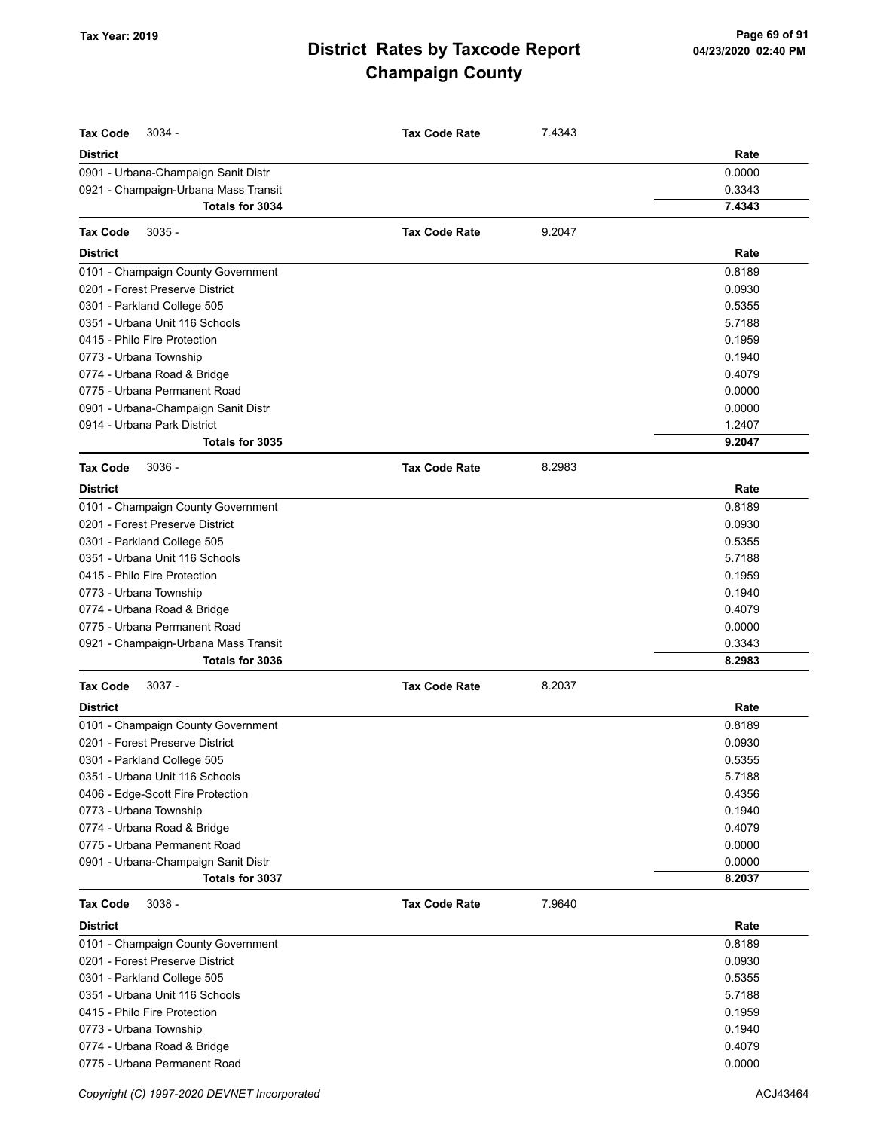| <b>Tax Code</b><br>$3034 -$                                                 | <b>Tax Code Rate</b> | 7.4343 |                |
|-----------------------------------------------------------------------------|----------------------|--------|----------------|
|                                                                             |                      |        |                |
| <b>District</b>                                                             |                      |        | Rate<br>0.0000 |
| 0901 - Urbana-Champaign Sanit Distr<br>0921 - Champaign-Urbana Mass Transit |                      |        | 0.3343         |
| <b>Totals for 3034</b>                                                      |                      |        | 7.4343         |
|                                                                             |                      |        |                |
| <b>Tax Code</b><br>$3035 -$                                                 | <b>Tax Code Rate</b> | 9.2047 |                |
| <b>District</b>                                                             |                      |        | Rate           |
| 0101 - Champaign County Government                                          |                      |        | 0.8189         |
| 0201 - Forest Preserve District                                             |                      |        | 0.0930         |
| 0301 - Parkland College 505                                                 |                      |        | 0.5355         |
| 0351 - Urbana Unit 116 Schools                                              |                      |        | 5.7188         |
| 0415 - Philo Fire Protection                                                |                      |        | 0.1959         |
| 0773 - Urbana Township                                                      |                      |        | 0.1940         |
| 0774 - Urbana Road & Bridge                                                 |                      |        | 0.4079         |
| 0775 - Urbana Permanent Road                                                |                      |        | 0.0000         |
| 0901 - Urbana-Champaign Sanit Distr                                         |                      |        | 0.0000         |
| 0914 - Urbana Park District                                                 |                      |        | 1.2407         |
| Totals for 3035                                                             |                      |        | 9.2047         |
| $3036 -$<br><b>Tax Code</b>                                                 | <b>Tax Code Rate</b> | 8.2983 |                |
| <b>District</b>                                                             |                      |        | Rate           |
| 0101 - Champaign County Government                                          |                      |        | 0.8189         |
| 0201 - Forest Preserve District                                             |                      |        | 0.0930         |
| 0301 - Parkland College 505                                                 |                      |        | 0.5355         |
| 0351 - Urbana Unit 116 Schools                                              |                      |        | 5.7188         |
| 0415 - Philo Fire Protection                                                |                      |        | 0.1959         |
| 0773 - Urbana Township                                                      |                      |        | 0.1940         |
| 0774 - Urbana Road & Bridge                                                 |                      |        | 0.4079         |
| 0775 - Urbana Permanent Road                                                |                      |        | 0.0000         |
| 0921 - Champaign-Urbana Mass Transit                                        |                      |        | 0.3343         |
| Totals for 3036                                                             |                      |        | 8.2983         |
| <b>Tax Code</b><br>$3037 -$                                                 | <b>Tax Code Rate</b> | 8.2037 |                |
| <b>District</b>                                                             |                      |        | Rate           |
| 0101 - Champaign County Government                                          |                      |        | 0.8189         |
| 0201 - Forest Preserve District                                             |                      |        | 0.0930         |
| 0301 - Parkland College 505                                                 |                      |        | 0.5355         |
| 0351 - Urbana Unit 116 Schools                                              |                      |        | 5.7188         |
| 0406 - Edge-Scott Fire Protection                                           |                      |        | 0.4356         |
| 0773 - Urbana Township                                                      |                      |        | 0.1940         |
| 0774 - Urbana Road & Bridge                                                 |                      |        | 0.4079         |
| 0775 - Urbana Permanent Road                                                |                      |        | 0.0000         |
| 0901 - Urbana-Champaign Sanit Distr                                         |                      |        | 0.0000         |
| Totals for 3037                                                             |                      |        | 8.2037         |
| <b>Tax Code</b><br>$3038 -$                                                 | <b>Tax Code Rate</b> | 7.9640 |                |
| <b>District</b>                                                             |                      |        | Rate           |
| 0101 - Champaign County Government                                          |                      |        | 0.8189         |
| 0201 - Forest Preserve District                                             |                      |        | 0.0930         |
| 0301 - Parkland College 505                                                 |                      |        | 0.5355         |
| 0351 - Urbana Unit 116 Schools                                              |                      |        | 5.7188         |
| 0415 - Philo Fire Protection                                                |                      |        | 0.1959         |
| 0773 - Urbana Township                                                      |                      |        | 0.1940         |
| 0774 - Urbana Road & Bridge                                                 |                      |        | 0.4079         |
| 0775 - Urbana Permanent Road                                                |                      |        | 0.0000         |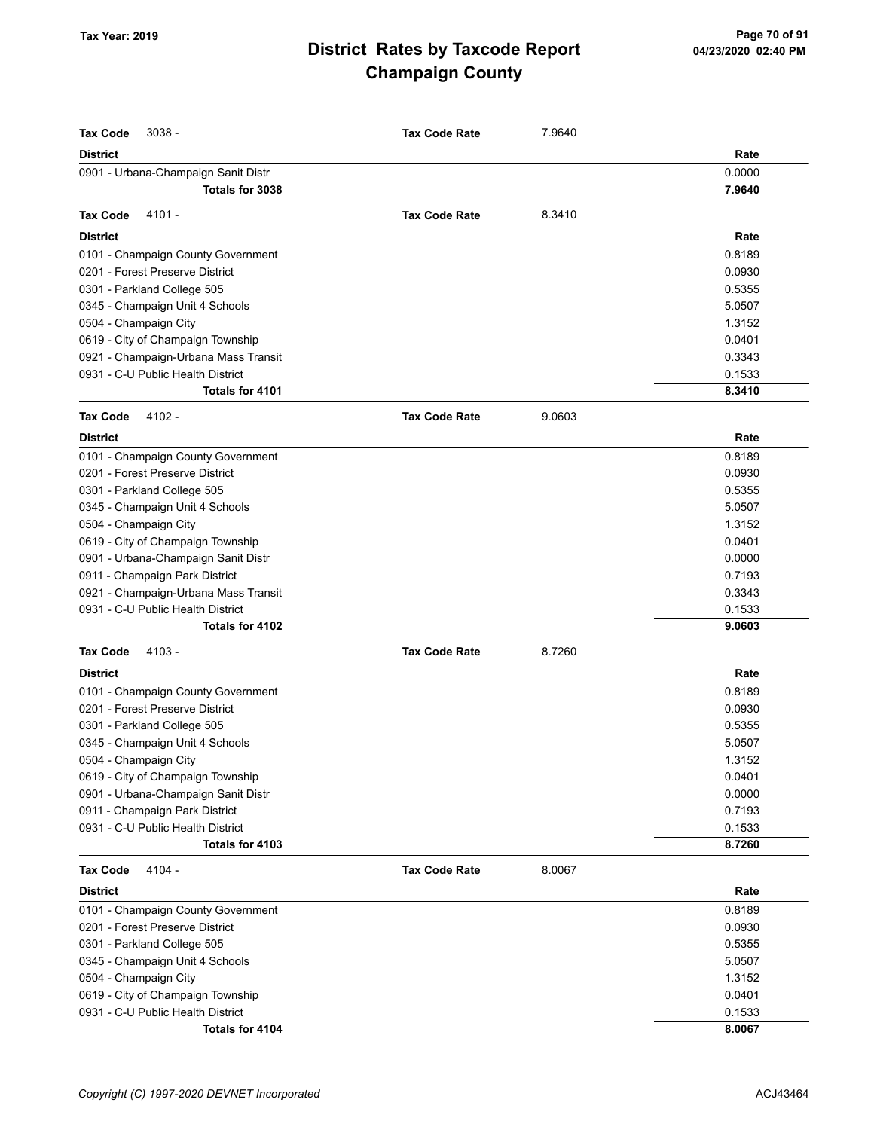| <b>Tax Code</b><br>$3038 -$                                               | <b>Tax Code Rate</b> | 7.9640 |                  |
|---------------------------------------------------------------------------|----------------------|--------|------------------|
| <b>District</b>                                                           |                      |        | Rate             |
| 0901 - Urbana-Champaign Sanit Distr                                       |                      |        | 0.0000           |
| Totals for 3038                                                           |                      |        | 7.9640           |
| 4101 -<br><b>Tax Code</b>                                                 | <b>Tax Code Rate</b> | 8.3410 |                  |
| <b>District</b>                                                           |                      |        | Rate             |
| 0101 - Champaign County Government                                        |                      |        | 0.8189           |
| 0201 - Forest Preserve District                                           |                      |        | 0.0930           |
| 0301 - Parkland College 505                                               |                      |        | 0.5355           |
| 0345 - Champaign Unit 4 Schools                                           |                      |        | 5.0507           |
| 0504 - Champaign City                                                     |                      |        | 1.3152           |
| 0619 - City of Champaign Township                                         |                      |        | 0.0401           |
| 0921 - Champaign-Urbana Mass Transit                                      |                      |        | 0.3343           |
| 0931 - C-U Public Health District                                         |                      |        | 0.1533           |
| Totals for 4101                                                           |                      |        | 8.3410           |
| <b>Tax Code</b><br>4102 -                                                 | <b>Tax Code Rate</b> | 9.0603 |                  |
| <b>District</b>                                                           |                      |        | Rate             |
|                                                                           |                      |        | 0.8189           |
| 0101 - Champaign County Government                                        |                      |        |                  |
| 0201 - Forest Preserve District                                           |                      |        | 0.0930           |
| 0301 - Parkland College 505                                               |                      |        | 0.5355           |
| 0345 - Champaign Unit 4 Schools                                           |                      |        | 5.0507           |
| 0504 - Champaign City                                                     |                      |        | 1.3152           |
| 0619 - City of Champaign Township                                         |                      |        | 0.0401           |
| 0901 - Urbana-Champaign Sanit Distr                                       |                      |        | 0.0000<br>0.7193 |
| 0911 - Champaign Park District                                            |                      |        | 0.3343           |
| 0921 - Champaign-Urbana Mass Transit<br>0931 - C-U Public Health District |                      |        | 0.1533           |
| Totals for 4102                                                           |                      |        | 9.0603           |
|                                                                           |                      |        |                  |
| <b>Tax Code</b><br>4103 -                                                 | <b>Tax Code Rate</b> | 8.7260 |                  |
| <b>District</b>                                                           |                      |        | Rate             |
| 0101 - Champaign County Government                                        |                      |        | 0.8189           |
| 0201 - Forest Preserve District                                           |                      |        | 0.0930           |
| 0301 - Parkland College 505                                               |                      |        | 0.5355           |
| 0345 - Champaign Unit 4 Schools                                           |                      |        | 5.0507           |
| 0504 - Champaign City                                                     |                      |        | 1.3152           |
| 0619 - City of Champaign Township                                         |                      |        | 0.0401           |
| 0901 - Urbana-Champaign Sanit Distr                                       |                      |        | 0.0000<br>0.7193 |
| 0911 - Champaign Park District<br>0931 - C-U Public Health District       |                      |        | 0.1533           |
| Totals for 4103                                                           |                      |        | 8.7260           |
|                                                                           |                      |        |                  |
| <b>Tax Code</b><br>4104 -                                                 | <b>Tax Code Rate</b> | 8.0067 |                  |
| <b>District</b>                                                           |                      |        | Rate             |
| 0101 - Champaign County Government                                        |                      |        | 0.8189           |
| 0201 - Forest Preserve District                                           |                      |        | 0.0930           |
| 0301 - Parkland College 505                                               |                      |        | 0.5355           |
| 0345 - Champaign Unit 4 Schools                                           |                      |        | 5.0507           |
| 0504 - Champaign City                                                     |                      |        | 1.3152           |
| 0619 - City of Champaign Township                                         |                      |        | 0.0401           |
| 0931 - C-U Public Health District<br>Totals for 4104                      |                      |        | 0.1533<br>8.0067 |
|                                                                           |                      |        |                  |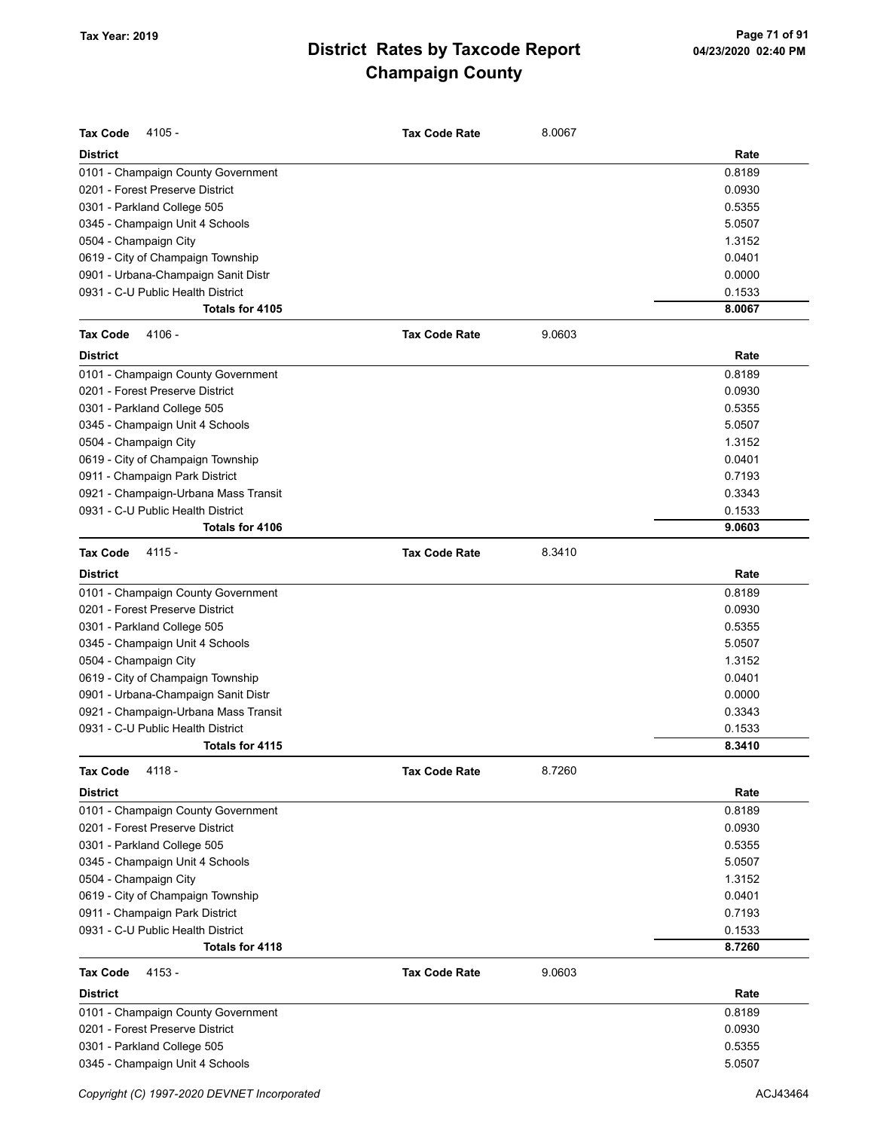| <b>Tax Code</b><br>$4105 -$          | <b>Tax Code Rate</b> | 8.0067 |        |
|--------------------------------------|----------------------|--------|--------|
| <b>District</b>                      |                      |        | Rate   |
| 0101 - Champaign County Government   |                      |        | 0.8189 |
| 0201 - Forest Preserve District      |                      |        | 0.0930 |
| 0301 - Parkland College 505          |                      |        | 0.5355 |
| 0345 - Champaign Unit 4 Schools      |                      |        | 5.0507 |
| 0504 - Champaign City                |                      |        | 1.3152 |
| 0619 - City of Champaign Township    |                      |        | 0.0401 |
| 0901 - Urbana-Champaign Sanit Distr  |                      |        | 0.0000 |
| 0931 - C-U Public Health District    |                      |        | 0.1533 |
| Totals for 4105                      |                      |        | 8.0067 |
| 4106 -<br><b>Tax Code</b>            | <b>Tax Code Rate</b> | 9.0603 |        |
| <b>District</b>                      |                      |        | Rate   |
| 0101 - Champaign County Government   |                      |        | 0.8189 |
| 0201 - Forest Preserve District      |                      |        | 0.0930 |
| 0301 - Parkland College 505          |                      |        | 0.5355 |
| 0345 - Champaign Unit 4 Schools      |                      |        | 5.0507 |
| 0504 - Champaign City                |                      |        | 1.3152 |
| 0619 - City of Champaign Township    |                      |        | 0.0401 |
| 0911 - Champaign Park District       |                      |        | 0.7193 |
| 0921 - Champaign-Urbana Mass Transit |                      |        | 0.3343 |
| 0931 - C-U Public Health District    |                      |        | 0.1533 |
| Totals for 4106                      |                      |        | 9.0603 |
| $4115 -$<br><b>Tax Code</b>          | <b>Tax Code Rate</b> | 8.3410 |        |
| <b>District</b>                      |                      |        | Rate   |
| 0101 - Champaign County Government   |                      |        | 0.8189 |
| 0201 - Forest Preserve District      |                      |        | 0.0930 |
| 0301 - Parkland College 505          |                      |        | 0.5355 |
| 0345 - Champaign Unit 4 Schools      |                      |        | 5.0507 |
| 0504 - Champaign City                |                      |        | 1.3152 |
| 0619 - City of Champaign Township    |                      |        | 0.0401 |
| 0901 - Urbana-Champaign Sanit Distr  |                      |        | 0.0000 |
| 0921 - Champaign-Urbana Mass Transit |                      |        | 0.3343 |
| 0931 - C-U Public Health District    |                      |        | 0.1533 |
| Totals for 4115                      |                      |        | 8.3410 |
| <b>Tax Code</b><br>4118 -            | <b>Tax Code Rate</b> | 8.7260 |        |
| District                             |                      |        | Rate   |
| 0101 - Champaign County Government   |                      |        | 0.8189 |
| 0201 - Forest Preserve District      |                      |        | 0.0930 |
| 0301 - Parkland College 505          |                      |        | 0.5355 |
| 0345 - Champaign Unit 4 Schools      |                      |        | 5.0507 |
| 0504 - Champaign City                |                      |        | 1.3152 |
| 0619 - City of Champaign Township    |                      |        | 0.0401 |
| 0911 - Champaign Park District       |                      |        | 0.7193 |
| 0931 - C-U Public Health District    |                      |        | 0.1533 |
| Totals for 4118                      |                      |        | 8.7260 |
| <b>Tax Code</b><br>4153 -            | <b>Tax Code Rate</b> | 9.0603 |        |
| <b>District</b>                      |                      |        | Rate   |
| 0101 - Champaign County Government   |                      |        | 0.8189 |
| 0201 - Forest Preserve District      |                      |        | 0.0930 |
| 0301 - Parkland College 505          |                      |        | 0.5355 |
| 0345 - Champaign Unit 4 Schools      |                      |        | 5.0507 |
|                                      |                      |        |        |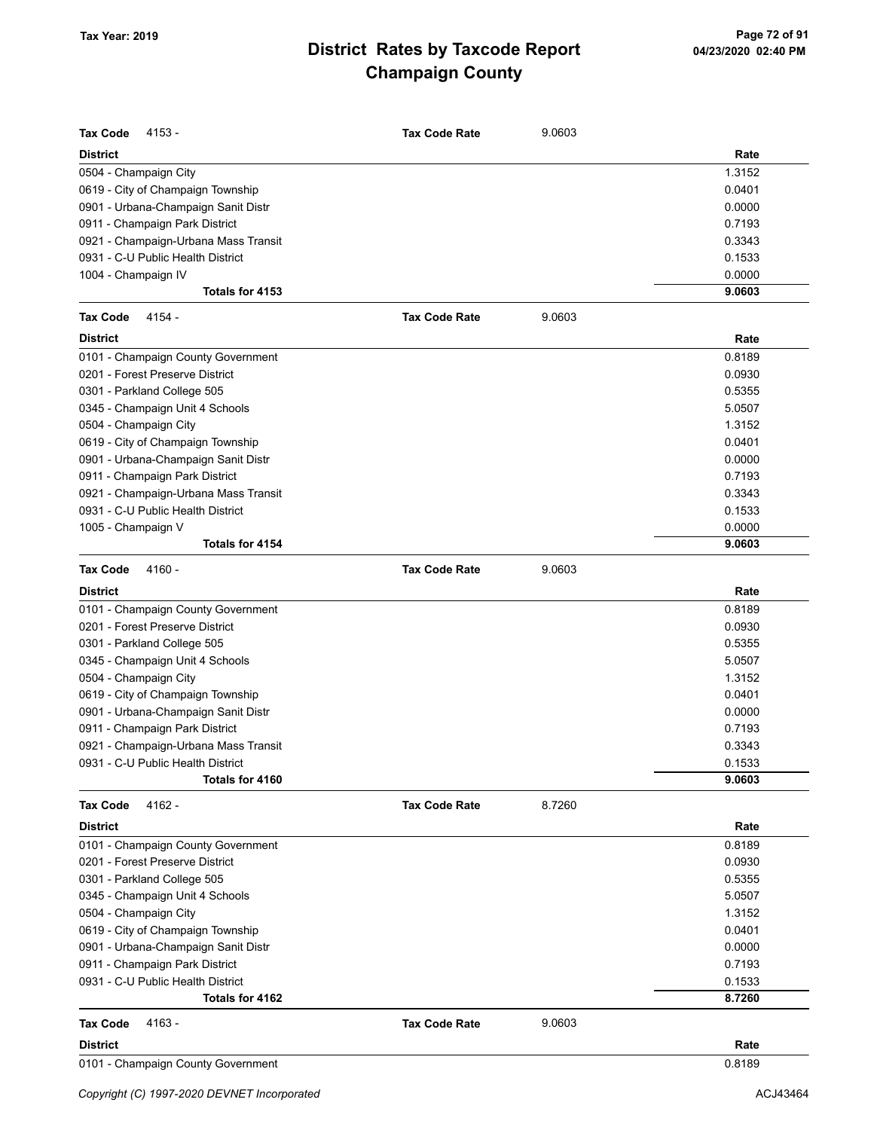| <b>Tax Code</b><br>4153 -            | <b>Tax Code Rate</b> | 9.0603 |        |
|--------------------------------------|----------------------|--------|--------|
| <b>District</b>                      |                      |        | Rate   |
| 0504 - Champaign City                |                      |        | 1.3152 |
| 0619 - City of Champaign Township    |                      |        | 0.0401 |
| 0901 - Urbana-Champaign Sanit Distr  |                      |        | 0.0000 |
| 0911 - Champaign Park District       |                      |        | 0.7193 |
| 0921 - Champaign-Urbana Mass Transit |                      |        | 0.3343 |
| 0931 - C-U Public Health District    |                      |        | 0.1533 |
| 1004 - Champaign IV                  |                      |        | 0.0000 |
| Totals for 4153                      |                      |        | 9.0603 |
| 4154 -<br><b>Tax Code</b>            | <b>Tax Code Rate</b> | 9.0603 |        |
| <b>District</b>                      |                      |        | Rate   |
| 0101 - Champaign County Government   |                      |        | 0.8189 |
| 0201 - Forest Preserve District      |                      |        | 0.0930 |
| 0301 - Parkland College 505          |                      |        | 0.5355 |
| 0345 - Champaign Unit 4 Schools      |                      |        | 5.0507 |
| 0504 - Champaign City                |                      |        | 1.3152 |
| 0619 - City of Champaign Township    |                      |        | 0.0401 |
| 0901 - Urbana-Champaign Sanit Distr  |                      |        | 0.0000 |
| 0911 - Champaign Park District       |                      |        | 0.7193 |
| 0921 - Champaign-Urbana Mass Transit |                      |        | 0.3343 |
| 0931 - C-U Public Health District    |                      |        | 0.1533 |
| 1005 - Champaign V                   |                      |        | 0.0000 |
| Totals for 4154                      |                      |        | 9.0603 |
| 4160 -<br><b>Tax Code</b>            | <b>Tax Code Rate</b> | 9.0603 |        |
| <b>District</b>                      |                      |        | Rate   |
| 0101 - Champaign County Government   |                      |        | 0.8189 |
| 0201 - Forest Preserve District      |                      |        | 0.0930 |
| 0301 - Parkland College 505          |                      |        | 0.5355 |
| 0345 - Champaign Unit 4 Schools      |                      |        | 5.0507 |
| 0504 - Champaign City                |                      |        | 1.3152 |
| 0619 - City of Champaign Township    |                      |        | 0.0401 |
| 0901 - Urbana-Champaign Sanit Distr  |                      |        | 0.0000 |
| 0911 - Champaign Park District       |                      |        | 0.7193 |
| 0921 - Champaign-Urbana Mass Transit |                      |        | 0.3343 |
| 0931 - C-U Public Health District    |                      |        | 0.1533 |
| Totals for 4160                      |                      |        | 9.0603 |
| 4162 -<br><b>Tax Code</b>            | <b>Tax Code Rate</b> | 8.7260 |        |
| <b>District</b>                      |                      |        | Rate   |
| 0101 - Champaign County Government   |                      |        | 0.8189 |
| 0201 - Forest Preserve District      |                      |        | 0.0930 |
| 0301 - Parkland College 505          |                      |        | 0.5355 |
| 0345 - Champaign Unit 4 Schools      |                      |        | 5.0507 |
| 0504 - Champaign City                |                      |        | 1.3152 |
| 0619 - City of Champaign Township    |                      |        | 0.0401 |
| 0901 - Urbana-Champaign Sanit Distr  |                      |        | 0.0000 |
| 0911 - Champaign Park District       |                      |        | 0.7193 |
| 0931 - C-U Public Health District    |                      |        | 0.1533 |
| Totals for 4162                      |                      |        | 8.7260 |
| 4163 -<br><b>Tax Code</b>            | <b>Tax Code Rate</b> | 9.0603 |        |
| <b>District</b>                      |                      |        | Rate   |
| 0101 - Champaign County Government   |                      |        | 0.8189 |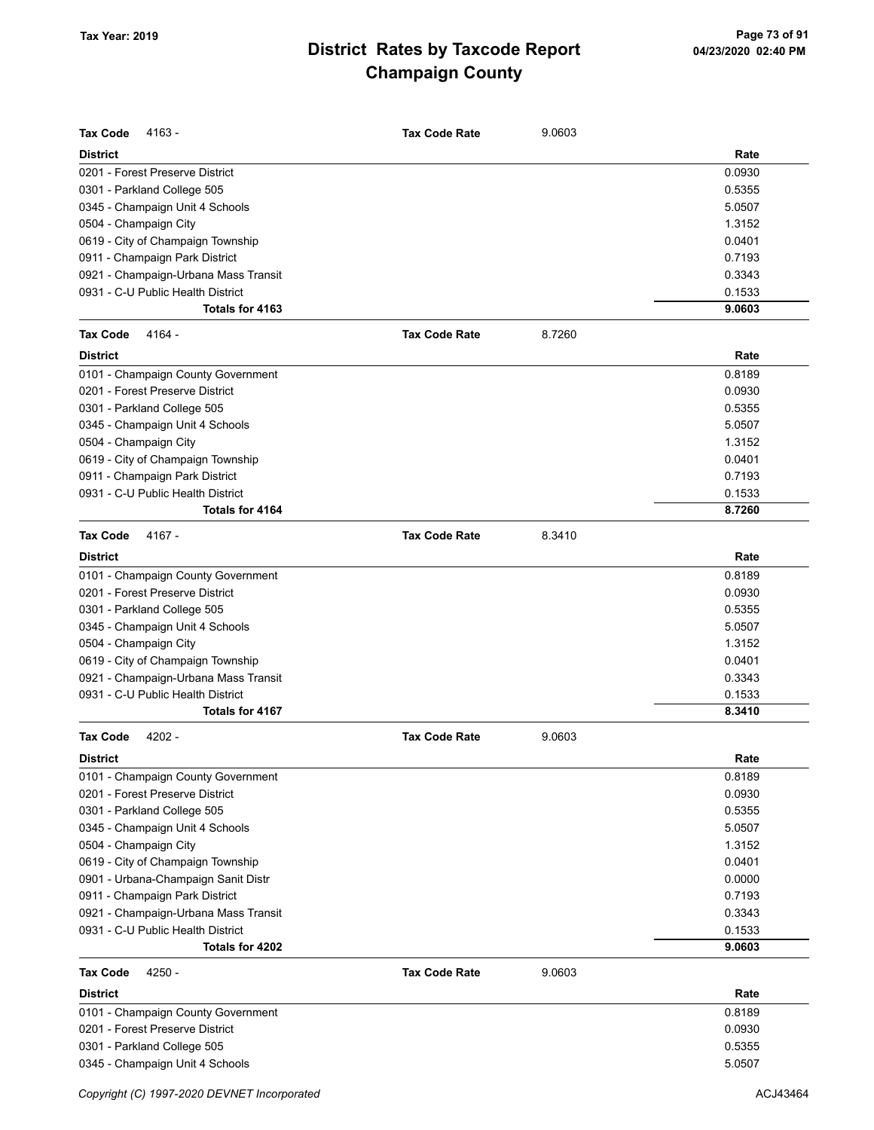| <b>Tax Code</b><br>$4163 -$          | <b>Tax Code Rate</b> | 9.0603 |        |
|--------------------------------------|----------------------|--------|--------|
| <b>District</b>                      |                      |        | Rate   |
| 0201 - Forest Preserve District      |                      |        | 0.0930 |
| 0301 - Parkland College 505          |                      |        | 0.5355 |
| 0345 - Champaign Unit 4 Schools      |                      |        | 5.0507 |
| 0504 - Champaign City                |                      |        | 1.3152 |
| 0619 - City of Champaign Township    |                      |        | 0.0401 |
| 0911 - Champaign Park District       |                      |        | 0.7193 |
| 0921 - Champaign-Urbana Mass Transit |                      |        | 0.3343 |
| 0931 - C-U Public Health District    |                      |        | 0.1533 |
| Totals for 4163                      |                      |        | 9.0603 |
| <b>Tax Code</b><br>4164 -            | <b>Tax Code Rate</b> | 8.7260 |        |
| <b>District</b>                      |                      |        | Rate   |
| 0101 - Champaign County Government   |                      |        | 0.8189 |
| 0201 - Forest Preserve District      |                      |        | 0.0930 |
| 0301 - Parkland College 505          |                      |        | 0.5355 |
| 0345 - Champaign Unit 4 Schools      |                      |        | 5.0507 |
| 0504 - Champaign City                |                      |        | 1.3152 |
| 0619 - City of Champaign Township    |                      |        | 0.0401 |
| 0911 - Champaign Park District       |                      |        | 0.7193 |
| 0931 - C-U Public Health District    |                      |        | 0.1533 |
| Totals for 4164                      |                      |        | 8.7260 |
| <b>Tax Code</b><br>4167 -            | <b>Tax Code Rate</b> | 8.3410 |        |
| <b>District</b>                      |                      |        | Rate   |
| 0101 - Champaign County Government   |                      |        | 0.8189 |
| 0201 - Forest Preserve District      |                      |        | 0.0930 |
| 0301 - Parkland College 505          |                      |        | 0.5355 |
| 0345 - Champaign Unit 4 Schools      |                      |        | 5.0507 |
| 0504 - Champaign City                |                      |        | 1.3152 |
| 0619 - City of Champaign Township    |                      |        | 0.0401 |
| 0921 - Champaign-Urbana Mass Transit |                      |        | 0.3343 |
| 0931 - C-U Public Health District    |                      |        | 0.1533 |
| Totals for 4167                      |                      |        | 8.3410 |
| Tax Code<br>$4202 -$                 | <b>Tax Code Rate</b> | 9.0603 |        |
| <b>District</b>                      |                      |        | Rate   |
| 0101 - Champaign County Government   |                      |        | 0.8189 |
| 0201 - Forest Preserve District      |                      |        | 0.0930 |
| 0301 - Parkland College 505          |                      |        | 0.5355 |
| 0345 - Champaign Unit 4 Schools      |                      |        | 5.0507 |
| 0504 - Champaign City                |                      |        | 1.3152 |
| 0619 - City of Champaign Township    |                      |        | 0.0401 |
| 0901 - Urbana-Champaign Sanit Distr  |                      |        | 0.0000 |
| 0911 - Champaign Park District       |                      |        | 0.7193 |
| 0921 - Champaign-Urbana Mass Transit |                      |        | 0.3343 |
| 0931 - C-U Public Health District    |                      |        | 0.1533 |
| Totals for 4202                      |                      |        | 9.0603 |
| <b>Tax Code</b><br>4250 -            | <b>Tax Code Rate</b> | 9.0603 |        |
| <b>District</b>                      |                      |        | Rate   |
| 0101 - Champaign County Government   |                      |        | 0.8189 |
| 0201 - Forest Preserve District      |                      |        | 0.0930 |
| 0301 - Parkland College 505          |                      |        | 0.5355 |
| 0345 - Champaign Unit 4 Schools      |                      |        | 5.0507 |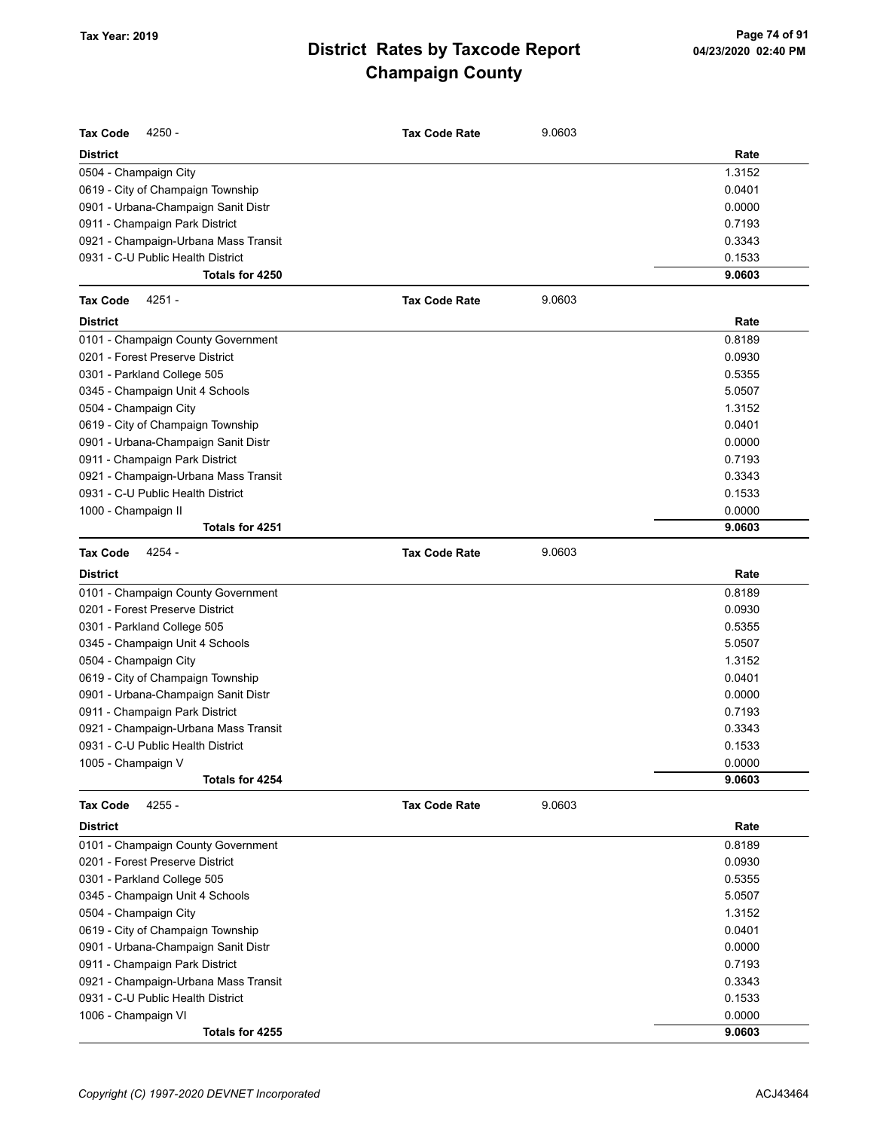| <b>Tax Code</b><br>4250 -            | <b>Tax Code Rate</b> | 9.0603 |        |
|--------------------------------------|----------------------|--------|--------|
| <b>District</b>                      |                      |        | Rate   |
| 0504 - Champaign City                |                      |        | 1.3152 |
| 0619 - City of Champaign Township    |                      |        | 0.0401 |
| 0901 - Urbana-Champaign Sanit Distr  |                      |        | 0.0000 |
| 0911 - Champaign Park District       |                      |        | 0.7193 |
| 0921 - Champaign-Urbana Mass Transit |                      |        | 0.3343 |
| 0931 - C-U Public Health District    |                      |        | 0.1533 |
| Totals for 4250                      |                      |        | 9.0603 |
| <b>Tax Code</b><br>4251 -            | <b>Tax Code Rate</b> | 9.0603 |        |
| <b>District</b>                      |                      |        | Rate   |
| 0101 - Champaign County Government   |                      |        | 0.8189 |
| 0201 - Forest Preserve District      |                      |        | 0.0930 |
| 0301 - Parkland College 505          |                      |        | 0.5355 |
| 0345 - Champaign Unit 4 Schools      |                      |        | 5.0507 |
| 0504 - Champaign City                |                      |        | 1.3152 |
| 0619 - City of Champaign Township    |                      |        | 0.0401 |
| 0901 - Urbana-Champaign Sanit Distr  |                      |        | 0.0000 |
| 0911 - Champaign Park District       |                      |        | 0.7193 |
| 0921 - Champaign-Urbana Mass Transit |                      |        | 0.3343 |
| 0931 - C-U Public Health District    |                      |        | 0.1533 |
| 1000 - Champaign II                  |                      |        | 0.0000 |
| Totals for 4251                      |                      |        | 9.0603 |
| 4254 -<br><b>Tax Code</b>            | <b>Tax Code Rate</b> | 9.0603 |        |
| <b>District</b>                      |                      |        | Rate   |
| 0101 - Champaign County Government   |                      |        | 0.8189 |
| 0201 - Forest Preserve District      |                      |        | 0.0930 |
| 0301 - Parkland College 505          |                      |        | 0.5355 |
| 0345 - Champaign Unit 4 Schools      |                      |        | 5.0507 |
| 0504 - Champaign City                |                      |        | 1.3152 |
| 0619 - City of Champaign Township    |                      |        | 0.0401 |
| 0901 - Urbana-Champaign Sanit Distr  |                      |        | 0.0000 |
| 0911 - Champaign Park District       |                      |        | 0.7193 |
| 0921 - Champaign-Urbana Mass Transit |                      |        | 0.3343 |
| 0931 - C-U Public Health District    |                      |        | 0.1533 |
| 1005 - Champaign V                   |                      |        | 0.0000 |
| Totals for 4254                      |                      |        | 9.0603 |
| 4255 -<br><b>Tax Code</b>            | <b>Tax Code Rate</b> | 9.0603 |        |
| <b>District</b>                      |                      |        | Rate   |
| 0101 - Champaign County Government   |                      |        | 0.8189 |
| 0201 - Forest Preserve District      |                      |        | 0.0930 |
| 0301 - Parkland College 505          |                      |        | 0.5355 |
| 0345 - Champaign Unit 4 Schools      |                      |        | 5.0507 |
| 0504 - Champaign City                |                      |        | 1.3152 |
| 0619 - City of Champaign Township    |                      |        | 0.0401 |
| 0901 - Urbana-Champaign Sanit Distr  |                      |        | 0.0000 |
| 0911 - Champaign Park District       |                      |        | 0.7193 |
| 0921 - Champaign-Urbana Mass Transit |                      |        | 0.3343 |
| 0931 - C-U Public Health District    |                      |        | 0.1533 |
| 1006 - Champaign VI                  |                      |        | 0.0000 |
| Totals for 4255                      |                      |        | 9.0603 |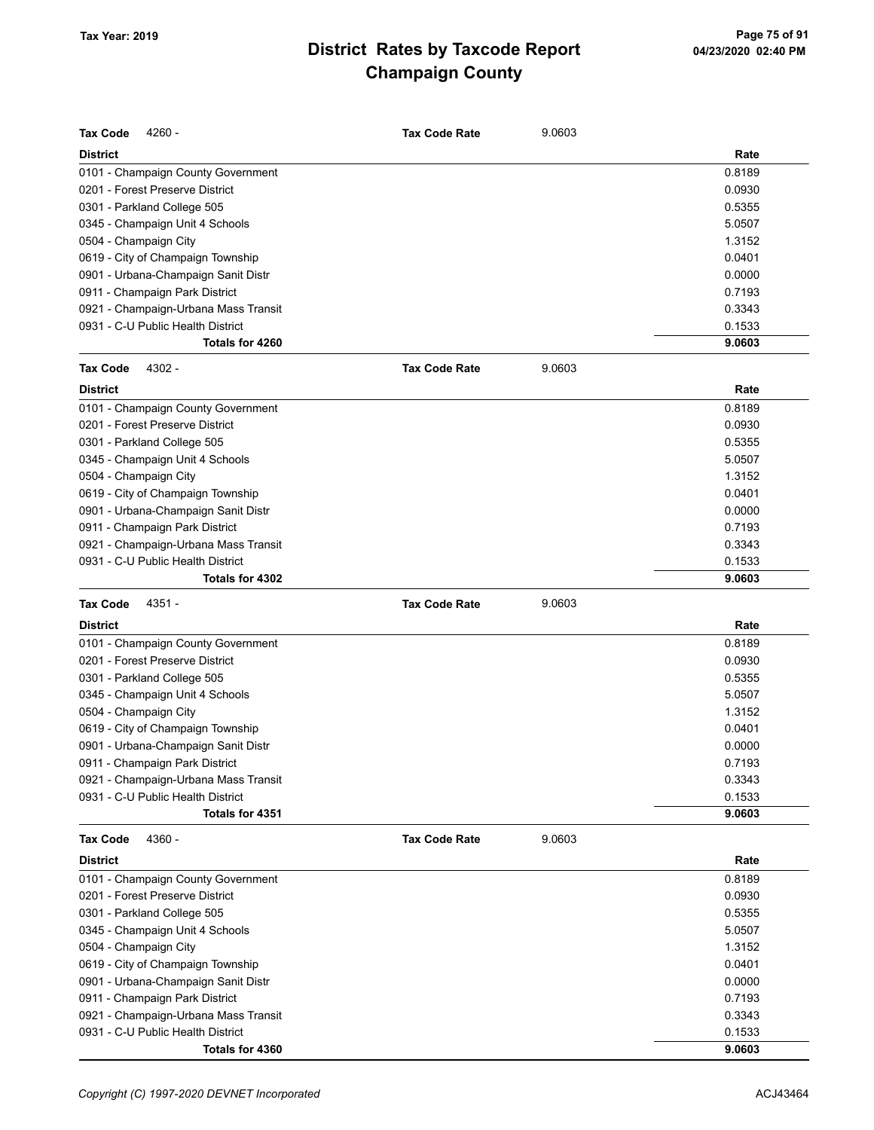| <b>Tax Code</b>       | 4260 -                                               | <b>Tax Code Rate</b> | 9.0603 |                  |
|-----------------------|------------------------------------------------------|----------------------|--------|------------------|
| <b>District</b>       |                                                      |                      |        | Rate             |
|                       | 0101 - Champaign County Government                   |                      |        | 0.8189           |
|                       | 0201 - Forest Preserve District                      |                      |        | 0.0930           |
|                       | 0301 - Parkland College 505                          |                      |        | 0.5355           |
|                       | 0345 - Champaign Unit 4 Schools                      |                      |        | 5.0507           |
| 0504 - Champaign City |                                                      |                      |        | 1.3152           |
|                       | 0619 - City of Champaign Township                    |                      |        | 0.0401           |
|                       | 0901 - Urbana-Champaign Sanit Distr                  |                      |        | 0.0000           |
|                       | 0911 - Champaign Park District                       |                      |        | 0.7193           |
|                       | 0921 - Champaign-Urbana Mass Transit                 |                      |        | 0.3343           |
|                       | 0931 - C-U Public Health District                    |                      |        | 0.1533           |
|                       | Totals for 4260                                      |                      |        | 9.0603           |
| <b>Tax Code</b>       | 4302 -                                               | <b>Tax Code Rate</b> | 9.0603 |                  |
| <b>District</b>       |                                                      |                      |        | Rate             |
|                       | 0101 - Champaign County Government                   |                      |        | 0.8189           |
|                       | 0201 - Forest Preserve District                      |                      |        | 0.0930           |
|                       | 0301 - Parkland College 505                          |                      |        | 0.5355           |
|                       | 0345 - Champaign Unit 4 Schools                      |                      |        | 5.0507           |
| 0504 - Champaign City |                                                      |                      |        | 1.3152           |
|                       | 0619 - City of Champaign Township                    |                      |        | 0.0401           |
|                       | 0901 - Urbana-Champaign Sanit Distr                  |                      |        | 0.0000           |
|                       | 0911 - Champaign Park District                       |                      |        | 0.7193           |
|                       | 0921 - Champaign-Urbana Mass Transit                 |                      |        | 0.3343           |
|                       | 0931 - C-U Public Health District                    |                      |        | 0.1533           |
|                       | Totals for 4302                                      |                      |        | 9.0603           |
|                       |                                                      |                      |        |                  |
| <b>Tax Code</b>       | 4351 -                                               | <b>Tax Code Rate</b> | 9.0603 |                  |
| <b>District</b>       |                                                      |                      |        | Rate             |
|                       | 0101 - Champaign County Government                   |                      |        | 0.8189           |
|                       | 0201 - Forest Preserve District                      |                      |        | 0.0930           |
|                       | 0301 - Parkland College 505                          |                      |        | 0.5355           |
|                       | 0345 - Champaign Unit 4 Schools                      |                      |        | 5.0507           |
| 0504 - Champaign City |                                                      |                      |        | 1.3152           |
|                       | 0619 - City of Champaign Township                    |                      |        | 0.0401           |
|                       | 0901 - Urbana-Champaign Sanit Distr                  |                      |        | 0.0000           |
|                       | 0911 - Champaign Park District                       |                      |        | 0.7193           |
|                       | 0921 - Champaign-Urbana Mass Transit                 |                      |        | 0.3343           |
|                       | 0931 - C-U Public Health District                    |                      |        | 0.1533           |
|                       | Totals for 4351                                      |                      |        | 9.0603           |
| <b>Tax Code</b>       | 4360 -                                               | <b>Tax Code Rate</b> | 9.0603 |                  |
| <b>District</b>       |                                                      |                      |        | Rate             |
|                       | 0101 - Champaign County Government                   |                      |        | 0.8189           |
|                       | 0201 - Forest Preserve District                      |                      |        | 0.0930           |
|                       | 0301 - Parkland College 505                          |                      |        | 0.5355           |
|                       | 0345 - Champaign Unit 4 Schools                      |                      |        | 5.0507           |
| 0504 - Champaign City |                                                      |                      |        | 1.3152           |
|                       | 0619 - City of Champaign Township                    |                      |        | 0.0401           |
|                       | 0901 - Urbana-Champaign Sanit Distr                  |                      |        | 0.0000           |
|                       | 0911 - Champaign Park District                       |                      |        | 0.7193           |
|                       | 0921 - Champaign-Urbana Mass Transit                 |                      |        | 0.3343           |
|                       | 0931 - C-U Public Health District<br>Totals for 4360 |                      |        | 0.1533<br>9.0603 |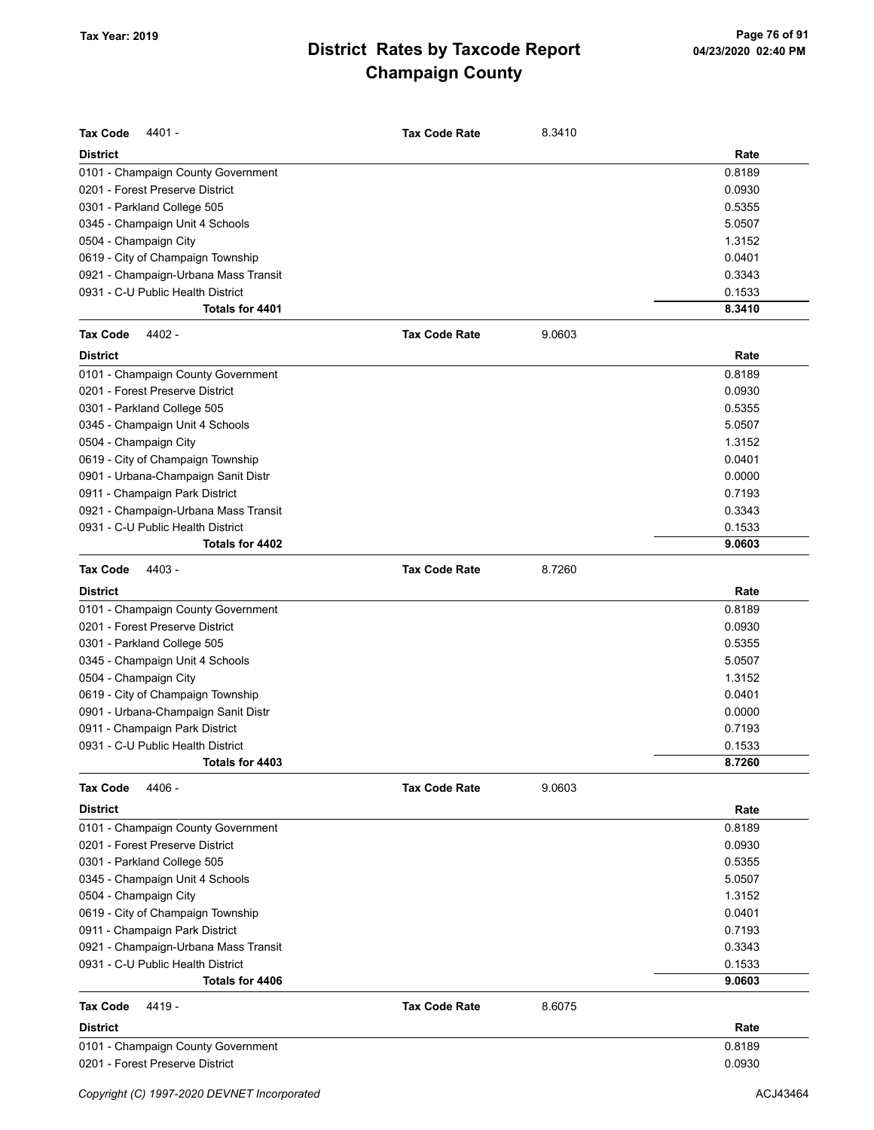| <b>Tax Code</b><br>4401 -            | <b>Tax Code Rate</b> | 8.3410 |        |
|--------------------------------------|----------------------|--------|--------|
| <b>District</b>                      |                      |        | Rate   |
| 0101 - Champaign County Government   |                      |        | 0.8189 |
| 0201 - Forest Preserve District      |                      |        | 0.0930 |
| 0301 - Parkland College 505          |                      |        | 0.5355 |
| 0345 - Champaign Unit 4 Schools      |                      |        | 5.0507 |
| 0504 - Champaign City                |                      |        | 1.3152 |
| 0619 - City of Champaign Township    |                      |        | 0.0401 |
| 0921 - Champaign-Urbana Mass Transit |                      |        | 0.3343 |
| 0931 - C-U Public Health District    |                      |        | 0.1533 |
| Totals for 4401                      |                      |        | 8.3410 |
| <b>Tax Code</b><br>4402 -            | <b>Tax Code Rate</b> | 9.0603 |        |
| <b>District</b>                      |                      |        | Rate   |
| 0101 - Champaign County Government   |                      |        | 0.8189 |
| 0201 - Forest Preserve District      |                      |        | 0.0930 |
| 0301 - Parkland College 505          |                      |        | 0.5355 |
| 0345 - Champaign Unit 4 Schools      |                      |        | 5.0507 |
| 0504 - Champaign City                |                      |        | 1.3152 |
| 0619 - City of Champaign Township    |                      |        | 0.0401 |
| 0901 - Urbana-Champaign Sanit Distr  |                      |        | 0.0000 |
| 0911 - Champaign Park District       |                      |        | 0.7193 |
| 0921 - Champaign-Urbana Mass Transit |                      |        | 0.3343 |
| 0931 - C-U Public Health District    |                      |        | 0.1533 |
| Totals for 4402                      |                      |        | 9.0603 |
| <b>Tax Code</b><br>4403 -            | <b>Tax Code Rate</b> | 8.7260 |        |
| <b>District</b>                      |                      |        | Rate   |
| 0101 - Champaign County Government   |                      |        | 0.8189 |
| 0201 - Forest Preserve District      |                      |        | 0.0930 |
| 0301 - Parkland College 505          |                      |        | 0.5355 |
| 0345 - Champaign Unit 4 Schools      |                      |        | 5.0507 |
| 0504 - Champaign City                |                      |        | 1.3152 |
| 0619 - City of Champaign Township    |                      |        | 0.0401 |
| 0901 - Urbana-Champaign Sanit Distr  |                      |        | 0.0000 |
| 0911 - Champaign Park District       |                      |        | 0.7193 |
| 0931 - C-U Public Health District    |                      |        | 0.1533 |
| Totals for 4403                      |                      |        | 8.7260 |
| 4406 -<br><b>Tax Code</b>            | <b>Tax Code Rate</b> | 9.0603 |        |
| <b>District</b>                      |                      |        | Rate   |
| 0101 - Champaign County Government   |                      |        | 0.8189 |
| 0201 - Forest Preserve District      |                      |        | 0.0930 |
| 0301 - Parkland College 505          |                      |        | 0.5355 |
| 0345 - Champaign Unit 4 Schools      |                      |        | 5.0507 |
| 0504 - Champaign City                |                      |        | 1.3152 |
| 0619 - City of Champaign Township    |                      |        | 0.0401 |
| 0911 - Champaign Park District       |                      |        | 0.7193 |
| 0921 - Champaign-Urbana Mass Transit |                      |        | 0.3343 |
| 0931 - C-U Public Health District    |                      |        | 0.1533 |
| Totals for 4406                      |                      |        | 9.0603 |
| <b>Tax Code</b><br>4419 -            | <b>Tax Code Rate</b> | 8.6075 |        |
| <b>District</b>                      |                      |        | Rate   |
| 0101 - Champaign County Government   |                      |        | 0.8189 |
| 0201 - Forest Preserve District      |                      |        | 0.0930 |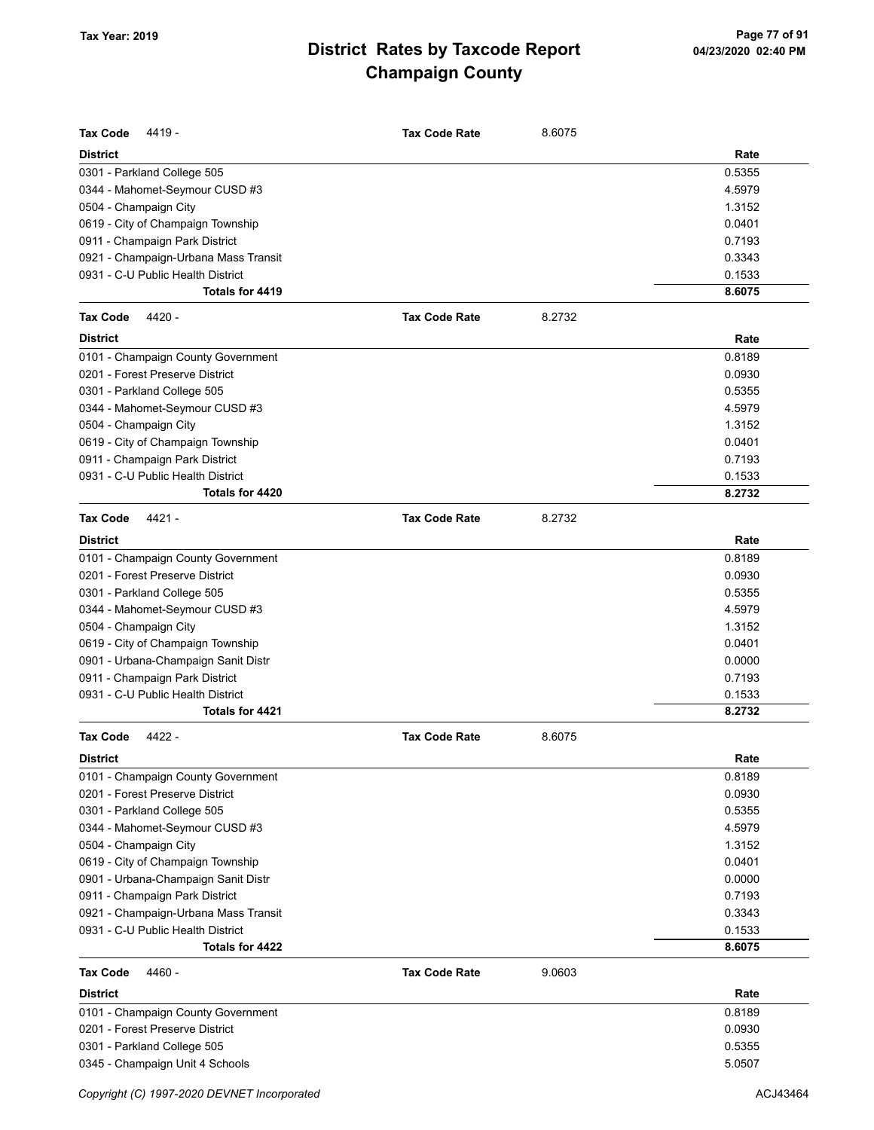| <b>Tax Code</b><br>4419 -            | <b>Tax Code Rate</b> | 8.6075 |        |
|--------------------------------------|----------------------|--------|--------|
| <b>District</b>                      |                      |        | Rate   |
| 0301 - Parkland College 505          |                      |        | 0.5355 |
| 0344 - Mahomet-Seymour CUSD #3       |                      |        | 4.5979 |
| 0504 - Champaign City                |                      |        | 1.3152 |
| 0619 - City of Champaign Township    |                      |        | 0.0401 |
| 0911 - Champaign Park District       |                      |        | 0.7193 |
| 0921 - Champaign-Urbana Mass Transit |                      |        | 0.3343 |
| 0931 - C-U Public Health District    |                      |        | 0.1533 |
| Totals for 4419                      |                      |        | 8.6075 |
| 4420 -<br><b>Tax Code</b>            | <b>Tax Code Rate</b> | 8.2732 |        |
| <b>District</b>                      |                      |        | Rate   |
| 0101 - Champaign County Government   |                      |        | 0.8189 |
| 0201 - Forest Preserve District      |                      |        | 0.0930 |
| 0301 - Parkland College 505          |                      |        | 0.5355 |
| 0344 - Mahomet-Seymour CUSD #3       |                      |        | 4.5979 |
| 0504 - Champaign City                |                      |        | 1.3152 |
| 0619 - City of Champaign Township    |                      |        | 0.0401 |
| 0911 - Champaign Park District       |                      |        | 0.7193 |
| 0931 - C-U Public Health District    |                      |        | 0.1533 |
| Totals for 4420                      |                      |        | 8.2732 |
| <b>Tax Code</b><br>4421 -            | <b>Tax Code Rate</b> | 8.2732 |        |
| <b>District</b>                      |                      |        | Rate   |
| 0101 - Champaign County Government   |                      |        | 0.8189 |
| 0201 - Forest Preserve District      |                      |        | 0.0930 |
| 0301 - Parkland College 505          |                      |        | 0.5355 |
| 0344 - Mahomet-Seymour CUSD #3       |                      |        | 4.5979 |
| 0504 - Champaign City                |                      |        | 1.3152 |
| 0619 - City of Champaign Township    |                      |        | 0.0401 |
| 0901 - Urbana-Champaign Sanit Distr  |                      |        | 0.0000 |
| 0911 - Champaign Park District       |                      |        | 0.7193 |
| 0931 - C-U Public Health District    |                      |        | 0.1533 |
| Totals for 4421                      |                      |        | 8.2732 |
| <b>Tax Code</b><br>4422 -            | <b>Tax Code Rate</b> | 8.6075 |        |
|                                      |                      |        |        |
| <b>District</b>                      |                      |        | Rate   |
| 0101 - Champaign County Government   |                      |        | 0.8189 |
| 0201 - Forest Preserve District      |                      |        | 0.0930 |
| 0301 - Parkland College 505          |                      |        | 0.5355 |
| 0344 - Mahomet-Seymour CUSD #3       |                      |        | 4.5979 |
| 0504 - Champaign City                |                      |        | 1.3152 |
| 0619 - City of Champaign Township    |                      |        | 0.0401 |
| 0901 - Urbana-Champaign Sanit Distr  |                      |        | 0.0000 |
| 0911 - Champaign Park District       |                      |        | 0.7193 |
| 0921 - Champaign-Urbana Mass Transit |                      |        | 0.3343 |
| 0931 - C-U Public Health District    |                      |        | 0.1533 |
| Totals for 4422                      |                      |        | 8.6075 |
| <b>Tax Code</b><br>4460 -            | <b>Tax Code Rate</b> | 9.0603 |        |
| <b>District</b>                      |                      |        | Rate   |
| 0101 - Champaign County Government   |                      |        | 0.8189 |
| 0201 - Forest Preserve District      |                      |        | 0.0930 |
| 0301 - Parkland College 505          |                      |        | 0.5355 |
| 0345 - Champaign Unit 4 Schools      |                      |        | 5.0507 |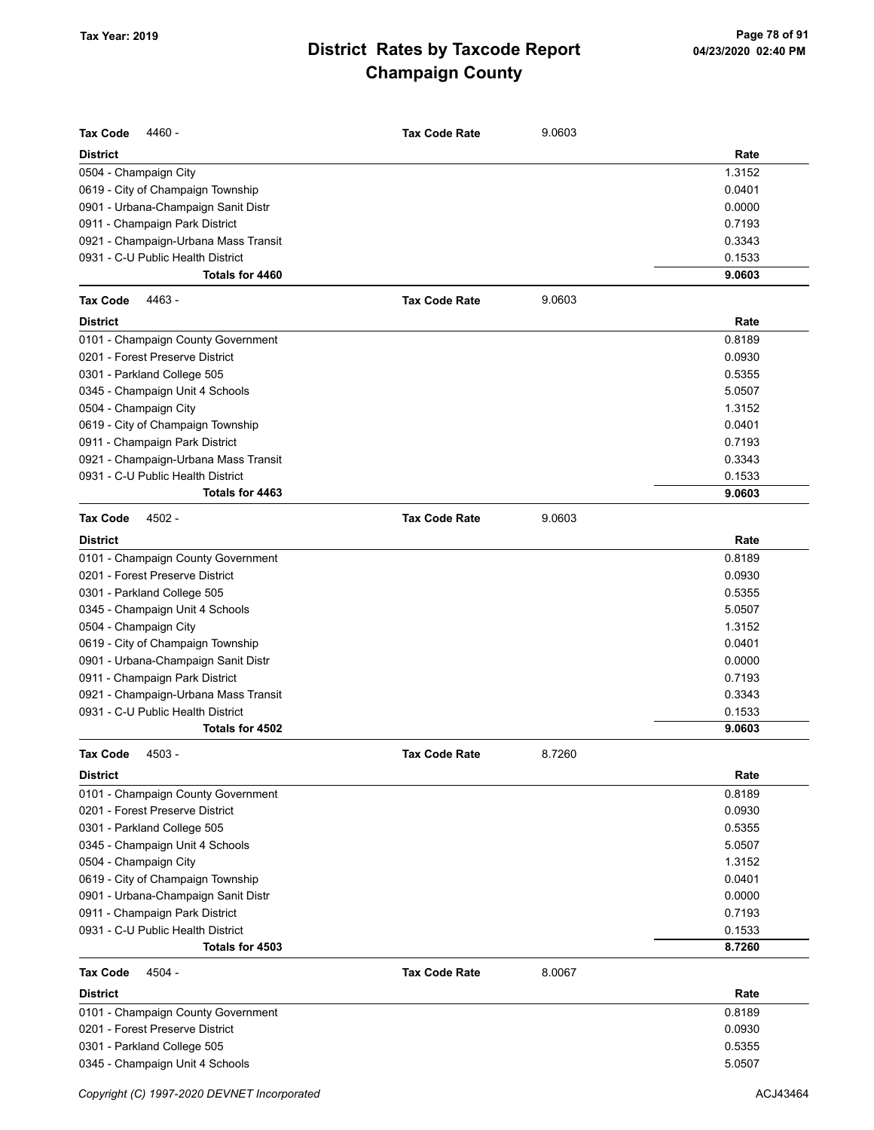| <b>Tax Code</b><br>4460 -            | <b>Tax Code Rate</b> | 9.0603 |        |
|--------------------------------------|----------------------|--------|--------|
| <b>District</b>                      |                      |        | Rate   |
| 0504 - Champaign City                |                      |        | 1.3152 |
| 0619 - City of Champaign Township    |                      |        | 0.0401 |
| 0901 - Urbana-Champaign Sanit Distr  |                      |        | 0.0000 |
| 0911 - Champaign Park District       |                      |        | 0.7193 |
| 0921 - Champaign-Urbana Mass Transit |                      |        | 0.3343 |
| 0931 - C-U Public Health District    |                      |        | 0.1533 |
| Totals for 4460                      |                      |        | 9.0603 |
| <b>Tax Code</b><br>4463 -            | <b>Tax Code Rate</b> | 9.0603 |        |
| <b>District</b>                      |                      |        | Rate   |
| 0101 - Champaign County Government   |                      |        | 0.8189 |
| 0201 - Forest Preserve District      |                      |        | 0.0930 |
| 0301 - Parkland College 505          |                      |        | 0.5355 |
| 0345 - Champaign Unit 4 Schools      |                      |        | 5.0507 |
| 0504 - Champaign City                |                      |        | 1.3152 |
| 0619 - City of Champaign Township    |                      |        | 0.0401 |
| 0911 - Champaign Park District       |                      |        | 0.7193 |
| 0921 - Champaign-Urbana Mass Transit |                      |        | 0.3343 |
| 0931 - C-U Public Health District    |                      |        | 0.1533 |
| Totals for 4463                      |                      |        | 9.0603 |
| <b>Tax Code</b><br>4502 -            | <b>Tax Code Rate</b> | 9.0603 |        |
| <b>District</b>                      |                      |        | Rate   |
| 0101 - Champaign County Government   |                      |        | 0.8189 |
| 0201 - Forest Preserve District      |                      |        | 0.0930 |
| 0301 - Parkland College 505          |                      |        | 0.5355 |
| 0345 - Champaign Unit 4 Schools      |                      |        | 5.0507 |
| 0504 - Champaign City                |                      |        | 1.3152 |
| 0619 - City of Champaign Township    |                      |        | 0.0401 |
| 0901 - Urbana-Champaign Sanit Distr  |                      |        | 0.0000 |
| 0911 - Champaign Park District       |                      |        | 0.7193 |
| 0921 - Champaign-Urbana Mass Transit |                      |        | 0.3343 |
| 0931 - C-U Public Health District    |                      |        | 0.1533 |
| Totals for 4502                      |                      |        | 9.0603 |
| 4503 -<br>Tax Code                   | <b>Tax Code Rate</b> | 8.7260 |        |
| District                             |                      |        | Rate   |
| 0101 - Champaign County Government   |                      |        | 0.8189 |
| 0201 - Forest Preserve District      |                      |        | 0.0930 |
| 0301 - Parkland College 505          |                      |        | 0.5355 |
| 0345 - Champaign Unit 4 Schools      |                      |        | 5.0507 |
| 0504 - Champaign City                |                      |        | 1.3152 |
| 0619 - City of Champaign Township    |                      |        | 0.0401 |
| 0901 - Urbana-Champaign Sanit Distr  |                      |        | 0.0000 |
| 0911 - Champaign Park District       |                      |        | 0.7193 |
| 0931 - C-U Public Health District    |                      |        | 0.1533 |
| Totals for 4503                      |                      |        | 8.7260 |
| <b>Tax Code</b><br>4504 -            | <b>Tax Code Rate</b> | 8.0067 |        |
| <b>District</b>                      |                      |        | Rate   |
| 0101 - Champaign County Government   |                      |        | 0.8189 |
| 0201 - Forest Preserve District      |                      |        | 0.0930 |
| 0301 - Parkland College 505          |                      |        | 0.5355 |
| 0345 - Champaign Unit 4 Schools      |                      |        | 5.0507 |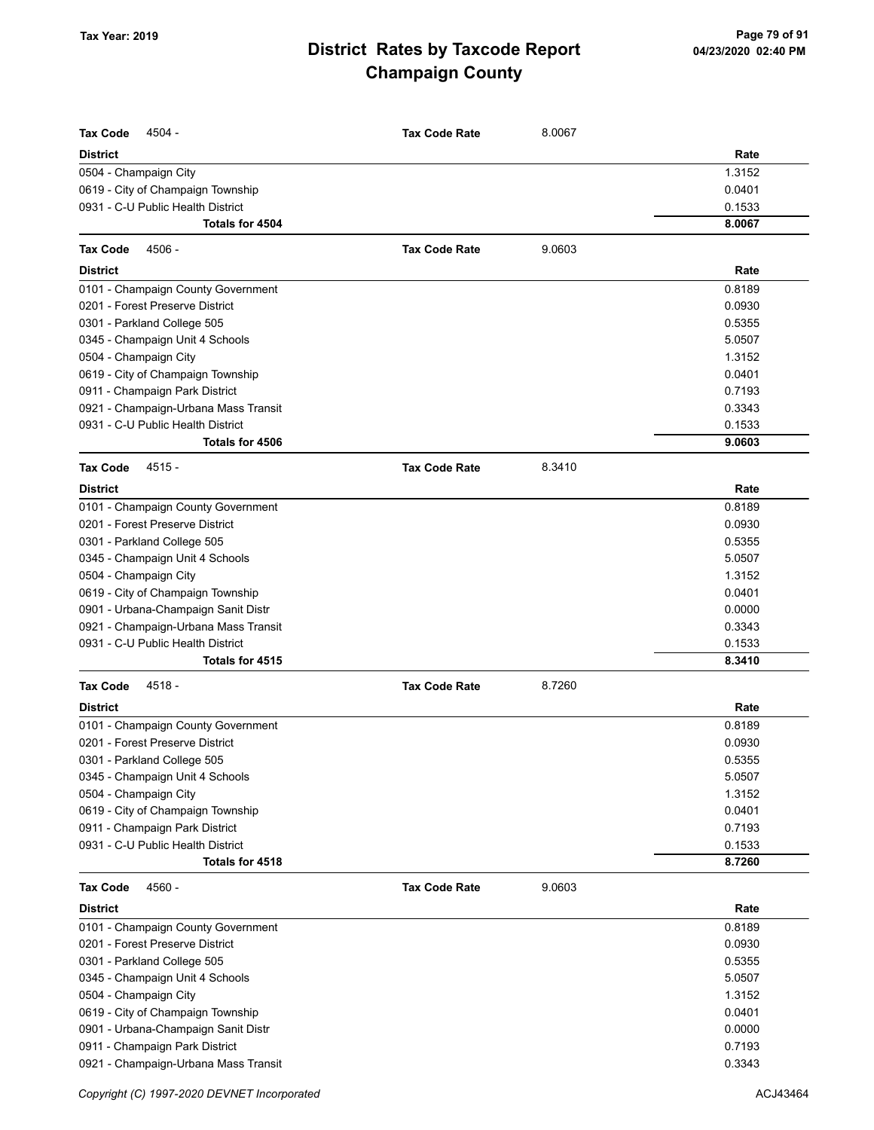| <b>Tax Code</b><br>4504 -            | <b>Tax Code Rate</b> | 8.0067 |        |
|--------------------------------------|----------------------|--------|--------|
| <b>District</b>                      |                      |        | Rate   |
| 0504 - Champaign City                |                      |        | 1.3152 |
| 0619 - City of Champaign Township    |                      |        | 0.0401 |
| 0931 - C-U Public Health District    |                      |        | 0.1533 |
| <b>Totals for 4504</b>               |                      |        | 8.0067 |
| <b>Tax Code</b><br>4506 -            | <b>Tax Code Rate</b> | 9.0603 |        |
| <b>District</b>                      |                      |        | Rate   |
|                                      |                      |        |        |
| 0101 - Champaign County Government   |                      |        | 0.8189 |
| 0201 - Forest Preserve District      |                      |        | 0.0930 |
| 0301 - Parkland College 505          |                      |        | 0.5355 |
| 0345 - Champaign Unit 4 Schools      |                      |        | 5.0507 |
| 0504 - Champaign City                |                      |        | 1.3152 |
| 0619 - City of Champaign Township    |                      |        | 0.0401 |
| 0911 - Champaign Park District       |                      |        | 0.7193 |
| 0921 - Champaign-Urbana Mass Transit |                      |        | 0.3343 |
| 0931 - C-U Public Health District    |                      |        | 0.1533 |
| Totals for 4506                      |                      |        | 9.0603 |
| $4515 -$<br>Tax Code                 | <b>Tax Code Rate</b> | 8.3410 |        |
| District                             |                      |        | Rate   |
| 0101 - Champaign County Government   |                      |        | 0.8189 |
| 0201 - Forest Preserve District      |                      |        | 0.0930 |
| 0301 - Parkland College 505          |                      |        | 0.5355 |
| 0345 - Champaign Unit 4 Schools      |                      |        | 5.0507 |
| 0504 - Champaign City                |                      |        | 1.3152 |
| 0619 - City of Champaign Township    |                      |        | 0.0401 |
| 0901 - Urbana-Champaign Sanit Distr  |                      |        | 0.0000 |
| 0921 - Champaign-Urbana Mass Transit |                      |        | 0.3343 |
| 0931 - C-U Public Health District    |                      |        | 0.1533 |
| Totals for 4515                      |                      |        | 8.3410 |
| 4518 -<br><b>Tax Code</b>            | <b>Tax Code Rate</b> | 8.7260 |        |
| <b>District</b>                      |                      |        | Rate   |
| 0101 - Champaign County Government   |                      |        | 0.8189 |
| 0201 - Forest Preserve District      |                      |        | 0.0930 |
| 0301 - Parkland College 505          |                      |        | 0.5355 |
| 0345 - Champaign Unit 4 Schools      |                      |        | 5.0507 |
| 0504 - Champaign City                |                      |        | 1.3152 |
| 0619 - City of Champaign Township    |                      |        | 0.0401 |
| 0911 - Champaign Park District       |                      |        | 0.7193 |
| 0931 - C-U Public Health District    |                      |        | 0.1533 |
| Totals for 4518                      |                      |        | 8.7260 |
| <b>Tax Code</b><br>4560 -            | <b>Tax Code Rate</b> | 9.0603 |        |
| District                             |                      |        | Rate   |
| 0101 - Champaign County Government   |                      |        | 0.8189 |
| 0201 - Forest Preserve District      |                      |        | 0.0930 |
| 0301 - Parkland College 505          |                      |        | 0.5355 |
| 0345 - Champaign Unit 4 Schools      |                      |        | 5.0507 |
| 0504 - Champaign City                |                      |        | 1.3152 |
| 0619 - City of Champaign Township    |                      |        | 0.0401 |
| 0901 - Urbana-Champaign Sanit Distr  |                      |        | 0.0000 |
| 0911 - Champaign Park District       |                      |        | 0.7193 |
| 0921 - Champaign-Urbana Mass Transit |                      |        | 0.3343 |

Copyright (C) 1997-2020 DEVNET Incorporated **ACJ43464**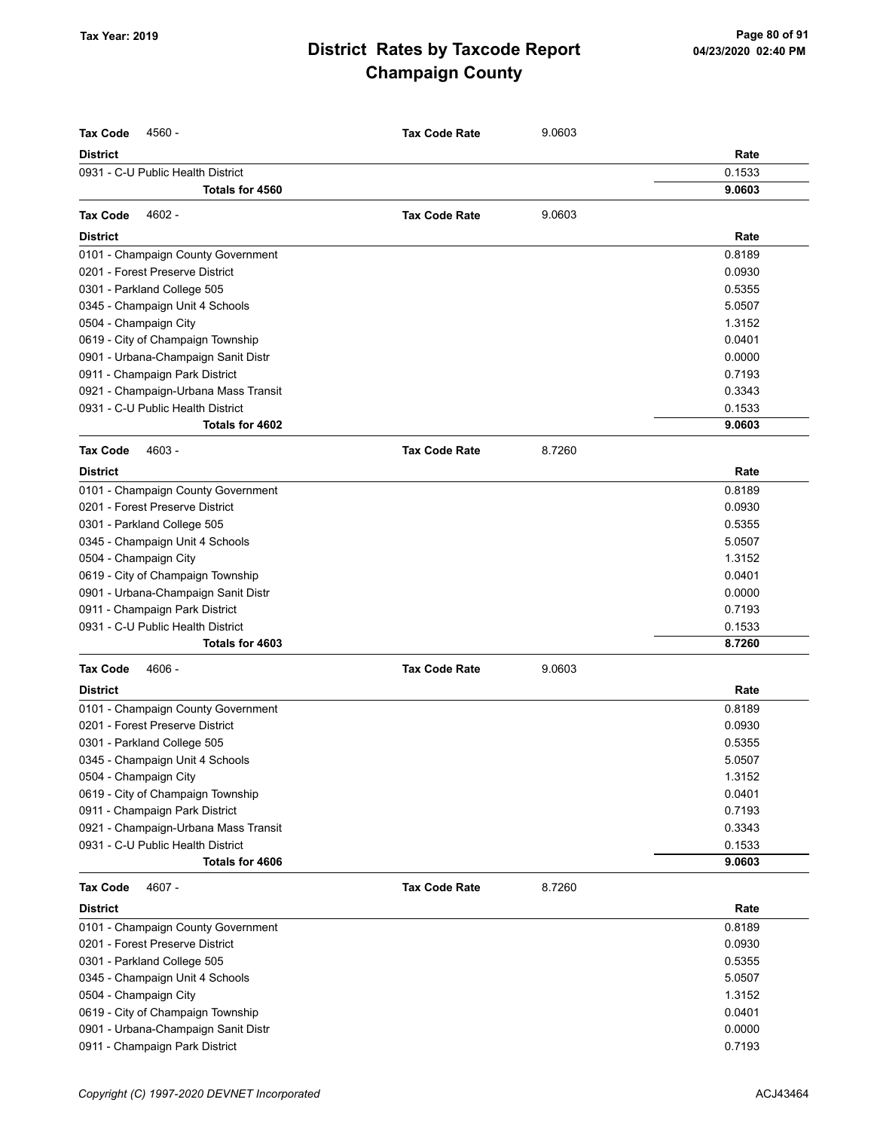| <b>Tax Code</b><br>4560 -            | <b>Tax Code Rate</b> | 9.0603 |        |
|--------------------------------------|----------------------|--------|--------|
| <b>District</b>                      |                      |        | Rate   |
| 0931 - C-U Public Health District    |                      |        | 0.1533 |
| Totals for 4560                      |                      |        | 9.0603 |
| 4602 -<br><b>Tax Code</b>            | <b>Tax Code Rate</b> | 9.0603 |        |
| <b>District</b>                      |                      |        | Rate   |
| 0101 - Champaign County Government   |                      |        | 0.8189 |
| 0201 - Forest Preserve District      |                      |        | 0.0930 |
| 0301 - Parkland College 505          |                      |        | 0.5355 |
| 0345 - Champaign Unit 4 Schools      |                      |        | 5.0507 |
| 0504 - Champaign City                |                      |        | 1.3152 |
| 0619 - City of Champaign Township    |                      |        | 0.0401 |
| 0901 - Urbana-Champaign Sanit Distr  |                      |        | 0.0000 |
| 0911 - Champaign Park District       |                      |        | 0.7193 |
| 0921 - Champaign-Urbana Mass Transit |                      |        | 0.3343 |
| 0931 - C-U Public Health District    |                      |        | 0.1533 |
| Totals for 4602                      |                      |        | 9.0603 |
| <b>Tax Code</b><br>4603 -            | <b>Tax Code Rate</b> | 8.7260 |        |
| <b>District</b>                      |                      |        | Rate   |
| 0101 - Champaign County Government   |                      |        | 0.8189 |
| 0201 - Forest Preserve District      |                      |        | 0.0930 |
| 0301 - Parkland College 505          |                      |        | 0.5355 |
| 0345 - Champaign Unit 4 Schools      |                      |        | 5.0507 |
| 0504 - Champaign City                |                      |        | 1.3152 |
| 0619 - City of Champaign Township    |                      |        | 0.0401 |
| 0901 - Urbana-Champaign Sanit Distr  |                      |        | 0.0000 |
| 0911 - Champaign Park District       |                      |        | 0.7193 |
| 0931 - C-U Public Health District    |                      |        | 0.1533 |
| Totals for 4603                      |                      |        | 8.7260 |
| <b>Tax Code</b><br>4606 -            | <b>Tax Code Rate</b> | 9.0603 |        |
| <b>District</b>                      |                      |        | Rate   |
| 0101 - Champaign County Government   |                      |        | 0.8189 |
| 0201 - Forest Preserve District      |                      |        | 0.0930 |
| 0301 - Parkland College 505          |                      |        | 0.5355 |
| 0345 - Champaign Unit 4 Schools      |                      |        | 5.0507 |
| 0504 - Champaign City                |                      |        | 1.3152 |
| 0619 - City of Champaign Township    |                      |        | 0.0401 |
| 0911 - Champaign Park District       |                      |        | 0.7193 |
| 0921 - Champaign-Urbana Mass Transit |                      |        | 0.3343 |
| 0931 - C-U Public Health District    |                      |        | 0.1533 |
| Totals for 4606                      |                      |        | 9.0603 |
| <b>Tax Code</b><br>4607 -            | <b>Tax Code Rate</b> | 8.7260 |        |
| <b>District</b>                      |                      |        | Rate   |
| 0101 - Champaign County Government   |                      |        | 0.8189 |
| 0201 - Forest Preserve District      |                      |        | 0.0930 |
| 0301 - Parkland College 505          |                      |        | 0.5355 |
| 0345 - Champaign Unit 4 Schools      |                      |        | 5.0507 |
| 0504 - Champaign City                |                      |        | 1.3152 |
| 0619 - City of Champaign Township    |                      |        | 0.0401 |
| 0901 - Urbana-Champaign Sanit Distr  |                      |        | 0.0000 |
| 0911 - Champaign Park District       |                      |        | 0.7193 |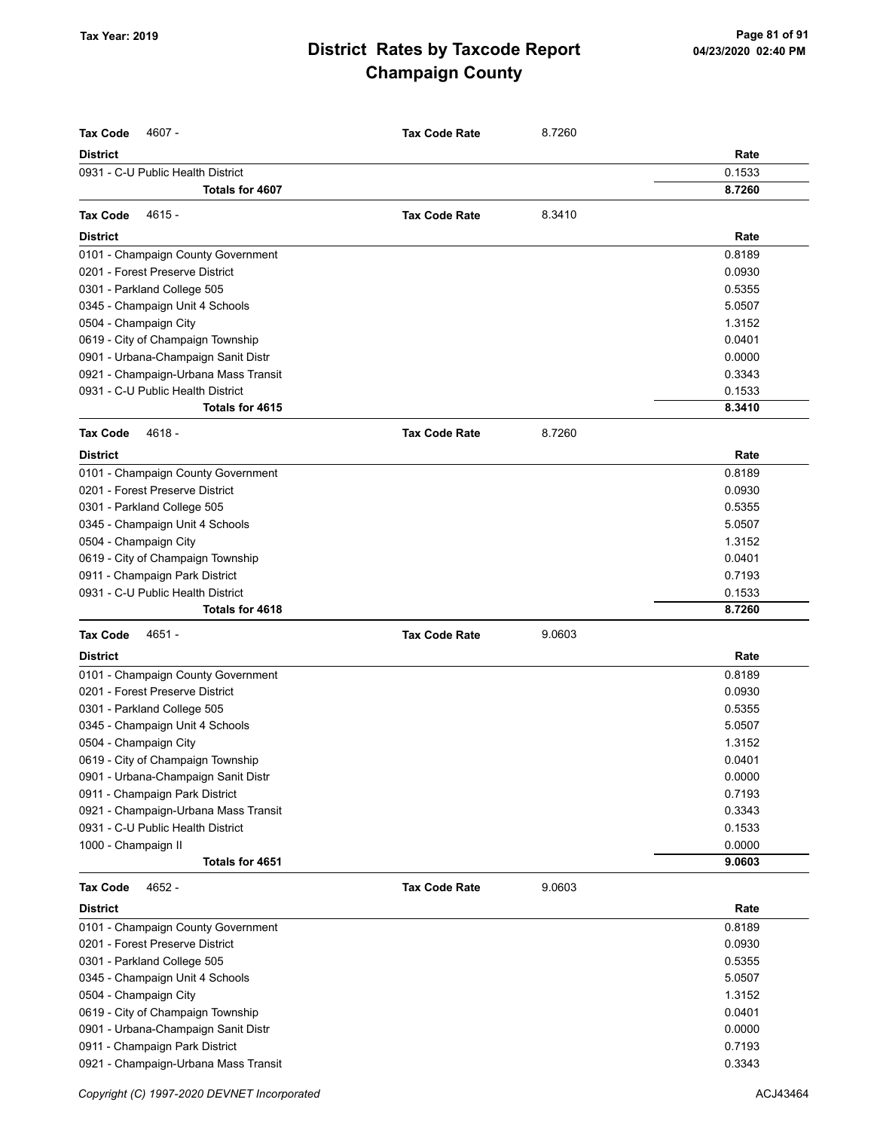| <b>Tax Code</b><br>4607 -                                   | <b>Tax Code Rate</b> | 8.7260 |        |
|-------------------------------------------------------------|----------------------|--------|--------|
| <b>District</b>                                             |                      |        | Rate   |
| 0931 - C-U Public Health District<br><b>Totals for 4607</b> |                      |        | 0.1533 |
|                                                             |                      |        | 8.7260 |
| <b>Tax Code</b><br>4615 -                                   | <b>Tax Code Rate</b> | 8.3410 |        |
| <b>District</b>                                             |                      |        | Rate   |
| 0101 - Champaign County Government                          |                      |        | 0.8189 |
| 0201 - Forest Preserve District                             |                      |        | 0.0930 |
| 0301 - Parkland College 505                                 |                      |        | 0.5355 |
| 0345 - Champaign Unit 4 Schools                             |                      |        | 5.0507 |
| 0504 - Champaign City                                       |                      |        | 1.3152 |
| 0619 - City of Champaign Township                           |                      |        | 0.0401 |
| 0901 - Urbana-Champaign Sanit Distr                         |                      |        | 0.0000 |
| 0921 - Champaign-Urbana Mass Transit                        |                      |        | 0.3343 |
| 0931 - C-U Public Health District                           |                      |        | 0.1533 |
| Totals for 4615                                             |                      |        | 8.3410 |
| <b>Tax Code</b><br>$4618 -$                                 | <b>Tax Code Rate</b> | 8.7260 |        |
| <b>District</b>                                             |                      |        | Rate   |
| 0101 - Champaign County Government                          |                      |        | 0.8189 |
| 0201 - Forest Preserve District                             |                      |        | 0.0930 |
| 0301 - Parkland College 505                                 |                      |        | 0.5355 |
| 0345 - Champaign Unit 4 Schools                             |                      |        | 5.0507 |
| 0504 - Champaign City                                       |                      |        | 1.3152 |
| 0619 - City of Champaign Township                           |                      |        | 0.0401 |
| 0911 - Champaign Park District                              |                      |        | 0.7193 |
| 0931 - C-U Public Health District                           |                      |        | 0.1533 |
| Totals for 4618                                             |                      |        | 8.7260 |
| <b>Tax Code</b><br>4651 -                                   | <b>Tax Code Rate</b> | 9.0603 |        |
| <b>District</b>                                             |                      |        | Rate   |
| 0101 - Champaign County Government                          |                      |        | 0.8189 |
| 0201 - Forest Preserve District                             |                      |        | 0.0930 |
| 0301 - Parkland College 505                                 |                      |        | 0.5355 |
| 0345 - Champaign Unit 4 Schools                             |                      |        | 5.0507 |
| 0504 - Champaign City                                       |                      |        | 1.3152 |
| 0619 - City of Champaign Township                           |                      |        | 0.0401 |
| 0901 - Urbana-Champaign Sanit Distr                         |                      |        | 0.0000 |
| 0911 - Champaign Park District                              |                      |        | 0.7193 |
| 0921 - Champaign-Urbana Mass Transit                        |                      |        | 0.3343 |
| 0931 - C-U Public Health District                           |                      |        | 0.1533 |
| 1000 - Champaign II                                         |                      |        | 0.0000 |
| Totals for 4651                                             |                      |        | 9.0603 |
| <b>Tax Code</b><br>4652 -                                   | <b>Tax Code Rate</b> | 9.0603 |        |
| <b>District</b>                                             |                      |        | Rate   |
| 0101 - Champaign County Government                          |                      |        | 0.8189 |
| 0201 - Forest Preserve District                             |                      |        | 0.0930 |
| 0301 - Parkland College 505                                 |                      |        | 0.5355 |
| 0345 - Champaign Unit 4 Schools                             |                      |        | 5.0507 |
| 0504 - Champaign City                                       |                      |        | 1.3152 |
| 0619 - City of Champaign Township                           |                      |        | 0.0401 |
| 0901 - Urbana-Champaign Sanit Distr                         |                      |        | 0.0000 |
| 0911 - Champaign Park District                              |                      |        | 0.7193 |
| 0921 - Champaign-Urbana Mass Transit                        |                      |        | 0.3343 |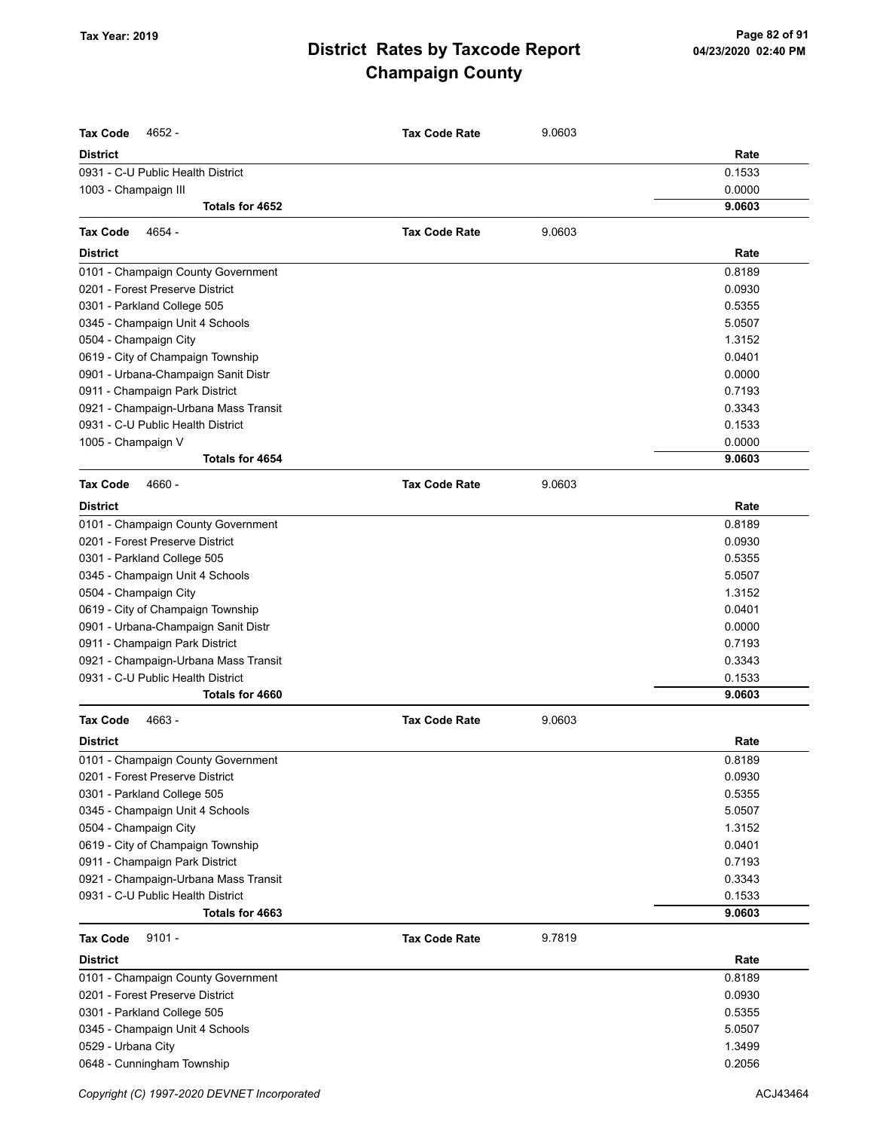| <b>Tax Code</b><br>4652 -            | <b>Tax Code Rate</b> | 9.0603 |                  |
|--------------------------------------|----------------------|--------|------------------|
| <b>District</b>                      |                      |        | Rate             |
| 0931 - C-U Public Health District    |                      |        | 0.1533           |
| 1003 - Champaign III                 |                      |        | 0.0000<br>9.0603 |
| Totals for 4652                      |                      |        |                  |
| 4654 -<br><b>Tax Code</b>            | <b>Tax Code Rate</b> | 9.0603 |                  |
| <b>District</b>                      |                      |        | Rate             |
| 0101 - Champaign County Government   |                      |        | 0.8189           |
| 0201 - Forest Preserve District      |                      |        | 0.0930           |
| 0301 - Parkland College 505          |                      |        | 0.5355           |
| 0345 - Champaign Unit 4 Schools      |                      |        | 5.0507           |
| 0504 - Champaign City                |                      |        | 1.3152           |
| 0619 - City of Champaign Township    |                      |        | 0.0401           |
| 0901 - Urbana-Champaign Sanit Distr  |                      |        | 0.0000           |
| 0911 - Champaign Park District       |                      |        | 0.7193           |
| 0921 - Champaign-Urbana Mass Transit |                      |        | 0.3343           |
| 0931 - C-U Public Health District    |                      |        | 0.1533           |
| 1005 - Champaign V                   |                      |        | 0.0000           |
| Totals for 4654                      |                      |        | 9.0603           |
| <b>Tax Code</b><br>4660 -            | <b>Tax Code Rate</b> | 9.0603 |                  |
| <b>District</b>                      |                      |        | Rate             |
| 0101 - Champaign County Government   |                      |        | 0.8189           |
| 0201 - Forest Preserve District      |                      |        | 0.0930           |
| 0301 - Parkland College 505          |                      |        | 0.5355           |
| 0345 - Champaign Unit 4 Schools      |                      |        | 5.0507           |
| 0504 - Champaign City                |                      |        | 1.3152           |
| 0619 - City of Champaign Township    |                      |        | 0.0401           |
| 0901 - Urbana-Champaign Sanit Distr  |                      |        | 0.0000           |
| 0911 - Champaign Park District       |                      |        | 0.7193           |
| 0921 - Champaign-Urbana Mass Transit |                      |        | 0.3343           |
| 0931 - C-U Public Health District    |                      |        | 0.1533           |
| Totals for 4660                      |                      |        | 9.0603           |
| <b>Tax Code</b><br>4663 -            | <b>Tax Code Rate</b> | 9.0603 |                  |
| <b>District</b>                      |                      |        | Rate             |
| 0101 - Champaign County Government   |                      |        | 0.8189           |
| 0201 - Forest Preserve District      |                      |        | 0.0930           |
| 0301 - Parkland College 505          |                      |        | 0.5355           |
| 0345 - Champaign Unit 4 Schools      |                      |        | 5.0507           |
| 0504 - Champaign City                |                      |        | 1.3152           |
| 0619 - City of Champaign Township    |                      |        | 0.0401           |
| 0911 - Champaign Park District       |                      |        | 0.7193           |
| 0921 - Champaign-Urbana Mass Transit |                      |        | 0.3343           |
| 0931 - C-U Public Health District    |                      |        | 0.1533           |
| Totals for 4663                      |                      |        | 9.0603           |
| $9101 -$<br><b>Tax Code</b>          | <b>Tax Code Rate</b> | 9.7819 |                  |
| District                             |                      |        | Rate             |
| 0101 - Champaign County Government   |                      |        | 0.8189           |
| 0201 - Forest Preserve District      |                      |        | 0.0930           |
| 0301 - Parkland College 505          |                      |        | 0.5355           |
| 0345 - Champaign Unit 4 Schools      |                      |        | 5.0507           |
| 0529 - Urbana City                   |                      |        | 1.3499           |
| 0648 - Cunningham Township           |                      |        | 0.2056           |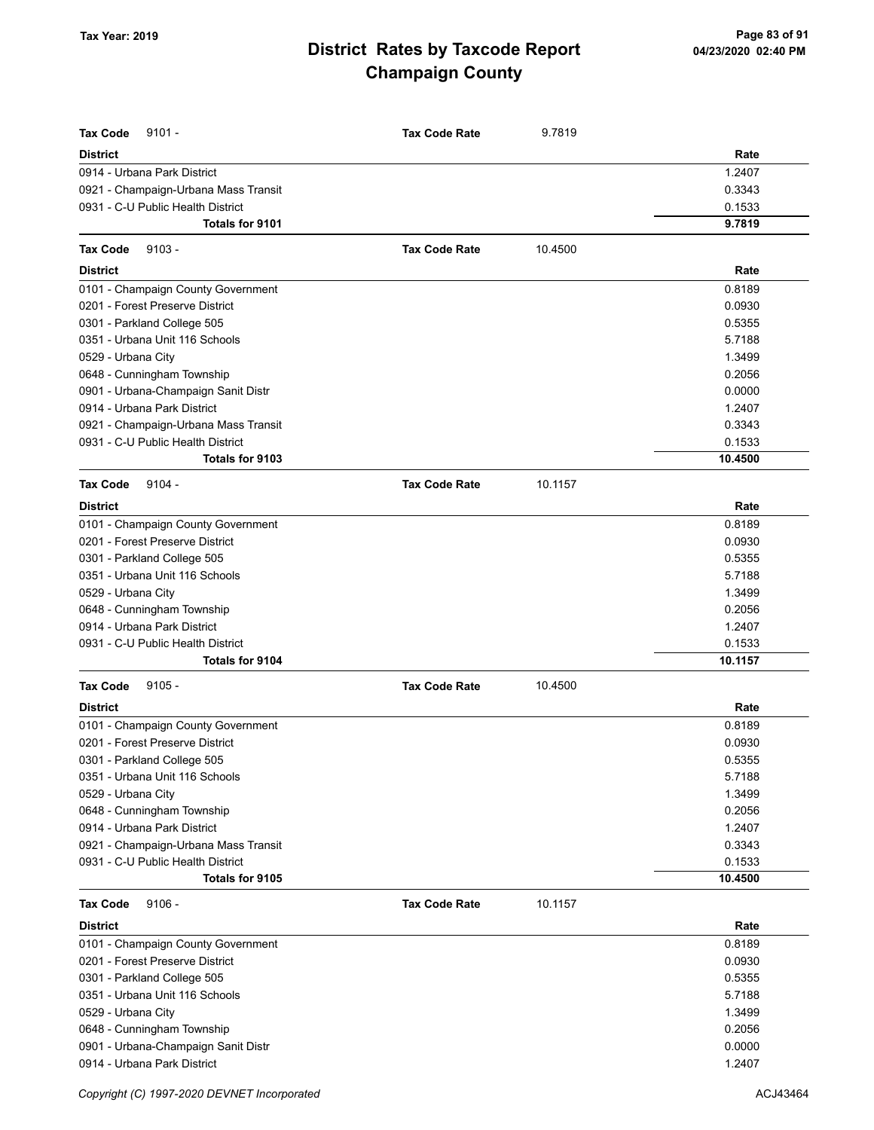| <b>Tax Code</b><br>$9101 -$                                         | <b>Tax Code Rate</b> | 9.7819  |                  |
|---------------------------------------------------------------------|----------------------|---------|------------------|
|                                                                     |                      |         |                  |
| <b>District</b>                                                     |                      |         | Rate             |
| 0914 - Urbana Park District<br>0921 - Champaign-Urbana Mass Transit |                      |         | 1.2407<br>0.3343 |
| 0931 - C-U Public Health District                                   |                      |         | 0.1533           |
| <b>Totals for 9101</b>                                              |                      |         | 9.7819           |
|                                                                     |                      |         |                  |
| <b>Tax Code</b><br>$9103 -$                                         | <b>Tax Code Rate</b> | 10.4500 |                  |
| <b>District</b>                                                     |                      |         | Rate             |
| 0101 - Champaign County Government                                  |                      |         | 0.8189           |
| 0201 - Forest Preserve District                                     |                      |         | 0.0930           |
| 0301 - Parkland College 505                                         |                      |         | 0.5355           |
| 0351 - Urbana Unit 116 Schools                                      |                      |         | 5.7188           |
| 0529 - Urbana City                                                  |                      |         | 1.3499           |
| 0648 - Cunningham Township                                          |                      |         | 0.2056           |
| 0901 - Urbana-Champaign Sanit Distr                                 |                      |         | 0.0000           |
| 0914 - Urbana Park District                                         |                      |         | 1.2407           |
| 0921 - Champaign-Urbana Mass Transit                                |                      |         | 0.3343           |
| 0931 - C-U Public Health District                                   |                      |         | 0.1533           |
| Totals for 9103                                                     |                      |         | 10.4500          |
| <b>Tax Code</b><br>$9104 -$                                         | <b>Tax Code Rate</b> | 10.1157 |                  |
| <b>District</b>                                                     |                      |         | Rate             |
| 0101 - Champaign County Government                                  |                      |         | 0.8189           |
| 0201 - Forest Preserve District                                     |                      |         | 0.0930           |
| 0301 - Parkland College 505                                         |                      |         | 0.5355           |
| 0351 - Urbana Unit 116 Schools                                      |                      |         | 5.7188           |
| 0529 - Urbana City                                                  |                      |         | 1.3499           |
| 0648 - Cunningham Township                                          |                      |         | 0.2056           |
| 0914 - Urbana Park District                                         |                      |         | 1.2407           |
| 0931 - C-U Public Health District                                   |                      |         | 0.1533           |
| Totals for 9104                                                     |                      |         | 10.1157          |
| $9105 -$<br><b>Tax Code</b>                                         | <b>Tax Code Rate</b> | 10.4500 |                  |
| <b>District</b>                                                     |                      |         | Rate             |
| 0101 - Champaign County Government                                  |                      |         | 0.8189           |
| 0201 - Forest Preserve District                                     |                      |         | 0.0930           |
| 0301 - Parkland College 505                                         |                      |         | 0.5355           |
| 0351 - Urbana Unit 116 Schools                                      |                      |         | 5.7188           |
| 0529 - Urbana City                                                  |                      |         | 1.3499           |
| 0648 - Cunningham Township                                          |                      |         | 0.2056           |
| 0914 - Urbana Park District                                         |                      |         | 1.2407           |
| 0921 - Champaign-Urbana Mass Transit                                |                      |         | 0.3343           |
| 0931 - C-U Public Health District                                   |                      |         | 0.1533           |
| Totals for 9105                                                     |                      |         | 10.4500          |
| <b>Tax Code</b><br>$9106 -$                                         | <b>Tax Code Rate</b> | 10.1157 |                  |
|                                                                     |                      |         | Rate             |
| <b>District</b><br>0101 - Champaign County Government               |                      |         | 0.8189           |
| 0201 - Forest Preserve District                                     |                      |         | 0.0930           |
| 0301 - Parkland College 505                                         |                      |         | 0.5355           |
| 0351 - Urbana Unit 116 Schools                                      |                      |         | 5.7188           |
|                                                                     |                      |         | 1.3499           |
| 0529 - Urbana City                                                  |                      |         | 0.2056           |
| 0648 - Cunningham Township<br>0901 - Urbana-Champaign Sanit Distr   |                      |         | 0.0000           |
| 0914 - Urbana Park District                                         |                      |         | 1.2407           |
|                                                                     |                      |         |                  |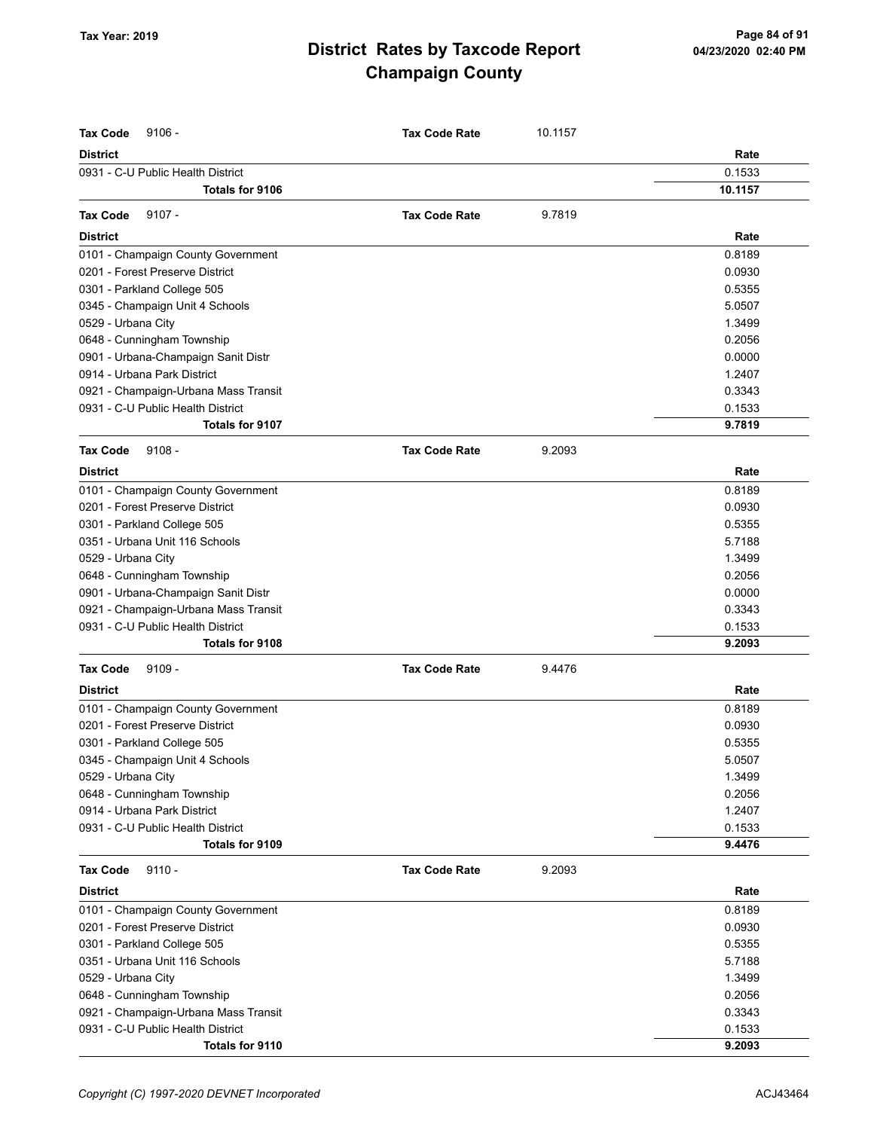| <b>Tax Code</b><br>$9106 -$          | <b>Tax Code Rate</b> | 10.1157 |         |
|--------------------------------------|----------------------|---------|---------|
| <b>District</b>                      |                      |         | Rate    |
| 0931 - C-U Public Health District    |                      |         | 0.1533  |
| Totals for 9106                      |                      |         | 10.1157 |
| $9107 -$<br><b>Tax Code</b>          | <b>Tax Code Rate</b> | 9.7819  |         |
| <b>District</b>                      |                      |         | Rate    |
| 0101 - Champaign County Government   |                      |         | 0.8189  |
| 0201 - Forest Preserve District      |                      |         | 0.0930  |
| 0301 - Parkland College 505          |                      |         | 0.5355  |
| 0345 - Champaign Unit 4 Schools      |                      |         | 5.0507  |
| 0529 - Urbana City                   |                      |         | 1.3499  |
| 0648 - Cunningham Township           |                      |         | 0.2056  |
| 0901 - Urbana-Champaign Sanit Distr  |                      |         | 0.0000  |
| 0914 - Urbana Park District          |                      |         | 1.2407  |
| 0921 - Champaign-Urbana Mass Transit |                      |         | 0.3343  |
| 0931 - C-U Public Health District    |                      |         | 0.1533  |
| <b>Totals for 9107</b>               |                      |         | 9.7819  |
| $9108 -$<br><b>Tax Code</b>          | <b>Tax Code Rate</b> | 9.2093  |         |
| <b>District</b>                      |                      |         | Rate    |
| 0101 - Champaign County Government   |                      |         | 0.8189  |
| 0201 - Forest Preserve District      |                      |         | 0.0930  |
| 0301 - Parkland College 505          |                      |         | 0.5355  |
| 0351 - Urbana Unit 116 Schools       |                      |         | 5.7188  |
| 0529 - Urbana City                   |                      |         | 1.3499  |
| 0648 - Cunningham Township           |                      |         | 0.2056  |
| 0901 - Urbana-Champaign Sanit Distr  |                      |         | 0.0000  |
| 0921 - Champaign-Urbana Mass Transit |                      |         | 0.3343  |
| 0931 - C-U Public Health District    |                      |         | 0.1533  |
| Totals for 9108                      |                      |         | 9.2093  |
| <b>Tax Code</b><br>$9109 -$          | <b>Tax Code Rate</b> | 9.4476  |         |
| <b>District</b>                      |                      |         | Rate    |
| 0101 - Champaign County Government   |                      |         | 0.8189  |
| 0201 - Forest Preserve District      |                      |         | 0.0930  |
| 0301 - Parkland College 505          |                      |         | 0.5355  |
| 0345 - Champaign Unit 4 Schools      |                      |         | 5.0507  |
| 0529 - Urbana City                   |                      |         | 1.3499  |
| 0648 - Cunningham Township           |                      |         | 0.2056  |
| 0914 - Urbana Park District          |                      |         | 1.2407  |
| 0931 - C-U Public Health District    |                      |         | 0.1533  |
| Totals for 9109                      |                      |         | 9.4476  |
| <b>Tax Code</b><br>$9110 -$          | <b>Tax Code Rate</b> | 9.2093  |         |
| <b>District</b>                      |                      |         | Rate    |
| 0101 - Champaign County Government   |                      |         | 0.8189  |
| 0201 - Forest Preserve District      |                      |         | 0.0930  |
| 0301 - Parkland College 505          |                      |         | 0.5355  |
| 0351 - Urbana Unit 116 Schools       |                      |         | 5.7188  |
| 0529 - Urbana City                   |                      |         | 1.3499  |
| 0648 - Cunningham Township           |                      |         | 0.2056  |
| 0921 - Champaign-Urbana Mass Transit |                      |         | 0.3343  |
| 0931 - C-U Public Health District    |                      |         | 0.1533  |
| Totals for 9110                      |                      |         | 9.2093  |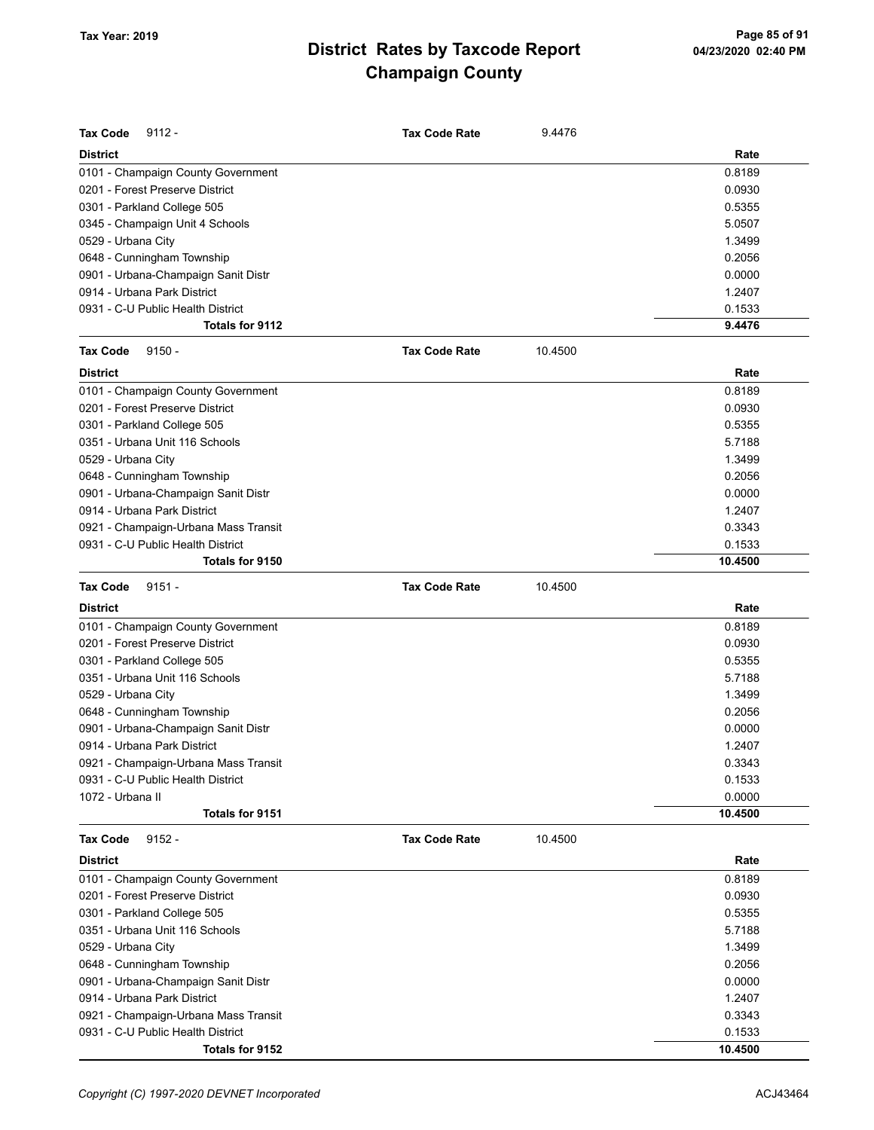| <b>Tax Code</b><br>$9112 -$          | <b>Tax Code Rate</b> | 9.4476  |         |
|--------------------------------------|----------------------|---------|---------|
| <b>District</b>                      |                      |         | Rate    |
| 0101 - Champaign County Government   |                      |         | 0.8189  |
| 0201 - Forest Preserve District      |                      |         | 0.0930  |
| 0301 - Parkland College 505          |                      |         | 0.5355  |
| 0345 - Champaign Unit 4 Schools      |                      |         | 5.0507  |
| 0529 - Urbana City                   |                      |         | 1.3499  |
| 0648 - Cunningham Township           |                      |         | 0.2056  |
| 0901 - Urbana-Champaign Sanit Distr  |                      |         | 0.0000  |
| 0914 - Urbana Park District          |                      |         | 1.2407  |
| 0931 - C-U Public Health District    |                      |         | 0.1533  |
| Totals for 9112                      |                      |         | 9.4476  |
| <b>Tax Code</b><br>$9150 -$          | <b>Tax Code Rate</b> | 10.4500 |         |
| <b>District</b>                      |                      |         | Rate    |
| 0101 - Champaign County Government   |                      |         | 0.8189  |
| 0201 - Forest Preserve District      |                      |         | 0.0930  |
| 0301 - Parkland College 505          |                      |         | 0.5355  |
| 0351 - Urbana Unit 116 Schools       |                      |         | 5.7188  |
| 0529 - Urbana City                   |                      |         | 1.3499  |
| 0648 - Cunningham Township           |                      |         | 0.2056  |
| 0901 - Urbana-Champaign Sanit Distr  |                      |         | 0.0000  |
| 0914 - Urbana Park District          |                      |         | 1.2407  |
| 0921 - Champaign-Urbana Mass Transit |                      |         | 0.3343  |
| 0931 - C-U Public Health District    |                      |         | 0.1533  |
| Totals for 9150                      |                      |         | 10.4500 |
| <b>Tax Code</b><br>$9151 -$          | <b>Tax Code Rate</b> | 10.4500 |         |
| <b>District</b>                      |                      |         | Rate    |
| 0101 - Champaign County Government   |                      |         | 0.8189  |
| 0201 - Forest Preserve District      |                      |         | 0.0930  |
| 0301 - Parkland College 505          |                      |         | 0.5355  |
| 0351 - Urbana Unit 116 Schools       |                      |         | 5.7188  |
| 0529 - Urbana City                   |                      |         | 1.3499  |
| 0648 - Cunningham Township           |                      |         | 0.2056  |
| 0901 - Urbana-Champaign Sanit Distr  |                      |         | 0.0000  |
| 0914 - Urbana Park District          |                      |         | 1.2407  |
| 0921 - Champaign-Urbana Mass Transit |                      |         | 0.3343  |
| 0931 - C-U Public Health District    |                      |         | 0.1533  |
| 1072 - Urbana II                     |                      |         | 0.0000  |
| Totals for 9151                      |                      |         | 10.4500 |
| <b>Tax Code</b><br>$9152 -$          | <b>Tax Code Rate</b> | 10.4500 |         |
| <b>District</b>                      |                      |         | Rate    |
| 0101 - Champaign County Government   |                      |         | 0.8189  |
| 0201 - Forest Preserve District      |                      |         | 0.0930  |
| 0301 - Parkland College 505          |                      |         | 0.5355  |
| 0351 - Urbana Unit 116 Schools       |                      |         | 5.7188  |
| 0529 - Urbana City                   |                      |         | 1.3499  |
| 0648 - Cunningham Township           |                      |         | 0.2056  |
| 0901 - Urbana-Champaign Sanit Distr  |                      |         | 0.0000  |
| 0914 - Urbana Park District          |                      |         | 1.2407  |
| 0921 - Champaign-Urbana Mass Transit |                      |         | 0.3343  |
| 0931 - C-U Public Health District    |                      |         | 0.1533  |
| Totals for 9152                      |                      |         | 10.4500 |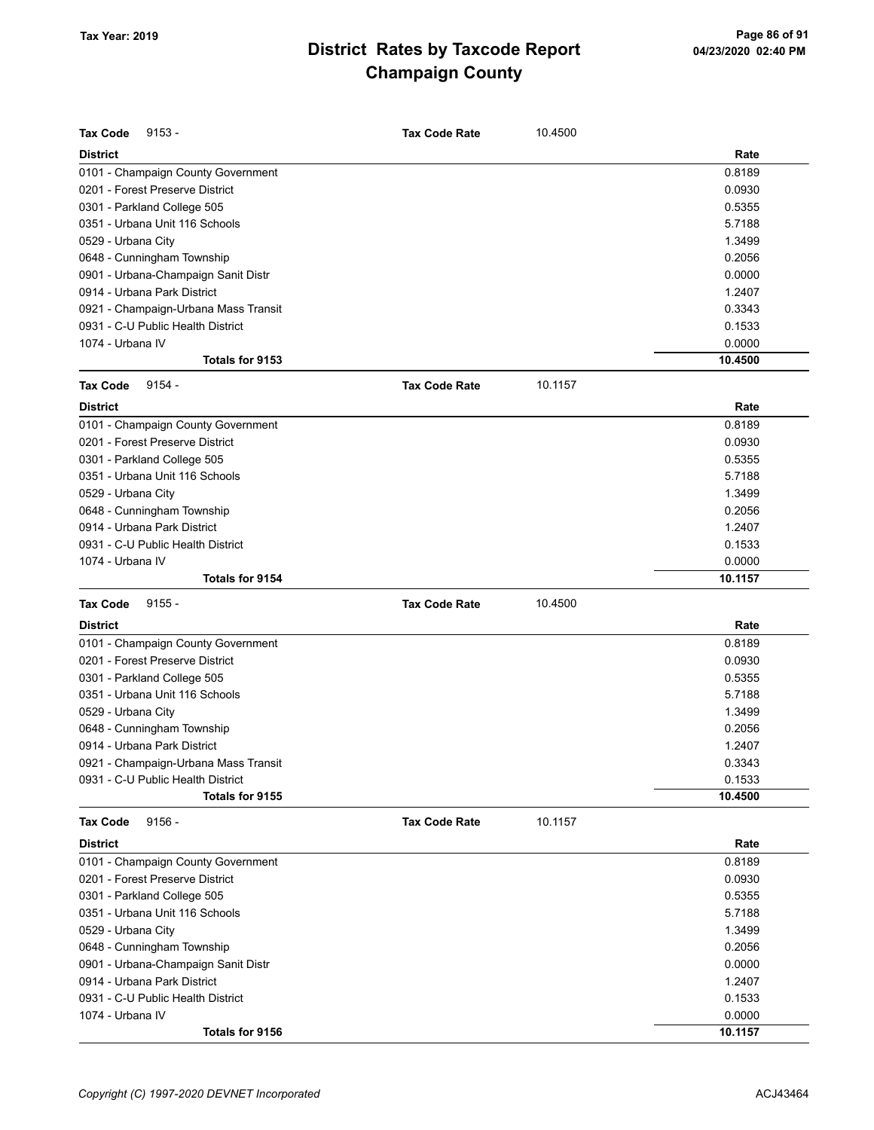| <b>Tax Code</b><br>$9153 -$          | <b>Tax Code Rate</b> | 10.4500 |         |
|--------------------------------------|----------------------|---------|---------|
| <b>District</b>                      |                      |         | Rate    |
| 0101 - Champaign County Government   |                      |         | 0.8189  |
| 0201 - Forest Preserve District      |                      |         | 0.0930  |
| 0301 - Parkland College 505          |                      |         | 0.5355  |
| 0351 - Urbana Unit 116 Schools       |                      |         | 5.7188  |
| 0529 - Urbana City                   |                      |         | 1.3499  |
| 0648 - Cunningham Township           |                      |         | 0.2056  |
| 0901 - Urbana-Champaign Sanit Distr  |                      |         | 0.0000  |
| 0914 - Urbana Park District          |                      |         | 1.2407  |
| 0921 - Champaign-Urbana Mass Transit |                      |         | 0.3343  |
| 0931 - C-U Public Health District    |                      |         | 0.1533  |
| 1074 - Urbana IV                     |                      |         | 0.0000  |
| Totals for 9153                      |                      |         | 10.4500 |
| <b>Tax Code</b><br>$9154 -$          | <b>Tax Code Rate</b> | 10.1157 |         |
| <b>District</b>                      |                      |         | Rate    |
| 0101 - Champaign County Government   |                      |         | 0.8189  |
| 0201 - Forest Preserve District      |                      |         | 0.0930  |
| 0301 - Parkland College 505          |                      |         | 0.5355  |
| 0351 - Urbana Unit 116 Schools       |                      |         | 5.7188  |
| 0529 - Urbana City                   |                      |         | 1.3499  |
| 0648 - Cunningham Township           |                      |         | 0.2056  |
| 0914 - Urbana Park District          |                      |         | 1.2407  |
| 0931 - C-U Public Health District    |                      |         | 0.1533  |
| 1074 - Urbana IV                     |                      |         | 0.0000  |
| Totals for 9154                      |                      |         | 10.1157 |
| <b>Tax Code</b><br>$9155 -$          | <b>Tax Code Rate</b> | 10.4500 |         |
| <b>District</b>                      |                      |         | Rate    |
| 0101 - Champaign County Government   |                      |         | 0.8189  |
| 0201 - Forest Preserve District      |                      |         | 0.0930  |
| 0301 - Parkland College 505          |                      |         | 0.5355  |
| 0351 - Urbana Unit 116 Schools       |                      |         | 5.7188  |
| 0529 - Urbana City                   |                      |         | 1.3499  |
| 0648 - Cunningham Township           |                      |         | 0.2056  |
| 0914 - Urbana Park District          |                      |         | 1.2407  |
| 0921 - Champaign-Urbana Mass Transit |                      |         | 0.3343  |
| 0931 - C-U Public Health District    |                      |         | 0.1533  |
| Totals for 9155                      |                      |         | 10.4500 |
| <b>Tax Code</b><br>$9156 -$          | <b>Tax Code Rate</b> | 10.1157 |         |
| <b>District</b>                      |                      |         | Rate    |
| 0101 - Champaign County Government   |                      |         | 0.8189  |
| 0201 - Forest Preserve District      |                      |         | 0.0930  |
| 0301 - Parkland College 505          |                      |         | 0.5355  |
| 0351 - Urbana Unit 116 Schools       |                      |         | 5.7188  |
| 0529 - Urbana City                   |                      |         | 1.3499  |
| 0648 - Cunningham Township           |                      |         | 0.2056  |
| 0901 - Urbana-Champaign Sanit Distr  |                      |         | 0.0000  |
| 0914 - Urbana Park District          |                      |         | 1.2407  |
| 0931 - C-U Public Health District    |                      |         | 0.1533  |
| 1074 - Urbana IV                     |                      |         | 0.0000  |
| Totals for 9156                      |                      |         | 10.1157 |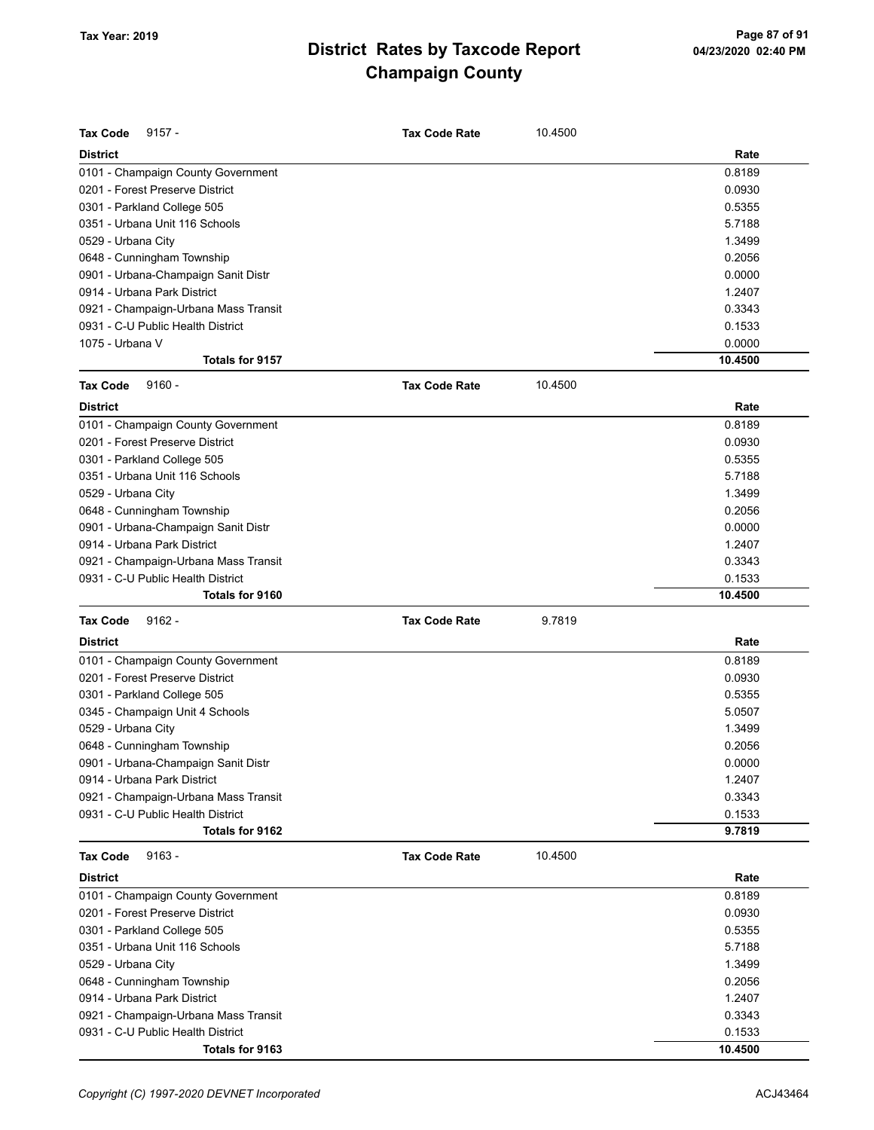| <b>Tax Code</b><br>$9157 -$          | <b>Tax Code Rate</b> | 10.4500 |                   |
|--------------------------------------|----------------------|---------|-------------------|
| <b>District</b>                      |                      |         | Rate              |
| 0101 - Champaign County Government   |                      |         | 0.8189            |
| 0201 - Forest Preserve District      |                      |         | 0.0930            |
| 0301 - Parkland College 505          |                      |         | 0.5355            |
| 0351 - Urbana Unit 116 Schools       |                      |         | 5.7188            |
| 0529 - Urbana City                   |                      |         | 1.3499            |
| 0648 - Cunningham Township           |                      |         | 0.2056            |
| 0901 - Urbana-Champaign Sanit Distr  |                      |         | 0.0000            |
| 0914 - Urbana Park District          |                      |         | 1.2407            |
|                                      |                      |         | 0.3343            |
| 0921 - Champaign-Urbana Mass Transit |                      |         |                   |
| 0931 - C-U Public Health District    |                      |         | 0.1533            |
| 1075 - Urbana V<br>Totals for 9157   |                      |         | 0.0000<br>10.4500 |
| <b>Tax Code</b><br>$9160 -$          | <b>Tax Code Rate</b> | 10.4500 |                   |
| <b>District</b>                      |                      |         | Rate              |
|                                      |                      |         |                   |
| 0101 - Champaign County Government   |                      |         | 0.8189            |
| 0201 - Forest Preserve District      |                      |         | 0.0930            |
| 0301 - Parkland College 505          |                      |         | 0.5355            |
| 0351 - Urbana Unit 116 Schools       |                      |         | 5.7188            |
| 0529 - Urbana City                   |                      |         | 1.3499            |
| 0648 - Cunningham Township           |                      |         | 0.2056            |
| 0901 - Urbana-Champaign Sanit Distr  |                      |         | 0.0000            |
| 0914 - Urbana Park District          |                      |         | 1.2407            |
| 0921 - Champaign-Urbana Mass Transit |                      |         | 0.3343            |
| 0931 - C-U Public Health District    |                      |         | 0.1533            |
| Totals for 9160                      |                      |         | 10.4500           |
| <b>Tax Code</b><br>$9162 -$          | <b>Tax Code Rate</b> | 9.7819  |                   |
| <b>District</b>                      |                      |         | Rate              |
| 0101 - Champaign County Government   |                      |         | 0.8189            |
| 0201 - Forest Preserve District      |                      |         | 0.0930            |
| 0301 - Parkland College 505          |                      |         | 0.5355            |
| 0345 - Champaign Unit 4 Schools      |                      |         | 5.0507            |
| 0529 - Urbana City                   |                      |         | 1.3499            |
| 0648 - Cunningham Township           |                      |         | 0.2056            |
| 0901 - Urbana-Champaign Sanit Distr  |                      |         | 0.0000            |
| 0914 - Urbana Park District          |                      |         | 1.2407            |
| 0921 - Champaign-Urbana Mass Transit |                      |         | 0.3343            |
| 0931 - C-U Public Health District    |                      |         | 0.1533            |
| Totals for 9162                      |                      |         | 9.7819            |
| <b>Tax Code</b><br>$9163 -$          | <b>Tax Code Rate</b> | 10.4500 |                   |
| <b>District</b>                      |                      |         | Rate              |
| 0101 - Champaign County Government   |                      |         | 0.8189            |
| 0201 - Forest Preserve District      |                      |         | 0.0930            |
| 0301 - Parkland College 505          |                      |         | 0.5355            |
| 0351 - Urbana Unit 116 Schools       |                      |         | 5.7188            |
| 0529 - Urbana City                   |                      |         | 1.3499            |
| 0648 - Cunningham Township           |                      |         | 0.2056            |
| 0914 - Urbana Park District          |                      |         | 1.2407            |
| 0921 - Champaign-Urbana Mass Transit |                      |         | 0.3343            |
| 0931 - C-U Public Health District    |                      |         | 0.1533            |
| Totals for 9163                      |                      |         | 10.4500           |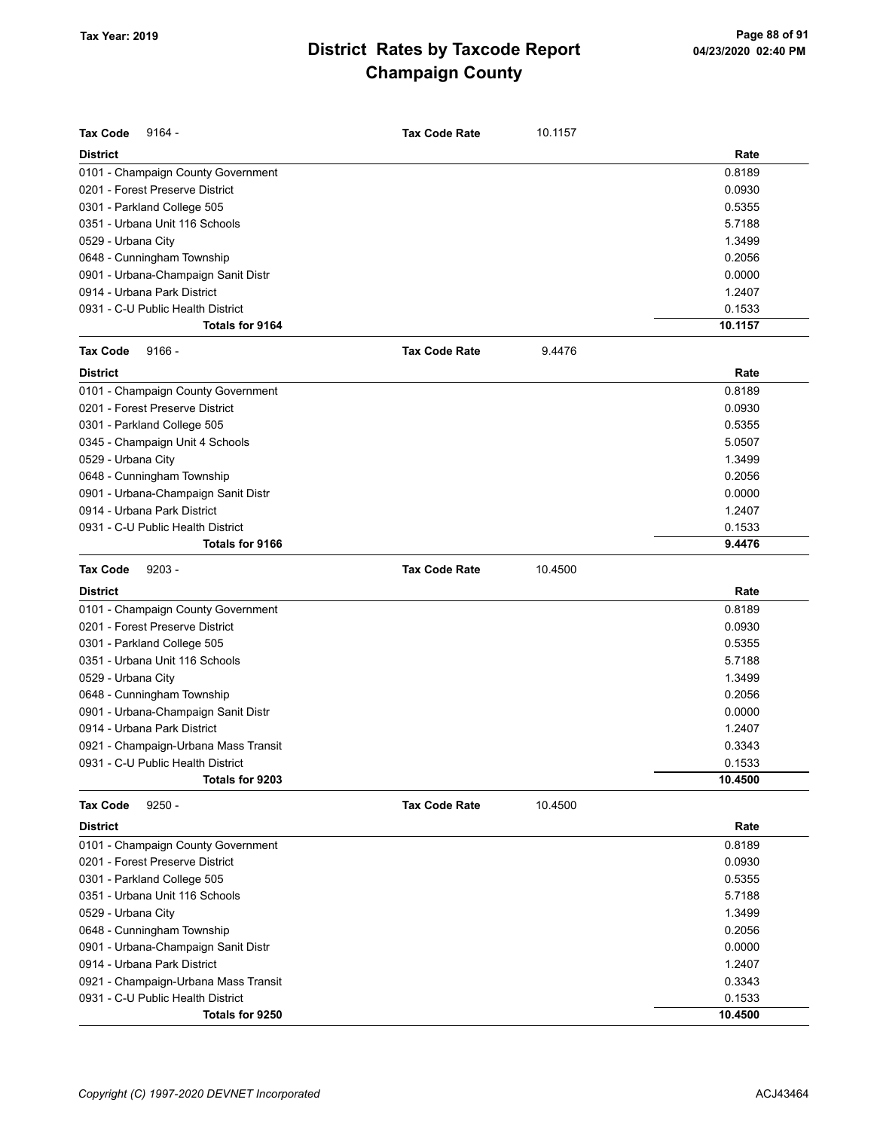| <b>Tax Code</b><br>$9164 -$          | Tax Code Rate        | 10.1157 |         |
|--------------------------------------|----------------------|---------|---------|
| <b>District</b>                      |                      |         | Rate    |
| 0101 - Champaign County Government   |                      |         | 0.8189  |
| 0201 - Forest Preserve District      |                      |         | 0.0930  |
| 0301 - Parkland College 505          |                      |         | 0.5355  |
| 0351 - Urbana Unit 116 Schools       |                      |         | 5.7188  |
| 0529 - Urbana City                   |                      |         | 1.3499  |
| 0648 - Cunningham Township           |                      |         | 0.2056  |
| 0901 - Urbana-Champaign Sanit Distr  |                      |         | 0.0000  |
| 0914 - Urbana Park District          |                      |         | 1.2407  |
| 0931 - C-U Public Health District    |                      |         | 0.1533  |
| Totals for 9164                      |                      |         | 10.1157 |
| <b>Tax Code</b><br>$9166 -$          | <b>Tax Code Rate</b> | 9.4476  |         |
| <b>District</b>                      |                      |         | Rate    |
| 0101 - Champaign County Government   |                      |         | 0.8189  |
| 0201 - Forest Preserve District      |                      |         | 0.0930  |
| 0301 - Parkland College 505          |                      |         | 0.5355  |
| 0345 - Champaign Unit 4 Schools      |                      |         | 5.0507  |
| 0529 - Urbana City                   |                      |         | 1.3499  |
| 0648 - Cunningham Township           |                      |         | 0.2056  |
| 0901 - Urbana-Champaign Sanit Distr  |                      |         | 0.0000  |
| 0914 - Urbana Park District          |                      |         | 1.2407  |
| 0931 - C-U Public Health District    |                      |         | 0.1533  |
| Totals for 9166                      |                      |         | 9.4476  |
| <b>Tax Code</b><br>$9203 -$          | <b>Tax Code Rate</b> | 10.4500 |         |
| <b>District</b>                      |                      |         | Rate    |
| 0101 - Champaign County Government   |                      |         | 0.8189  |
| 0201 - Forest Preserve District      |                      |         | 0.0930  |
| 0301 - Parkland College 505          |                      |         | 0.5355  |
| 0351 - Urbana Unit 116 Schools       |                      |         | 5.7188  |
| 0529 - Urbana City                   |                      |         | 1.3499  |
| 0648 - Cunningham Township           |                      |         | 0.2056  |
| 0901 - Urbana-Champaign Sanit Distr  |                      |         | 0.0000  |
| 0914 - Urbana Park District          |                      |         | 1.2407  |
| 0921 - Champaign-Urbana Mass Transit |                      |         | 0.3343  |
| 0931 - C-U Public Health District    |                      |         | 0.1533  |
| Totals for 9203                      |                      |         | 10.4500 |
| $9250 -$<br><b>Tax Code</b>          | <b>Tax Code Rate</b> | 10.4500 |         |
| <b>District</b>                      |                      |         | Rate    |
| 0101 - Champaign County Government   |                      |         | 0.8189  |
| 0201 - Forest Preserve District      |                      |         | 0.0930  |
| 0301 - Parkland College 505          |                      |         | 0.5355  |
| 0351 - Urbana Unit 116 Schools       |                      |         | 5.7188  |
| 0529 - Urbana City                   |                      |         | 1.3499  |
| 0648 - Cunningham Township           |                      |         | 0.2056  |
| 0901 - Urbana-Champaign Sanit Distr  |                      |         | 0.0000  |
| 0914 - Urbana Park District          |                      |         | 1.2407  |
| 0921 - Champaign-Urbana Mass Transit |                      |         | 0.3343  |
| 0931 - C-U Public Health District    |                      |         | 0.1533  |
| Totals for 9250                      |                      |         | 10.4500 |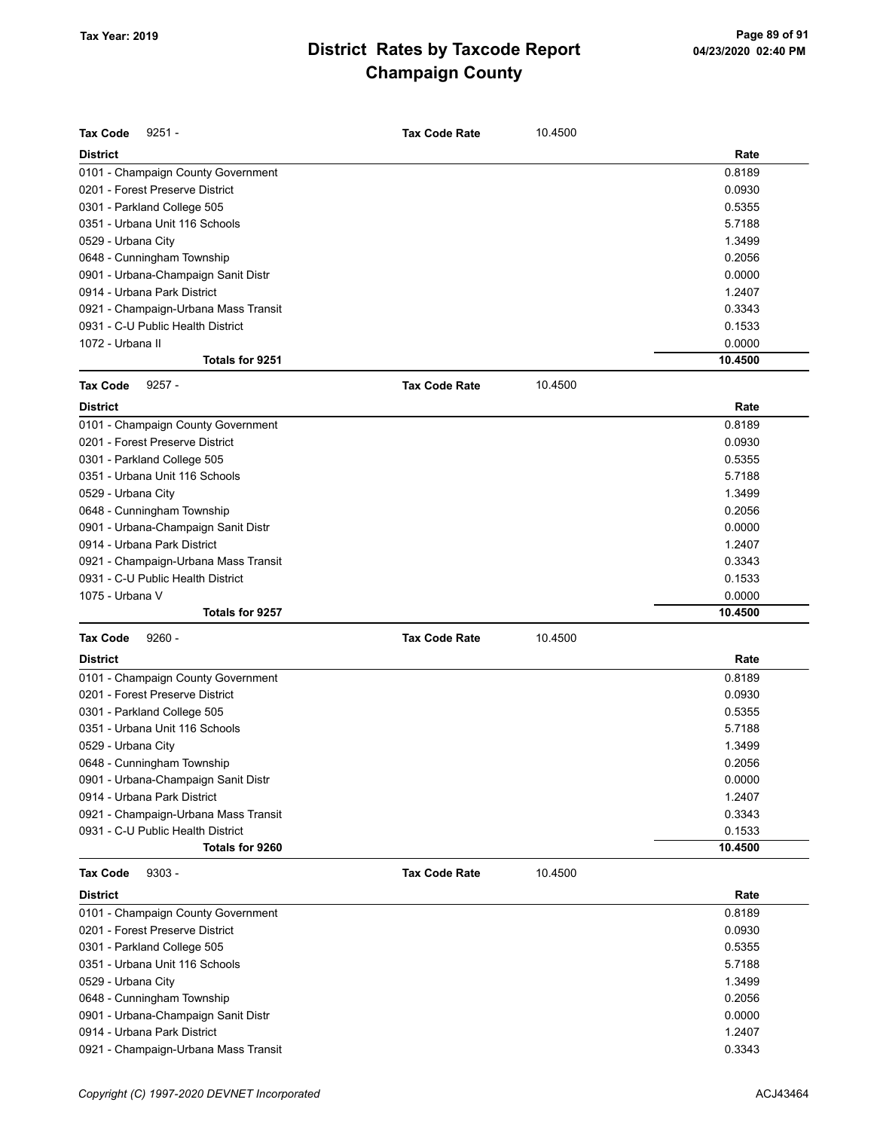| <b>Tax Code</b><br>$9251 -$          | <b>Tax Code Rate</b> | 10.4500 |         |
|--------------------------------------|----------------------|---------|---------|
| <b>District</b>                      |                      |         | Rate    |
| 0101 - Champaign County Government   |                      |         | 0.8189  |
| 0201 - Forest Preserve District      |                      |         | 0.0930  |
| 0301 - Parkland College 505          |                      |         | 0.5355  |
| 0351 - Urbana Unit 116 Schools       |                      |         | 5.7188  |
| 0529 - Urbana City                   |                      |         | 1.3499  |
| 0648 - Cunningham Township           |                      |         | 0.2056  |
| 0901 - Urbana-Champaign Sanit Distr  |                      |         | 0.0000  |
| 0914 - Urbana Park District          |                      |         | 1.2407  |
| 0921 - Champaign-Urbana Mass Transit |                      |         | 0.3343  |
| 0931 - C-U Public Health District    |                      |         | 0.1533  |
| 1072 - Urbana II                     |                      |         | 0.0000  |
| Totals for 9251                      |                      |         | 10.4500 |
| <b>Tax Code</b>                      |                      |         |         |
| $9257 -$                             | <b>Tax Code Rate</b> | 10.4500 |         |
| <b>District</b>                      |                      |         | Rate    |
| 0101 - Champaign County Government   |                      |         | 0.8189  |
| 0201 - Forest Preserve District      |                      |         | 0.0930  |
| 0301 - Parkland College 505          |                      |         | 0.5355  |
| 0351 - Urbana Unit 116 Schools       |                      |         | 5.7188  |
| 0529 - Urbana City                   |                      |         | 1.3499  |
| 0648 - Cunningham Township           |                      |         | 0.2056  |
| 0901 - Urbana-Champaign Sanit Distr  |                      |         | 0.0000  |
| 0914 - Urbana Park District          |                      |         | 1.2407  |
| 0921 - Champaign-Urbana Mass Transit |                      |         | 0.3343  |
| 0931 - C-U Public Health District    |                      |         | 0.1533  |
| 1075 - Urbana V                      |                      |         | 0.0000  |
| Totals for 9257                      |                      |         | 10.4500 |
| <b>Tax Code</b><br>$9260 -$          | <b>Tax Code Rate</b> | 10.4500 |         |
| <b>District</b>                      |                      |         | Rate    |
| 0101 - Champaign County Government   |                      |         | 0.8189  |
| 0201 - Forest Preserve District      |                      |         | 0.0930  |
| 0301 - Parkland College 505          |                      |         | 0.5355  |
| 0351 - Urbana Unit 116 Schools       |                      |         | 5.7188  |
| 0529 - Urbana City                   |                      |         | 1.3499  |
| 0648 - Cunningham Township           |                      |         | 0.2056  |
| 0901 - Urbana-Champaign Sanit Distr  |                      |         | 0.0000  |
| 0914 - Urbana Park District          |                      |         | 1.2407  |
| 0921 - Champaign-Urbana Mass Transit |                      |         | 0.3343  |
| 0931 - C-U Public Health District    |                      |         | 0.1533  |
| Totals for 9260                      |                      |         | 10.4500 |
| <b>Tax Code</b><br>$9303 -$          | <b>Tax Code Rate</b> | 10.4500 |         |
| District                             |                      |         | Rate    |
| 0101 - Champaign County Government   |                      |         | 0.8189  |
| 0201 - Forest Preserve District      |                      |         | 0.0930  |
| 0301 - Parkland College 505          |                      |         | 0.5355  |
| 0351 - Urbana Unit 116 Schools       |                      |         | 5.7188  |
| 0529 - Urbana City                   |                      |         | 1.3499  |

0648 - Cunningham Township 0.2056 0901 - Urbana-Champaign Sanit Distr 0.0000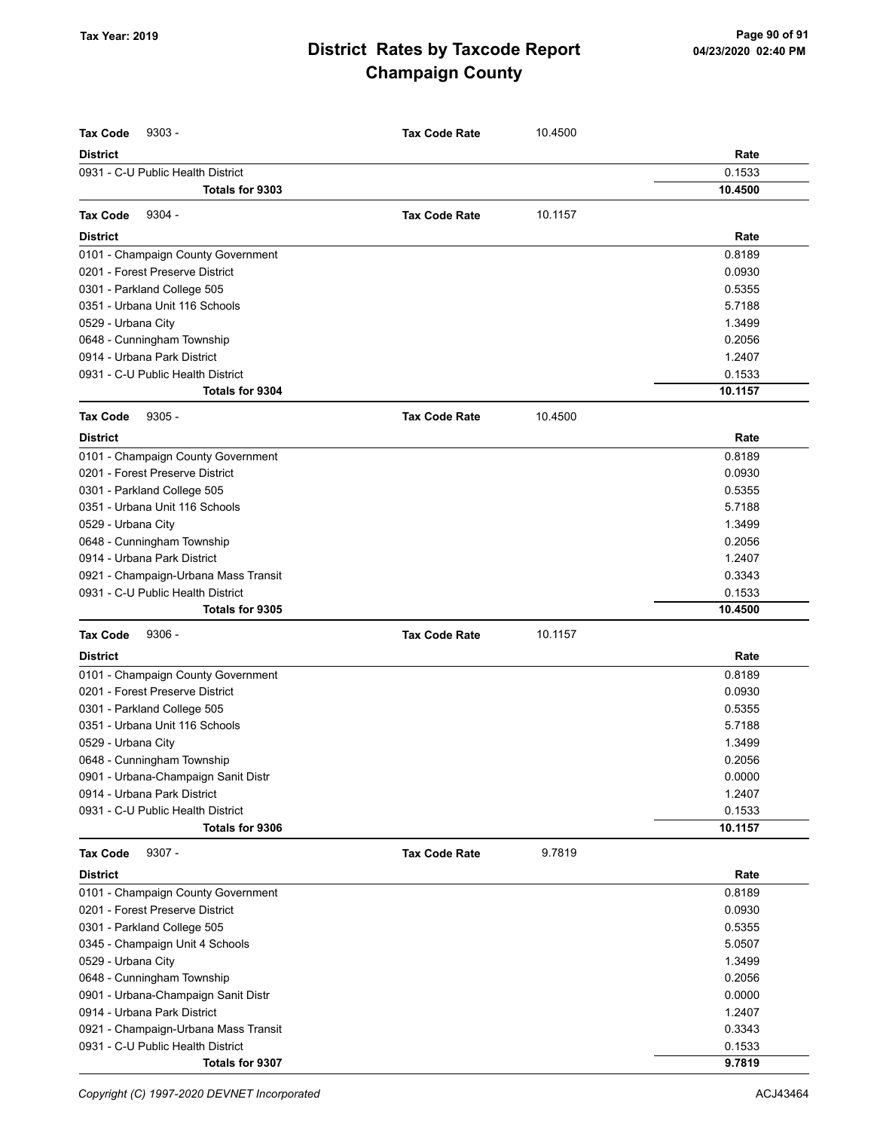| <b>Tax Code</b><br>$9303 -$          | <b>Tax Code Rate</b> | 10.4500 |         |
|--------------------------------------|----------------------|---------|---------|
| <b>District</b>                      |                      |         | Rate    |
| 0931 - C-U Public Health District    |                      |         | 0.1533  |
| Totals for 9303                      |                      |         | 10.4500 |
| $9304 -$<br><b>Tax Code</b>          | <b>Tax Code Rate</b> | 10.1157 |         |
| <b>District</b>                      |                      |         | Rate    |
| 0101 - Champaign County Government   |                      |         | 0.8189  |
| 0201 - Forest Preserve District      |                      |         | 0.0930  |
| 0301 - Parkland College 505          |                      |         | 0.5355  |
| 0351 - Urbana Unit 116 Schools       |                      |         | 5.7188  |
| 0529 - Urbana City                   |                      |         | 1.3499  |
| 0648 - Cunningham Township           |                      |         | 0.2056  |
| 0914 - Urbana Park District          |                      |         | 1.2407  |
| 0931 - C-U Public Health District    |                      |         | 0.1533  |
| <b>Totals for 9304</b>               |                      |         | 10.1157 |
| <b>Tax Code</b><br>$9305 -$          | <b>Tax Code Rate</b> | 10.4500 |         |
| <b>District</b>                      |                      |         | Rate    |
| 0101 - Champaign County Government   |                      |         | 0.8189  |
| 0201 - Forest Preserve District      |                      |         | 0.0930  |
| 0301 - Parkland College 505          |                      |         | 0.5355  |
| 0351 - Urbana Unit 116 Schools       |                      |         | 5.7188  |
| 0529 - Urbana City                   |                      |         | 1.3499  |
| 0648 - Cunningham Township           |                      |         | 0.2056  |
| 0914 - Urbana Park District          |                      |         | 1.2407  |
| 0921 - Champaign-Urbana Mass Transit |                      |         | 0.3343  |
| 0931 - C-U Public Health District    |                      |         | 0.1533  |
| <b>Totals for 9305</b>               |                      |         | 10.4500 |
| <b>Tax Code</b><br>$9306 -$          | <b>Tax Code Rate</b> | 10.1157 |         |
| <b>District</b>                      |                      |         | Rate    |
| 0101 - Champaign County Government   |                      |         | 0.8189  |
| 0201 - Forest Preserve District      |                      |         | 0.0930  |
| 0301 - Parkland College 505          |                      |         | 0.5355  |
| 0351 - Urbana Unit 116 Schools       |                      |         | 5.7188  |
| 0529 - Urbana City                   |                      |         | 1.3499  |
| 0648 - Cunningham Township           |                      |         | 0.2056  |
| 0901 - Urbana-Champaign Sanit Distr  |                      |         | 0.0000  |
| 0914 - Urbana Park District          |                      |         | 1.2407  |
| 0931 - C-U Public Health District    |                      |         | 0.1533  |
| Totals for 9306                      |                      |         | 10.1157 |
| <b>Tax Code</b><br>$9307 -$          | <b>Tax Code Rate</b> | 9.7819  |         |
| <b>District</b>                      |                      |         | Rate    |
| 0101 - Champaign County Government   |                      |         | 0.8189  |
| 0201 - Forest Preserve District      |                      |         | 0.0930  |
| 0301 - Parkland College 505          |                      |         | 0.5355  |
| 0345 - Champaign Unit 4 Schools      |                      |         | 5.0507  |
| 0529 - Urbana City                   |                      |         | 1.3499  |
| 0648 - Cunningham Township           |                      |         | 0.2056  |
| 0901 - Urbana-Champaign Sanit Distr  |                      |         | 0.0000  |
| 0914 - Urbana Park District          |                      |         | 1.2407  |
| 0921 - Champaign-Urbana Mass Transit |                      |         | 0.3343  |
| 0931 - C-U Public Health District    |                      |         | 0.1533  |
| Totals for 9307                      |                      |         | 9.7819  |

Copyright (C) 1997-2020 DEVNET Incorporated **ACJ43464**